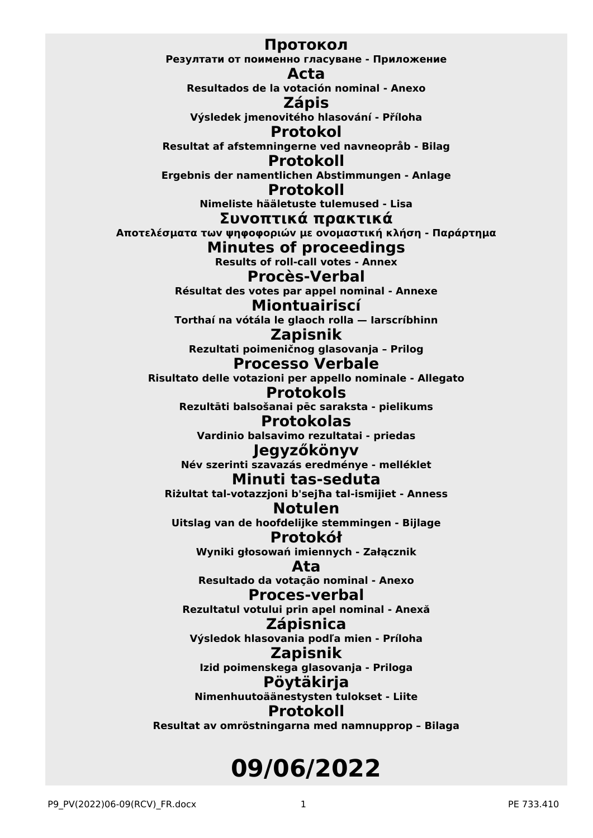**Протокол Резултати от поименно гласуване - Приложение Acta Resultados de la votación nominal - Anexo Zápis Výsledek jmenovitého hlasování - Příloha Protokol Resultat af afstemningerne ved navneopråb - Bilag Protokoll Ergebnis der namentlichen Abstimmungen - Anlage Protokoll Nimeliste hääletuste tulemused - Lisa Συvoπτικά πρακτικά Απoτελέσματα τωv ψηφoφoριώv με ovoμαστική κλήση - Παράρτημα Minutes of proceedings Results of roll-call votes - Annex Procès-Verbal Résultat des votes par appel nominal - Annexe Miontuairiscí Torthaí na vótála le glaoch rolla — Iarscríbhinn Zapisnik Rezultati poimeničnog glasovanja – Prilog Processo Verbale Risultato delle votazioni per appello nominale - Allegato Protokols Rezultāti balsošanai pēc saraksta - pielikums Protokolas Vardinio balsavimo rezultatai - priedas Jegyzőkönyv Név szerinti szavazás eredménye - melléklet Minuti tas-seduta Riżultat tal-votazzjoni b'sejħa tal-ismijiet - Anness Notulen Uitslag van de hoofdelijke stemmingen - Bijlage Protokół Wyniki głosowań imiennych - Załącznik Ata Resultado da votação nominal - Anexo Proces-verbal Rezultatul votului prin apel nominal - Anexă Zápisnica Výsledok hlasovania podľa mien - Príloha Zapisnik Izid poimenskega glasovanja - Priloga Pöytäkirja Nimenhuutoäänestysten tulokset - Liite Protokoll Resultat av omröstningarna med namnupprop – Bilaga**

# **09/06/2022**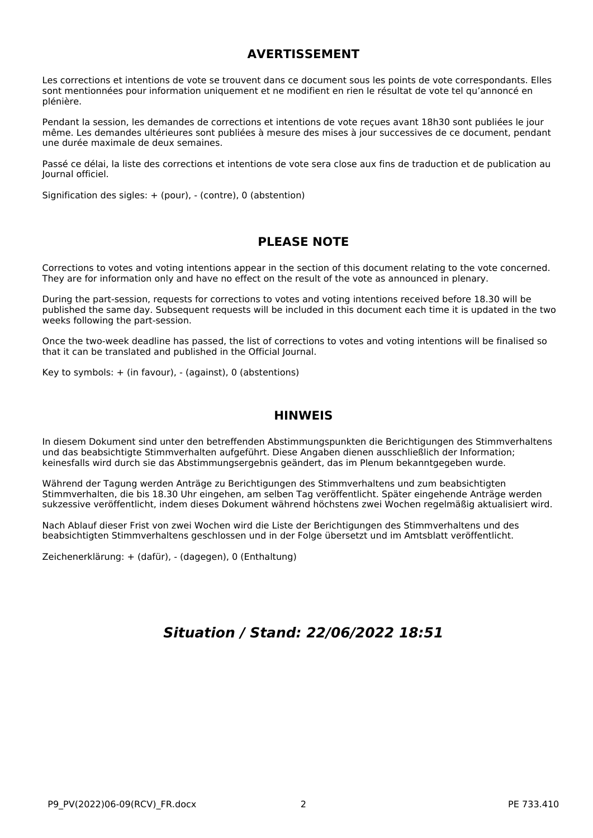## **AVERTISSEMENT**

Les corrections et intentions de vote se trouvent dans ce document sous les points de vote correspondants. Elles sont mentionnées pour information uniquement et ne modifient en rien le résultat de vote tel qu'annoncé en plénière.

Pendant la session, les demandes de corrections et intentions de vote reçues avant 18h30 sont publiées le jour même. Les demandes ultérieures sont publiées à mesure des mises à jour successives de ce document, pendant une durée maximale de deux semaines.

Passé ce délai, la liste des corrections et intentions de vote sera close aux fins de traduction et de publication au Journal officiel.

Signification des sigles: + (pour), - (contre), 0 (abstention)

## **PLEASE NOTE**

Corrections to votes and voting intentions appear in the section of this document relating to the vote concerned. They are for information only and have no effect on the result of the vote as announced in plenary.

During the part-session, requests for corrections to votes and voting intentions received before 18.30 will be published the same day. Subsequent requests will be included in this document each time it is updated in the two weeks following the part-session.

Once the two-week deadline has passed, the list of corrections to votes and voting intentions will be finalised so that it can be translated and published in the Official Journal.

Key to symbols: + (in favour), - (against), 0 (abstentions)

### **HINWEIS**

In diesem Dokument sind unter den betreffenden Abstimmungspunkten die Berichtigungen des Stimmverhaltens und das beabsichtigte Stimmverhalten aufgeführt. Diese Angaben dienen ausschließlich der Information; keinesfalls wird durch sie das Abstimmungsergebnis geändert, das im Plenum bekanntgegeben wurde.

Während der Tagung werden Anträge zu Berichtigungen des Stimmverhaltens und zum beabsichtigten Stimmverhalten, die bis 18.30 Uhr eingehen, am selben Tag veröffentlicht. Später eingehende Anträge werden sukzessive veröffentlicht, indem dieses Dokument während höchstens zwei Wochen regelmäßig aktualisiert wird.

Nach Ablauf dieser Frist von zwei Wochen wird die Liste der Berichtigungen des Stimmverhaltens und des beabsichtigten Stimmverhaltens geschlossen und in der Folge übersetzt und im Amtsblatt veröffentlicht.

Zeichenerklärung: + (dafür), - (dagegen), 0 (Enthaltung)

## *Situation / Stand: 22/06/2022 18:51*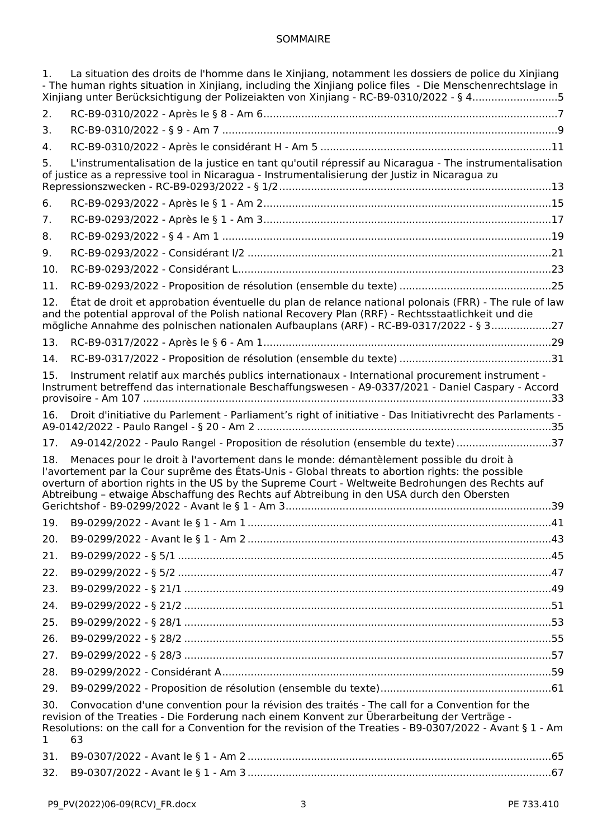## SOMMAIRE

| 1.                                                                                                                                                                                                                                                                                                                                       | La situation des droits de l'homme dans le Xinjiang, notamment les dossiers de police du Xinjiang                                                                                                                                                                                                                                                                                                 |  |
|------------------------------------------------------------------------------------------------------------------------------------------------------------------------------------------------------------------------------------------------------------------------------------------------------------------------------------------|---------------------------------------------------------------------------------------------------------------------------------------------------------------------------------------------------------------------------------------------------------------------------------------------------------------------------------------------------------------------------------------------------|--|
|                                                                                                                                                                                                                                                                                                                                          | - The human rights situation in Xinjiang, including the Xinjiang police files - Die Menschenrechtslage in<br>Xinjiang unter Berücksichtigung der Polizeiakten von Xinjiang - RC-B9-0310/2022 - § 45                                                                                                                                                                                               |  |
| 2.                                                                                                                                                                                                                                                                                                                                       |                                                                                                                                                                                                                                                                                                                                                                                                   |  |
| З.                                                                                                                                                                                                                                                                                                                                       |                                                                                                                                                                                                                                                                                                                                                                                                   |  |
| 4.                                                                                                                                                                                                                                                                                                                                       |                                                                                                                                                                                                                                                                                                                                                                                                   |  |
| 5.                                                                                                                                                                                                                                                                                                                                       | L'instrumentalisation de la justice en tant qu'outil répressif au Nicaragua - The instrumentalisation<br>of justice as a repressive tool in Nicaragua - Instrumentalisierung der Justiz in Nicaragua zu                                                                                                                                                                                           |  |
| 6.                                                                                                                                                                                                                                                                                                                                       |                                                                                                                                                                                                                                                                                                                                                                                                   |  |
| 7.                                                                                                                                                                                                                                                                                                                                       |                                                                                                                                                                                                                                                                                                                                                                                                   |  |
| 8.                                                                                                                                                                                                                                                                                                                                       |                                                                                                                                                                                                                                                                                                                                                                                                   |  |
| 9.                                                                                                                                                                                                                                                                                                                                       |                                                                                                                                                                                                                                                                                                                                                                                                   |  |
| 10.                                                                                                                                                                                                                                                                                                                                      |                                                                                                                                                                                                                                                                                                                                                                                                   |  |
| 11.                                                                                                                                                                                                                                                                                                                                      |                                                                                                                                                                                                                                                                                                                                                                                                   |  |
| 12.                                                                                                                                                                                                                                                                                                                                      | État de droit et approbation éventuelle du plan de relance national polonais (FRR) - The rule of law<br>and the potential approval of the Polish national Recovery Plan (RRF) - Rechtsstaatlichkeit und die<br>mögliche Annahme des polnischen nationalen Aufbauplans (ARF) - RC-B9-0317/2022 - § 327                                                                                             |  |
| 13.                                                                                                                                                                                                                                                                                                                                      |                                                                                                                                                                                                                                                                                                                                                                                                   |  |
| 14.                                                                                                                                                                                                                                                                                                                                      |                                                                                                                                                                                                                                                                                                                                                                                                   |  |
| 15.                                                                                                                                                                                                                                                                                                                                      | Instrument relatif aux marchés publics internationaux - International procurement instrument -<br>Instrument betreffend das internationale Beschaffungswesen - A9-0337/2021 - Daniel Caspary - Accord                                                                                                                                                                                             |  |
| 16.                                                                                                                                                                                                                                                                                                                                      | Droit d'initiative du Parlement - Parliament's right of initiative - Das Initiativrecht des Parlaments -                                                                                                                                                                                                                                                                                          |  |
| 17.                                                                                                                                                                                                                                                                                                                                      | A9-0142/2022 - Paulo Rangel - Proposition de résolution (ensemble du texte) 37                                                                                                                                                                                                                                                                                                                    |  |
| 18.                                                                                                                                                                                                                                                                                                                                      | Menaces pour le droit à l'avortement dans le monde: démantèlement possible du droit à<br>l'avortement par la Cour suprême des États-Unis - Global threats to abortion rights: the possible<br>overturn of abortion rights in the US by the Supreme Court - Weltweite Bedrohungen des Rechts auf<br>Abtreibung - etwaige Abschaffung des Rechts auf Abtreibung in den USA durch den Obersten<br>39 |  |
| 19.                                                                                                                                                                                                                                                                                                                                      |                                                                                                                                                                                                                                                                                                                                                                                                   |  |
| 20.                                                                                                                                                                                                                                                                                                                                      |                                                                                                                                                                                                                                                                                                                                                                                                   |  |
| 21.                                                                                                                                                                                                                                                                                                                                      |                                                                                                                                                                                                                                                                                                                                                                                                   |  |
| 22.                                                                                                                                                                                                                                                                                                                                      |                                                                                                                                                                                                                                                                                                                                                                                                   |  |
| 23.                                                                                                                                                                                                                                                                                                                                      |                                                                                                                                                                                                                                                                                                                                                                                                   |  |
| 24.                                                                                                                                                                                                                                                                                                                                      |                                                                                                                                                                                                                                                                                                                                                                                                   |  |
| 25.                                                                                                                                                                                                                                                                                                                                      |                                                                                                                                                                                                                                                                                                                                                                                                   |  |
| 26.                                                                                                                                                                                                                                                                                                                                      |                                                                                                                                                                                                                                                                                                                                                                                                   |  |
| 27.                                                                                                                                                                                                                                                                                                                                      |                                                                                                                                                                                                                                                                                                                                                                                                   |  |
| 28.                                                                                                                                                                                                                                                                                                                                      |                                                                                                                                                                                                                                                                                                                                                                                                   |  |
| 29.                                                                                                                                                                                                                                                                                                                                      |                                                                                                                                                                                                                                                                                                                                                                                                   |  |
| Convocation d'une convention pour la révision des traités - The call for a Convention for the<br>30.<br>revision of the Treaties - Die Forderung nach einem Konvent zur Überarbeitung der Verträge -<br>Resolutions: on the call for a Convention for the revision of the Treaties - B9-0307/2022 - Avant § 1 - Am<br>63<br>$\mathbf{1}$ |                                                                                                                                                                                                                                                                                                                                                                                                   |  |
| 31.                                                                                                                                                                                                                                                                                                                                      |                                                                                                                                                                                                                                                                                                                                                                                                   |  |
| 32.                                                                                                                                                                                                                                                                                                                                      |                                                                                                                                                                                                                                                                                                                                                                                                   |  |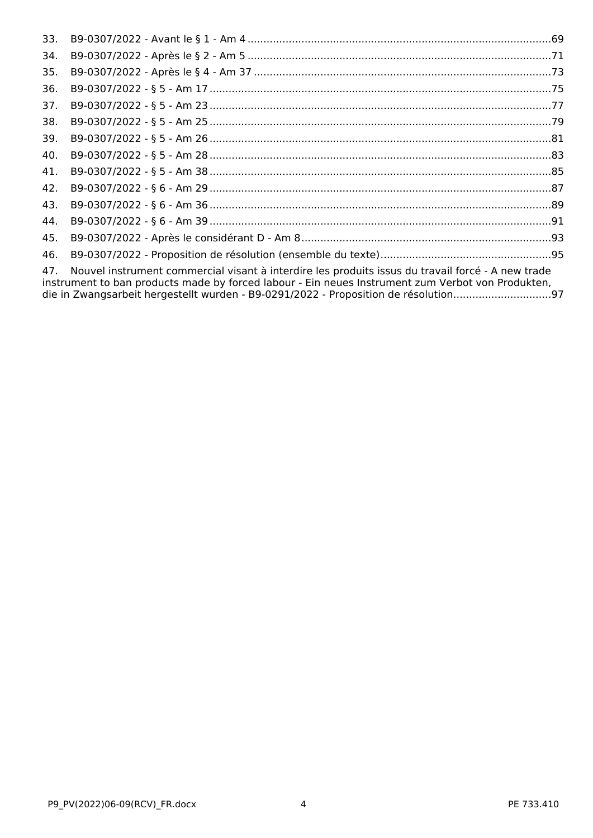| 33. |                                                                                                                                                                                                                                                                                               |  |
|-----|-----------------------------------------------------------------------------------------------------------------------------------------------------------------------------------------------------------------------------------------------------------------------------------------------|--|
| 34. |                                                                                                                                                                                                                                                                                               |  |
| 35. |                                                                                                                                                                                                                                                                                               |  |
| 36. |                                                                                                                                                                                                                                                                                               |  |
| 37. |                                                                                                                                                                                                                                                                                               |  |
| 38. |                                                                                                                                                                                                                                                                                               |  |
| 39. |                                                                                                                                                                                                                                                                                               |  |
| 40. |                                                                                                                                                                                                                                                                                               |  |
| 41. |                                                                                                                                                                                                                                                                                               |  |
| 42. |                                                                                                                                                                                                                                                                                               |  |
| 43. |                                                                                                                                                                                                                                                                                               |  |
| 44. |                                                                                                                                                                                                                                                                                               |  |
| 45. |                                                                                                                                                                                                                                                                                               |  |
| 46. |                                                                                                                                                                                                                                                                                               |  |
| 47. | Nouvel instrument commercial visant à interdire les produits issus du travail forcé - A new trade<br>instrument to ban products made by forced labour - Ein neues Instrument zum Verbot von Produkten,<br>die in Zwangsarbeit hergestellt wurden - B9-0291/2022 - Proposition de résolution97 |  |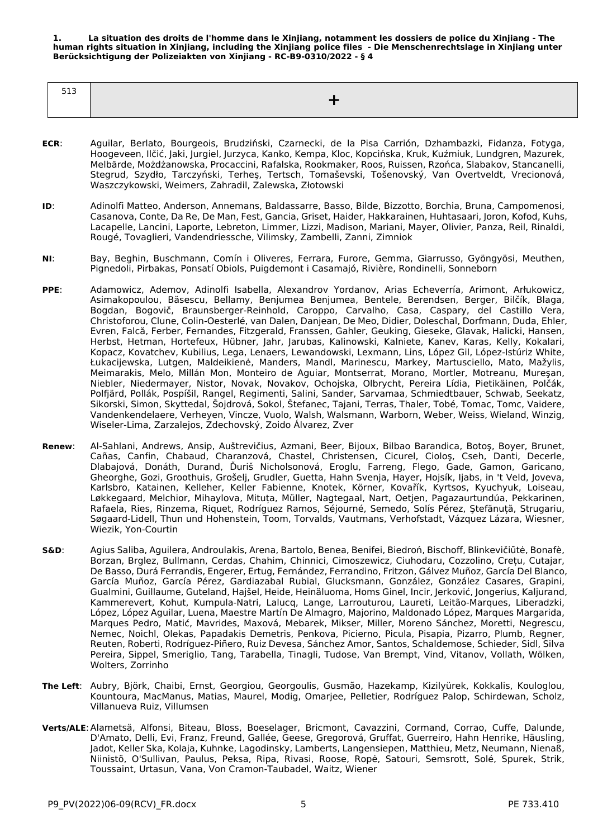<span id="page-4-0"></span>**1. La situation des droits de l'homme dans le Xinjiang, notamment les dossiers de police du Xinjiang - The human rights situation in Xinjiang, including the Xinjiang police files - Die Menschenrechtslage in Xinjiang unter Berücksichtigung der Polizeiakten von Xinjiang - RC-B9-0310/2022 - § 4**

| E 1 D<br>د⊥د |  |
|--------------|--|
|              |  |
|              |  |

- **ECR**: Aguilar, Berlato, Bourgeois, Brudziński, Czarnecki, de la Pisa Carrión, Dzhambazki, Fidanza, Fotyga, Hoogeveen, Ilčić, Jaki, Jurgiel, Jurzyca, Kanko, Kempa, Kloc, Kopcińska, Kruk, Kuźmiuk, Lundgren, Mazurek, Melbārde, Możdżanowska, Procaccini, Rafalska, Rookmaker, Roos, Ruissen, Rzońca, Slabakov, Stancanelli, Stegrud, Szydło, Tarczyński, Terheş, Tertsch, Tomaševski, Tošenovský, Van Overtveldt, Vrecionová, Waszczykowski, Weimers, Zahradil, Zalewska, Złotowski
- **ID**: Adinolfi Matteo, Anderson, Annemans, Baldassarre, Basso, Bilde, Bizzotto, Borchia, Bruna, Campomenosi, Casanova, Conte, Da Re, De Man, Fest, Gancia, Griset, Haider, Hakkarainen, Huhtasaari, Joron, Kofod, Kuhs, Lacapelle, Lancini, Laporte, Lebreton, Limmer, Lizzi, Madison, Mariani, Mayer, Olivier, Panza, Reil, Rinaldi, Rougé, Tovaglieri, Vandendriessche, Vilimsky, Zambelli, Zanni, Zimniok
- **NI**: Bay, Beghin, Buschmann, Comín i Oliveres, Ferrara, Furore, Gemma, Giarrusso, Gyöngyösi, Meuthen, Pignedoli, Pirbakas, Ponsatí Obiols, Puigdemont i Casamajó, Rivière, Rondinelli, Sonneborn
- **PPE**: Adamowicz, Ademov, Adinolfi Isabella, Alexandrov Yordanov, Arias Echeverría, Arimont, Arłukowicz, Asimakopoulou, Băsescu, Bellamy, Benjumea Benjumea, Bentele, Berendsen, Berger, Bilčík, Blaga, Bogdan, Bogovič, Braunsberger-Reinhold, Caroppo, Carvalho, Casa, Caspary, del Castillo Vera, Christoforou, Clune, Colin-Oesterlé, van Dalen, Danjean, De Meo, Didier, Doleschal, Dorfmann, Duda, Ehler, Evren, Falcă, Ferber, Fernandes, Fitzgerald, Franssen, Gahler, Geuking, Gieseke, Glavak, Halicki, Hansen, Herbst, Hetman, Hortefeux, Hübner, Jahr, Jarubas, Kalinowski, Kalniete, Kanev, Karas, Kelly, Kokalari, Kopacz, Kovatchev, Kubilius, Lega, Lenaers, Lewandowski, Lexmann, Lins, López Gil, López-Istúriz White, Łukacijewska, Lutgen, Maldeikienė, Manders, Mandl, Marinescu, Markey, Martusciello, Mato, Mažylis, Meimarakis, Melo, Millán Mon, Monteiro de Aguiar, Montserrat, Morano, Mortler, Motreanu, Mureşan, Niebler, Niedermayer, Nistor, Novak, Novakov, Ochojska, Olbrycht, Pereira Lídia, Pietikäinen, Polčák, Polfjärd, Pollák, Pospíšil, Rangel, Regimenti, Salini, Sander, Sarvamaa, Schmiedtbauer, Schwab, Seekatz, Sikorski, Simon, Skyttedal, Šojdrová, Sokol, Štefanec, Tajani, Terras, Thaler, Tobé, Tomac, Tomc, Vaidere, Vandenkendelaere, Verheyen, Vincze, Vuolo, Walsh, Walsmann, Warborn, Weber, Weiss, Wieland, Winzig, Wiseler-Lima, Zarzalejos, Zdechovský, Zoido Álvarez, Zver
- **Renew**: Al-Sahlani, Andrews, Ansip, Auštrevičius, Azmani, Beer, Bijoux, Bilbao Barandica, Botoş, Boyer, Brunet, Cañas, Canfin, Chabaud, Charanzová, Chastel, Christensen, Cicurel, Cioloş, Cseh, Danti, Decerle, Dlabajová, Donáth, Durand, Ďuriš Nicholsonová, Eroglu, Farreng, Flego, Gade, Gamon, Garicano, Gheorghe, Gozi, Groothuis, Grošelj, Grudler, Guetta, Hahn Svenja, Hayer, Hojsík, Ijabs, in 't Veld, Joveva, Karlsbro, Katainen, Kelleher, Keller Fabienne, Knotek, Körner, Kovařík, Kyrtsos, Kyuchyuk, Loiseau, Løkkegaard, Melchior, Mihaylova, Mituța, Müller, Nagtegaal, Nart, Oetjen, Pagazaurtundúa, Pekkarinen, Rafaela, Ries, Rinzema, Riquet, Rodríguez Ramos, Séjourné, Semedo, Solís Pérez, Ştefănuță, Strugariu, Søgaard-Lidell, Thun und Hohenstein, Toom, Torvalds, Vautmans, Verhofstadt, Vázquez Lázara, Wiesner, Wiezik, Yon-Courtin
- **S&D**: Agius Saliba, Aguilera, Androulakis, Arena, Bartolo, Benea, Benifei, Biedroń, Bischoff, Blinkevičiūtė, Bonafè, Borzan, Brglez, Bullmann, Cerdas, Chahim, Chinnici, Cimoszewicz, Ciuhodaru, Cozzolino, Crețu, Cutajar, De Basso, Durá Ferrandis, Engerer, Ertug, Fernández, Ferrandino, Fritzon, Gálvez Muñoz, García Del Blanco, García Muñoz, García Pérez, Gardiazabal Rubial, Glucksmann, González, González Casares, Grapini, Gualmini, Guillaume, Guteland, Hajšel, Heide, Heinäluoma, Homs Ginel, Incir, Jerković, Jongerius, Kaljurand, Kammerevert, Kohut, Kumpula-Natri, Lalucq, Lange, Larrouturou, Laureti, Leitão-Marques, Liberadzki, López, López Aguilar, Luena, Maestre Martín De Almagro, Majorino, Maldonado López, Marques Margarida, Marques Pedro, Matić, Mavrides, Maxová, Mebarek, Mikser, Miller, Moreno Sánchez, Moretti, Negrescu, Nemec, Noichl, Olekas, Papadakis Demetris, Penkova, Picierno, Picula, Pisapia, Pizarro, Plumb, Regner, Reuten, Roberti, Rodríguez-Piñero, Ruiz Devesa, Sánchez Amor, Santos, Schaldemose, Schieder, Sidl, Silva Pereira, Sippel, Smeriglio, Tang, Tarabella, Tinagli, Tudose, Van Brempt, Vind, Vitanov, Vollath, Wölken, Wolters, Zorrinho
- **The Left**: Aubry, Björk, Chaibi, Ernst, Georgiou, Georgoulis, Gusmão, Hazekamp, Kizilyürek, Kokkalis, Kouloglou, Kountoura, MacManus, Matias, Maurel, Modig, Omarjee, Pelletier, Rodríguez Palop, Schirdewan, Scholz, Villanueva Ruiz, Villumsen
- **Verts/ALE**:Alametsä, Alfonsi, Biteau, Bloss, Boeselager, Bricmont, Cavazzini, Cormand, Corrao, Cuffe, Dalunde, D'Amato, Delli, Evi, Franz, Freund, Gallée, Geese, Gregorová, Gruffat, Guerreiro, Hahn Henrike, Häusling, Jadot, Keller Ska, Kolaja, Kuhnke, Lagodinsky, Lamberts, Langensiepen, Matthieu, Metz, Neumann, Nienaß, Niinistö, O'Sullivan, Paulus, Peksa, Ripa, Rivasi, Roose, Ropė, Satouri, Semsrott, Solé, Spurek, Strik, Toussaint, Urtasun, Vana, Von Cramon-Taubadel, Waitz, Wiener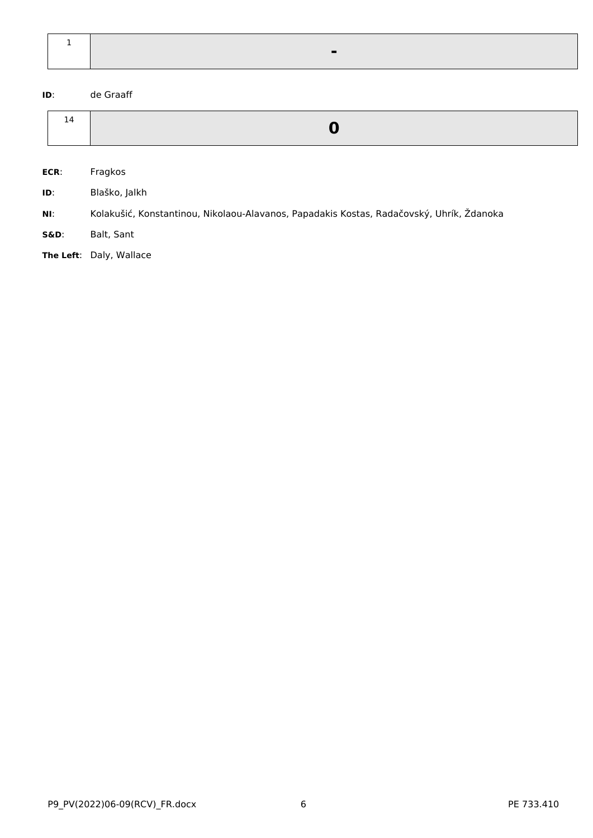**ID**: de Graaff

| 14 |  |
|----|--|

**ECR**: Fragkos

**ID**: Blaško, Jalkh

**NI**: Kolakušić, Konstantinou, Nikolaou-Alavanos, Papadakis Kostas, Radačovský, Uhrík, Ždanoka

**S&D**: Balt, Sant

**The Left**: Daly, Wallace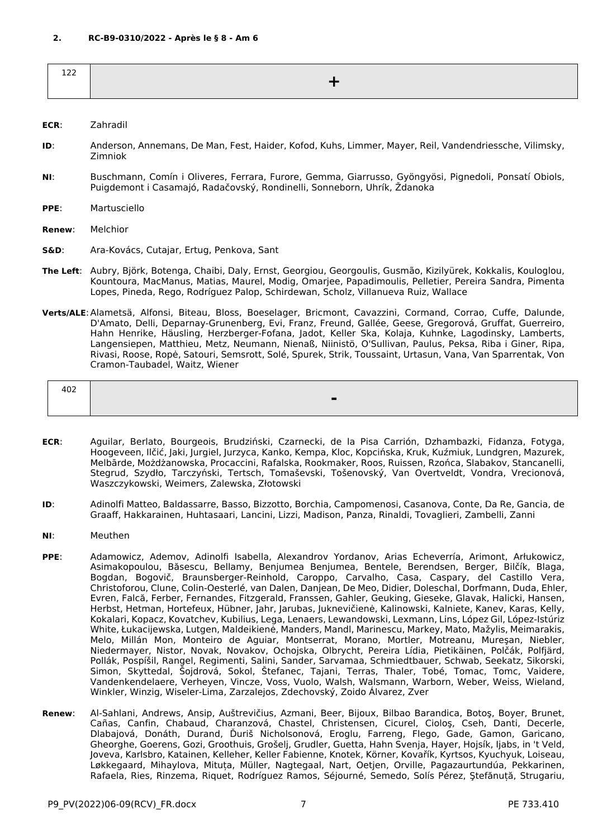<span id="page-6-0"></span>

| - - -<br>∸∸<br>--- |  |
|--------------------|--|
|                    |  |

#### **ECR**: Zahradil

- **ID**: Anderson, Annemans, De Man, Fest, Haider, Kofod, Kuhs, Limmer, Mayer, Reil, Vandendriessche, Vilimsky, Zimniok
- **NI**: Buschmann, Comín i Oliveres, Ferrara, Furore, Gemma, Giarrusso, Gyöngyösi, Pignedoli, Ponsatí Obiols, Puigdemont i Casamajó, Radačovský, Rondinelli, Sonneborn, Uhrík, Ždanoka
- **PPE**: Martusciello

**Renew**: Melchior

- **S&D**: Ara-Kovács, Cutajar, Ertug, Penkova, Sant
- **The Left**: Aubry, Björk, Botenga, Chaibi, Daly, Ernst, Georgiou, Georgoulis, Gusmão, Kizilyürek, Kokkalis, Kouloglou, Kountoura, MacManus, Matias, Maurel, Modig, Omarjee, Papadimoulis, Pelletier, Pereira Sandra, Pimenta Lopes, Pineda, Rego, Rodríguez Palop, Schirdewan, Scholz, Villanueva Ruiz, Wallace
- **Verts/ALE**:Alametsä, Alfonsi, Biteau, Bloss, Boeselager, Bricmont, Cavazzini, Cormand, Corrao, Cuffe, Dalunde, D'Amato, Delli, Deparnay-Grunenberg, Evi, Franz, Freund, Gallée, Geese, Gregorová, Gruffat, Guerreiro, Hahn Henrike, Häusling, Herzberger-Fofana, Jadot, Keller Ska, Kolaja, Kuhnke, Lagodinsky, Lamberts, Langensiepen, Matthieu, Metz, Neumann, Nienaß, Niinistö, O'Sullivan, Paulus, Peksa, Riba i Giner, Ripa, Rivasi, Roose, Ropė, Satouri, Semsrott, Solé, Spurek, Strik, Toussaint, Urtasun, Vana, Van Sparrentak, Von Cramon-Taubadel, Waitz, Wiener

| 402 |  |
|-----|--|
|     |  |
|     |  |

- **ECR**: Aguilar, Berlato, Bourgeois, Brudziński, Czarnecki, de la Pisa Carrión, Dzhambazki, Fidanza, Fotyga, Hoogeveen, Ilčić, Jaki, Jurgiel, Jurzyca, Kanko, Kempa, Kloc, Kopcińska, Kruk, Kuźmiuk, Lundgren, Mazurek, Melbārde, Możdżanowska, Procaccini, Rafalska, Rookmaker, Roos, Ruissen, Rzońca, Slabakov, Stancanelli, Stegrud, Szydło, Tarczyński, Tertsch, Tomaševski, Tošenovský, Van Overtveldt, Vondra, Vrecionová, Waszczykowski, Weimers, Zalewska, Złotowski
- **ID**: Adinolfi Matteo, Baldassarre, Basso, Bizzotto, Borchia, Campomenosi, Casanova, Conte, Da Re, Gancia, de Graaff, Hakkarainen, Huhtasaari, Lancini, Lizzi, Madison, Panza, Rinaldi, Tovaglieri, Zambelli, Zanni
- **NI**: Meuthen
- **PPE**: Adamowicz, Ademov, Adinolfi Isabella, Alexandrov Yordanov, Arias Echeverría, Arimont, Arłukowicz, Asimakopoulou, Băsescu, Bellamy, Benjumea Benjumea, Bentele, Berendsen, Berger, Bilčík, Blaga, Bogdan, Bogovič, Braunsberger-Reinhold, Caroppo, Carvalho, Casa, Caspary, del Castillo Vera, Christoforou, Clune, Colin-Oesterlé, van Dalen, Danjean, De Meo, Didier, Doleschal, Dorfmann, Duda, Ehler, Evren, Falcă, Ferber, Fernandes, Fitzgerald, Franssen, Gahler, Geuking, Gieseke, Glavak, Halicki, Hansen, Herbst, Hetman, Hortefeux, Hübner, Jahr, Jarubas, Juknevičienė, Kalinowski, Kalniete, Kanev, Karas, Kelly, Kokalari, Kopacz, Kovatchev, Kubilius, Lega, Lenaers, Lewandowski, Lexmann, Lins, López Gil, López-Istúriz White, Łukacijewska, Lutgen, Maldeikienė, Manders, Mandl, Marinescu, Markey, Mato, Mažylis, Meimarakis, Melo, Millán Mon, Monteiro de Aguiar, Montserrat, Morano, Mortler, Motreanu, Mureşan, Niebler, Niedermayer, Nistor, Novak, Novakov, Ochojska, Olbrycht, Pereira Lídia, Pietikäinen, Polčák, Polfjärd, Pollák, Pospíšil, Rangel, Regimenti, Salini, Sander, Sarvamaa, Schmiedtbauer, Schwab, Seekatz, Sikorski, Simon, Skyttedal, Šojdrová, Sokol, Štefanec, Tajani, Terras, Thaler, Tobé, Tomac, Tomc, Vaidere, Vandenkendelaere, Verheyen, Vincze, Voss, Vuolo, Walsh, Walsmann, Warborn, Weber, Weiss, Wieland, Winkler, Winzig, Wiseler-Lima, Zarzalejos, Zdechovský, Zoido Álvarez, Zver
- **Renew**: Al-Sahlani, Andrews, Ansip, Auštrevičius, Azmani, Beer, Bijoux, Bilbao Barandica, Botoş, Boyer, Brunet, Cañas, Canfin, Chabaud, Charanzová, Chastel, Christensen, Cicurel, Cioloş, Cseh, Danti, Decerle, Dlabajová, Donáth, Durand, Ďuriš Nicholsonová, Eroglu, Farreng, Flego, Gade, Gamon, Garicano, Gheorghe, Goerens, Gozi, Groothuis, Grošelj, Grudler, Guetta, Hahn Svenja, Hayer, Hojsík, Ijabs, in 't Veld, Joveva, Karlsbro, Katainen, Kelleher, Keller Fabienne, Knotek, Körner, Kovařík, Kyrtsos, Kyuchyuk, Loiseau, Løkkegaard, Mihaylova, Mituța, Müller, Nagtegaal, Nart, Oetjen, Orville, Pagazaurtundúa, Pekkarinen, Rafaela, Ries, Rinzema, Riquet, Rodríguez Ramos, Séjourné, Semedo, Solís Pérez, Ştefănuță, Strugariu,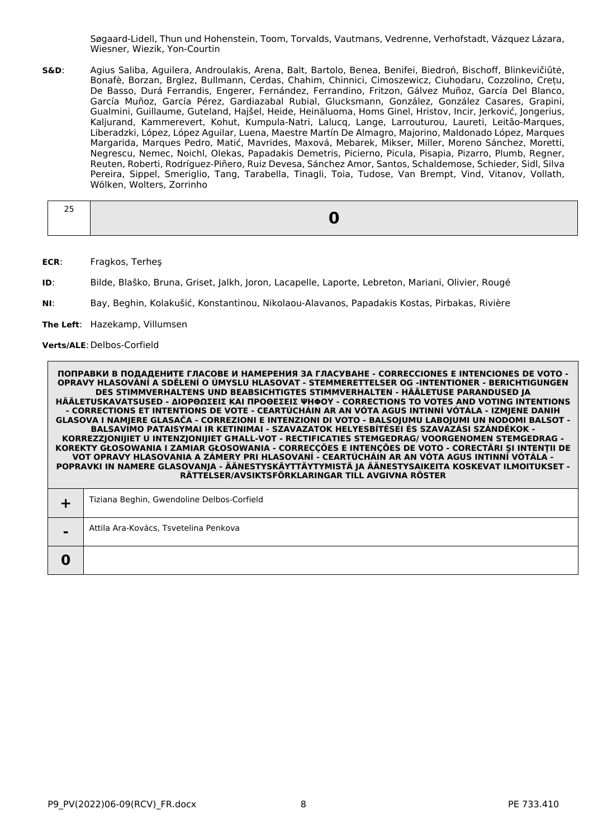Søgaard-Lidell, Thun und Hohenstein, Toom, Torvalds, Vautmans, Vedrenne, Verhofstadt, Vázquez Lázara, Wiesner, Wiezik, Yon-Courtin

**S&D**: Agius Saliba, Aguilera, Androulakis, Arena, Balt, Bartolo, Benea, Benifei, Biedroń, Bischoff, Blinkevičiūtė, Bonafè, Borzan, Brglez, Bullmann, Cerdas, Chahim, Chinnici, Cimoszewicz, Ciuhodaru, Cozzolino, Crețu, De Basso, Durá Ferrandis, Engerer, Fernández, Ferrandino, Fritzon, Gálvez Muñoz, García Del Blanco, García Muñoz, García Pérez, Gardiazabal Rubial, Glucksmann, González, González Casares, Grapini, Gualmini, Guillaume, Guteland, Hajšel, Heide, Heinäluoma, Homs Ginel, Hristov, Incir, Jerković, Jongerius, Kaljurand, Kammerevert, Kohut, Kumpula-Natri, Lalucq, Lange, Larrouturou, Laureti, Leitão-Marques, Liberadzki, López, López Aguilar, Luena, Maestre Martín De Almagro, Majorino, Maldonado López, Marques Margarida, Marques Pedro, Matić, Mavrides, Maxová, Mebarek, Mikser, Miller, Moreno Sánchez, Moretti, Negrescu, Nemec, Noichl, Olekas, Papadakis Demetris, Picierno, Picula, Pisapia, Pizarro, Plumb, Regner, Reuten, Roberti, Rodríguez-Piñero, Ruiz Devesa, Sánchez Amor, Santos, Schaldemose, Schieder, Sidl, Silva Pereira, Sippel, Smeriglio, Tang, Tarabella, Tinagli, Toia, Tudose, Van Brempt, Vind, Vitanov, Vollath, Wölken, Wolters, Zorrinho

| -- |  |
|----|--|
|    |  |

**ECR**: Fragkos, Terheş

**ID**: Bilde, Blaško, Bruna, Griset, Jalkh, Joron, Lacapelle, Laporte, Lebreton, Mariani, Olivier, Rougé

**NI**: Bay, Beghin, Kolakušić, Konstantinou, Nikolaou-Alavanos, Papadakis Kostas, Pirbakas, Rivière

**The Left**: Hazekamp, Villumsen

**Verts/ALE**:Delbos-Corfield

|                | Tiziana Beghin, Gwendoline Delbos-Corfield |
|----------------|--------------------------------------------|
| $\blacksquare$ | Attila Ara-Kovács, Tsvetelina Penkova      |
|                |                                            |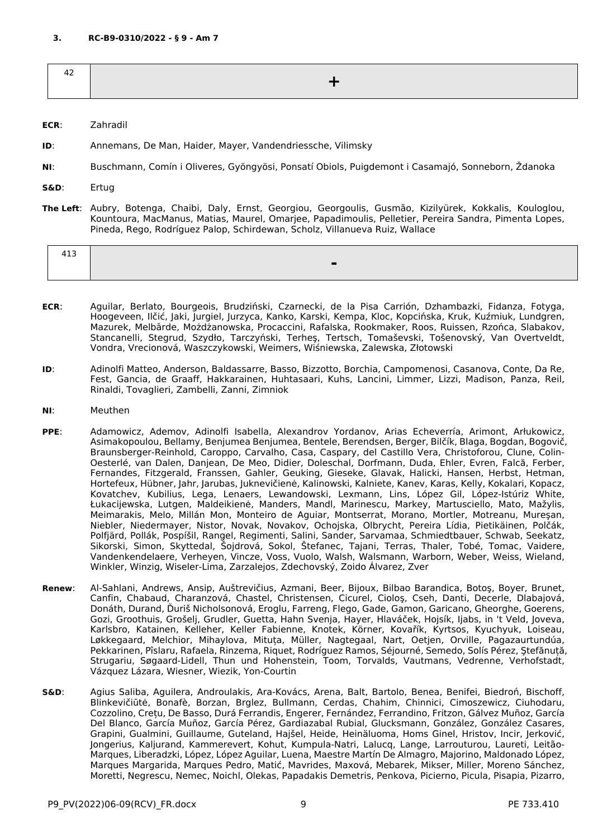<span id="page-8-0"></span>

- **ECR**: Zahradil
- **ID**: Annemans, De Man, Haider, Mayer, Vandendriessche, Vilimsky
- **NI**: Buschmann, Comín i Oliveres, Gyöngyösi, Ponsatí Obiols, Puigdemont i Casamajó, Sonneborn, Ždanoka
- **S&D**: Ertug
- **The Left**: Aubry, Botenga, Chaibi, Daly, Ernst, Georgiou, Georgoulis, Gusmão, Kizilyürek, Kokkalis, Kouloglou, Kountoura, MacManus, Matias, Maurel, Omarjee, Papadimoulis, Pelletier, Pereira Sandra, Pimenta Lopes, Pineda, Rego, Rodríguez Palop, Schirdewan, Scholz, Villanueva Ruiz, Wallace

| ᅮᅩ |  |
|----|--|
|    |  |

- **ECR**: Aguilar, Berlato, Bourgeois, Brudziński, Czarnecki, de la Pisa Carrión, Dzhambazki, Fidanza, Fotyga, Hoogeveen, Ilčić, Jaki, Jurgiel, Jurzyca, Kanko, Karski, Kempa, Kloc, Kopcińska, Kruk, Kuźmiuk, Lundgren, Mazurek, Melbārde, Możdżanowska, Procaccini, Rafalska, Rookmaker, Roos, Ruissen, Rzońca, Slabakov, Stancanelli, Stegrud, Szydło, Tarczyński, Terheş, Tertsch, Tomaševski, Tošenovský, Van Overtveldt, Vondra, Vrecionová, Waszczykowski, Weimers, Wiśniewska, Zalewska, Złotowski
- **ID**: Adinolfi Matteo, Anderson, Baldassarre, Basso, Bizzotto, Borchia, Campomenosi, Casanova, Conte, Da Re, Fest, Gancia, de Graaff, Hakkarainen, Huhtasaari, Kuhs, Lancini, Limmer, Lizzi, Madison, Panza, Reil, Rinaldi, Tovaglieri, Zambelli, Zanni, Zimniok
- **NI**: Meuthen
- **PPE**: Adamowicz, Ademov, Adinolfi Isabella, Alexandrov Yordanov, Arias Echeverría, Arimont, Arłukowicz, Asimakopoulou, Bellamy, Benjumea Benjumea, Bentele, Berendsen, Berger, Bilčík, Blaga, Bogdan, Bogovič, Braunsberger-Reinhold, Caroppo, Carvalho, Casa, Caspary, del Castillo Vera, Christoforou, Clune, Colin-Oesterlé, van Dalen, Danjean, De Meo, Didier, Doleschal, Dorfmann, Duda, Ehler, Evren, Falcă, Ferber, Fernandes, Fitzgerald, Franssen, Gahler, Geuking, Gieseke, Glavak, Halicki, Hansen, Herbst, Hetman, Hortefeux, Hübner, Jahr, Jarubas, Juknevičienė, Kalinowski, Kalniete, Kanev, Karas, Kelly, Kokalari, Kopacz, Kovatchev, Kubilius, Lega, Lenaers, Lewandowski, Lexmann, Lins, López Gil, López-Istúriz White, Łukacijewska, Lutgen, Maldeikienė, Manders, Mandl, Marinescu, Markey, Martusciello, Mato, Mažylis, Meimarakis, Melo, Millán Mon, Monteiro de Aguiar, Montserrat, Morano, Mortler, Motreanu, Mureşan, Niebler, Niedermayer, Nistor, Novak, Novakov, Ochojska, Olbrycht, Pereira Lídia, Pietikäinen, Polčák, Polfjärd, Pollák, Pospíšil, Rangel, Regimenti, Salini, Sander, Sarvamaa, Schmiedtbauer, Schwab, Seekatz, Sikorski, Simon, Skyttedal, Šojdrová, Sokol, Štefanec, Tajani, Terras, Thaler, Tobé, Tomac, Vaidere, Vandenkendelaere, Verheyen, Vincze, Voss, Vuolo, Walsh, Walsmann, Warborn, Weber, Weiss, Wieland, Winkler, Winzig, Wiseler-Lima, Zarzalejos, Zdechovský, Zoido Álvarez, Zver
- **Renew**: Al-Sahlani, Andrews, Ansip, Auštrevičius, Azmani, Beer, Bijoux, Bilbao Barandica, Botoş, Boyer, Brunet, Canfin, Chabaud, Charanzová, Chastel, Christensen, Cicurel, Cioloş, Cseh, Danti, Decerle, Dlabajová, Donáth, Durand, Ďuriš Nicholsonová, Eroglu, Farreng, Flego, Gade, Gamon, Garicano, Gheorghe, Goerens, Gozi, Groothuis, Grošelj, Grudler, Guetta, Hahn Svenja, Hayer, Hlaváček, Hojsík, Ijabs, in 't Veld, Joveva, Karlsbro, Katainen, Kelleher, Keller Fabienne, Knotek, Körner, Kovařík, Kyrtsos, Kyuchyuk, Loiseau, Løkkegaard, Melchior, Mihaylova, Mituța, Müller, Nagtegaal, Nart, Oetjen, Orville, Pagazaurtundúa, Pekkarinen, Pîslaru, Rafaela, Rinzema, Riquet, Rodríguez Ramos, Séjourné, Semedo, Solís Pérez, Ştefănuță, Strugariu, Søgaard-Lidell, Thun und Hohenstein, Toom, Torvalds, Vautmans, Vedrenne, Verhofstadt, Vázquez Lázara, Wiesner, Wiezik, Yon-Courtin
- **S&D**: Agius Saliba, Aguilera, Androulakis, Ara-Kovács, Arena, Balt, Bartolo, Benea, Benifei, Biedroń, Bischoff, Blinkevičiūtė, Bonafè, Borzan, Brglez, Bullmann, Cerdas, Chahim, Chinnici, Cimoszewicz, Ciuhodaru, Cozzolino, Crețu, De Basso, Durá Ferrandis, Engerer, Fernández, Ferrandino, Fritzon, Gálvez Muñoz, García Del Blanco, García Muñoz, García Pérez, Gardiazabal Rubial, Glucksmann, González, González Casares, Grapini, Gualmini, Guillaume, Guteland, Hajšel, Heide, Heinäluoma, Homs Ginel, Hristov, Incir, Jerković, Jongerius, Kaljurand, Kammerevert, Kohut, Kumpula-Natri, Lalucq, Lange, Larrouturou, Laureti, Leitão-Marques, Liberadzki, López, López Aguilar, Luena, Maestre Martín De Almagro, Majorino, Maldonado López, Marques Margarida, Marques Pedro, Matić, Mavrides, Maxová, Mebarek, Mikser, Miller, Moreno Sánchez, Moretti, Negrescu, Nemec, Noichl, Olekas, Papadakis Demetris, Penkova, Picierno, Picula, Pisapia, Pizarro,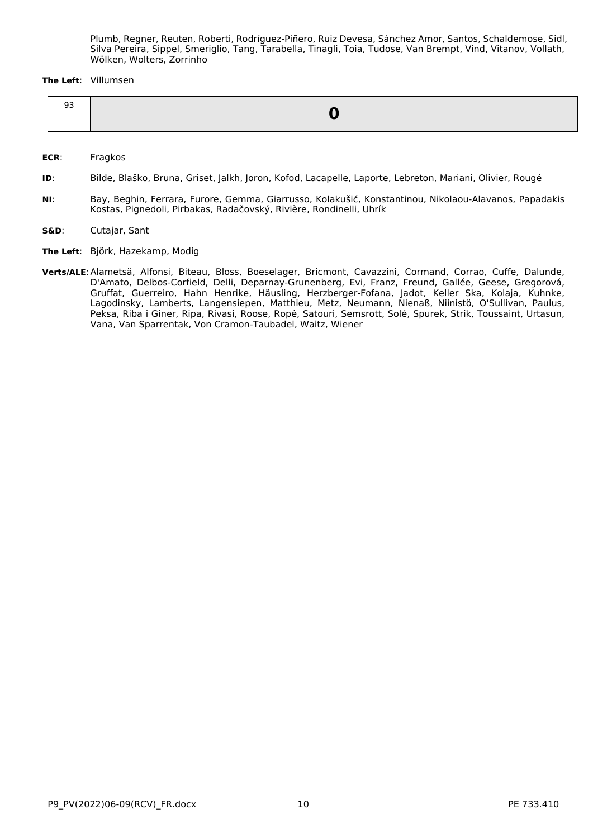Plumb, Regner, Reuten, Roberti, Rodríguez-Piñero, Ruiz Devesa, Sánchez Amor, Santos, Schaldemose, Sidl, Silva Pereira, Sippel, Smeriglio, Tang, Tarabella, Tinagli, Toia, Tudose, Van Brempt, Vind, Vitanov, Vollath, Wölken, Wolters, Zorrinho

#### **The Left**: Villumsen

**ECR**: Fragkos

- **ID**: Bilde, Blaško, Bruna, Griset, Jalkh, Joron, Kofod, Lacapelle, Laporte, Lebreton, Mariani, Olivier, Rougé
- **NI**: Bay, Beghin, Ferrara, Furore, Gemma, Giarrusso, Kolakušić, Konstantinou, Nikolaou-Alavanos, Papadakis Kostas, Pignedoli, Pirbakas, Radačovský, Rivière, Rondinelli, Uhrík
- **S&D**: Cutajar, Sant
- **The Left**: Björk, Hazekamp, Modig
- **Verts/ALE**:Alametsä, Alfonsi, Biteau, Bloss, Boeselager, Bricmont, Cavazzini, Cormand, Corrao, Cuffe, Dalunde, D'Amato, Delbos-Corfield, Delli, Deparnay-Grunenberg, Evi, Franz, Freund, Gallée, Geese, Gregorová, Gruffat, Guerreiro, Hahn Henrike, Häusling, Herzberger-Fofana, Jadot, Keller Ska, Kolaja, Kuhnke, Lagodinsky, Lamberts, Langensiepen, Matthieu, Metz, Neumann, Nienaß, Niinistö, O'Sullivan, Paulus, Peksa, Riba i Giner, Ripa, Rivasi, Roose, Ropė, Satouri, Semsrott, Solé, Spurek, Strik, Toussaint, Urtasun, Vana, Van Sparrentak, Von Cramon-Taubadel, Waitz, Wiener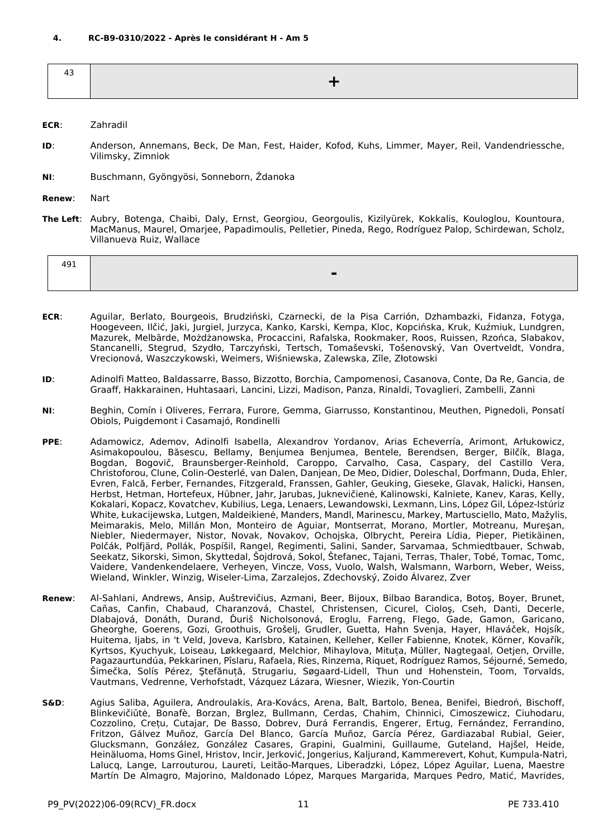<span id="page-10-0"></span>

- **ECR**: Zahradil
- **ID**: Anderson, Annemans, Beck, De Man, Fest, Haider, Kofod, Kuhs, Limmer, Mayer, Reil, Vandendriessche, Vilimsky, Zimniok
- **NI**: Buschmann, Gyöngyösi, Sonneborn, Ždanoka

**Renew**: Nart

**The Left**: Aubry, Botenga, Chaibi, Daly, Ernst, Georgiou, Georgoulis, Kizilyürek, Kokkalis, Kouloglou, Kountoura, MacManus, Maurel, Omarjee, Papadimoulis, Pelletier, Pineda, Rego, Rodríguez Palop, Schirdewan, Scholz, Villanueva Ruiz, Wallace

| 101<br>21 Y<br>᠇৴∸ |   |
|--------------------|---|
|                    | - |

- **ECR**: Aguilar, Berlato, Bourgeois, Brudziński, Czarnecki, de la Pisa Carrión, Dzhambazki, Fidanza, Fotyga, Hoogeveen, Ilčić, Jaki, Jurgiel, Jurzyca, Kanko, Karski, Kempa, Kloc, Kopcińska, Kruk, Kuźmiuk, Lundgren, Mazurek, Melbārde, Możdżanowska, Procaccini, Rafalska, Rookmaker, Roos, Ruissen, Rzońca, Slabakov, Stancanelli, Stegrud, Szydło, Tarczyński, Tertsch, Tomaševski, Tošenovský, Van Overtveldt, Vondra, Vrecionová, Waszczykowski, Weimers, Wiśniewska, Zalewska, Zīle, Złotowski
- **ID**: Adinolfi Matteo, Baldassarre, Basso, Bizzotto, Borchia, Campomenosi, Casanova, Conte, Da Re, Gancia, de Graaff, Hakkarainen, Huhtasaari, Lancini, Lizzi, Madison, Panza, Rinaldi, Tovaglieri, Zambelli, Zanni
- **NI**: Beghin, Comín i Oliveres, Ferrara, Furore, Gemma, Giarrusso, Konstantinou, Meuthen, Pignedoli, Ponsatí Obiols, Puigdemont i Casamajó, Rondinelli
- **PPE**: Adamowicz, Ademov, Adinolfi Isabella, Alexandrov Yordanov, Arias Echeverría, Arimont, Arłukowicz, Asimakopoulou, Băsescu, Bellamy, Benjumea Benjumea, Bentele, Berendsen, Berger, Bilčík, Blaga, Bogdan, Bogovič, Braunsberger-Reinhold, Caroppo, Carvalho, Casa, Caspary, del Castillo Vera, Christoforou, Clune, Colin-Oesterlé, van Dalen, Danjean, De Meo, Didier, Doleschal, Dorfmann, Duda, Ehler, Evren, Falcă, Ferber, Fernandes, Fitzgerald, Franssen, Gahler, Geuking, Gieseke, Glavak, Halicki, Hansen, Herbst, Hetman, Hortefeux, Hübner, Jahr, Jarubas, Juknevičienė, Kalinowski, Kalniete, Kanev, Karas, Kelly, Kokalari, Kopacz, Kovatchev, Kubilius, Lega, Lenaers, Lewandowski, Lexmann, Lins, López Gil, López-Istúriz White, Łukacijewska, Lutgen, Maldeikienė, Manders, Mandl, Marinescu, Markey, Martusciello, Mato, Mažylis, Meimarakis, Melo, Millán Mon, Monteiro de Aguiar, Montserrat, Morano, Mortler, Motreanu, Mureşan, Niebler, Niedermayer, Nistor, Novak, Novakov, Ochojska, Olbrycht, Pereira Lídia, Pieper, Pietikäinen, Polčák, Polfjärd, Pollák, Pospíšil, Rangel, Regimenti, Salini, Sander, Sarvamaa, Schmiedtbauer, Schwab, Seekatz, Sikorski, Simon, Skyttedal, Šojdrová, Sokol, Štefanec, Tajani, Terras, Thaler, Tobé, Tomac, Tomc, Vaidere, Vandenkendelaere, Verheyen, Vincze, Voss, Vuolo, Walsh, Walsmann, Warborn, Weber, Weiss, Wieland, Winkler, Winzig, Wiseler-Lima, Zarzalejos, Zdechovský, Zoido Álvarez, Zver
- **Renew**: Al-Sahlani, Andrews, Ansip, Auštrevičius, Azmani, Beer, Bijoux, Bilbao Barandica, Botoş, Boyer, Brunet, Cañas, Canfin, Chabaud, Charanzová, Chastel, Christensen, Cicurel, Cioloş, Cseh, Danti, Decerle, Dlabajová, Donáth, Durand, Ďuriš Nicholsonová, Eroglu, Farreng, Flego, Gade, Gamon, Garicano, Gheorghe, Goerens, Gozi, Groothuis, Grošelj, Grudler, Guetta, Hahn Svenja, Hayer, Hlaváček, Hojsík, Huitema, Ijabs, in 't Veld, Joveva, Karlsbro, Katainen, Kelleher, Keller Fabienne, Knotek, Körner, Kovařík, Kyrtsos, Kyuchyuk, Loiseau, Løkkegaard, Melchior, Mihaylova, Mituța, Müller, Nagtegaal, Oetjen, Orville, Pagazaurtundúa, Pekkarinen, Pîslaru, Rafaela, Ries, Rinzema, Riquet, Rodríguez Ramos, Séjourné, Semedo, Šimečka, Solís Pérez, Ştefănuță, Strugariu, Søgaard-Lidell, Thun und Hohenstein, Toom, Torvalds, Vautmans, Vedrenne, Verhofstadt, Vázquez Lázara, Wiesner, Wiezik, Yon-Courtin
- **S&D**: Agius Saliba, Aguilera, Androulakis, Ara-Kovács, Arena, Balt, Bartolo, Benea, Benifei, Biedroń, Bischoff, Blinkevičiūtė, Bonafè, Borzan, Brglez, Bullmann, Cerdas, Chahim, Chinnici, Cimoszewicz, Ciuhodaru, Cozzolino, Crețu, Cutajar, De Basso, Dobrev, Durá Ferrandis, Engerer, Ertug, Fernández, Ferrandino, Fritzon, Gálvez Muñoz, García Del Blanco, García Muñoz, García Pérez, Gardiazabal Rubial, Geier, Glucksmann, González, González Casares, Grapini, Gualmini, Guillaume, Guteland, Hajšel, Heide, Heinäluoma, Homs Ginel, Hristov, Incir, Jerković, Jongerius, Kaljurand, Kammerevert, Kohut, Kumpula-Natri, Lalucq, Lange, Larrouturou, Laureti, Leitão-Marques, Liberadzki, López, López Aguilar, Luena, Maestre Martín De Almagro, Majorino, Maldonado López, Marques Margarida, Marques Pedro, Matić, Mavrides,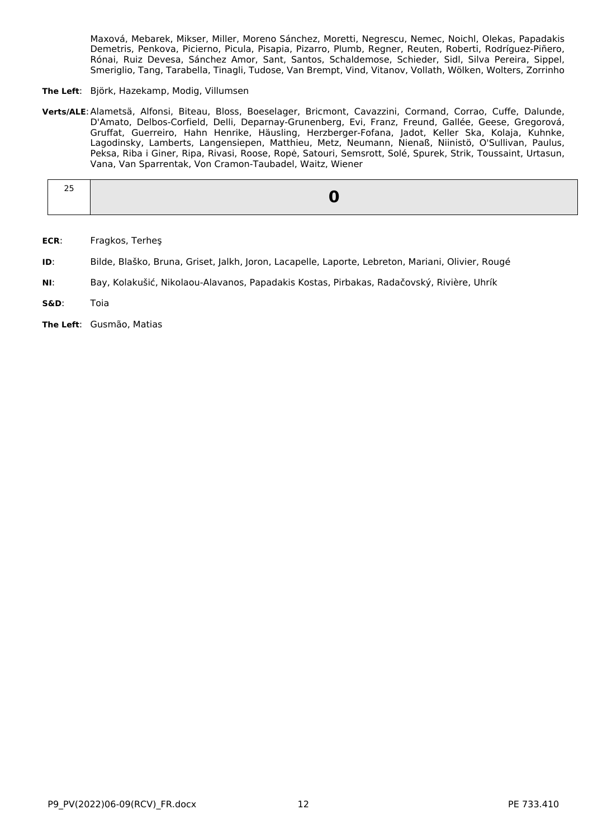Maxová, Mebarek, Mikser, Miller, Moreno Sánchez, Moretti, Negrescu, Nemec, Noichl, Olekas, Papadakis Demetris, Penkova, Picierno, Picula, Pisapia, Pizarro, Plumb, Regner, Reuten, Roberti, Rodríguez-Piñero, Rónai, Ruiz Devesa, Sánchez Amor, Sant, Santos, Schaldemose, Schieder, Sidl, Silva Pereira, Sippel, Smeriglio, Tang, Tarabella, Tinagli, Tudose, Van Brempt, Vind, Vitanov, Vollath, Wölken, Wolters, Zorrinho

- **The Left**: Björk, Hazekamp, Modig, Villumsen
- **Verts/ALE**:Alametsä, Alfonsi, Biteau, Bloss, Boeselager, Bricmont, Cavazzini, Cormand, Corrao, Cuffe, Dalunde, D'Amato, Delbos-Corfield, Delli, Deparnay-Grunenberg, Evi, Franz, Freund, Gallée, Geese, Gregorová, Gruffat, Guerreiro, Hahn Henrike, Häusling, Herzberger-Fofana, Jadot, Keller Ska, Kolaja, Kuhnke, Lagodinsky, Lamberts, Langensiepen, Matthieu, Metz, Neumann, Nienaß, Niinistö, O'Sullivan, Paulus, Peksa, Riba i Giner, Ripa, Rivasi, Roose, Ropė, Satouri, Semsrott, Solé, Spurek, Strik, Toussaint, Urtasun, Vana, Van Sparrentak, Von Cramon-Taubadel, Waitz, Wiener

| --<br>$\sim$ |  |
|--------------|--|
|              |  |

- **ECR**: Fragkos, Terheş
- **ID**: Bilde, Blaško, Bruna, Griset, Jalkh, Joron, Lacapelle, Laporte, Lebreton, Mariani, Olivier, Rougé
- **NI**: Bay, Kolakušić, Nikolaou-Alavanos, Papadakis Kostas, Pirbakas, Radačovský, Rivière, Uhrík
- **S&D**: Toia
- **The Left**: Gusmão, Matias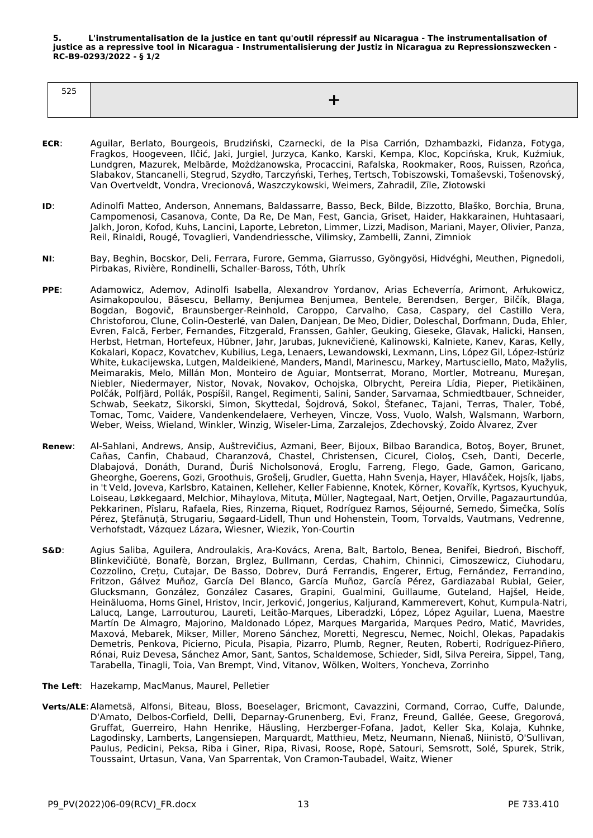<span id="page-12-0"></span>**5. L'instrumentalisation de la justice en tant qu'outil répressif au Nicaragua - The instrumentalisation of justice as a repressive tool in Nicaragua - Instrumentalisierung der Justiz in Nicaragua zu Repressionszwecken - RC-B9-0293/2022 - § 1/2**

| ---<br>--- |  |
|------------|--|
|            |  |

- **ECR**: Aguilar, Berlato, Bourgeois, Brudziński, Czarnecki, de la Pisa Carrión, Dzhambazki, Fidanza, Fotyga, Fragkos, Hoogeveen, Ilčić, Jaki, Jurgiel, Jurzyca, Kanko, Karski, Kempa, Kloc, Kopcińska, Kruk, Kuźmiuk, Lundgren, Mazurek, Melbārde, Możdżanowska, Procaccini, Rafalska, Rookmaker, Roos, Ruissen, Rzońca, Slabakov, Stancanelli, Stegrud, Szydło, Tarczyński, Terheş, Tertsch, Tobiszowski, Tomaševski, Tošenovský, Van Overtveldt, Vondra, Vrecionová, Waszczykowski, Weimers, Zahradil, Zīle, Złotowski
- **ID**: Adinolfi Matteo, Anderson, Annemans, Baldassarre, Basso, Beck, Bilde, Bizzotto, Blaško, Borchia, Bruna, Campomenosi, Casanova, Conte, Da Re, De Man, Fest, Gancia, Griset, Haider, Hakkarainen, Huhtasaari, Jalkh, Joron, Kofod, Kuhs, Lancini, Laporte, Lebreton, Limmer, Lizzi, Madison, Mariani, Mayer, Olivier, Panza, Reil, Rinaldi, Rougé, Tovaglieri, Vandendriessche, Vilimsky, Zambelli, Zanni, Zimniok
- **NI**: Bay, Beghin, Bocskor, Deli, Ferrara, Furore, Gemma, Giarrusso, Gyöngyösi, Hidvéghi, Meuthen, Pignedoli, Pirbakas, Rivière, Rondinelli, Schaller-Baross, Tóth, Uhrík
- **PPE**: Adamowicz, Ademov, Adinolfi Isabella, Alexandrov Yordanov, Arias Echeverría, Arimont, Arłukowicz, Asimakopoulou, Băsescu, Bellamy, Benjumea Benjumea, Bentele, Berendsen, Berger, Bilčík, Blaga, Bogdan, Bogovič, Braunsberger-Reinhold, Caroppo, Carvalho, Casa, Caspary, del Castillo Vera, Christoforou, Clune, Colin-Oesterlé, van Dalen, Danjean, De Meo, Didier, Doleschal, Dorfmann, Duda, Ehler, Evren, Falcă, Ferber, Fernandes, Fitzgerald, Franssen, Gahler, Geuking, Gieseke, Glavak, Halicki, Hansen, Herbst, Hetman, Hortefeux, Hübner, Jahr, Jarubas, Juknevičienė, Kalinowski, Kalniete, Kanev, Karas, Kelly, Kokalari, Kopacz, Kovatchev, Kubilius, Lega, Lenaers, Lewandowski, Lexmann, Lins, López Gil, López-Istúriz White, Łukacijewska, Lutgen, Maldeikienė, Manders, Mandl, Marinescu, Markey, Martusciello, Mato, Mažylis, Meimarakis, Melo, Millán Mon, Monteiro de Aguiar, Montserrat, Morano, Mortler, Motreanu, Mureşan, Niebler, Niedermayer, Nistor, Novak, Novakov, Ochojska, Olbrycht, Pereira Lídia, Pieper, Pietikäinen, Polčák, Polfjärd, Pollák, Pospíšil, Rangel, Regimenti, Salini, Sander, Sarvamaa, Schmiedtbauer, Schneider, Schwab, Seekatz, Sikorski, Simon, Skyttedal, Šojdrová, Sokol, Štefanec, Tajani, Terras, Thaler, Tobé, Tomac, Tomc, Vaidere, Vandenkendelaere, Verheyen, Vincze, Voss, Vuolo, Walsh, Walsmann, Warborn, Weber, Weiss, Wieland, Winkler, Winzig, Wiseler-Lima, Zarzalejos, Zdechovský, Zoido Álvarez, Zver
- **Renew**: Al-Sahlani, Andrews, Ansip, Auštrevičius, Azmani, Beer, Bijoux, Bilbao Barandica, Botoş, Boyer, Brunet, Cañas, Canfin, Chabaud, Charanzová, Chastel, Christensen, Cicurel, Cioloş, Cseh, Danti, Decerle, Dlabajová, Donáth, Durand, Ďuriš Nicholsonová, Eroglu, Farreng, Flego, Gade, Gamon, Garicano, Gheorghe, Goerens, Gozi, Groothuis, Grošelj, Grudler, Guetta, Hahn Svenja, Hayer, Hlaváček, Hojsík, Ijabs, in 't Veld, Joveva, Karlsbro, Katainen, Kelleher, Keller Fabienne, Knotek, Körner, Kovařík, Kyrtsos, Kyuchyuk, Loiseau, Løkkegaard, Melchior, Mihaylova, Mituța, Müller, Nagtegaal, Nart, Oetjen, Orville, Pagazaurtundúa, Pekkarinen, Pîslaru, Rafaela, Ries, Rinzema, Riquet, Rodríguez Ramos, Séjourné, Semedo, Šimečka, Solís Pérez, Ştefănuță, Strugariu, Søgaard-Lidell, Thun und Hohenstein, Toom, Torvalds, Vautmans, Vedrenne, Verhofstadt, Vázquez Lázara, Wiesner, Wiezik, Yon-Courtin
- **S&D**: Agius Saliba, Aguilera, Androulakis, Ara-Kovács, Arena, Balt, Bartolo, Benea, Benifei, Biedroń, Bischoff, Blinkevičiūtė, Bonafè, Borzan, Brglez, Bullmann, Cerdas, Chahim, Chinnici, Cimoszewicz, Ciuhodaru, Cozzolino, Crețu, Cutajar, De Basso, Dobrev, Durá Ferrandis, Engerer, Ertug, Fernández, Ferrandino, Fritzon, Gálvez Muñoz, García Del Blanco, García Muñoz, García Pérez, Gardiazabal Rubial, Geier, Glucksmann, González, González Casares, Grapini, Gualmini, Guillaume, Guteland, Hajšel, Heide, Heinäluoma, Homs Ginel, Hristov, Incir, Jerković, Jongerius, Kaljurand, Kammerevert, Kohut, Kumpula-Natri, Lalucq, Lange, Larrouturou, Laureti, Leitão-Marques, Liberadzki, López, López Aguilar, Luena, Maestre Martín De Almagro, Majorino, Maldonado López, Marques Margarida, Marques Pedro, Matić, Mavrides, Maxová, Mebarek, Mikser, Miller, Moreno Sánchez, Moretti, Negrescu, Nemec, Noichl, Olekas, Papadakis Demetris, Penkova, Picierno, Picula, Pisapia, Pizarro, Plumb, Regner, Reuten, Roberti, Rodríguez-Piñero, Rónai, Ruiz Devesa, Sánchez Amor, Sant, Santos, Schaldemose, Schieder, Sidl, Silva Pereira, Sippel, Tang, Tarabella, Tinagli, Toia, Van Brempt, Vind, Vitanov, Wölken, Wolters, Yoncheva, Zorrinho
- **The Left**: Hazekamp, MacManus, Maurel, Pelletier
- **Verts/ALE**:Alametsä, Alfonsi, Biteau, Bloss, Boeselager, Bricmont, Cavazzini, Cormand, Corrao, Cuffe, Dalunde, D'Amato, Delbos-Corfield, Delli, Deparnay-Grunenberg, Evi, Franz, Freund, Gallée, Geese, Gregorová, Gruffat, Guerreiro, Hahn Henrike, Häusling, Herzberger-Fofana, Jadot, Keller Ska, Kolaja, Kuhnke, Lagodinsky, Lamberts, Langensiepen, Marquardt, Matthieu, Metz, Neumann, Nienaß, Niinistö, O'Sullivan, Paulus, Pedicini, Peksa, Riba i Giner, Ripa, Rivasi, Roose, Ropė, Satouri, Semsrott, Solé, Spurek, Strik, Toussaint, Urtasun, Vana, Van Sparrentak, Von Cramon-Taubadel, Waitz, Wiener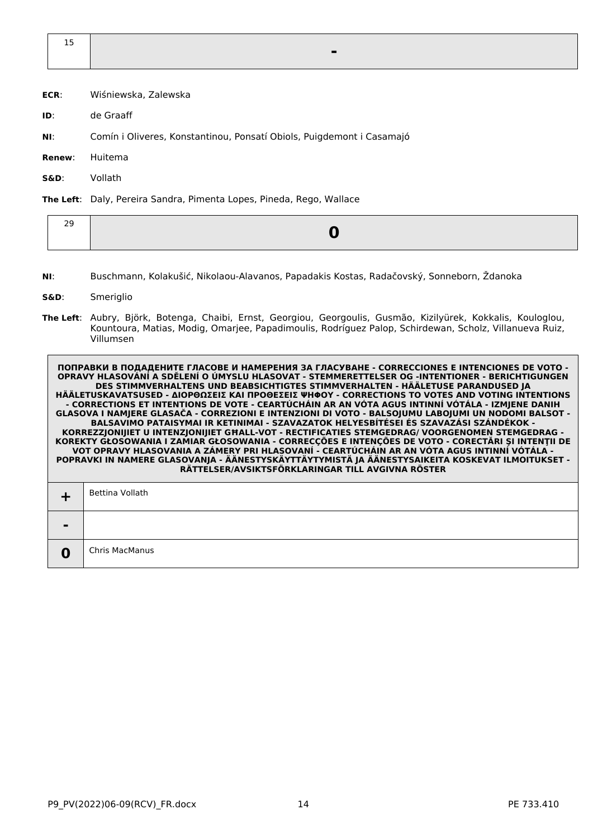- **ECR**: Wiśniewska, Zalewska
- **ID**: de Graaff
- **NI**: Comín i Oliveres, Konstantinou, Ponsatí Obiols, Puigdemont i Casamajó
- **Renew**: Huitema
- **S&D**: Vollath

**The Left**: Daly, Pereira Sandra, Pimenta Lopes, Pineda, Rego, Wallace

|--|

**NI**: Buschmann, Kolakušić, Nikolaou-Alavanos, Papadakis Kostas, Radačovský, Sonneborn, Ždanoka

#### **S&D**: Smeriglio

**The Left**: Aubry, Björk, Botenga, Chaibi, Ernst, Georgiou, Georgoulis, Gusmão, Kizilyürek, Kokkalis, Kouloglou, Kountoura, Matias, Modig, Omarjee, Papadimoulis, Rodríguez Palop, Schirdewan, Scholz, Villanueva Ruiz, Villumsen

|                | Bettina Vollath |
|----------------|-----------------|
| $\blacksquare$ |                 |
| 0              | Chris MacManus  |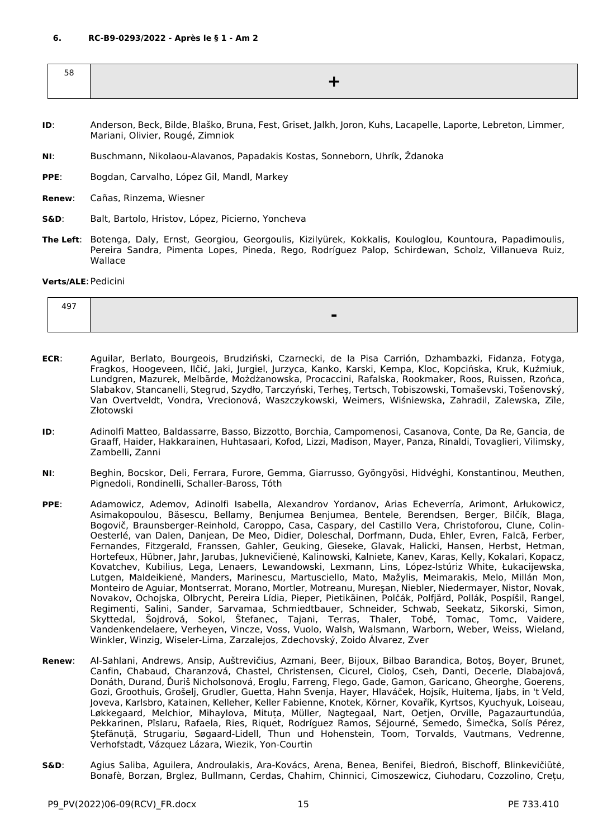<span id="page-14-0"></span>

| ںر |  |
|----|--|
|    |  |
|    |  |

- **ID**: Anderson, Beck, Bilde, Blaško, Bruna, Fest, Griset, Jalkh, Joron, Kuhs, Lacapelle, Laporte, Lebreton, Limmer, Mariani, Olivier, Rougé, Zimniok
- **NI**: Buschmann, Nikolaou-Alavanos, Papadakis Kostas, Sonneborn, Uhrík, Ždanoka
- **PPE**: Bogdan, Carvalho, López Gil, Mandl, Markey
- **Renew**: Cañas, Rinzema, Wiesner
- **S&D**: Balt, Bartolo, Hristov, López, Picierno, Yoncheva
- **The Left**: Botenga, Daly, Ernst, Georgiou, Georgoulis, Kizilyürek, Kokkalis, Kouloglou, Kountoura, Papadimoulis, Pereira Sandra, Pimenta Lopes, Pineda, Rego, Rodríguez Palop, Schirdewan, Scholz, Villanueva Ruiz, Wallace

#### **Verts/ALE**:Pedicini

| 107<br>┱┙. |  |
|------------|--|
|            |  |

- **ECR**: Aguilar, Berlato, Bourgeois, Brudziński, Czarnecki, de la Pisa Carrión, Dzhambazki, Fidanza, Fotyga, Fragkos, Hoogeveen, Ilčić, Jaki, Jurgiel, Jurzyca, Kanko, Karski, Kempa, Kloc, Kopcińska, Kruk, Kuźmiuk, Lundgren, Mazurek, Melbārde, Możdżanowska, Procaccini, Rafalska, Rookmaker, Roos, Ruissen, Rzońca, Slabakov, Stancanelli, Stegrud, Szydło, Tarczyński, Terheş, Tertsch, Tobiszowski, Tomaševski, Tošenovský, Van Overtveldt, Vondra, Vrecionová, Waszczykowski, Weimers, Wiśniewska, Zahradil, Zalewska, Zīle, Złotowski
- **ID**: Adinolfi Matteo, Baldassarre, Basso, Bizzotto, Borchia, Campomenosi, Casanova, Conte, Da Re, Gancia, de Graaff, Haider, Hakkarainen, Huhtasaari, Kofod, Lizzi, Madison, Mayer, Panza, Rinaldi, Tovaglieri, Vilimsky, Zambelli, Zanni
- **NI**: Beghin, Bocskor, Deli, Ferrara, Furore, Gemma, Giarrusso, Gyöngyösi, Hidvéghi, Konstantinou, Meuthen, Pignedoli, Rondinelli, Schaller-Baross, Tóth
- **PPE**: Adamowicz, Ademov, Adinolfi Isabella, Alexandrov Yordanov, Arias Echeverría, Arimont, Arłukowicz, Asimakopoulou, Băsescu, Bellamy, Benjumea Benjumea, Bentele, Berendsen, Berger, Bilčík, Blaga, Bogovič, Braunsberger-Reinhold, Caroppo, Casa, Caspary, del Castillo Vera, Christoforou, Clune, Colin-Oesterlé, van Dalen, Danjean, De Meo, Didier, Doleschal, Dorfmann, Duda, Ehler, Evren, Falcă, Ferber, Fernandes, Fitzgerald, Franssen, Gahler, Geuking, Gieseke, Glavak, Halicki, Hansen, Herbst, Hetman, Hortefeux, Hübner, Jahr, Jarubas, Juknevičienė, Kalinowski, Kalniete, Kanev, Karas, Kelly, Kokalari, Kopacz, Kovatchev, Kubilius, Lega, Lenaers, Lewandowski, Lexmann, Lins, López-Istúriz White, Łukacijewska, Lutgen, Maldeikienė, Manders, Marinescu, Martusciello, Mato, Mažylis, Meimarakis, Melo, Millán Mon, Monteiro de Aguiar, Montserrat, Morano, Mortler, Motreanu, Mureşan, Niebler, Niedermayer, Nistor, Novak, Novakov, Ochojska, Olbrycht, Pereira Lídia, Pieper, Pietikäinen, Polčák, Polfjärd, Pollák, Pospíšil, Rangel, Regimenti, Salini, Sander, Sarvamaa, Schmiedtbauer, Schneider, Schwab, Seekatz, Sikorski, Simon, Skyttedal, Šojdrová, Sokol, Štefanec, Tajani, Terras, Thaler, Tobé, Tomac, Tomc, Vaidere, Vandenkendelaere, Verheyen, Vincze, Voss, Vuolo, Walsh, Walsmann, Warborn, Weber, Weiss, Wieland, Winkler, Winzig, Wiseler-Lima, Zarzalejos, Zdechovský, Zoido Álvarez, Zver
- **Renew**: Al-Sahlani, Andrews, Ansip, Auštrevičius, Azmani, Beer, Bijoux, Bilbao Barandica, Botoş, Boyer, Brunet, Canfin, Chabaud, Charanzová, Chastel, Christensen, Cicurel, Cioloş, Cseh, Danti, Decerle, Dlabajová, Donáth, Durand, Ďuriš Nicholsonová, Eroglu, Farreng, Flego, Gade, Gamon, Garicano, Gheorghe, Goerens, Gozi, Groothuis, Grošelj, Grudler, Guetta, Hahn Svenja, Hayer, Hlaváček, Hojsík, Huitema, Ijabs, in 't Veld, Joveva, Karlsbro, Katainen, Kelleher, Keller Fabienne, Knotek, Körner, Kovařík, Kyrtsos, Kyuchyuk, Loiseau, Løkkegaard, Melchior, Mihaylova, Mituța, Müller, Nagtegaal, Nart, Oetjen, Orville, Pagazaurtundúa, Pekkarinen, Pîslaru, Rafaela, Ries, Riquet, Rodríguez Ramos, Séjourné, Semedo, Šimečka, Solís Pérez, Ştefănuță, Strugariu, Søgaard-Lidell, Thun und Hohenstein, Toom, Torvalds, Vautmans, Vedrenne, Verhofstadt, Vázquez Lázara, Wiezik, Yon-Courtin
- **S&D**: Agius Saliba, Aguilera, Androulakis, Ara-Kovács, Arena, Benea, Benifei, Biedroń, Bischoff, Blinkevičiūtė, Bonafè, Borzan, Brglez, Bullmann, Cerdas, Chahim, Chinnici, Cimoszewicz, Ciuhodaru, Cozzolino, Crețu,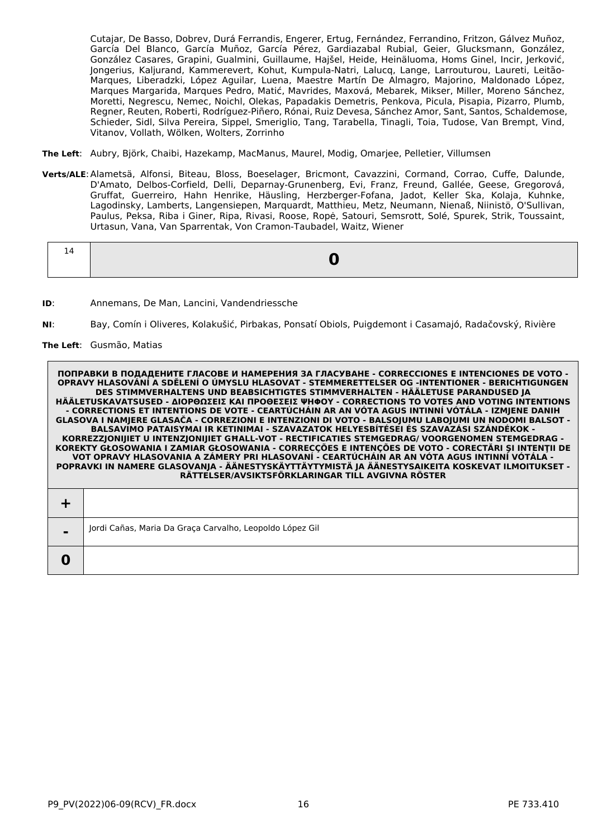Cutajar, De Basso, Dobrev, Durá Ferrandis, Engerer, Ertug, Fernández, Ferrandino, Fritzon, Gálvez Muñoz, García Del Blanco, García Muñoz, García Pérez, Gardiazabal Rubial, Geier, Glucksmann, González, González Casares, Grapini, Gualmini, Guillaume, Hajšel, Heide, Heinäluoma, Homs Ginel, Incir, Jerković, Jongerius, Kaljurand, Kammerevert, Kohut, Kumpula-Natri, Lalucq, Lange, Larrouturou, Laureti, Leitão-Marques, Liberadzki, López Aguilar, Luena, Maestre Martín De Almagro, Majorino, Maldonado López, Marques Margarida, Marques Pedro, Matić, Mavrides, Maxová, Mebarek, Mikser, Miller, Moreno Sánchez, Moretti, Negrescu, Nemec, Noichl, Olekas, Papadakis Demetris, Penkova, Picula, Pisapia, Pizarro, Plumb, Regner, Reuten, Roberti, Rodríguez-Piñero, Rónai, Ruiz Devesa, Sánchez Amor, Sant, Santos, Schaldemose, Schieder, Sidl, Silva Pereira, Sippel, Smeriglio, Tang, Tarabella, Tinagli, Toia, Tudose, Van Brempt, Vind, Vitanov, Vollath, Wölken, Wolters, Zorrinho

- **The Left**: Aubry, Björk, Chaibi, Hazekamp, MacManus, Maurel, Modig, Omarjee, Pelletier, Villumsen
- **Verts/ALE**:Alametsä, Alfonsi, Biteau, Bloss, Boeselager, Bricmont, Cavazzini, Cormand, Corrao, Cuffe, Dalunde, D'Amato, Delbos-Corfield, Delli, Deparnay-Grunenberg, Evi, Franz, Freund, Gallée, Geese, Gregorová, Gruffat, Guerreiro, Hahn Henrike, Häusling, Herzberger-Fofana, Jadot, Keller Ska, Kolaja, Kuhnke, Lagodinsky, Lamberts, Langensiepen, Marquardt, Matthieu, Metz, Neumann, Nienaß, Niinistö, O'Sullivan, Paulus, Peksa, Riba i Giner, Ripa, Rivasi, Roose, Ropė, Satouri, Semsrott, Solé, Spurek, Strik, Toussaint, Urtasun, Vana, Van Sparrentak, Von Cramon-Taubadel, Waitz, Wiener

|--|

- **ID**: Annemans, De Man, Lancini, Vandendriessche
- **NI**: Bay, Comín i Oliveres, Kolakušić, Pirbakas, Ponsatí Obiols, Puigdemont i Casamajó, Radačovský, Rivière

#### **The Left**: Gusmão, Matias

| $\blacksquare$ | Jordi Cañas, Maria Da Graça Carvalho, Leopoldo López Gil |
|----------------|----------------------------------------------------------|
|                |                                                          |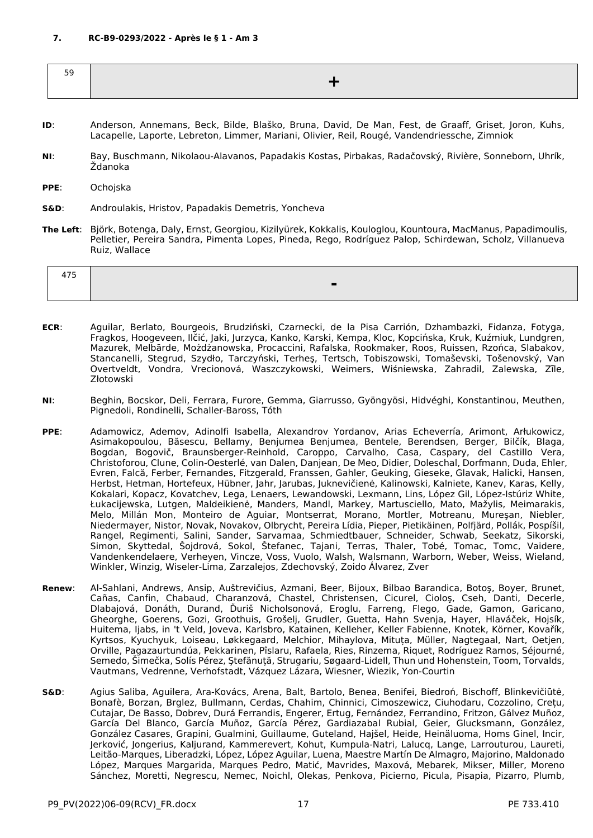<span id="page-16-0"></span>

- **ID**: Anderson, Annemans, Beck, Bilde, Blaško, Bruna, David, De Man, Fest, de Graaff, Griset, Joron, Kuhs, Lacapelle, Laporte, Lebreton, Limmer, Mariani, Olivier, Reil, Rougé, Vandendriessche, Zimniok
- **NI**: Bay, Buschmann, Nikolaou-Alavanos, Papadakis Kostas, Pirbakas, Radačovský, Rivière, Sonneborn, Uhrík, Ždanoka
- **PPE**: Ochojska
- **S&D**: Androulakis, Hristov, Papadakis Demetris, Yoncheva
- **The Left**: Björk, Botenga, Daly, Ernst, Georgiou, Kizilyürek, Kokkalis, Kouloglou, Kountoura, MacManus, Papadimoulis, Pelletier, Pereira Sandra, Pimenta Lopes, Pineda, Rego, Rodríguez Palop, Schirdewan, Scholz, Villanueva Ruiz, Wallace

- **ECR**: Aguilar, Berlato, Bourgeois, Brudziński, Czarnecki, de la Pisa Carrión, Dzhambazki, Fidanza, Fotyga, Fragkos, Hoogeveen, Ilčić, Jaki, Jurzyca, Kanko, Karski, Kempa, Kloc, Kopcińska, Kruk, Kuźmiuk, Lundgren, Mazurek, Melbārde, Możdżanowska, Procaccini, Rafalska, Rookmaker, Roos, Ruissen, Rzońca, Slabakov, Stancanelli, Stegrud, Szydło, Tarczyński, Terheş, Tertsch, Tobiszowski, Tomaševski, Tošenovský, Van Overtveldt, Vondra, Vrecionová, Waszczykowski, Weimers, Wiśniewska, Zahradil, Zalewska, Zīle, Złotowski
- **NI**: Beghin, Bocskor, Deli, Ferrara, Furore, Gemma, Giarrusso, Gyöngyösi, Hidvéghi, Konstantinou, Meuthen, Pignedoli, Rondinelli, Schaller-Baross, Tóth
- **PPE**: Adamowicz, Ademov, Adinolfi Isabella, Alexandrov Yordanov, Arias Echeverría, Arimont, Arłukowicz, Asimakopoulou, Băsescu, Bellamy, Benjumea Benjumea, Bentele, Berendsen, Berger, Bilčík, Blaga, Bogdan, Bogovič, Braunsberger-Reinhold, Caroppo, Carvalho, Casa, Caspary, del Castillo Vera, Christoforou, Clune, Colin-Oesterlé, van Dalen, Danjean, De Meo, Didier, Doleschal, Dorfmann, Duda, Ehler, Evren, Falcă, Ferber, Fernandes, Fitzgerald, Franssen, Gahler, Geuking, Gieseke, Glavak, Halicki, Hansen, Herbst, Hetman, Hortefeux, Hübner, Jahr, Jarubas, Juknevičienė, Kalinowski, Kalniete, Kanev, Karas, Kelly, Kokalari, Kopacz, Kovatchev, Lega, Lenaers, Lewandowski, Lexmann, Lins, López Gil, López-Istúriz White, Łukacijewska, Lutgen, Maldeikienė, Manders, Mandl, Markey, Martusciello, Mato, Mažylis, Meimarakis, Melo, Millán Mon, Monteiro de Aguiar, Montserrat, Morano, Mortler, Motreanu, Mureşan, Niebler, Niedermayer, Nistor, Novak, Novakov, Olbrycht, Pereira Lídia, Pieper, Pietikäinen, Polfjärd, Pollák, Pospíšil, Rangel, Regimenti, Salini, Sander, Sarvamaa, Schmiedtbauer, Schneider, Schwab, Seekatz, Sikorski, Simon, Skyttedal, Šojdrová, Sokol, Štefanec, Tajani, Terras, Thaler, Tobé, Tomac, Tomc, Vaidere, Vandenkendelaere, Verheyen, Vincze, Voss, Vuolo, Walsh, Walsmann, Warborn, Weber, Weiss, Wieland, Winkler, Winzig, Wiseler-Lima, Zarzalejos, Zdechovský, Zoido Álvarez, Zver
- **Renew**: Al-Sahlani, Andrews, Ansip, Auštrevičius, Azmani, Beer, Bijoux, Bilbao Barandica, Botoş, Boyer, Brunet, Cañas, Canfin, Chabaud, Charanzová, Chastel, Christensen, Cicurel, Cioloş, Cseh, Danti, Decerle, Dlabajová, Donáth, Durand, Ďuriš Nicholsonová, Eroglu, Farreng, Flego, Gade, Gamon, Garicano, Gheorghe, Goerens, Gozi, Groothuis, Grošelj, Grudler, Guetta, Hahn Svenja, Hayer, Hlaváček, Hojsík, Huitema, Ijabs, in 't Veld, Joveva, Karlsbro, Katainen, Kelleher, Keller Fabienne, Knotek, Körner, Kovařík, Kyrtsos, Kyuchyuk, Loiseau, Løkkegaard, Melchior, Mihaylova, Mituța, Müller, Nagtegaal, Nart, Oetjen, Orville, Pagazaurtundúa, Pekkarinen, Pîslaru, Rafaela, Ries, Rinzema, Riquet, Rodríguez Ramos, Séjourné, Semedo, Šimečka, Solís Pérez, Ştefănuță, Strugariu, Søgaard-Lidell, Thun und Hohenstein, Toom, Torvalds, Vautmans, Vedrenne, Verhofstadt, Vázquez Lázara, Wiesner, Wiezik, Yon-Courtin
- **S&D**: Agius Saliba, Aguilera, Ara-Kovács, Arena, Balt, Bartolo, Benea, Benifei, Biedroń, Bischoff, Blinkevičiūtė, Bonafè, Borzan, Brglez, Bullmann, Cerdas, Chahim, Chinnici, Cimoszewicz, Ciuhodaru, Cozzolino, Crețu, Cutajar, De Basso, Dobrev, Durá Ferrandis, Engerer, Ertug, Fernández, Ferrandino, Fritzon, Gálvez Muñoz, García Del Blanco, García Muñoz, García Pérez, Gardiazabal Rubial, Geier, Glucksmann, González, González Casares, Grapini, Gualmini, Guillaume, Guteland, Hajšel, Heide, Heinäluoma, Homs Ginel, Incir, Jerković, Jongerius, Kaljurand, Kammerevert, Kohut, Kumpula-Natri, Lalucq, Lange, Larrouturou, Laureti, Leitão-Marques, Liberadzki, López, López Aguilar, Luena, Maestre Martín De Almagro, Majorino, Maldonado López, Marques Margarida, Marques Pedro, Matić, Mavrides, Maxová, Mebarek, Mikser, Miller, Moreno Sánchez, Moretti, Negrescu, Nemec, Noichl, Olekas, Penkova, Picierno, Picula, Pisapia, Pizarro, Plumb,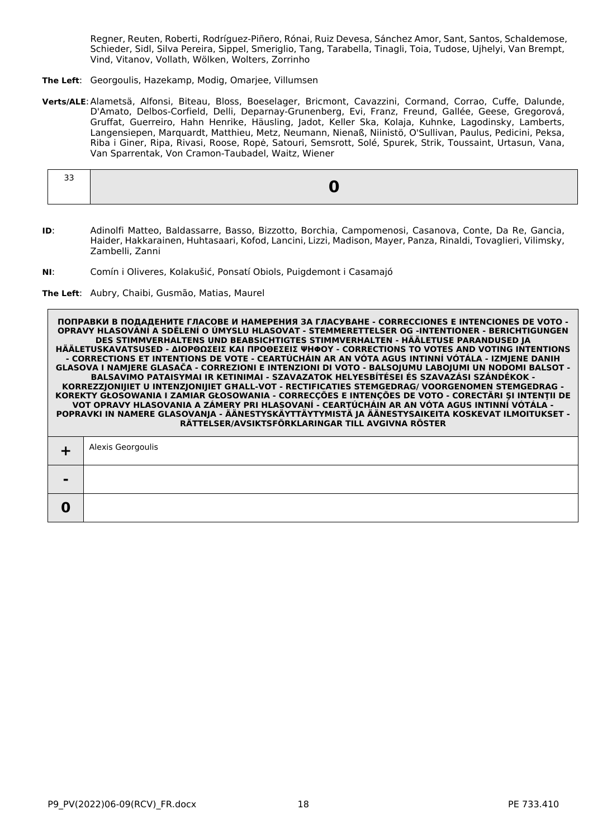Regner, Reuten, Roberti, Rodríguez-Piñero, Rónai, Ruiz Devesa, Sánchez Amor, Sant, Santos, Schaldemose, Schieder, Sidl, Silva Pereira, Sippel, Smeriglio, Tang, Tarabella, Tinagli, Toia, Tudose, Ujhelyi, Van Brempt, Vind, Vitanov, Vollath, Wölken, Wolters, Zorrinho

- **The Left**: Georgoulis, Hazekamp, Modig, Omarjee, Villumsen
- **Verts/ALE**:Alametsä, Alfonsi, Biteau, Bloss, Boeselager, Bricmont, Cavazzini, Cormand, Corrao, Cuffe, Dalunde, D'Amato, Delbos-Corfield, Delli, Deparnay-Grunenberg, Evi, Franz, Freund, Gallée, Geese, Gregorová, Gruffat, Guerreiro, Hahn Henrike, Häusling, Jadot, Keller Ska, Kolaja, Kuhnke, Lagodinsky, Lamberts, Langensiepen, Marquardt, Matthieu, Metz, Neumann, Nienaß, Niinistö, O'Sullivan, Paulus, Pedicini, Peksa, Riba i Giner, Ripa, Rivasi, Roose, Ropė, Satouri, Semsrott, Solé, Spurek, Strik, Toussaint, Urtasun, Vana, Van Sparrentak, Von Cramon-Taubadel, Waitz, Wiener

- **ID**: Adinolfi Matteo, Baldassarre, Basso, Bizzotto, Borchia, Campomenosi, Casanova, Conte, Da Re, Gancia, Haider, Hakkarainen, Huhtasaari, Kofod, Lancini, Lizzi, Madison, Mayer, Panza, Rinaldi, Tovaglieri, Vilimsky, Zambelli, Zanni
- **NI**: Comín i Oliveres, Kolakušić, Ponsatí Obiols, Puigdemont i Casamajó
- **The Left**: Aubry, Chaibi, Gusmão, Matias, Maurel

| $\overline{\phantom{a}}$ |  |
|--------------------------|--|
|                          |  |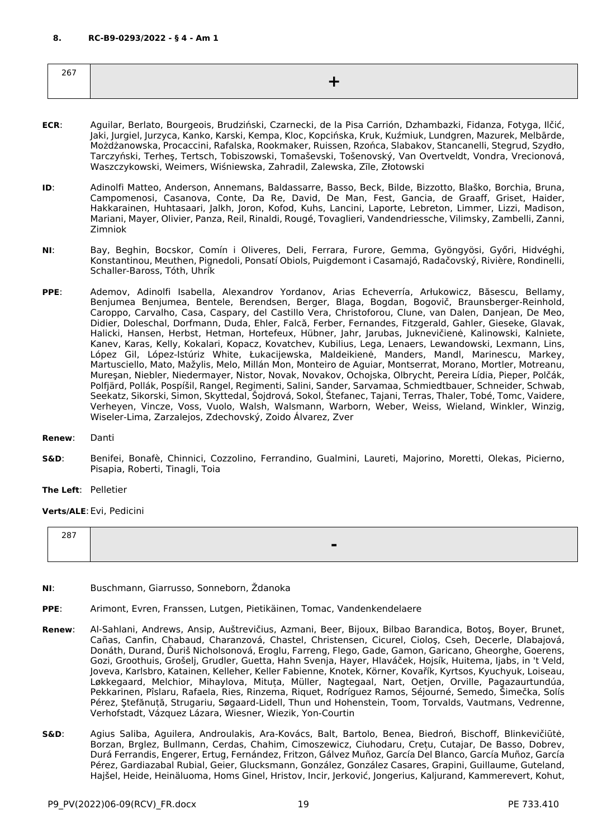<span id="page-18-0"></span>

| $\sim$ $\sim$ $\sim$<br>ω.<br>$  \cdot$ |  |
|-----------------------------------------|--|
|                                         |  |

- **ECR**: Aguilar, Berlato, Bourgeois, Brudziński, Czarnecki, de la Pisa Carrión, Dzhambazki, Fidanza, Fotyga, Ilčić, Jaki, Jurgiel, Jurzyca, Kanko, Karski, Kempa, Kloc, Kopcińska, Kruk, Kuźmiuk, Lundgren, Mazurek, Melbārde, Możdżanowska, Procaccini, Rafalska, Rookmaker, Ruissen, Rzońca, Slabakov, Stancanelli, Stegrud, Szydło, Tarczyński, Terheş, Tertsch, Tobiszowski, Tomaševski, Tošenovský, Van Overtveldt, Vondra, Vrecionová, Waszczykowski, Weimers, Wiśniewska, Zahradil, Zalewska, Zīle, Złotowski
- **ID**: Adinolfi Matteo, Anderson, Annemans, Baldassarre, Basso, Beck, Bilde, Bizzotto, Blaško, Borchia, Bruna, Campomenosi, Casanova, Conte, Da Re, David, De Man, Fest, Gancia, de Graaff, Griset, Haider, Hakkarainen, Huhtasaari, Jalkh, Joron, Kofod, Kuhs, Lancini, Laporte, Lebreton, Limmer, Lizzi, Madison, Mariani, Mayer, Olivier, Panza, Reil, Rinaldi, Rougé, Tovaglieri, Vandendriessche, Vilimsky, Zambelli, Zanni, Zimniok
- **NI**: Bay, Beghin, Bocskor, Comín i Oliveres, Deli, Ferrara, Furore, Gemma, Gyöngyösi, Győri, Hidvéghi, Konstantinou, Meuthen, Pignedoli, Ponsatí Obiols, Puigdemont i Casamajó, Radačovský, Rivière, Rondinelli, Schaller-Baross, Tóth, Uhrík
- **PPE**: Ademov, Adinolfi Isabella, Alexandrov Yordanov, Arias Echeverría, Arłukowicz, Băsescu, Bellamy, Benjumea Benjumea, Bentele, Berendsen, Berger, Blaga, Bogdan, Bogovič, Braunsberger-Reinhold, Caroppo, Carvalho, Casa, Caspary, del Castillo Vera, Christoforou, Clune, van Dalen, Danjean, De Meo, Didier, Doleschal, Dorfmann, Duda, Ehler, Falcă, Ferber, Fernandes, Fitzgerald, Gahler, Gieseke, Glavak, Halicki, Hansen, Herbst, Hetman, Hortefeux, Hübner, Jahr, Jarubas, Juknevičienė, Kalinowski, Kalniete, Kanev, Karas, Kelly, Kokalari, Kopacz, Kovatchev, Kubilius, Lega, Lenaers, Lewandowski, Lexmann, Lins, López Gil, López-Istúriz White, Łukacijewska, Maldeikienė, Manders, Mandl, Marinescu, Markey, Martusciello, Mato, Mažylis, Melo, Millán Mon, Monteiro de Aguiar, Montserrat, Morano, Mortler, Motreanu, Mureşan, Niebler, Niedermayer, Nistor, Novak, Novakov, Ochojska, Olbrycht, Pereira Lídia, Pieper, Polčák, Polfjärd, Pollák, Pospíšil, Rangel, Regimenti, Salini, Sander, Sarvamaa, Schmiedtbauer, Schneider, Schwab, Seekatz, Sikorski, Simon, Skyttedal, Šojdrová, Sokol, Štefanec, Tajani, Terras, Thaler, Tobé, Tomc, Vaidere, Verheyen, Vincze, Voss, Vuolo, Walsh, Walsmann, Warborn, Weber, Weiss, Wieland, Winkler, Winzig, Wiseler-Lima, Zarzalejos, Zdechovský, Zoido Álvarez, Zver
- **Renew**: Danti
- **S&D**: Benifei, Bonafè, Chinnici, Cozzolino, Ferrandino, Gualmini, Laureti, Majorino, Moretti, Olekas, Picierno, Pisapia, Roberti, Tinagli, Toia

**The Left**: Pelletier

**Verts/ALE**:Evi, Pedicini

| --- | $\overline{\phantom{a}}$ |
|-----|--------------------------|
|     |                          |

- **NI**: Buschmann, Giarrusso, Sonneborn, Ždanoka
- **PPE**: Arimont, Evren, Franssen, Lutgen, Pietikäinen, Tomac, Vandenkendelaere
- **Renew**: Al-Sahlani, Andrews, Ansip, Auštrevičius, Azmani, Beer, Bijoux, Bilbao Barandica, Botoş, Boyer, Brunet, Cañas, Canfin, Chabaud, Charanzová, Chastel, Christensen, Cicurel, Cioloş, Cseh, Decerle, Dlabajová, Donáth, Durand, Ďuriš Nicholsonová, Eroglu, Farreng, Flego, Gade, Gamon, Garicano, Gheorghe, Goerens, Gozi, Groothuis, Grošelj, Grudler, Guetta, Hahn Svenja, Hayer, Hlaváček, Hojsík, Huitema, Ijabs, in 't Veld, Joveva, Karlsbro, Katainen, Kelleher, Keller Fabienne, Knotek, Körner, Kovařík, Kyrtsos, Kyuchyuk, Loiseau, Løkkegaard, Melchior, Mihaylova, Mituța, Müller, Nagtegaal, Nart, Oetjen, Orville, Pagazaurtundúa, Pekkarinen, Pîslaru, Rafaela, Ries, Rinzema, Riquet, Rodríguez Ramos, Séjourné, Semedo, Šimečka, Solís Pérez, Ştefănuță, Strugariu, Søgaard-Lidell, Thun und Hohenstein, Toom, Torvalds, Vautmans, Vedrenne, Verhofstadt, Vázquez Lázara, Wiesner, Wiezik, Yon-Courtin
- **S&D**: Agius Saliba, Aguilera, Androulakis, Ara-Kovács, Balt, Bartolo, Benea, Biedroń, Bischoff, Blinkevičiūtė, Borzan, Brglez, Bullmann, Cerdas, Chahim, Cimoszewicz, Ciuhodaru, Crețu, Cutajar, De Basso, Dobrev, Durá Ferrandis, Engerer, Ertug, Fernández, Fritzon, Gálvez Muñoz, García Del Blanco, García Muñoz, García Pérez, Gardiazabal Rubial, Geier, Glucksmann, González, González Casares, Grapini, Guillaume, Guteland, Hajšel, Heide, Heinäluoma, Homs Ginel, Hristov, Incir, Jerković, Jongerius, Kaljurand, Kammerevert, Kohut,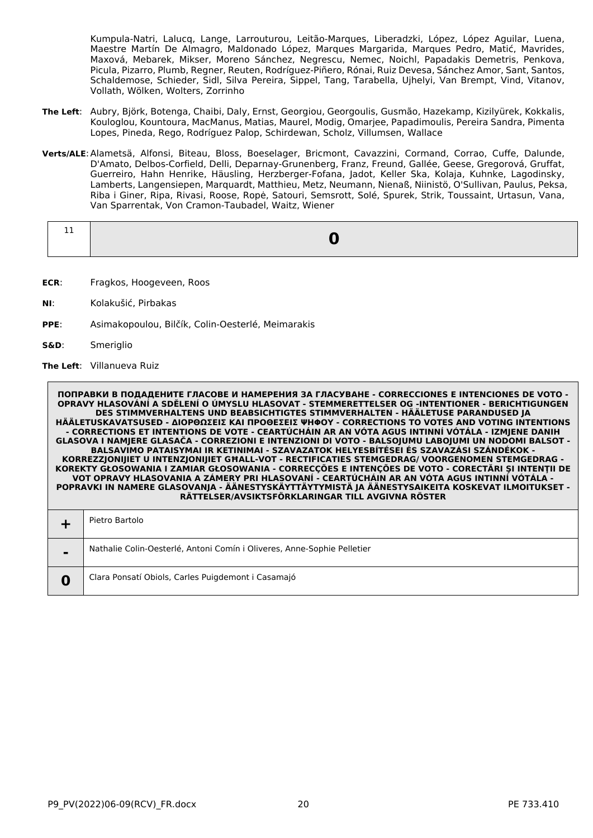Kumpula-Natri, Lalucq, Lange, Larrouturou, Leitão-Marques, Liberadzki, López, López Aguilar, Luena, Maestre Martín De Almagro, Maldonado López, Marques Margarida, Marques Pedro, Matić, Mavrides, Maxová, Mebarek, Mikser, Moreno Sánchez, Negrescu, Nemec, Noichl, Papadakis Demetris, Penkova, Picula, Pizarro, Plumb, Regner, Reuten, Rodríguez-Piñero, Rónai, Ruiz Devesa, Sánchez Amor, Sant, Santos, Schaldemose, Schieder, Sidl, Silva Pereira, Sippel, Tang, Tarabella, Ujhelyi, Van Brempt, Vind, Vitanov, Vollath, Wölken, Wolters, Zorrinho

- **The Left**: Aubry, Björk, Botenga, Chaibi, Daly, Ernst, Georgiou, Georgoulis, Gusmão, Hazekamp, Kizilyürek, Kokkalis, Kouloglou, Kountoura, MacManus, Matias, Maurel, Modig, Omarjee, Papadimoulis, Pereira Sandra, Pimenta Lopes, Pineda, Rego, Rodríguez Palop, Schirdewan, Scholz, Villumsen, Wallace
- **Verts/ALE**:Alametsä, Alfonsi, Biteau, Bloss, Boeselager, Bricmont, Cavazzini, Cormand, Corrao, Cuffe, Dalunde, D'Amato, Delbos-Corfield, Delli, Deparnay-Grunenberg, Franz, Freund, Gallée, Geese, Gregorová, Gruffat, Guerreiro, Hahn Henrike, Häusling, Herzberger-Fofana, Jadot, Keller Ska, Kolaja, Kuhnke, Lagodinsky, Lamberts, Langensiepen, Marquardt, Matthieu, Metz, Neumann, Nienaß, Niinistö, O'Sullivan, Paulus, Peksa, Riba i Giner, Ripa, Rivasi, Roose, Ropė, Satouri, Semsrott, Solé, Spurek, Strik, Toussaint, Urtasun, Vana, Van Sparrentak, Von Cramon-Taubadel, Waitz, Wiener

- **ECR**: Fragkos, Hoogeveen, Roos
- **NI**: Kolakušić, Pirbakas
- **PPE**: Asimakopoulou, Bilčík, Colin-Oesterlé, Meimarakis
- **S&D**: Smeriglio

**The Left**: Villanueva Ruiz

|                | Pietro Bartolo                                                          |
|----------------|-------------------------------------------------------------------------|
| $\blacksquare$ | Nathalie Colin-Oesterlé, Antoni Comín i Oliveres, Anne-Sophie Pelletier |
|                | Clara Ponsatí Obiols, Carles Puigdemont i Casamajó                      |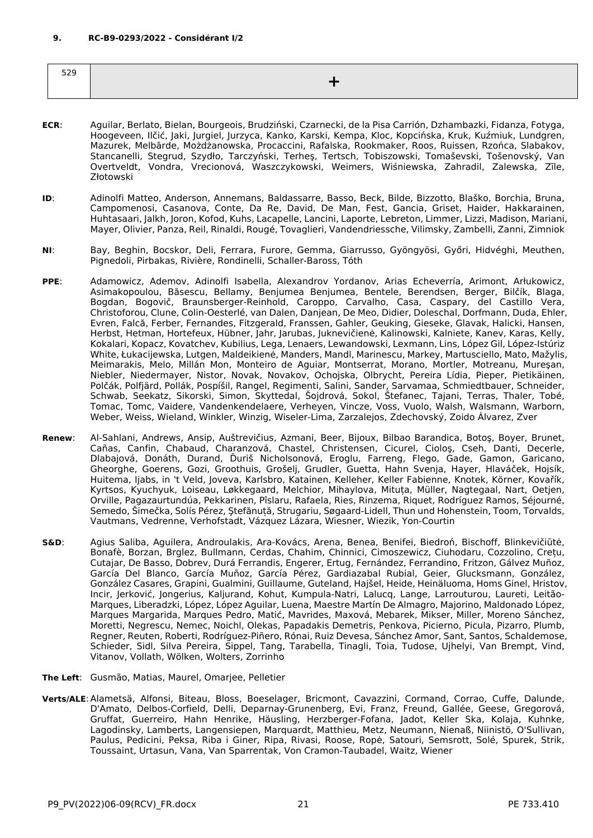<span id="page-20-0"></span>

| $\sim$ $\sim$ |  |
|---------------|--|
|               |  |

- **ECR**: Aguilar, Berlato, Bielan, Bourgeois, Brudziński, Czarnecki, de la Pisa Carrión, Dzhambazki, Fidanza, Fotyga, Hoogeveen, Ilčić, Jaki, Jurgiel, Jurzyca, Kanko, Karski, Kempa, Kloc, Kopcińska, Kruk, Kuźmiuk, Lundgren, Mazurek, Melbārde, Możdżanowska, Procaccini, Rafalska, Rookmaker, Roos, Ruissen, Rzońca, Slabakov, Stancanelli, Stegrud, Szydło, Tarczyński, Terheş, Tertsch, Tobiszowski, Tomaševski, Tošenovský, Van Overtveldt, Vondra, Vrecionová, Waszczykowski, Weimers, Wiśniewska, Zahradil, Zalewska, Zīle, Złotowski
- **ID**: Adinolfi Matteo, Anderson, Annemans, Baldassarre, Basso, Beck, Bilde, Bizzotto, Blaško, Borchia, Bruna, Campomenosi, Casanova, Conte, Da Re, David, De Man, Fest, Gancia, Griset, Haider, Hakkarainen, Huhtasaari, Jalkh, Joron, Kofod, Kuhs, Lacapelle, Lancini, Laporte, Lebreton, Limmer, Lizzi, Madison, Mariani, Mayer, Olivier, Panza, Reil, Rinaldi, Rougé, Tovaglieri, Vandendriessche, Vilimsky, Zambelli, Zanni, Zimniok
- **NI**: Bay, Beghin, Bocskor, Deli, Ferrara, Furore, Gemma, Giarrusso, Gyöngyösi, Győri, Hidvéghi, Meuthen, Pignedoli, Pirbakas, Rivière, Rondinelli, Schaller-Baross, Tóth
- **PPE**: Adamowicz, Ademov, Adinolfi Isabella, Alexandrov Yordanov, Arias Echeverría, Arimont, Arłukowicz, Asimakopoulou, Băsescu, Bellamy, Benjumea Benjumea, Bentele, Berendsen, Berger, Bilčík, Blaga, Bogdan, Bogovič, Braunsberger-Reinhold, Caroppo, Carvalho, Casa, Caspary, del Castillo Vera, Christoforou, Clune, Colin-Oesterlé, van Dalen, Danjean, De Meo, Didier, Doleschal, Dorfmann, Duda, Ehler, Evren, Falcă, Ferber, Fernandes, Fitzgerald, Franssen, Gahler, Geuking, Gieseke, Glavak, Halicki, Hansen, Herbst, Hetman, Hortefeux, Hübner, Jahr, Jarubas, Juknevičienė, Kalinowski, Kalniete, Kanev, Karas, Kelly, Kokalari, Kopacz, Kovatchev, Kubilius, Lega, Lenaers, Lewandowski, Lexmann, Lins, López Gil, López-Istúriz White, Łukacijewska, Lutgen, Maldeikienė, Manders, Mandl, Marinescu, Markey, Martusciello, Mato, Mažylis, Meimarakis, Melo, Millán Mon, Monteiro de Aguiar, Montserrat, Morano, Mortler, Motreanu, Mureşan, Niebler, Niedermayer, Nistor, Novak, Novakov, Ochojska, Olbrycht, Pereira Lídia, Pieper, Pietikäinen, Polčák, Polfjärd, Pollák, Pospíšil, Rangel, Regimenti, Salini, Sander, Sarvamaa, Schmiedtbauer, Schneider, Schwab, Seekatz, Sikorski, Simon, Skyttedal, Sojdrová, Sokol, Stefanec, Tajani, Terras, Thaler, Tobé, Tomac, Tomc, Vaidere, Vandenkendelaere, Verheyen, Vincze, Voss, Vuolo, Walsh, Walsmann, Warborn, Weber, Weiss, Wieland, Winkler, Winzig, Wiseler-Lima, Zarzalejos, Zdechovský, Zoido Álvarez, Zver
- **Renew**: Al-Sahlani, Andrews, Ansip, Auštrevičius, Azmani, Beer, Bijoux, Bilbao Barandica, Botoş, Boyer, Brunet, Cañas, Canfin, Chabaud, Charanzová, Chastel, Christensen, Cicurel, Cioloş, Cseh, Danti, Decerle, Dlabajová, Donáth, Durand, Ďuriš Nicholsonová, Eroglu, Farreng, Flego, Gade, Gamon, Garicano, Gheorghe, Goerens, Gozi, Groothuis, Grošelj, Grudler, Guetta, Hahn Svenja, Hayer, Hlaváček, Hojsík, Huitema, Ijabs, in 't Veld, Joveva, Karlsbro, Katainen, Kelleher, Keller Fabienne, Knotek, Körner, Kovařík, Kyrtsos, Kyuchyuk, Loiseau, Løkkegaard, Melchior, Mihaylova, Mituța, Müller, Nagtegaal, Nart, Oetjen, Orville, Pagazaurtundúa, Pekkarinen, Pîslaru, Rafaela, Ries, Rinzema, Riquet, Rodríguez Ramos, Séjourné, Semedo, Šimečka, Solís Pérez, Ştefănuță, Strugariu, Søgaard-Lidell, Thun und Hohenstein, Toom, Torvalds, Vautmans, Vedrenne, Verhofstadt, Vázquez Lázara, Wiesner, Wiezik, Yon-Courtin
- **S&D**: Agius Saliba, Aguilera, Androulakis, Ara-Kovács, Arena, Benea, Benifei, Biedroń, Bischoff, Blinkevičiūtė, Bonafè, Borzan, Brglez, Bullmann, Cerdas, Chahim, Chinnici, Cimoszewicz, Ciuhodaru, Cozzolino, Crețu, Cutajar, De Basso, Dobrev, Durá Ferrandis, Engerer, Ertug, Fernández, Ferrandino, Fritzon, Gálvez Muñoz, García Del Blanco, García Muñoz, García Pérez, Gardiazabal Rubial, Geier, Glucksmann, González, González Casares, Grapini, Gualmini, Guillaume, Guteland, Hajšel, Heide, Heinäluoma, Homs Ginel, Hristov, Incir, Jerković, Jongerius, Kaljurand, Kohut, Kumpula-Natri, Lalucq, Lange, Larrouturou, Laureti, Leitão-Marques, Liberadzki, López, López Aguilar, Luena, Maestre Martín De Almagro, Majorino, Maldonado López, Marques Margarida, Marques Pedro, Matić, Mavrides, Maxová, Mebarek, Mikser, Miller, Moreno Sánchez, Moretti, Negrescu, Nemec, Noichl, Olekas, Papadakis Demetris, Penkova, Picierno, Picula, Pizarro, Plumb, Regner, Reuten, Roberti, Rodríguez-Piñero, Rónai, Ruiz Devesa, Sánchez Amor, Sant, Santos, Schaldemose, Schieder, Sidl, Silva Pereira, Sippel, Tang, Tarabella, Tinagli, Toia, Tudose, Ujhelyi, Van Brempt, Vind, Vitanov, Vollath, Wölken, Wolters, Zorrinho
- **The Left**: Gusmão, Matias, Maurel, Omarjee, Pelletier
- **Verts/ALE**:Alametsä, Alfonsi, Biteau, Bloss, Boeselager, Bricmont, Cavazzini, Cormand, Corrao, Cuffe, Dalunde, D'Amato, Delbos-Corfield, Delli, Deparnay-Grunenberg, Evi, Franz, Freund, Gallée, Geese, Gregorová, Gruffat, Guerreiro, Hahn Henrike, Häusling, Herzberger-Fofana, Jadot, Keller Ska, Kolaja, Kuhnke, Lagodinsky, Lamberts, Langensiepen, Marquardt, Matthieu, Metz, Neumann, Nienaß, Niinistö, O'Sullivan, Paulus, Pedicini, Peksa, Riba i Giner, Ripa, Rivasi, Roose, Ropė, Satouri, Semsrott, Solé, Spurek, Strik, Toussaint, Urtasun, Vana, Van Sparrentak, Von Cramon-Taubadel, Waitz, Wiener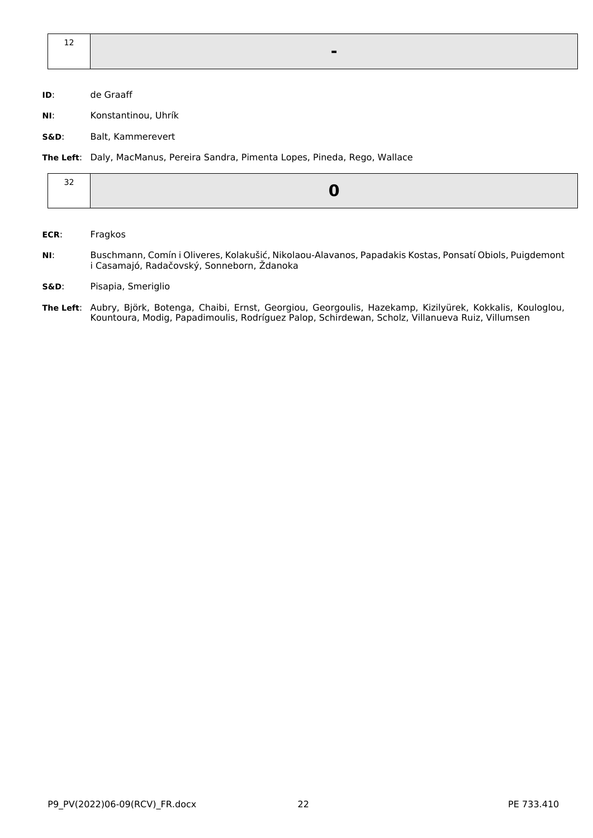| <u>_</u> |  |
|----------|--|
|          |  |

- **ID**: de Graaff
- **NI**: Konstantinou, Uhrík
- **S&D**: Balt, Kammerevert

**The Left**: Daly, MacManus, Pereira Sandra, Pimenta Lopes, Pineda, Rego, Wallace

#### **ECR**: Fragkos

- **NI**: Buschmann, Comín i Oliveres, Kolakušić, Nikolaou-Alavanos, Papadakis Kostas, Ponsatí Obiols, Puigdemont i Casamajó, Radačovský, Sonneborn, Ždanoka
- **S&D**: Pisapia, Smeriglio
- **The Left**: Aubry, Björk, Botenga, Chaibi, Ernst, Georgiou, Georgoulis, Hazekamp, Kizilyürek, Kokkalis, Kouloglou, Kountoura, Modig, Papadimoulis, Rodríguez Palop, Schirdewan, Scholz, Villanueva Ruiz, Villumsen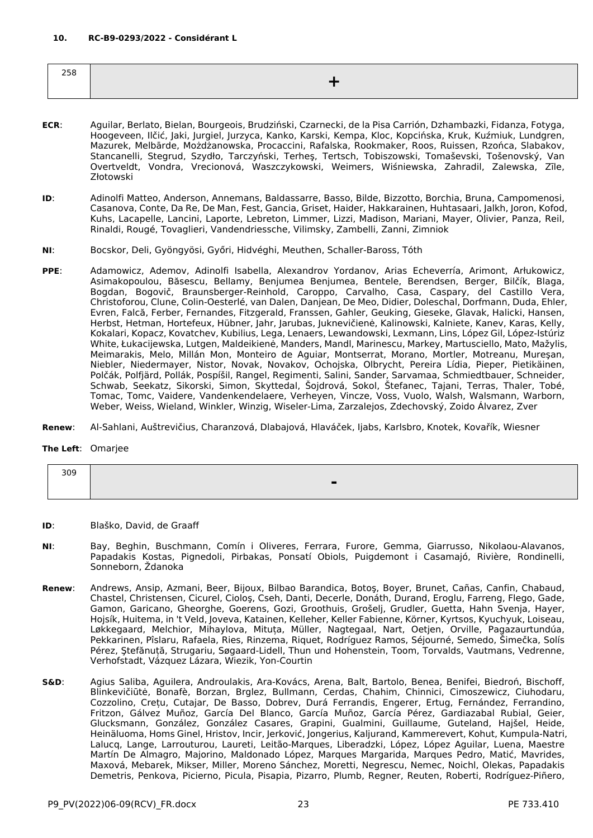<span id="page-22-0"></span>

| $- - -$<br>ەد∠ |  |
|----------------|--|
|                |  |
|                |  |

- **ECR**: Aguilar, Berlato, Bielan, Bourgeois, Brudziński, Czarnecki, de la Pisa Carrión, Dzhambazki, Fidanza, Fotyga, Hoogeveen, Ilčić, Jaki, Jurgiel, Jurzyca, Kanko, Karski, Kempa, Kloc, Kopcińska, Kruk, Kuźmiuk, Lundgren, Mazurek, Melbārde, Możdżanowska, Procaccini, Rafalska, Rookmaker, Roos, Ruissen, Rzońca, Slabakov, Stancanelli, Stegrud, Szydło, Tarczyński, Terheş, Tertsch, Tobiszowski, Tomaševski, Tošenovský, Van Overtveldt, Vondra, Vrecionová, Waszczykowski, Weimers, Wiśniewska, Zahradil, Zalewska, Zīle, Złotowski
- **ID**: Adinolfi Matteo, Anderson, Annemans, Baldassarre, Basso, Bilde, Bizzotto, Borchia, Bruna, Campomenosi, Casanova, Conte, Da Re, De Man, Fest, Gancia, Griset, Haider, Hakkarainen, Huhtasaari, Jalkh, Joron, Kofod, Kuhs, Lacapelle, Lancini, Laporte, Lebreton, Limmer, Lizzi, Madison, Mariani, Mayer, Olivier, Panza, Reil, Rinaldi, Rougé, Tovaglieri, Vandendriessche, Vilimsky, Zambelli, Zanni, Zimniok
- **NI**: Bocskor, Deli, Gyöngyösi, Győri, Hidvéghi, Meuthen, Schaller-Baross, Tóth
- **PPE**: Adamowicz, Ademov, Adinolfi Isabella, Alexandrov Yordanov, Arias Echeverría, Arimont, Arłukowicz, Asimakopoulou, Băsescu, Bellamy, Benjumea Benjumea, Bentele, Berendsen, Berger, Bilčík, Blaga, Bogdan, Bogovič, Braunsberger-Reinhold, Caroppo, Carvalho, Casa, Caspary, del Castillo Vera, Christoforou, Clune, Colin-Oesterlé, van Dalen, Danjean, De Meo, Didier, Doleschal, Dorfmann, Duda, Ehler, Evren, Falcă, Ferber, Fernandes, Fitzgerald, Franssen, Gahler, Geuking, Gieseke, Glavak, Halicki, Hansen, Herbst, Hetman, Hortefeux, Hübner, Jahr, Jarubas, Juknevičienė, Kalinowski, Kalniete, Kanev, Karas, Kelly, Kokalari, Kopacz, Kovatchev, Kubilius, Lega, Lenaers, Lewandowski, Lexmann, Lins, López Gil, López-Istúriz White, Łukacijewska, Lutgen, Maldeikienė, Manders, Mandl, Marinescu, Markey, Martusciello, Mato, Mažylis, Meimarakis, Melo, Millán Mon, Monteiro de Aguiar, Montserrat, Morano, Mortler, Motreanu, Mureşan, Niebler, Niedermayer, Nistor, Novak, Novakov, Ochojska, Olbrycht, Pereira Lídia, Pieper, Pietikäinen, Polčák, Polfjärd, Pollák, Pospíšil, Rangel, Regimenti, Salini, Sander, Sarvamaa, Schmiedtbauer, Schneider, Schwab, Seekatz, Sikorski, Simon, Skyttedal, Šojdrová, Sokol, Štefanec, Tajani, Terras, Thaler, Tobé, Tomac, Tomc, Vaidere, Vandenkendelaere, Verheyen, Vincze, Voss, Vuolo, Walsh, Walsmann, Warborn, Weber, Weiss, Wieland, Winkler, Winzig, Wiseler-Lima, Zarzalejos, Zdechovský, Zoido Álvarez, Zver
- **Renew**: Al-Sahlani, Auštrevičius, Charanzová, Dlabajová, Hlaváček, Ijabs, Karlsbro, Knotek, Kovařík, Wiesner

#### **The Left**: Omarjee

| 309 |                          |
|-----|--------------------------|
|     | $\overline{\phantom{a}}$ |
|     |                          |

- **ID**: Blaško, David, de Graaff
- **NI**: Bay, Beghin, Buschmann, Comín i Oliveres, Ferrara, Furore, Gemma, Giarrusso, Nikolaou-Alavanos, Papadakis Kostas, Pignedoli, Pirbakas, Ponsatí Obiols, Puigdemont i Casamajó, Rivière, Rondinelli, Sonneborn, Ždanoka
- **Renew**: Andrews, Ansip, Azmani, Beer, Bijoux, Bilbao Barandica, Botoş, Boyer, Brunet, Cañas, Canfin, Chabaud, Chastel, Christensen, Cicurel, Cioloş, Cseh, Danti, Decerle, Donáth, Durand, Eroglu, Farreng, Flego, Gade, Gamon, Garicano, Gheorghe, Goerens, Gozi, Groothuis, Grošelj, Grudler, Guetta, Hahn Svenja, Hayer, Hojsík, Huitema, in 't Veld, Joveva, Katainen, Kelleher, Keller Fabienne, Körner, Kyrtsos, Kyuchyuk, Loiseau, Løkkegaard, Melchior, Mihaylova, Mituța, Müller, Nagtegaal, Nart, Oetjen, Orville, Pagazaurtundúa, Pekkarinen, Pîslaru, Rafaela, Ries, Rinzema, Riquet, Rodríguez Ramos, Séjourné, Semedo, Šimečka, Solís Pérez, Ştefănuță, Strugariu, Søgaard-Lidell, Thun und Hohenstein, Toom, Torvalds, Vautmans, Vedrenne, Verhofstadt, Vázquez Lázara, Wiezik, Yon-Courtin
- **S&D**: Agius Saliba, Aguilera, Androulakis, Ara-Kovács, Arena, Balt, Bartolo, Benea, Benifei, Biedroń, Bischoff, Blinkevičiūtė, Bonafè, Borzan, Brglez, Bullmann, Cerdas, Chahim, Chinnici, Cimoszewicz, Ciuhodaru, Cozzolino, Crețu, Cutajar, De Basso, Dobrev, Durá Ferrandis, Engerer, Ertug, Fernández, Ferrandino, Fritzon, Gálvez Muñoz, García Del Blanco, García Muñoz, García Pérez, Gardiazabal Rubial, Geier, Glucksmann, González, González Casares, Grapini, Gualmini, Guillaume, Guteland, Hajšel, Heide, Heinäluoma, Homs Ginel, Hristov, Incir, Jerković, Jongerius, Kaljurand, Kammerevert, Kohut, Kumpula-Natri, Lalucq, Lange, Larrouturou, Laureti, Leitão-Marques, Liberadzki, López, López Aguilar, Luena, Maestre Martín De Almagro, Majorino, Maldonado López, Marques Margarida, Marques Pedro, Matić, Mavrides, Maxová, Mebarek, Mikser, Miller, Moreno Sánchez, Moretti, Negrescu, Nemec, Noichl, Olekas, Papadakis Demetris, Penkova, Picierno, Picula, Pisapia, Pizarro, Plumb, Regner, Reuten, Roberti, Rodríguez-Piñero,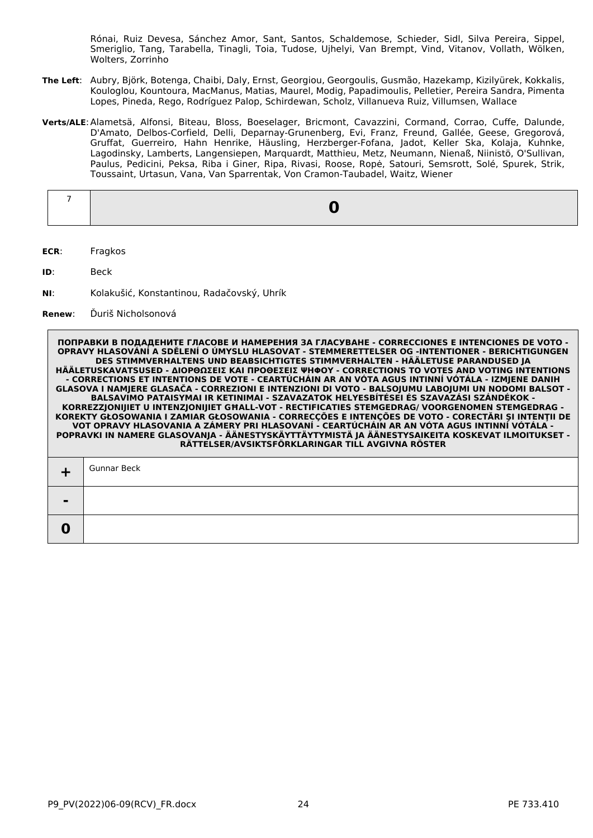Rónai, Ruiz Devesa, Sánchez Amor, Sant, Santos, Schaldemose, Schieder, Sidl, Silva Pereira, Sippel, Smeriglio, Tang, Tarabella, Tinagli, Toia, Tudose, Ujhelyi, Van Brempt, Vind, Vitanov, Vollath, Wölken, Wolters, Zorrinho

- **The Left**: Aubry, Björk, Botenga, Chaibi, Daly, Ernst, Georgiou, Georgoulis, Gusmão, Hazekamp, Kizilyürek, Kokkalis, Kouloglou, Kountoura, MacManus, Matias, Maurel, Modig, Papadimoulis, Pelletier, Pereira Sandra, Pimenta Lopes, Pineda, Rego, Rodríguez Palop, Schirdewan, Scholz, Villanueva Ruiz, Villumsen, Wallace
- **Verts/ALE**:Alametsä, Alfonsi, Biteau, Bloss, Boeselager, Bricmont, Cavazzini, Cormand, Corrao, Cuffe, Dalunde, D'Amato, Delbos-Corfield, Delli, Deparnay-Grunenberg, Evi, Franz, Freund, Gallée, Geese, Gregorová, Gruffat, Guerreiro, Hahn Henrike, Häusling, Herzberger-Fofana, Jadot, Keller Ska, Kolaja, Kuhnke, Lagodinsky, Lamberts, Langensiepen, Marquardt, Matthieu, Metz, Neumann, Nienaß, Niinistö, O'Sullivan, Paulus, Pedicini, Peksa, Riba i Giner, Ripa, Rivasi, Roose, Ropė, Satouri, Semsrott, Solé, Spurek, Strik, Toussaint, Urtasun, Vana, Van Sparrentak, Von Cramon-Taubadel, Waitz, Wiener

- **ECR**: Fragkos
- **ID**: Beck
- **NI**: Kolakušić, Konstantinou, Radačovský, Uhrík

#### **Renew**: Ďuriš Nicholsonová

| $\perp$        | Gunnar Beck |
|----------------|-------------|
| $\blacksquare$ |             |
| $\bf{0}$       |             |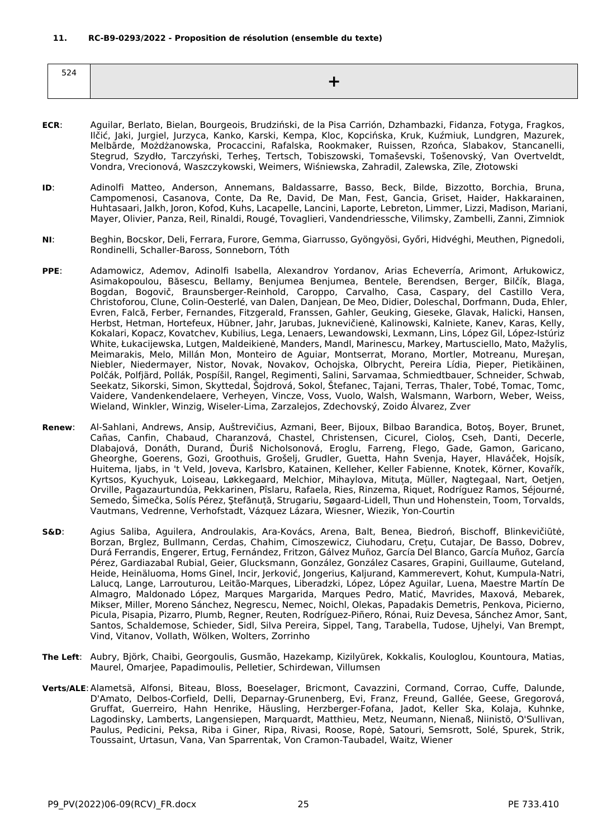<span id="page-24-0"></span>

| --<br>ᇰᄼ |  |
|----------|--|
|          |  |

- **ECR**: Aguilar, Berlato, Bielan, Bourgeois, Brudziński, de la Pisa Carrión, Dzhambazki, Fidanza, Fotyga, Fragkos, Ilčić, Jaki, Jurgiel, Jurzyca, Kanko, Karski, Kempa, Kloc, Kopcińska, Kruk, Kuźmiuk, Lundgren, Mazurek, Melbārde, Możdżanowska, Procaccini, Rafalska, Rookmaker, Ruissen, Rzońca, Slabakov, Stancanelli, Stegrud, Szydło, Tarczyński, Terheş, Tertsch, Tobiszowski, Tomaševski, Tošenovský, Van Overtveldt, Vondra, Vrecionová, Waszczykowski, Weimers, Wiśniewska, Zahradil, Zalewska, Zīle, Złotowski
- **ID**: Adinolfi Matteo, Anderson, Annemans, Baldassarre, Basso, Beck, Bilde, Bizzotto, Borchia, Bruna, Campomenosi, Casanova, Conte, Da Re, David, De Man, Fest, Gancia, Griset, Haider, Hakkarainen, Huhtasaari, Jalkh, Joron, Kofod, Kuhs, Lacapelle, Lancini, Laporte, Lebreton, Limmer, Lizzi, Madison, Mariani, Mayer, Olivier, Panza, Reil, Rinaldi, Rougé, Tovaglieri, Vandendriessche, Vilimsky, Zambelli, Zanni, Zimniok
- **NI**: Beghin, Bocskor, Deli, Ferrara, Furore, Gemma, Giarrusso, Gyöngyösi, Győri, Hidvéghi, Meuthen, Pignedoli, Rondinelli, Schaller-Baross, Sonneborn, Tóth
- **PPE**: Adamowicz, Ademov, Adinolfi Isabella, Alexandrov Yordanov, Arias Echeverría, Arimont, Arłukowicz, Asimakopoulou, Băsescu, Bellamy, Benjumea Benjumea, Bentele, Berendsen, Berger, Bilčík, Blaga, Bogdan, Bogovič, Braunsberger-Reinhold, Caroppo, Carvalho, Casa, Caspary, del Castillo Vera, Christoforou, Clune, Colin-Oesterlé, van Dalen, Danjean, De Meo, Didier, Doleschal, Dorfmann, Duda, Ehler, Evren, Falcă, Ferber, Fernandes, Fitzgerald, Franssen, Gahler, Geuking, Gieseke, Glavak, Halicki, Hansen, Herbst, Hetman, Hortefeux, Hübner, Jahr, Jarubas, Juknevičienė, Kalinowski, Kalniete, Kanev, Karas, Kelly, Kokalari, Kopacz, Kovatchev, Kubilius, Lega, Lenaers, Lewandowski, Lexmann, Lins, López Gil, López-Istúriz White, Łukacijewska, Lutgen, Maldeikienė, Manders, Mandl, Marinescu, Markey, Martusciello, Mato, Mažylis, Meimarakis, Melo, Millán Mon, Monteiro de Aguiar, Montserrat, Morano, Mortler, Motreanu, Mureşan, Niebler, Niedermayer, Nistor, Novak, Novakov, Ochojska, Olbrycht, Pereira Lídia, Pieper, Pietikäinen, Polčák, Polfjärd, Pollák, Pospíšil, Rangel, Regimenti, Salini, Sarvamaa, Schmiedtbauer, Schneider, Schwab, Seekatz, Sikorski, Simon, Skyttedal, Šojdrová, Sokol, Štefanec, Tajani, Terras, Thaler, Tobé, Tomac, Tomc, Vaidere, Vandenkendelaere, Verheyen, Vincze, Voss, Vuolo, Walsh, Walsmann, Warborn, Weber, Weiss, Wieland, Winkler, Winzig, Wiseler-Lima, Zarzalejos, Zdechovský, Zoido Álvarez, Zver
- **Renew**: Al-Sahlani, Andrews, Ansip, Auštrevičius, Azmani, Beer, Bijoux, Bilbao Barandica, Botoş, Boyer, Brunet, Cañas, Canfin, Chabaud, Charanzová, Chastel, Christensen, Cicurel, Cioloş, Cseh, Danti, Decerle, Dlabajová, Donáth, Durand, Ďuriš Nicholsonová, Eroglu, Farreng, Flego, Gade, Gamon, Garicano, Gheorghe, Goerens, Gozi, Groothuis, Grošelj, Grudler, Guetta, Hahn Svenja, Hayer, Hlaváček, Hojsík, Huitema, Ijabs, in 't Veld, Joveva, Karlsbro, Katainen, Kelleher, Keller Fabienne, Knotek, Körner, Kovařík, Kyrtsos, Kyuchyuk, Loiseau, Løkkegaard, Melchior, Mihaylova, Mituța, Müller, Nagtegaal, Nart, Oetjen, Orville, Pagazaurtundúa, Pekkarinen, Pîslaru, Rafaela, Ries, Rinzema, Riquet, Rodríguez Ramos, Séjourné, Semedo, Šimečka, Solís Pérez, Ştefănuță, Strugariu, Søgaard-Lidell, Thun und Hohenstein, Toom, Torvalds, Vautmans, Vedrenne, Verhofstadt, Vázquez Lázara, Wiesner, Wiezik, Yon-Courtin
- **S&D**: Agius Saliba, Aguilera, Androulakis, Ara-Kovács, Arena, Balt, Benea, Biedroń, Bischoff, Blinkevičiūtė, Borzan, Brglez, Bullmann, Cerdas, Chahim, Cimoszewicz, Ciuhodaru, Crețu, Cutajar, De Basso, Dobrev, Durá Ferrandis, Engerer, Ertug, Fernández, Fritzon, Gálvez Muñoz, García Del Blanco, García Muñoz, García Pérez, Gardiazabal Rubial, Geier, Glucksmann, González, González Casares, Grapini, Guillaume, Guteland, Heide, Heinäluoma, Homs Ginel, Incir, Jerković, Jongerius, Kaljurand, Kammerevert, Kohut, Kumpula-Natri, Lalucq, Lange, Larrouturou, Leitão-Marques, Liberadzki, López, López Aguilar, Luena, Maestre Martín De Almagro, Maldonado López, Marques Margarida, Marques Pedro, Matić, Mavrides, Maxová, Mebarek, Mikser, Miller, Moreno Sánchez, Negrescu, Nemec, Noichl, Olekas, Papadakis Demetris, Penkova, Picierno, Picula, Pisapia, Pizarro, Plumb, Regner, Reuten, Rodríguez-Piñero, Rónai, Ruiz Devesa, Sánchez Amor, Sant, Santos, Schaldemose, Schieder, Sidl, Silva Pereira, Sippel, Tang, Tarabella, Tudose, Ujhelyi, Van Brempt, Vind, Vitanov, Vollath, Wölken, Wolters, Zorrinho
- **The Left**: Aubry, Björk, Chaibi, Georgoulis, Gusmão, Hazekamp, Kizilyürek, Kokkalis, Kouloglou, Kountoura, Matias, Maurel, Omarjee, Papadimoulis, Pelletier, Schirdewan, Villumsen
- **Verts/ALE**:Alametsä, Alfonsi, Biteau, Bloss, Boeselager, Bricmont, Cavazzini, Cormand, Corrao, Cuffe, Dalunde, D'Amato, Delbos-Corfield, Delli, Deparnay-Grunenberg, Evi, Franz, Freund, Gallée, Geese, Gregorová, Gruffat, Guerreiro, Hahn Henrike, Häusling, Herzberger-Fofana, Jadot, Keller Ska, Kolaja, Kuhnke, Lagodinsky, Lamberts, Langensiepen, Marquardt, Matthieu, Metz, Neumann, Nienaß, Niinistö, O'Sullivan, Paulus, Pedicini, Peksa, Riba i Giner, Ripa, Rivasi, Roose, Ropė, Satouri, Semsrott, Solé, Spurek, Strik, Toussaint, Urtasun, Vana, Van Sparrentak, Von Cramon-Taubadel, Waitz, Wiener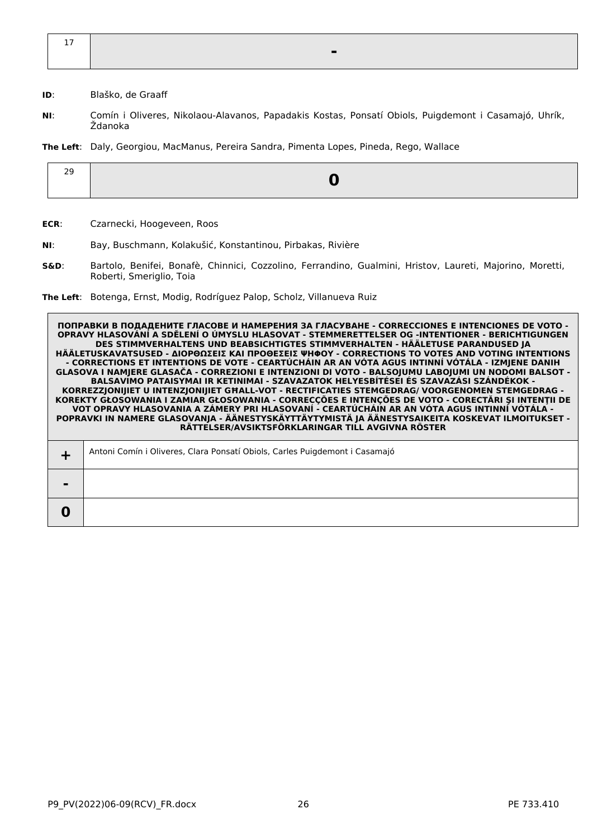| $\sim$<br>$\perp$ |  |
|-------------------|--|
|                   |  |
|                   |  |

**ID**: Blaško, de Graaff

**NI**: Comín i Oliveres, Nikolaou-Alavanos, Papadakis Kostas, Ponsatí Obiols, Puigdemont i Casamajó, Uhrík, Ždanoka

**The Left**: Daly, Georgiou, MacManus, Pereira Sandra, Pimenta Lopes, Pineda, Rego, Wallace

| <u>. .</u> |  |
|------------|--|
|            |  |

**ECR**: Czarnecki, Hoogeveen, Roos

- **NI**: Bay, Buschmann, Kolakušić, Konstantinou, Pirbakas, Rivière
- **S&D**: Bartolo, Benifei, Bonafè, Chinnici, Cozzolino, Ferrandino, Gualmini, Hristov, Laureti, Majorino, Moretti, Roberti, Smeriglio, Toia

**The Left**: Botenga, Ernst, Modig, Rodríguez Palop, Scholz, Villanueva Ruiz

**ПОПРАВКИ В ПОДАДЕНИТЕ ГЛАСОВЕ И НАМЕРЕНИЯ ЗА ГЛАСУВАНЕ - CORRECCIONES E INTENCIONES DE VOTO - OPRAVY HLASOVÁNÍ A SDĚLENÍ O ÚMYSLU HLASOVAT - STEMMERETTELSER OG -INTENTIONER - BERICHTIGUNGEN DES STIMMVERHALTENS UND BEABSICHTIGTES STIMMVERHALTEN - HÄÄLETUSE PARANDUSED JA HÄÄLETUSKAVATSUSED - ΔΙΟΡΘΩΣΕΙΣ ΚΑΙ ΠΡΟΘΕΣΕΙΣ ΨΗΦΟΥ - CORRECTIONS TO VOTES AND VOTING INTENTIONS - CORRECTIONS ET INTENTIONS DE VOTE - CEARTÚCHÁIN AR AN VÓTA AGUS INTINNÍ VÓTÁLA - IZMJENE DANIH GLASOVA I NAMJERE GLASAČA - CORREZIONI E INTENZIONI DI VOTO - BALSOJUMU LABOJUMI UN NODOMI BALSOT - BALSAVIMO PATAISYMAI IR KETINIMAI - SZAVAZATOK HELYESBÍTÉSEI ÉS SZAVAZÁSI SZÁNDÉKOK - KORREZZJONIJIET U INTENZJONIJIET GĦALL-VOT - RECTIFICATIES STEMGEDRAG/ VOORGENOMEN STEMGEDRAG - KOREKTY GŁOSOWANIA I ZAMIAR GŁOSOWANIA - CORRECÇÕES E INTENÇÕES DE VOTO - CORECTĂRI ŞI INTENŢII DE VOT OPRAVY HLASOVANIA A ZÁMERY PRI HLASOVANÍ - CEARTÚCHÁIN AR AN VÓTA AGUS INTINNÍ VÓTÁLA - POPRAVKI IN NAMERE GLASOVANJA - ÄÄNESTYSKÄYTTÄYTYMISTÄ JA ÄÄNESTYSAIKEITA KOSKEVAT ILMOITUKSET - RÄTTELSER/AVSIKTSFÖRKLARINGAR TILL AVGIVNA RÖSTER +** Antoni Comín i Oliveres, Clara Ponsatí Obiols, Carles Puigdemont i Casamajó **-**

**0**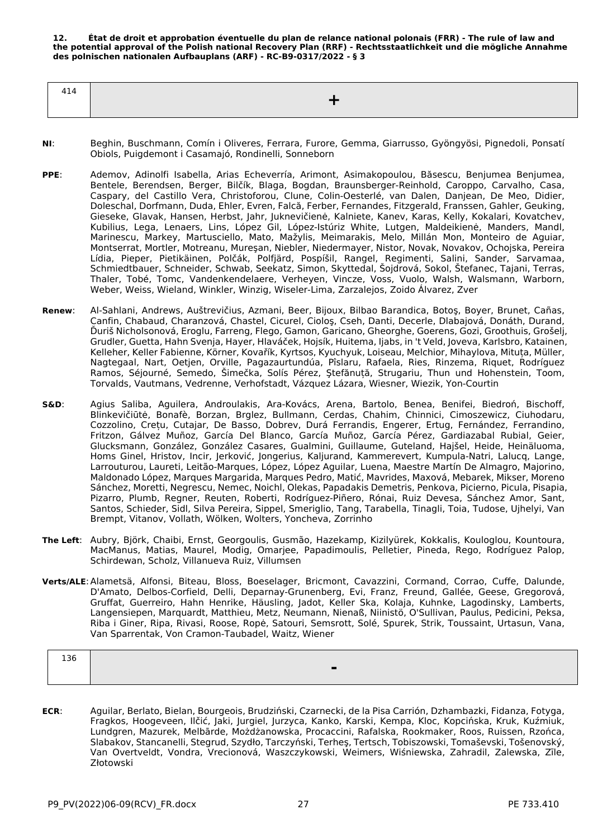<span id="page-26-0"></span>**12. État de droit et approbation éventuelle du plan de relance national polonais (FRR) - The rule of law and the potential approval of the Polish national Recovery Plan (RRF) - Rechtsstaatlichkeit und die mögliche Annahme des polnischen nationalen Aufbauplans (ARF) - RC-B9-0317/2022 - § 3**

| 414 |     |
|-----|-----|
|     | ___ |
|     |     |

- **NI**: Beghin, Buschmann, Comín i Oliveres, Ferrara, Furore, Gemma, Giarrusso, Gyöngyösi, Pignedoli, Ponsatí Obiols, Puigdemont i Casamajó, Rondinelli, Sonneborn
- **PPE**: Ademov, Adinolfi Isabella, Arias Echeverría, Arimont, Asimakopoulou, Băsescu, Benjumea Benjumea, Bentele, Berendsen, Berger, Bilčík, Blaga, Bogdan, Braunsberger-Reinhold, Caroppo, Carvalho, Casa, Caspary, del Castillo Vera, Christoforou, Clune, Colin-Oesterlé, van Dalen, Danjean, De Meo, Didier, Doleschal, Dorfmann, Duda, Ehler, Evren, Falcă, Ferber, Fernandes, Fitzgerald, Franssen, Gahler, Geuking, Gieseke, Glavak, Hansen, Herbst, Jahr, Juknevičienė, Kalniete, Kanev, Karas, Kelly, Kokalari, Kovatchev, Kubilius, Lega, Lenaers, Lins, López Gil, López-Istúriz White, Lutgen, Maldeikienė, Manders, Mandl, Marinescu, Markey, Martusciello, Mato, Mažylis, Meimarakis, Melo, Millán Mon, Monteiro de Aguiar, Montserrat, Mortler, Motreanu, Mureşan, Niebler, Niedermayer, Nistor, Novak, Novakov, Ochojska, Pereira Lídia, Pieper, Pietikäinen, Polčák, Polfjärd, Pospíšil, Rangel, Regimenti, Salini, Sander, Sarvamaa, Schmiedtbauer, Schneider, Schwab, Seekatz, Simon, Skyttedal, Šojdrová, Sokol, Štefanec, Tajani, Terras, Thaler, Tobé, Tomc, Vandenkendelaere, Verheyen, Vincze, Voss, Vuolo, Walsh, Walsmann, Warborn, Weber, Weiss, Wieland, Winkler, Winzig, Wiseler-Lima, Zarzalejos, Zoido Álvarez, Zver
- **Renew**: Al-Sahlani, Andrews, Auštrevičius, Azmani, Beer, Bijoux, Bilbao Barandica, Botoş, Boyer, Brunet, Cañas, Canfin, Chabaud, Charanzová, Chastel, Cicurel, Cioloş, Cseh, Danti, Decerle, Dlabajová, Donáth, Durand, Ďuriš Nicholsonová, Eroglu, Farreng, Flego, Gamon, Garicano, Gheorghe, Goerens, Gozi, Groothuis, Grošelj, Grudler, Guetta, Hahn Svenja, Hayer, Hlaváček, Hojsík, Huitema, Ijabs, in 't Veld, Joveva, Karlsbro, Katainen, Kelleher, Keller Fabienne, Körner, Kovařík, Kyrtsos, Kyuchyuk, Loiseau, Melchior, Mihaylova, Mituța, Müller, Nagtegaal, Nart, Oetjen, Orville, Pagazaurtundúa, Pîslaru, Rafaela, Ries, Rinzema, Riquet, Rodríguez Ramos, Séjourné, Semedo, Šimečka, Solís Pérez, Ştefănuță, Strugariu, Thun und Hohenstein, Toom, Torvalds, Vautmans, Vedrenne, Verhofstadt, Vázquez Lázara, Wiesner, Wiezik, Yon-Courtin
- **S&D**: Agius Saliba, Aguilera, Androulakis, Ara-Kovács, Arena, Bartolo, Benea, Benifei, Biedroń, Bischoff, Blinkevičiūtė, Bonafè, Borzan, Brglez, Bullmann, Cerdas, Chahim, Chinnici, Cimoszewicz, Ciuhodaru, Cozzolino, Crețu, Cutajar, De Basso, Dobrev, Durá Ferrandis, Engerer, Ertug, Fernández, Ferrandino, Fritzon, Gálvez Muñoz, García Del Blanco, García Muñoz, García Pérez, Gardiazabal Rubial, Geier, Glucksmann, González, González Casares, Gualmini, Guillaume, Guteland, Hajšel, Heide, Heinäluoma, Homs Ginel, Hristov, Incir, Jerković, Jongerius, Kaljurand, Kammerevert, Kumpula-Natri, Lalucq, Lange, Larrouturou, Laureti, Leitão-Marques, López, López Aguilar, Luena, Maestre Martín De Almagro, Majorino, Maldonado López, Marques Margarida, Marques Pedro, Matić, Mavrides, Maxová, Mebarek, Mikser, Moreno Sánchez, Moretti, Negrescu, Nemec, Noichl, Olekas, Papadakis Demetris, Penkova, Picierno, Picula, Pisapia, Pizarro, Plumb, Regner, Reuten, Roberti, Rodríguez-Piñero, Rónai, Ruiz Devesa, Sánchez Amor, Sant, Santos, Schieder, Sidl, Silva Pereira, Sippel, Smeriglio, Tang, Tarabella, Tinagli, Toia, Tudose, Ujhelyi, Van Brempt, Vitanov, Vollath, Wölken, Wolters, Yoncheva, Zorrinho
- **The Left**: Aubry, Björk, Chaibi, Ernst, Georgoulis, Gusmão, Hazekamp, Kizilyürek, Kokkalis, Kouloglou, Kountoura, MacManus, Matias, Maurel, Modig, Omarjee, Papadimoulis, Pelletier, Pineda, Rego, Rodríguez Palop, Schirdewan, Scholz, Villanueva Ruiz, Villumsen
- **Verts/ALE**:Alametsä, Alfonsi, Biteau, Bloss, Boeselager, Bricmont, Cavazzini, Cormand, Corrao, Cuffe, Dalunde, D'Amato, Delbos-Corfield, Delli, Deparnay-Grunenberg, Evi, Franz, Freund, Gallée, Geese, Gregorová, Gruffat, Guerreiro, Hahn Henrike, Häusling, Jadot, Keller Ska, Kolaja, Kuhnke, Lagodinsky, Lamberts, Langensiepen, Marquardt, Matthieu, Metz, Neumann, Nienaß, Niinistö, O'Sullivan, Paulus, Pedicini, Peksa, Riba i Giner, Ripa, Rivasi, Roose, Ropė, Satouri, Semsrott, Solé, Spurek, Strik, Toussaint, Urtasun, Vana, Van Sparrentak, Von Cramon-Taubadel, Waitz, Wiener

| TJU |  |          |  |
|-----|--|----------|--|
|     |  | ь<br>$-$ |  |

**ECR**: Aguilar, Berlato, Bielan, Bourgeois, Brudziński, Czarnecki, de la Pisa Carrión, Dzhambazki, Fidanza, Fotyga, Fragkos, Hoogeveen, Ilčić, Jaki, Jurgiel, Jurzyca, Kanko, Karski, Kempa, Kloc, Kopcińska, Kruk, Kuźmiuk, Lundgren, Mazurek, Melbārde, Możdżanowska, Procaccini, Rafalska, Rookmaker, Roos, Ruissen, Rzońca, Slabakov, Stancanelli, Stegrud, Szydło, Tarczyński, Terheş, Tertsch, Tobiszowski, Tomaševski, Tošenovský, Van Overtveldt, Vondra, Vrecionová, Waszczykowski, Weimers, Wiśniewska, Zahradil, Zalewska, Zīle, Złotowski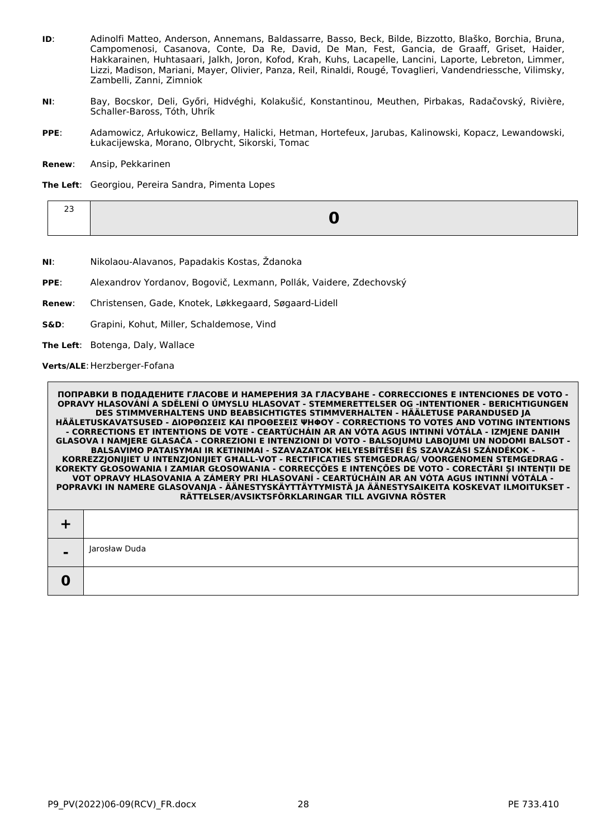- **ID**: Adinolfi Matteo, Anderson, Annemans, Baldassarre, Basso, Beck, Bilde, Bizzotto, Blaško, Borchia, Bruna, Campomenosi, Casanova, Conte, Da Re, David, De Man, Fest, Gancia, de Graaff, Griset, Haider, Hakkarainen, Huhtasaari, Jalkh, Joron, Kofod, Krah, Kuhs, Lacapelle, Lancini, Laporte, Lebreton, Limmer, Lizzi, Madison, Mariani, Mayer, Olivier, Panza, Reil, Rinaldi, Rougé, Tovaglieri, Vandendriessche, Vilimsky, Zambelli, Zanni, Zimniok
- **NI**: Bay, Bocskor, Deli, Győri, Hidvéghi, Kolakušić, Konstantinou, Meuthen, Pirbakas, Radačovský, Rivière, Schaller-Baross, Tóth, Uhrík
- **PPE**: Adamowicz, Arłukowicz, Bellamy, Halicki, Hetman, Hortefeux, Jarubas, Kalinowski, Kopacz, Lewandowski, Łukacijewska, Morano, Olbrycht, Sikorski, Tomac
- **Renew**: Ansip, Pekkarinen
- **The Left**: Georgiou, Pereira Sandra, Pimenta Lopes

- **NI**: Nikolaou-Alavanos, Papadakis Kostas, Ždanoka
- **PPE**: Alexandrov Yordanov, Bogovič, Lexmann, Pollák, Vaidere, Zdechovský
- **Renew**: Christensen, Gade, Knotek, Løkkegaard, Søgaard-Lidell
- **S&D**: Grapini, Kohut, Miller, Schaldemose, Vind
- **The Left**: Botenga, Daly, Wallace

Verts/ALE: Herzberger-Fofana

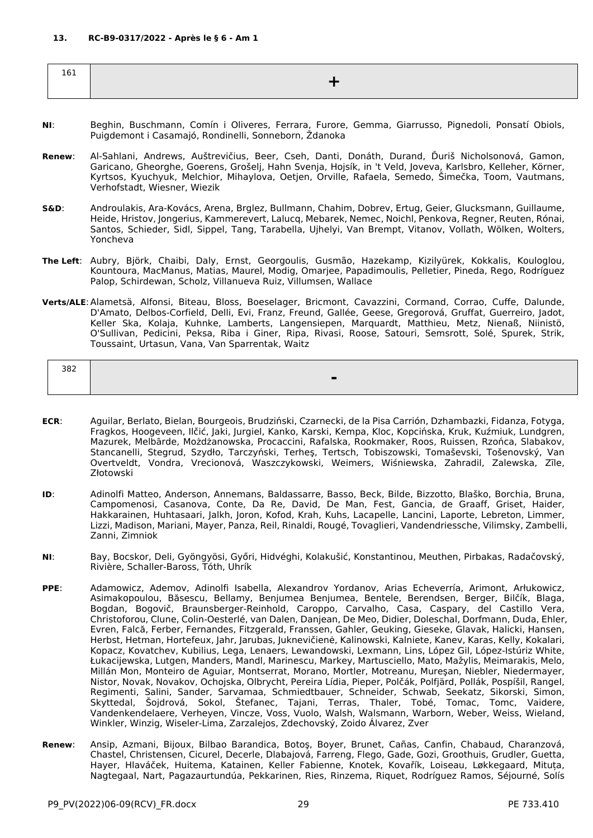<span id="page-28-0"></span>

| $\sim$ $\sim$ $\sim$<br>TOT |  |
|-----------------------------|--|
|                             |  |

- **NI**: Beghin, Buschmann, Comín i Oliveres, Ferrara, Furore, Gemma, Giarrusso, Pignedoli, Ponsatí Obiols, Puigdemont i Casamajó, Rondinelli, Sonneborn, Ždanoka
- **Renew**: Al-Sahlani, Andrews, Auštrevičius, Beer, Cseh, Danti, Donáth, Durand, Ďuriš Nicholsonová, Gamon, Garicano, Gheorghe, Goerens, Grošelj, Hahn Svenja, Hojsík, in 't Veld, Joveva, Karlsbro, Kelleher, Körner, Kyrtsos, Kyuchyuk, Melchior, Mihaylova, Oetjen, Orville, Rafaela, Semedo, Šimečka, Toom, Vautmans, Verhofstadt, Wiesner, Wiezik
- **S&D**: Androulakis, Ara-Kovács, Arena, Brglez, Bullmann, Chahim, Dobrev, Ertug, Geier, Glucksmann, Guillaume, Heide, Hristov, Jongerius, Kammerevert, Lalucq, Mebarek, Nemec, Noichl, Penkova, Regner, Reuten, Rónai, Santos, Schieder, Sidl, Sippel, Tang, Tarabella, Ujhelyi, Van Brempt, Vitanov, Vollath, Wölken, Wolters, Yoncheva
- **The Left**: Aubry, Björk, Chaibi, Daly, Ernst, Georgoulis, Gusmão, Hazekamp, Kizilyürek, Kokkalis, Kouloglou, Kountoura, MacManus, Matias, Maurel, Modig, Omarjee, Papadimoulis, Pelletier, Pineda, Rego, Rodríguez Palop, Schirdewan, Scholz, Villanueva Ruiz, Villumsen, Wallace
- **Verts/ALE**:Alametsä, Alfonsi, Biteau, Bloss, Boeselager, Bricmont, Cavazzini, Cormand, Corrao, Cuffe, Dalunde, D'Amato, Delbos-Corfield, Delli, Evi, Franz, Freund, Gallée, Geese, Gregorová, Gruffat, Guerreiro, Jadot, Keller Ska, Kolaja, Kuhnke, Lamberts, Langensiepen, Marquardt, Matthieu, Metz, Nienaß, Niinistö, O'Sullivan, Pedicini, Peksa, Riba i Giner, Ripa, Rivasi, Roose, Satouri, Semsrott, Solé, Spurek, Strik, Toussaint, Urtasun, Vana, Van Sparrentak, Waitz

| 382 |  |
|-----|--|
|     |  |
|     |  |

- **ECR**: Aguilar, Berlato, Bielan, Bourgeois, Brudziński, Czarnecki, de la Pisa Carrión, Dzhambazki, Fidanza, Fotyga, Fragkos, Hoogeveen, Ilčić, Jaki, Jurgiel, Kanko, Karski, Kempa, Kloc, Kopcińska, Kruk, Kuźmiuk, Lundgren, Mazurek, Melbārde, Możdżanowska, Procaccini, Rafalska, Rookmaker, Roos, Ruissen, Rzońca, Slabakov, Stancanelli, Stegrud, Szydło, Tarczyński, Terheş, Tertsch, Tobiszowski, Tomaševski, Tošenovský, Van Overtveldt, Vondra, Vrecionová, Waszczykowski, Weimers, Wiśniewska, Zahradil, Zalewska, Zīle, Złotowski
- **ID**: Adinolfi Matteo, Anderson, Annemans, Baldassarre, Basso, Beck, Bilde, Bizzotto, Blaško, Borchia, Bruna, Campomenosi, Casanova, Conte, Da Re, David, De Man, Fest, Gancia, de Graaff, Griset, Haider, Hakkarainen, Huhtasaari, Jalkh, Joron, Kofod, Krah, Kuhs, Lacapelle, Lancini, Laporte, Lebreton, Limmer, Lizzi, Madison, Mariani, Mayer, Panza, Reil, Rinaldi, Rougé, Tovaglieri, Vandendriessche, Vilimsky, Zambelli, Zanni, Zimniok
- **NI**: Bay, Bocskor, Deli, Gyöngyösi, Győri, Hidvéghi, Kolakušić, Konstantinou, Meuthen, Pirbakas, Radačovský, Rivière, Schaller-Baross, Tóth, Uhrík
- **PPE**: Adamowicz, Ademov, Adinolfi Isabella, Alexandrov Yordanov, Arias Echeverría, Arimont, Arłukowicz, Asimakopoulou, Băsescu, Bellamy, Benjumea Benjumea, Bentele, Berendsen, Berger, Bilčík, Blaga, Bogdan, Bogovič, Braunsberger-Reinhold, Caroppo, Carvalho, Casa, Caspary, del Castillo Vera, Christoforou, Clune, Colin-Oesterlé, van Dalen, Danjean, De Meo, Didier, Doleschal, Dorfmann, Duda, Ehler, Evren, Falcă, Ferber, Fernandes, Fitzgerald, Franssen, Gahler, Geuking, Gieseke, Glavak, Halicki, Hansen, Herbst, Hetman, Hortefeux, Jahr, Jarubas, Juknevičienė, Kalinowski, Kalniete, Kanev, Karas, Kelly, Kokalari, Kopacz, Kovatchev, Kubilius, Lega, Lenaers, Lewandowski, Lexmann, Lins, López Gil, López-Istúriz White, Łukacijewska, Lutgen, Manders, Mandl, Marinescu, Markey, Martusciello, Mato, Mažylis, Meimarakis, Melo, Millán Mon, Monteiro de Aguiar, Montserrat, Morano, Mortler, Motreanu, Mureşan, Niebler, Niedermayer, Nistor, Novak, Novakov, Ochojska, Olbrycht, Pereira Lídia, Pieper, Polčák, Polfjärd, Pollák, Pospíšil, Rangel, Regimenti, Salini, Sander, Sarvamaa, Schmiedtbauer, Schneider, Schwab, Seekatz, Sikorski, Simon, Skyttedal, Šojdrová, Sokol, Štefanec, Tajani, Terras, Thaler, Tobé, Tomac, Tomc, Vaidere, Vandenkendelaere, Verheyen, Vincze, Voss, Vuolo, Walsh, Walsmann, Warborn, Weber, Weiss, Wieland, Winkler, Winzig, Wiseler-Lima, Zarzalejos, Zdechovský, Zoido Álvarez, Zver
- **Renew**: Ansip, Azmani, Bijoux, Bilbao Barandica, Botoş, Boyer, Brunet, Cañas, Canfin, Chabaud, Charanzová, Chastel, Christensen, Cicurel, Decerle, Dlabajová, Farreng, Flego, Gade, Gozi, Groothuis, Grudler, Guetta, Hayer, Hlaváček, Huitema, Katainen, Keller Fabienne, Knotek, Kovařík, Loiseau, Løkkegaard, Mituța, Nagtegaal, Nart, Pagazaurtundúa, Pekkarinen, Ries, Rinzema, Riquet, Rodríguez Ramos, Séjourné, Solís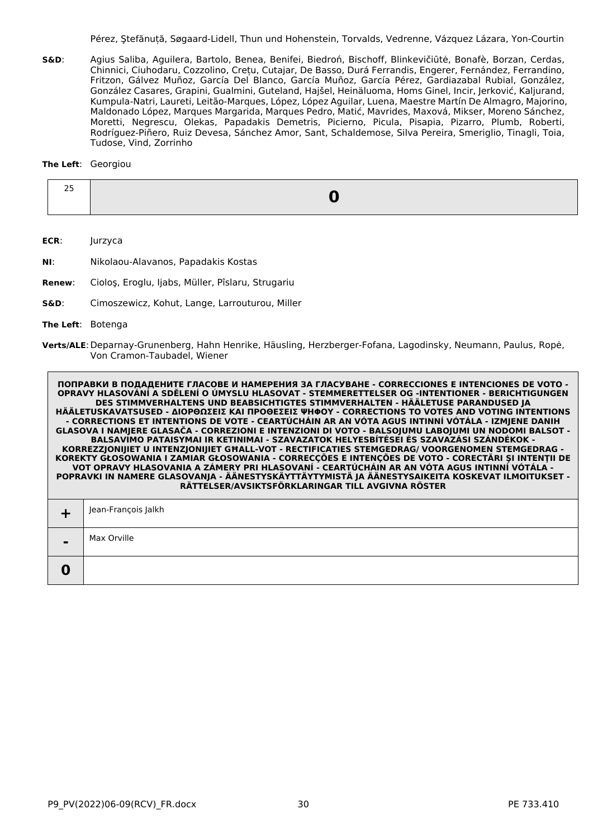Pérez, Ştefănuță, Søgaard-Lidell, Thun und Hohenstein, Torvalds, Vedrenne, Vázquez Lázara, Yon-Courtin

**S&D**: Agius Saliba, Aguilera, Bartolo, Benea, Benifei, Biedroń, Bischoff, Blinkevičiūtė, Bonafè, Borzan, Cerdas, Chinnici, Ciuhodaru, Cozzolino, Crețu, Cutajar, De Basso, Durá Ferrandis, Engerer, Fernández, Ferrandino, Fritzon, Gálvez Muñoz, García Del Blanco, García Muñoz, García Pérez, Gardiazabal Rubial, González, González Casares, Grapini, Gualmini, Guteland, Hajšel, Heinäluoma, Homs Ginel, Incir, Jerković, Kaljurand, Kumpula-Natri, Laureti, Leitão-Marques, López, López Aguilar, Luena, Maestre Martín De Almagro, Majorino, Maldonado López, Marques Margarida, Marques Pedro, Matić, Mavrides, Maxová, Mikser, Moreno Sánchez, Moretti, Negrescu, Olekas, Papadakis Demetris, Picierno, Picula, Pisapia, Pizarro, Plumb, Roberti, Rodríguez-Piñero, Ruiz Devesa, Sánchez Amor, Sant, Schaldemose, Silva Pereira, Smeriglio, Tinagli, Toia, Tudose, Vind, Zorrinho

#### **The Left**: Georgiou

| -- |  |
|----|--|

**ECR**: Jurzyca

- **NI**: Nikolaou-Alavanos, Papadakis Kostas
- **Renew**: Cioloş, Eroglu, Ijabs, Müller, Pîslaru, Strugariu
- **S&D**: Cimoszewicz, Kohut, Lange, Larrouturou, Miller

**The Left**: Botenga

|                | Jean-François Jaikh |
|----------------|---------------------|
| $\blacksquare$ | Max Orville         |
|                |                     |

**Verts/ALE**:Deparnay-Grunenberg, Hahn Henrike, Häusling, Herzberger-Fofana, Lagodinsky, Neumann, Paulus, Ropė, Von Cramon-Taubadel, Wiener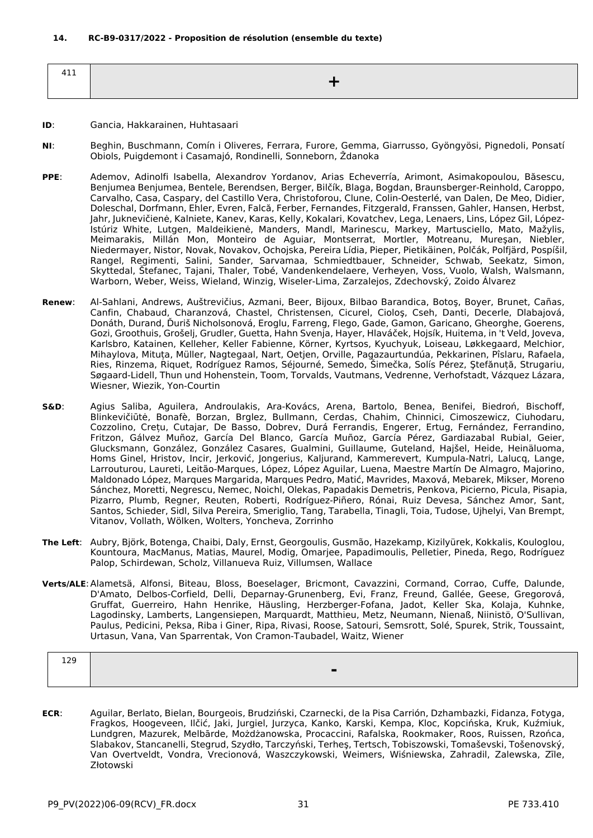<span id="page-30-0"></span>

| $\sim$ $\sim$ $\sim$<br>4<br>ᆠᅩᅩ |  |
|----------------------------------|--|
|                                  |  |

#### **ID**: Gancia, Hakkarainen, Huhtasaari

- **NI**: Beghin, Buschmann, Comín i Oliveres, Ferrara, Furore, Gemma, Giarrusso, Gyöngyösi, Pignedoli, Ponsatí Obiols, Puigdemont i Casamajó, Rondinelli, Sonneborn, Ždanoka
- **PPE**: Ademov, Adinolfi Isabella, Alexandrov Yordanov, Arias Echeverría, Arimont, Asimakopoulou, Băsescu, Benjumea Benjumea, Bentele, Berendsen, Berger, Bilčík, Blaga, Bogdan, Braunsberger-Reinhold, Caroppo, Carvalho, Casa, Caspary, del Castillo Vera, Christoforou, Clune, Colin-Oesterlé, van Dalen, De Meo, Didier, Doleschal, Dorfmann, Ehler, Evren, Falcă, Ferber, Fernandes, Fitzgerald, Franssen, Gahler, Hansen, Herbst, Jahr, Juknevičienė, Kalniete, Kanev, Karas, Kelly, Kokalari, Kovatchev, Lega, Lenaers, Lins, López Gil, López-Istúriz White, Lutgen, Maldeikienė, Manders, Mandl, Marinescu, Markey, Martusciello, Mato, Mažylis, Meimarakis, Millán Mon, Monteiro de Aguiar, Montserrat, Mortler, Motreanu, Mureşan, Niebler, Niedermayer, Nistor, Novak, Novakov, Ochojska, Pereira Lídia, Pieper, Pietikäinen, Polčák, Polfjärd, Pospíšil, Rangel, Regimenti, Salini, Sander, Sarvamaa, Schmiedtbauer, Schneider, Schwab, Seekatz, Simon, Skyttedal, Štefanec, Tajani, Thaler, Tobé, Vandenkendelaere, Verheyen, Voss, Vuolo, Walsh, Walsmann, Warborn, Weber, Weiss, Wieland, Winzig, Wiseler-Lima, Zarzalejos, Zdechovský, Zoido Álvarez
- **Renew**: Al-Sahlani, Andrews, Auštrevičius, Azmani, Beer, Bijoux, Bilbao Barandica, Botoş, Boyer, Brunet, Cañas, Canfin, Chabaud, Charanzová, Chastel, Christensen, Cicurel, Cioloş, Cseh, Danti, Decerle, Dlabajová, Donáth, Durand, Ďuriš Nicholsonová, Eroglu, Farreng, Flego, Gade, Gamon, Garicano, Gheorghe, Goerens, Gozi, Groothuis, Grošelj, Grudler, Guetta, Hahn Svenja, Hayer, Hlaváček, Hojsík, Huitema, in 't Veld, Joveva, Karlsbro, Katainen, Kelleher, Keller Fabienne, Körner, Kyrtsos, Kyuchyuk, Loiseau, Løkkegaard, Melchior, Mihaylova, Mituța, Müller, Nagtegaal, Nart, Oetjen, Orville, Pagazaurtundúa, Pekkarinen, Pîslaru, Rafaela, Ries, Rinzema, Riquet, Rodríguez Ramos, Séjourné, Semedo, Šimečka, Solís Pérez, Ştefănuță, Strugariu, Søgaard-Lidell, Thun und Hohenstein, Toom, Torvalds, Vautmans, Vedrenne, Verhofstadt, Vázquez Lázara, Wiesner, Wiezik, Yon-Courtin
- **S&D**: Agius Saliba, Aguilera, Androulakis, Ara-Kovács, Arena, Bartolo, Benea, Benifei, Biedroń, Bischoff, Blinkevičiūtė, Bonafè, Borzan, Brglez, Bullmann, Cerdas, Chahim, Chinnici, Cimoszewicz, Ciuhodaru, Cozzolino, Crețu, Cutajar, De Basso, Dobrev, Durá Ferrandis, Engerer, Ertug, Fernández, Ferrandino, Fritzon, Gálvez Muñoz, García Del Blanco, García Muñoz, García Pérez, Gardiazabal Rubial, Geier, Glucksmann, González, González Casares, Gualmini, Guillaume, Guteland, Hajšel, Heide, Heinäluoma, Homs Ginel, Hristov, Incir, Jerković, Jongerius, Kaljurand, Kammerevert, Kumpula-Natri, Lalucq, Lange, Larrouturou, Laureti, Leitão-Marques, López, López Aguilar, Luena, Maestre Martín De Almagro, Majorino, Maldonado López, Marques Margarida, Marques Pedro, Matić, Mavrides, Maxová, Mebarek, Mikser, Moreno Sánchez, Moretti, Negrescu, Nemec, Noichl, Olekas, Papadakis Demetris, Penkova, Picierno, Picula, Pisapia, Pizarro, Plumb, Regner, Reuten, Roberti, Rodríguez-Piñero, Rónai, Ruiz Devesa, Sánchez Amor, Sant, Santos, Schieder, Sidl, Silva Pereira, Smeriglio, Tang, Tarabella, Tinagli, Toia, Tudose, Ujhelyi, Van Brempt, Vitanov, Vollath, Wölken, Wolters, Yoncheva, Zorrinho
- **The Left**: Aubry, Björk, Botenga, Chaibi, Daly, Ernst, Georgoulis, Gusmão, Hazekamp, Kizilyürek, Kokkalis, Kouloglou, Kountoura, MacManus, Matias, Maurel, Modig, Omarjee, Papadimoulis, Pelletier, Pineda, Rego, Rodríguez Palop, Schirdewan, Scholz, Villanueva Ruiz, Villumsen, Wallace
- **Verts/ALE**:Alametsä, Alfonsi, Biteau, Bloss, Boeselager, Bricmont, Cavazzini, Cormand, Corrao, Cuffe, Dalunde, D'Amato, Delbos-Corfield, Delli, Deparnay-Grunenberg, Evi, Franz, Freund, Gallée, Geese, Gregorová, Gruffat, Guerreiro, Hahn Henrike, Häusling, Herzberger-Fofana, Jadot, Keller Ska, Kolaja, Kuhnke, Lagodinsky, Lamberts, Langensiepen, Marquardt, Matthieu, Metz, Neumann, Nienaß, Niinistö, O'Sullivan, Paulus, Pedicini, Peksa, Riba i Giner, Ripa, Rivasi, Roose, Satouri, Semsrott, Solé, Spurek, Strik, Toussaint, Urtasun, Vana, Van Sparrentak, Von Cramon-Taubadel, Waitz, Wiener

| 129 |   |
|-----|---|
|     | - |
|     |   |

**ECR**: Aguilar, Berlato, Bielan, Bourgeois, Brudziński, Czarnecki, de la Pisa Carrión, Dzhambazki, Fidanza, Fotyga, Fragkos, Hoogeveen, Ilčić, Jaki, Jurgiel, Jurzyca, Kanko, Karski, Kempa, Kloc, Kopcińska, Kruk, Kuźmiuk, Lundgren, Mazurek, Melbārde, Możdżanowska, Procaccini, Rafalska, Rookmaker, Roos, Ruissen, Rzońca, Slabakov, Stancanelli, Stegrud, Szydło, Tarczyński, Terheş, Tertsch, Tobiszowski, Tomaševski, Tošenovský, Van Overtveldt, Vondra, Vrecionová, Waszczykowski, Weimers, Wiśniewska, Zahradil, Zalewska, Zīle, Złotowski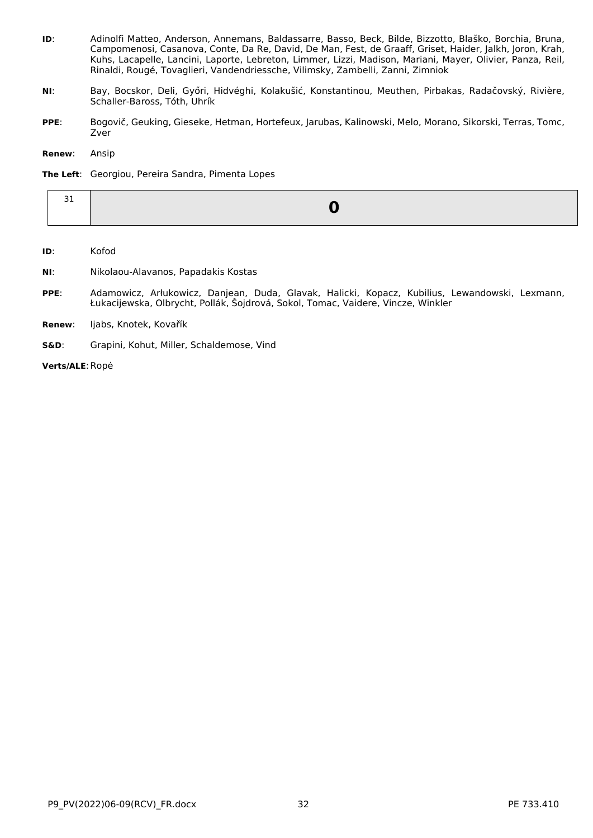- **ID**: Adinolfi Matteo, Anderson, Annemans, Baldassarre, Basso, Beck, Bilde, Bizzotto, Blaško, Borchia, Bruna, Campomenosi, Casanova, Conte, Da Re, David, De Man, Fest, de Graaff, Griset, Haider, Jalkh, Joron, Krah, Kuhs, Lacapelle, Lancini, Laporte, Lebreton, Limmer, Lizzi, Madison, Mariani, Mayer, Olivier, Panza, Reil, Rinaldi, Rougé, Tovaglieri, Vandendriessche, Vilimsky, Zambelli, Zanni, Zimniok
- **NI**: Bay, Bocskor, Deli, Győri, Hidvéghi, Kolakušić, Konstantinou, Meuthen, Pirbakas, Radačovský, Rivière, Schaller-Baross, Tóth, Uhrík
- **PPE**: Bogovič, Geuking, Gieseke, Hetman, Hortefeux, Jarubas, Kalinowski, Melo, Morano, Sikorski, Terras, Tomc, Zver

**Renew**: Ansip

#### **The Left**: Georgiou, Pereira Sandra, Pimenta Lopes

**ID**: Kofod

- **NI**: Nikolaou-Alavanos, Papadakis Kostas
- **PPE**: Adamowicz, Arłukowicz, Danjean, Duda, Glavak, Halicki, Kopacz, Kubilius, Lewandowski, Lexmann, Łukacijewska, Olbrycht, Pollák, Šojdrová, Sokol, Tomac, Vaidere, Vincze, Winkler
- **Renew**: Ijabs, Knotek, Kovařík
- **S&D**: Grapini, Kohut, Miller, Schaldemose, Vind

**Verts/ALE**:Ropė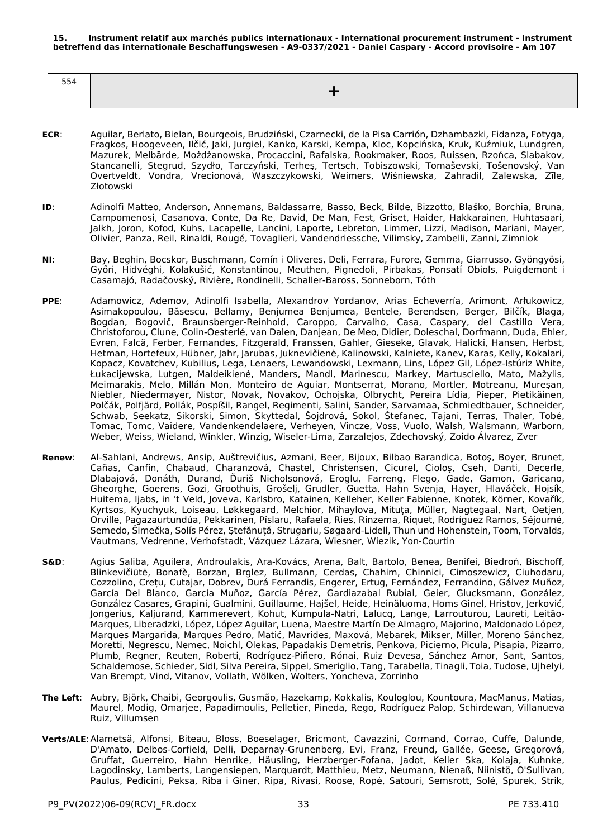<span id="page-32-0"></span>

| 554 |  |
|-----|--|
|     |  |

- **ECR**: Aguilar, Berlato, Bielan, Bourgeois, Brudziński, Czarnecki, de la Pisa Carrión, Dzhambazki, Fidanza, Fotyga, Fragkos, Hoogeveen, Ilčić, Jaki, Jurgiel, Kanko, Karski, Kempa, Kloc, Kopcińska, Kruk, Kuźmiuk, Lundgren, Mazurek, Melbārde, Możdżanowska, Procaccini, Rafalska, Rookmaker, Roos, Ruissen, Rzońca, Slabakov, Stancanelli, Stegrud, Szydło, Tarczyński, Terheş, Tertsch, Tobiszowski, Tomaševski, Tošenovský, Van Overtveldt, Vondra, Vrecionová, Waszczykowski, Weimers, Wiśniewska, Zahradil, Zalewska, Zīle, Złotowski
- **ID**: Adinolfi Matteo, Anderson, Annemans, Baldassarre, Basso, Beck, Bilde, Bizzotto, Blaško, Borchia, Bruna, Campomenosi, Casanova, Conte, Da Re, David, De Man, Fest, Griset, Haider, Hakkarainen, Huhtasaari, Jalkh, Joron, Kofod, Kuhs, Lacapelle, Lancini, Laporte, Lebreton, Limmer, Lizzi, Madison, Mariani, Mayer, Olivier, Panza, Reil, Rinaldi, Rougé, Tovaglieri, Vandendriessche, Vilimsky, Zambelli, Zanni, Zimniok
- **NI**: Bay, Beghin, Bocskor, Buschmann, Comín i Oliveres, Deli, Ferrara, Furore, Gemma, Giarrusso, Gyöngyösi, Győri, Hidvéghi, Kolakušić, Konstantinou, Meuthen, Pignedoli, Pirbakas, Ponsatí Obiols, Puigdemont i Casamajó, Radačovský, Rivière, Rondinelli, Schaller-Baross, Sonneborn, Tóth
- **PPE**: Adamowicz, Ademov, Adinolfi Isabella, Alexandrov Yordanov, Arias Echeverría, Arimont, Arłukowicz, Asimakopoulou, Băsescu, Bellamy, Benjumea Benjumea, Bentele, Berendsen, Berger, Bilčík, Blaga, Bogdan, Bogovič, Braunsberger-Reinhold, Caroppo, Carvalho, Casa, Caspary, del Castillo Vera, Christoforou, Clune, Colin-Oesterlé, van Dalen, Danjean, De Meo, Didier, Doleschal, Dorfmann, Duda, Ehler, Evren, Falcă, Ferber, Fernandes, Fitzgerald, Franssen, Gahler, Gieseke, Glavak, Halicki, Hansen, Herbst, Hetman, Hortefeux, Hübner, Jahr, Jarubas, Juknevičienė, Kalinowski, Kalniete, Kanev, Karas, Kelly, Kokalari, Kopacz, Kovatchev, Kubilius, Lega, Lenaers, Lewandowski, Lexmann, Lins, López Gil, López-Istúriz White, Łukacijewska, Lutgen, Maldeikienė, Manders, Mandl, Marinescu, Markey, Martusciello, Mato, Mažylis, Meimarakis, Melo, Millán Mon, Monteiro de Aguiar, Montserrat, Morano, Mortler, Motreanu, Mureşan, Niebler, Niedermayer, Nistor, Novak, Novakov, Ochojska, Olbrycht, Pereira Lídia, Pieper, Pietikäinen, Polčák, Polfjärd, Pollák, Pospíšil, Rangel, Regimenti, Salini, Sander, Sarvamaa, Schmiedtbauer, Schneider, Schwab, Seekatz, Sikorski, Simon, Skyttedal, Šojdrová, Sokol, Štefanec, Tajani, Terras, Thaler, Tobé, Tomac, Tomc, Vaidere, Vandenkendelaere, Verheyen, Vincze, Voss, Vuolo, Walsh, Walsmann, Warborn, Weber, Weiss, Wieland, Winkler, Winzig, Wiseler-Lima, Zarzalejos, Zdechovský, Zoido Álvarez, Zver
- **Renew**: Al-Sahlani, Andrews, Ansip, Auštrevičius, Azmani, Beer, Bijoux, Bilbao Barandica, Botoş, Boyer, Brunet, Cañas, Canfin, Chabaud, Charanzová, Chastel, Christensen, Cicurel, Cioloş, Cseh, Danti, Decerle, Dlabajová, Donáth, Durand, Ďuriš Nicholsonová, Eroglu, Farreng, Flego, Gade, Gamon, Garicano, Gheorghe, Goerens, Gozi, Groothuis, Grošelj, Grudler, Guetta, Hahn Svenja, Hayer, Hlaváček, Hojsík, Huitema, Ijabs, in 't Veld, Joveva, Karlsbro, Katainen, Kelleher, Keller Fabienne, Knotek, Körner, Kovařík, Kyrtsos, Kyuchyuk, Loiseau, Løkkegaard, Melchior, Mihaylova, Mituța, Müller, Nagtegaal, Nart, Oetjen, Orville, Pagazaurtundúa, Pekkarinen, Pîslaru, Rafaela, Ries, Rinzema, Riquet, Rodríguez Ramos, Séjourné, Semedo, Šimečka, Solís Pérez, Ştefănuță, Strugariu, Søgaard-Lidell, Thun und Hohenstein, Toom, Torvalds, Vautmans, Vedrenne, Verhofstadt, Vázquez Lázara, Wiesner, Wiezik, Yon-Courtin
- **S&D**: Agius Saliba, Aguilera, Androulakis, Ara-Kovács, Arena, Balt, Bartolo, Benea, Benifei, Biedroń, Bischoff, Blinkevičiūtė, Bonafè, Borzan, Brglez, Bullmann, Cerdas, Chahim, Chinnici, Cimoszewicz, Ciuhodaru, Cozzolino, Crețu, Cutajar, Dobrev, Durá Ferrandis, Engerer, Ertug, Fernández, Ferrandino, Gálvez Muñoz, García Del Blanco, García Muñoz, García Pérez, Gardiazabal Rubial, Geier, Glucksmann, González, González Casares, Grapini, Gualmini, Guillaume, Hajšel, Heide, Heinäluoma, Homs Ginel, Hristov, Jerković, Jongerius, Kaljurand, Kammerevert, Kohut, Kumpula-Natri, Lalucq, Lange, Larrouturou, Laureti, Leitão-Marques, Liberadzki, López, López Aguilar, Luena, Maestre Martín De Almagro, Majorino, Maldonado López, Marques Margarida, Marques Pedro, Matić, Mavrides, Maxová, Mebarek, Mikser, Miller, Moreno Sánchez, Moretti, Negrescu, Nemec, Noichl, Olekas, Papadakis Demetris, Penkova, Picierno, Picula, Pisapia, Pizarro, Plumb, Regner, Reuten, Roberti, Rodríguez-Piñero, Rónai, Ruiz Devesa, Sánchez Amor, Sant, Santos, Schaldemose, Schieder, Sidl, Silva Pereira, Sippel, Smeriglio, Tang, Tarabella, Tinagli, Toia, Tudose, Ujhelyi, Van Brempt, Vind, Vitanov, Vollath, Wölken, Wolters, Yoncheva, Zorrinho
- **The Left**: Aubry, Björk, Chaibi, Georgoulis, Gusmão, Hazekamp, Kokkalis, Kouloglou, Kountoura, MacManus, Matias, Maurel, Modig, Omarjee, Papadimoulis, Pelletier, Pineda, Rego, Rodríguez Palop, Schirdewan, Villanueva Ruiz, Villumsen
- **Verts/ALE**:Alametsä, Alfonsi, Biteau, Bloss, Boeselager, Bricmont, Cavazzini, Cormand, Corrao, Cuffe, Dalunde, D'Amato, Delbos-Corfield, Delli, Deparnay-Grunenberg, Evi, Franz, Freund, Gallée, Geese, Gregorová, Gruffat, Guerreiro, Hahn Henrike, Häusling, Herzberger-Fofana, Jadot, Keller Ska, Kolaja, Kuhnke, Lagodinsky, Lamberts, Langensiepen, Marquardt, Matthieu, Metz, Neumann, Nienaß, Niinistö, O'Sullivan, Paulus, Pedicini, Peksa, Riba i Giner, Ripa, Rivasi, Roose, Ropė, Satouri, Semsrott, Solé, Spurek, Strik,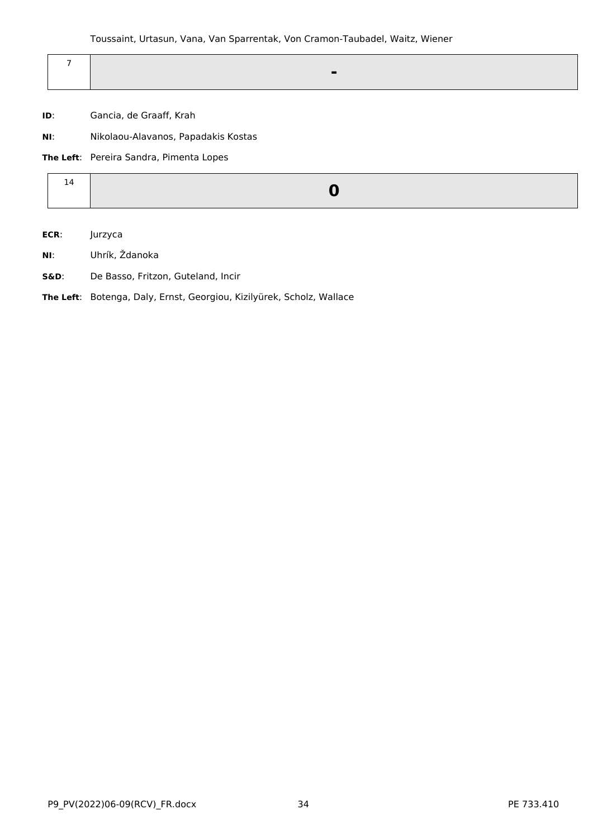|  | - |  |
|--|---|--|
|  |   |  |

- **ID**: Gancia, de Graaff, Krah
- **NI**: Nikolaou-Alavanos, Papadakis Kostas

**The Left**: Pereira Sandra, Pimenta Lopes

**ECR**: Jurzyca

- **NI**: Uhrík, Ždanoka
- **S&D**: De Basso, Fritzon, Guteland, Incir

**The Left**: Botenga, Daly, Ernst, Georgiou, Kizilyürek, Scholz, Wallace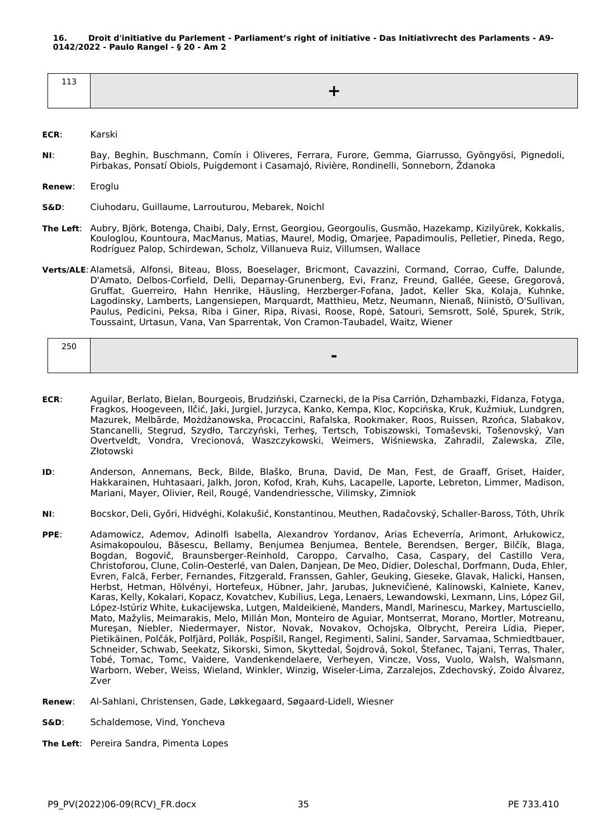<span id="page-34-0"></span>

**ECR**: Karski

**NI**: Bay, Beghin, Buschmann, Comín i Oliveres, Ferrara, Furore, Gemma, Giarrusso, Gyöngyösi, Pignedoli, Pirbakas, Ponsatí Obiols, Puigdemont i Casamajó, Rivière, Rondinelli, Sonneborn, Ždanoka

**Renew**: Eroglu

- **S&D**: Ciuhodaru, Guillaume, Larrouturou, Mebarek, Noichl
- **The Left**: Aubry, Björk, Botenga, Chaibi, Daly, Ernst, Georgiou, Georgoulis, Gusmão, Hazekamp, Kizilyürek, Kokkalis, Kouloglou, Kountoura, MacManus, Matias, Maurel, Modig, Omarjee, Papadimoulis, Pelletier, Pineda, Rego, Rodríguez Palop, Schirdewan, Scholz, Villanueva Ruiz, Villumsen, Wallace
- **Verts/ALE**:Alametsä, Alfonsi, Biteau, Bloss, Boeselager, Bricmont, Cavazzini, Cormand, Corrao, Cuffe, Dalunde, D'Amato, Delbos-Corfield, Delli, Deparnay-Grunenberg, Evi, Franz, Freund, Gallée, Geese, Gregorová, Gruffat, Guerreiro, Hahn Henrike, Häusling, Herzberger-Fofana, Jadot, Keller Ska, Kolaja, Kuhnke, Lagodinsky, Lamberts, Langensiepen, Marquardt, Matthieu, Metz, Neumann, Nienaß, Niinistö, O'Sullivan, Paulus, Pedicini, Peksa, Riba i Giner, Ripa, Rivasi, Roose, Ropė, Satouri, Semsrott, Solé, Spurek, Strik, Toussaint, Urtasun, Vana, Van Sparrentak, Von Cramon-Taubadel, Waitz, Wiener

| $\sim$ $\sim$ $\sim$<br>zou |         |
|-----------------------------|---------|
|                             | -<br>-- |

- **ECR**: Aguilar, Berlato, Bielan, Bourgeois, Brudziński, Czarnecki, de la Pisa Carrión, Dzhambazki, Fidanza, Fotyga, Fragkos, Hoogeveen, Ilčić, Jaki, Jurgiel, Jurzyca, Kanko, Kempa, Kloc, Kopcińska, Kruk, Kuźmiuk, Lundgren, Mazurek, Melbārde, Możdżanowska, Procaccini, Rafalska, Rookmaker, Roos, Ruissen, Rzońca, Slabakov, Stancanelli, Stegrud, Szydło, Tarczyński, Terheş, Tertsch, Tobiszowski, Tomaševski, Tošenovský, Van Overtveldt, Vondra, Vrecionová, Waszczykowski, Weimers, Wiśniewska, Zahradil, Zalewska, Zīle, Złotowski
- **ID**: Anderson, Annemans, Beck, Bilde, Blaško, Bruna, David, De Man, Fest, de Graaff, Griset, Haider, Hakkarainen, Huhtasaari, Jalkh, Joron, Kofod, Krah, Kuhs, Lacapelle, Laporte, Lebreton, Limmer, Madison, Mariani, Mayer, Olivier, Reil, Rougé, Vandendriessche, Vilimsky, Zimniok
- **NI**: Bocskor, Deli, Győri, Hidvéghi, Kolakušić, Konstantinou, Meuthen, Radačovský, Schaller-Baross, Tóth, Uhrík
- **PPE**: Adamowicz, Ademov, Adinolfi Isabella, Alexandrov Yordanov, Arias Echeverría, Arimont, Arłukowicz, Asimakopoulou, Băsescu, Bellamy, Benjumea Benjumea, Bentele, Berendsen, Berger, Bilčík, Blaga, Bogdan, Bogovič, Braunsberger-Reinhold, Caroppo, Carvalho, Casa, Caspary, del Castillo Vera, Christoforou, Clune, Colin-Oesterlé, van Dalen, Danjean, De Meo, Didier, Doleschal, Dorfmann, Duda, Ehler, Evren, Falcă, Ferber, Fernandes, Fitzgerald, Franssen, Gahler, Geuking, Gieseke, Glavak, Halicki, Hansen, Herbst, Hetman, Hölvényi, Hortefeux, Hübner, Jahr, Jarubas, Juknevičienė, Kalinowski, Kalniete, Kanev, Karas, Kelly, Kokalari, Kopacz, Kovatchev, Kubilius, Lega, Lenaers, Lewandowski, Lexmann, Lins, López Gil, López-Istúriz White, Łukacijewska, Lutgen, Maldeikienė, Manders, Mandl, Marinescu, Markey, Martusciello, Mato, Mažylis, Meimarakis, Melo, Millán Mon, Monteiro de Aguiar, Montserrat, Morano, Mortler, Motreanu, Mureşan, Niebler, Niedermayer, Nistor, Novak, Novakov, Ochojska, Olbrycht, Pereira Lídia, Pieper, Pietikäinen, Polčák, Polfjärd, Pollák, Pospíšil, Rangel, Regimenti, Salini, Sander, Sarvamaa, Schmiedtbauer, Schneider, Schwab, Seekatz, Sikorski, Simon, Skyttedal, Šojdrová, Sokol, Štefanec, Tajani, Terras, Thaler, Tobé, Tomac, Tomc, Vaidere, Vandenkendelaere, Verheyen, Vincze, Voss, Vuolo, Walsh, Walsmann, Warborn, Weber, Weiss, Wieland, Winkler, Winzig, Wiseler-Lima, Zarzalejos, Zdechovský, Zoido Álvarez, Zver
- **Renew**: Al-Sahlani, Christensen, Gade, Løkkegaard, Søgaard-Lidell, Wiesner
- **S&D**: Schaldemose, Vind, Yoncheva
- **The Left**: Pereira Sandra, Pimenta Lopes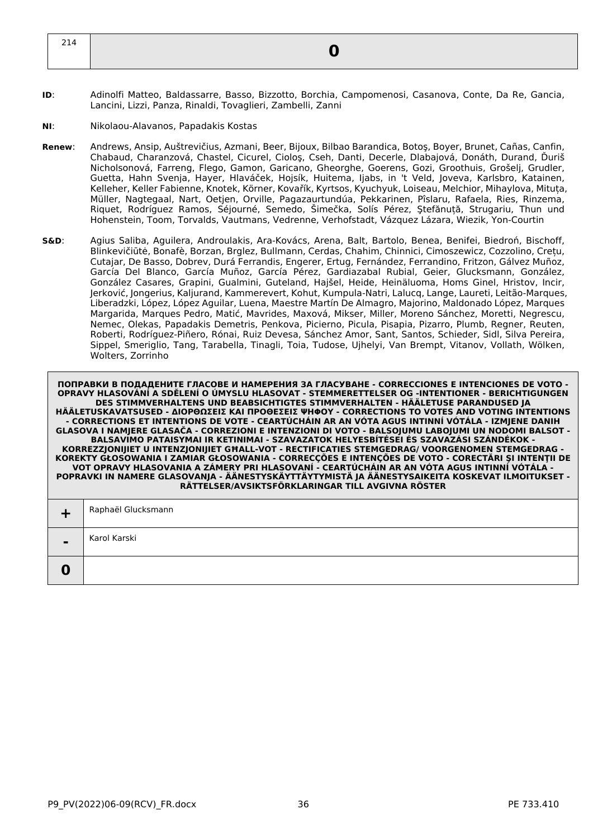- **ID**: Adinolfi Matteo, Baldassarre, Basso, Bizzotto, Borchia, Campomenosi, Casanova, Conte, Da Re, Gancia, Lancini, Lizzi, Panza, Rinaldi, Tovaglieri, Zambelli, Zanni
- **NI**: Nikolaou-Alavanos, Papadakis Kostas
- **Renew**: Andrews, Ansip, Auštrevičius, Azmani, Beer, Bijoux, Bilbao Barandica, Botoş, Boyer, Brunet, Cañas, Canfin, Chabaud, Charanzová, Chastel, Cicurel, Cioloş, Cseh, Danti, Decerle, Dlabajová, Donáth, Durand, Ďuriš Nicholsonová, Farreng, Flego, Gamon, Garicano, Gheorghe, Goerens, Gozi, Groothuis, Grošelj, Grudler, Guetta, Hahn Svenja, Hayer, Hlaváček, Hojsík, Huitema, Ijabs, in 't Veld, Joveva, Karlsbro, Katainen, Kelleher, Keller Fabienne, Knotek, Körner, Kovařík, Kyrtsos, Kyuchyuk, Loiseau, Melchior, Mihaylova, Mituța, Müller, Nagtegaal, Nart, Oetjen, Orville, Pagazaurtundúa, Pekkarinen, Pîslaru, Rafaela, Ries, Rinzema, Riquet, Rodríguez Ramos, Séjourné, Semedo, Šimečka, Solís Pérez, Ştefănuță, Strugariu, Thun und Hohenstein, Toom, Torvalds, Vautmans, Vedrenne, Verhofstadt, Vázquez Lázara, Wiezik, Yon-Courtin
- **S&D**: Agius Saliba, Aguilera, Androulakis, Ara-Kovács, Arena, Balt, Bartolo, Benea, Benifei, Biedroń, Bischoff, Blinkevičiūtė, Bonafè, Borzan, Brglez, Bullmann, Cerdas, Chahim, Chinnici, Cimoszewicz, Cozzolino, Crețu, Cutajar, De Basso, Dobrev, Durá Ferrandis, Engerer, Ertug, Fernández, Ferrandino, Fritzon, Gálvez Muñoz, García Del Blanco, García Muñoz, García Pérez, Gardiazabal Rubial, Geier, Glucksmann, González, González Casares, Grapini, Gualmini, Guteland, Hajšel, Heide, Heinäluoma, Homs Ginel, Hristov, Incir, Jerković, Jongerius, Kaljurand, Kammerevert, Kohut, Kumpula-Natri, Lalucq, Lange, Laureti, Leitão-Marques, Liberadzki, López, López Aguilar, Luena, Maestre Martín De Almagro, Majorino, Maldonado López, Marques Margarida, Marques Pedro, Matić, Mavrides, Maxová, Mikser, Miller, Moreno Sánchez, Moretti, Negrescu, Nemec, Olekas, Papadakis Demetris, Penkova, Picierno, Picula, Pisapia, Pizarro, Plumb, Regner, Reuten, Roberti, Rodríguez-Piñero, Rónai, Ruiz Devesa, Sánchez Amor, Sant, Santos, Schieder, Sidl, Silva Pereira, Sippel, Smeriglio, Tang, Tarabella, Tinagli, Toia, Tudose, Ujhelyi, Van Brempt, Vitanov, Vollath, Wölken, Wolters, Zorrinho

| $\blacksquare$ | Raphaël Glucksmann |
|----------------|--------------------|
| $\blacksquare$ | Karol Karski       |
|                |                    |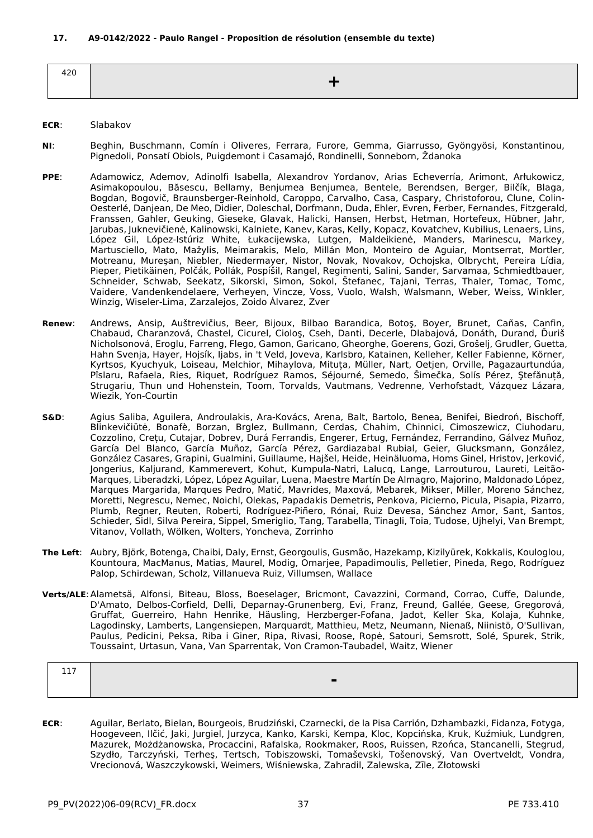| ، הו<br>−∠∪<br>$\sim$ |  |
|-----------------------|--|
|                       |  |

# **ECR**: Slabakov

- **NI**: Beghin, Buschmann, Comín i Oliveres, Ferrara, Furore, Gemma, Giarrusso, Gyöngyösi, Konstantinou, Pignedoli, Ponsatí Obiols, Puigdemont i Casamajó, Rondinelli, Sonneborn, Ždanoka
- **PPE**: Adamowicz, Ademov, Adinolfi Isabella, Alexandrov Yordanov, Arias Echeverría, Arimont, Arłukowicz, Asimakopoulou, Băsescu, Bellamy, Benjumea Benjumea, Bentele, Berendsen, Berger, Bilčík, Blaga, Bogdan, Bogovič, Braunsberger-Reinhold, Caroppo, Carvalho, Casa, Caspary, Christoforou, Clune, Colin-Oesterlé, Danjean, De Meo, Didier, Doleschal, Dorfmann, Duda, Ehler, Evren, Ferber, Fernandes, Fitzgerald, Franssen, Gahler, Geuking, Gieseke, Glavak, Halicki, Hansen, Herbst, Hetman, Hortefeux, Hübner, Jahr, Jarubas, Juknevičienė, Kalinowski, Kalniete, Kanev, Karas, Kelly, Kopacz, Kovatchev, Kubilius, Lenaers, Lins, López Gil, López-Istúriz White, Łukacijewska, Lutgen, Maldeikienė, Manders, Marinescu, Markey, Martusciello, Mato, Mažylis, Meimarakis, Melo, Millán Mon, Monteiro de Aguiar, Montserrat, Mortler, Motreanu, Mureşan, Niebler, Niedermayer, Nistor, Novak, Novakov, Ochojska, Olbrycht, Pereira Lídia, Pieper, Pietikäinen, Polčák, Pollák, Pospíšil, Rangel, Regimenti, Salini, Sander, Sarvamaa, Schmiedtbauer, Schneider, Schwab, Seekatz, Sikorski, Simon, Sokol, Štefanec, Tajani, Terras, Thaler, Tomac, Tomc, Vaidere, Vandenkendelaere, Verheyen, Vincze, Voss, Vuolo, Walsh, Walsmann, Weber, Weiss, Winkler, Winzig, Wiseler-Lima, Zarzalejos, Zoido Álvarez, Zver
- **Renew**: Andrews, Ansip, Auštrevičius, Beer, Bijoux, Bilbao Barandica, Botoş, Boyer, Brunet, Cañas, Canfin, Chabaud, Charanzová, Chastel, Cicurel, Cioloş, Cseh, Danti, Decerle, Dlabajová, Donáth, Durand, Ďuriš Nicholsonová, Eroglu, Farreng, Flego, Gamon, Garicano, Gheorghe, Goerens, Gozi, Grošelj, Grudler, Guetta, Hahn Svenja, Hayer, Hojsík, Ijabs, in 't Veld, Joveva, Karlsbro, Katainen, Kelleher, Keller Fabienne, Körner, Kyrtsos, Kyuchyuk, Loiseau, Melchior, Mihaylova, Mituța, Müller, Nart, Oetjen, Orville, Pagazaurtundúa, Pîslaru, Rafaela, Ries, Riquet, Rodríguez Ramos, Séjourné, Semedo, Šimečka, Solís Pérez, Ştefănuță, Strugariu, Thun und Hohenstein, Toom, Torvalds, Vautmans, Vedrenne, Verhofstadt, Vázquez Lázara, Wiezik, Yon-Courtin
- **S&D**: Agius Saliba, Aguilera, Androulakis, Ara-Kovács, Arena, Balt, Bartolo, Benea, Benifei, Biedroń, Bischoff, Blinkevičiūtė, Bonafè, Borzan, Brglez, Bullmann, Cerdas, Chahim, Chinnici, Cimoszewicz, Ciuhodaru, Cozzolino, Crețu, Cutajar, Dobrev, Durá Ferrandis, Engerer, Ertug, Fernández, Ferrandino, Gálvez Muñoz, García Del Blanco, García Muñoz, García Pérez, Gardiazabal Rubial, Geier, Glucksmann, González, González Casares, Grapini, Gualmini, Guillaume, Hajšel, Heide, Heinäluoma, Homs Ginel, Hristov, Jerković, Jongerius, Kaljurand, Kammerevert, Kohut, Kumpula-Natri, Lalucq, Lange, Larrouturou, Laureti, Leitão-Marques, Liberadzki, López, López Aguilar, Luena, Maestre Martín De Almagro, Majorino, Maldonado López, Marques Margarida, Marques Pedro, Matić, Mavrides, Maxová, Mebarek, Mikser, Miller, Moreno Sánchez, Moretti, Negrescu, Nemec, Noichl, Olekas, Papadakis Demetris, Penkova, Picierno, Picula, Pisapia, Pizarro, Plumb, Regner, Reuten, Roberti, Rodríguez-Piñero, Rónai, Ruiz Devesa, Sánchez Amor, Sant, Santos, Schieder, Sidl, Silva Pereira, Sippel, Smeriglio, Tang, Tarabella, Tinagli, Toia, Tudose, Ujhelyi, Van Brempt, Vitanov, Vollath, Wölken, Wolters, Yoncheva, Zorrinho
- **The Left**: Aubry, Björk, Botenga, Chaibi, Daly, Ernst, Georgoulis, Gusmão, Hazekamp, Kizilyürek, Kokkalis, Kouloglou, Kountoura, MacManus, Matias, Maurel, Modig, Omarjee, Papadimoulis, Pelletier, Pineda, Rego, Rodríguez Palop, Schirdewan, Scholz, Villanueva Ruiz, Villumsen, Wallace
- **Verts/ALE**:Alametsä, Alfonsi, Biteau, Bloss, Boeselager, Bricmont, Cavazzini, Cormand, Corrao, Cuffe, Dalunde, D'Amato, Delbos-Corfield, Delli, Deparnay-Grunenberg, Evi, Franz, Freund, Gallée, Geese, Gregorová, Gruffat, Guerreiro, Hahn Henrike, Häusling, Herzberger-Fofana, Jadot, Keller Ska, Kolaja, Kuhnke, Lagodinsky, Lamberts, Langensiepen, Marquardt, Matthieu, Metz, Neumann, Nienaß, Niinistö, O'Sullivan, Paulus, Pedicini, Peksa, Riba i Giner, Ripa, Rivasi, Roose, Ropė, Satouri, Semsrott, Solé, Spurek, Strik, Toussaint, Urtasun, Vana, Van Sparrentak, Von Cramon-Taubadel, Waitz, Wiener

| -- |  |
|----|--|
|    |  |
|    |  |

**ECR**: Aguilar, Berlato, Bielan, Bourgeois, Brudziński, Czarnecki, de la Pisa Carrión, Dzhambazki, Fidanza, Fotyga, Hoogeveen, Ilčić, Jaki, Jurgiel, Jurzyca, Kanko, Karski, Kempa, Kloc, Kopcińska, Kruk, Kuźmiuk, Lundgren, Mazurek, Możdżanowska, Procaccini, Rafalska, Rookmaker, Roos, Ruissen, Rzońca, Stancanelli, Stegrud, Szydło, Tarczyński, Terheş, Tertsch, Tobiszowski, Tomaševski, Tošenovský, Van Overtveldt, Vondra, Vrecionová, Waszczykowski, Weimers, Wiśniewska, Zahradil, Zalewska, Zīle, Złotowski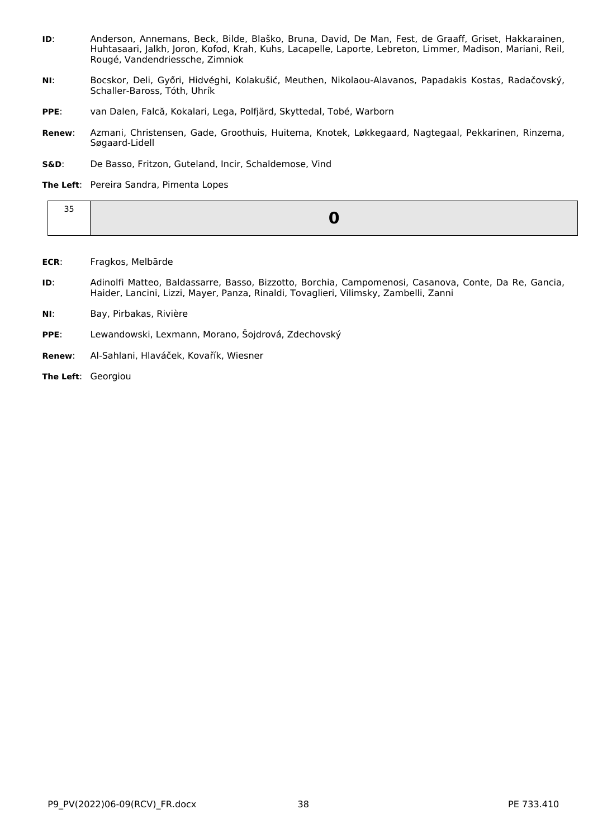- **ID**: Anderson, Annemans, Beck, Bilde, Blaško, Bruna, David, De Man, Fest, de Graaff, Griset, Hakkarainen, Huhtasaari, Jalkh, Joron, Kofod, Krah, Kuhs, Lacapelle, Laporte, Lebreton, Limmer, Madison, Mariani, Reil, Rougé, Vandendriessche, Zimniok
- **NI**: Bocskor, Deli, Győri, Hidvéghi, Kolakušić, Meuthen, Nikolaou-Alavanos, Papadakis Kostas, Radačovský, Schaller-Baross, Tóth, Uhrík
- **PPE**: van Dalen, Falcă, Kokalari, Lega, Polfjärd, Skyttedal, Tobé, Warborn
- **Renew**: Azmani, Christensen, Gade, Groothuis, Huitema, Knotek, Løkkegaard, Nagtegaal, Pekkarinen, Rinzema, Søgaard-Lidell
- **S&D**: De Basso, Fritzon, Guteland, Incir, Schaldemose, Vind

**The Left**: Pereira Sandra, Pimenta Lopes

| $\sim$ $-$<br>-- |  |
|------------------|--|
|                  |  |

- **ECR**: Fragkos, Melbārde
- **ID**: Adinolfi Matteo, Baldassarre, Basso, Bizzotto, Borchia, Campomenosi, Casanova, Conte, Da Re, Gancia, Haider, Lancini, Lizzi, Mayer, Panza, Rinaldi, Tovaglieri, Vilimsky, Zambelli, Zanni
- **NI**: Bay, Pirbakas, Rivière
- **PPE**: Lewandowski, Lexmann, Morano, Šojdrová, Zdechovský
- **Renew**: Al-Sahlani, Hlaváček, Kovařík, Wiesner

**The Left**: Georgiou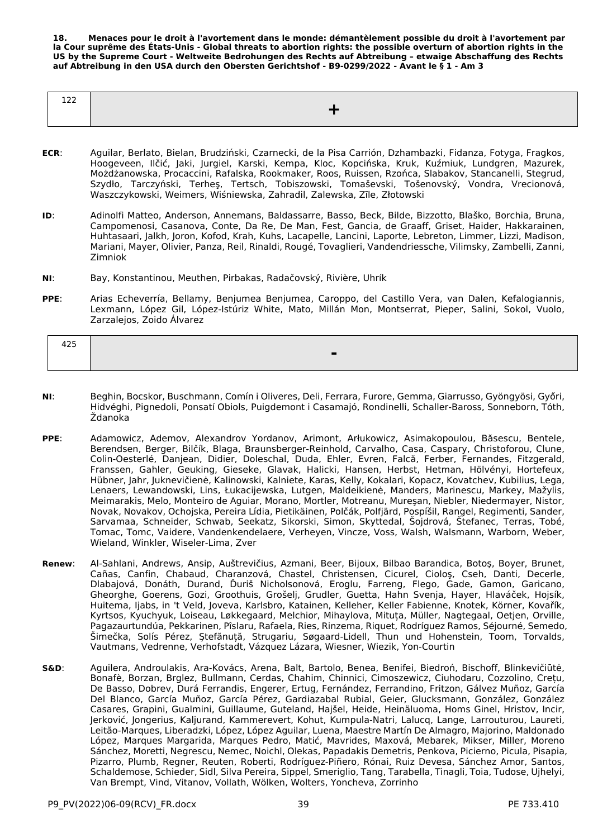**18. Menaces pour le droit à l'avortement dans le monde: démantèlement possible du droit à l'avortement par la Cour suprême des États-Unis - Global threats to abortion rights: the possible overturn of abortion rights in the US by the Supreme Court - Weltweite Bedrohungen des Rechts auf Abtreibung – etwaige Abschaffung des Rechts auf Abtreibung in den USA durch den Obersten Gerichtshof - B9-0299/2022 - Avant le § 1 - Am 3**

| $  -$<br>$- - -$ |  |
|------------------|--|
|                  |  |

- **ECR**: Aguilar, Berlato, Bielan, Brudziński, Czarnecki, de la Pisa Carrión, Dzhambazki, Fidanza, Fotyga, Fragkos, Hoogeveen, Ilčić, Jaki, Jurgiel, Karski, Kempa, Kloc, Kopcińska, Kruk, Kuźmiuk, Lundgren, Mazurek, Możdżanowska, Procaccini, Rafalska, Rookmaker, Roos, Ruissen, Rzońca, Slabakov, Stancanelli, Stegrud, Szydło, Tarczyński, Terheş, Tertsch, Tobiszowski, Tomaševski, Tošenovský, Vondra, Vrecionová, Waszczykowski, Weimers, Wiśniewska, Zahradil, Zalewska, Zīle, Złotowski
- **ID**: Adinolfi Matteo, Anderson, Annemans, Baldassarre, Basso, Beck, Bilde, Bizzotto, Blaško, Borchia, Bruna, Campomenosi, Casanova, Conte, Da Re, De Man, Fest, Gancia, de Graaff, Griset, Haider, Hakkarainen, Huhtasaari, Jalkh, Joron, Kofod, Krah, Kuhs, Lacapelle, Lancini, Laporte, Lebreton, Limmer, Lizzi, Madison, Mariani, Mayer, Olivier, Panza, Reil, Rinaldi, Rougé, Tovaglieri, Vandendriessche, Vilimsky, Zambelli, Zanni, Zimniok
- **NI**: Bay, Konstantinou, Meuthen, Pirbakas, Radačovský, Rivière, Uhrík
- **PPE**: Arias Echeverría, Bellamy, Benjumea Benjumea, Caroppo, del Castillo Vera, van Dalen, Kefalogiannis, Lexmann, López Gil, López-Istúriz White, Mato, Millán Mon, Montserrat, Pieper, Salini, Sokol, Vuolo, Zarzalejos, Zoido Álvarez

| 122<br>425 |  |
|------------|--|
|            |  |
|            |  |

- **NI**: Beghin, Bocskor, Buschmann, Comín i Oliveres, Deli, Ferrara, Furore, Gemma, Giarrusso, Gyöngyösi, Győri, Hidvéghi, Pignedoli, Ponsatí Obiols, Puigdemont i Casamajó, Rondinelli, Schaller-Baross, Sonneborn, Tóth, Ždanoka
- **PPE**: Adamowicz, Ademov, Alexandrov Yordanov, Arimont, Arłukowicz, Asimakopoulou, Băsescu, Bentele, Berendsen, Berger, Bilčík, Blaga, Braunsberger-Reinhold, Carvalho, Casa, Caspary, Christoforou, Clune, Colin-Oesterlé, Danjean, Didier, Doleschal, Duda, Ehler, Evren, Falcă, Ferber, Fernandes, Fitzgerald, Franssen, Gahler, Geuking, Gieseke, Glavak, Halicki, Hansen, Herbst, Hetman, Hölvényi, Hortefeux, Hübner, Jahr, Juknevičienė, Kalinowski, Kalniete, Karas, Kelly, Kokalari, Kopacz, Kovatchev, Kubilius, Lega, Lenaers, Lewandowski, Lins, Łukacijewska, Lutgen, Maldeikienė, Manders, Marinescu, Markey, Mažylis, Meimarakis, Melo, Monteiro de Aguiar, Morano, Mortler, Motreanu, Mureşan, Niebler, Niedermayer, Nistor, Novak, Novakov, Ochojska, Pereira Lídia, Pietikäinen, Polčák, Polfjärd, Pospíšil, Rangel, Regimenti, Sander, Sarvamaa, Schneider, Schwab, Seekatz, Sikorski, Simon, Skyttedal, Šojdrová, Štefanec, Terras, Tobé, Tomac, Tomc, Vaidere, Vandenkendelaere, Verheyen, Vincze, Voss, Walsh, Walsmann, Warborn, Weber, Wieland, Winkler, Wiseler-Lima, Zver
- **Renew**: Al-Sahlani, Andrews, Ansip, Auštrevičius, Azmani, Beer, Bijoux, Bilbao Barandica, Botoş, Boyer, Brunet, Cañas, Canfin, Chabaud, Charanzová, Chastel, Christensen, Cicurel, Cioloş, Cseh, Danti, Decerle, Dlabajová, Donáth, Durand, Ďuriš Nicholsonová, Eroglu, Farreng, Flego, Gade, Gamon, Garicano, Gheorghe, Goerens, Gozi, Groothuis, Grošelj, Grudler, Guetta, Hahn Svenja, Hayer, Hlaváček, Hojsík, Huitema, Ijabs, in 't Veld, Joveva, Karlsbro, Katainen, Kelleher, Keller Fabienne, Knotek, Körner, Kovařík, Kyrtsos, Kyuchyuk, Loiseau, Løkkegaard, Melchior, Mihaylova, Mituța, Müller, Nagtegaal, Oetjen, Orville, Pagazaurtundúa, Pekkarinen, Pîslaru, Rafaela, Ries, Rinzema, Riquet, Rodríguez Ramos, Séjourné, Semedo, Šimečka, Solís Pérez, Ştefănuță, Strugariu, Søgaard-Lidell, Thun und Hohenstein, Toom, Torvalds, Vautmans, Vedrenne, Verhofstadt, Vázquez Lázara, Wiesner, Wiezik, Yon-Courtin
- **S&D**: Aguilera, Androulakis, Ara-Kovács, Arena, Balt, Bartolo, Benea, Benifei, Biedroń, Bischoff, Blinkevičiūtė, Bonafè, Borzan, Brglez, Bullmann, Cerdas, Chahim, Chinnici, Cimoszewicz, Ciuhodaru, Cozzolino, Crețu, De Basso, Dobrev, Durá Ferrandis, Engerer, Ertug, Fernández, Ferrandino, Fritzon, Gálvez Muñoz, García Del Blanco, García Muñoz, García Pérez, Gardiazabal Rubial, Geier, Glucksmann, González, González Casares, Grapini, Gualmini, Guillaume, Guteland, Hajšel, Heide, Heinäluoma, Homs Ginel, Hristov, Incir, Jerković, Jongerius, Kaljurand, Kammerevert, Kohut, Kumpula-Natri, Lalucq, Lange, Larrouturou, Laureti, Leitão-Marques, Liberadzki, López, López Aguilar, Luena, Maestre Martín De Almagro, Majorino, Maldonado López, Marques Margarida, Marques Pedro, Matić, Mavrides, Maxová, Mebarek, Mikser, Miller, Moreno Sánchez, Moretti, Negrescu, Nemec, Noichl, Olekas, Papadakis Demetris, Penkova, Picierno, Picula, Pisapia, Pizarro, Plumb, Regner, Reuten, Roberti, Rodríguez-Piñero, Rónai, Ruiz Devesa, Sánchez Amor, Santos, Schaldemose, Schieder, Sidl, Silva Pereira, Sippel, Smeriglio, Tang, Tarabella, Tinagli, Toia, Tudose, Ujhelyi, Van Brempt, Vind, Vitanov, Vollath, Wölken, Wolters, Yoncheva, Zorrinho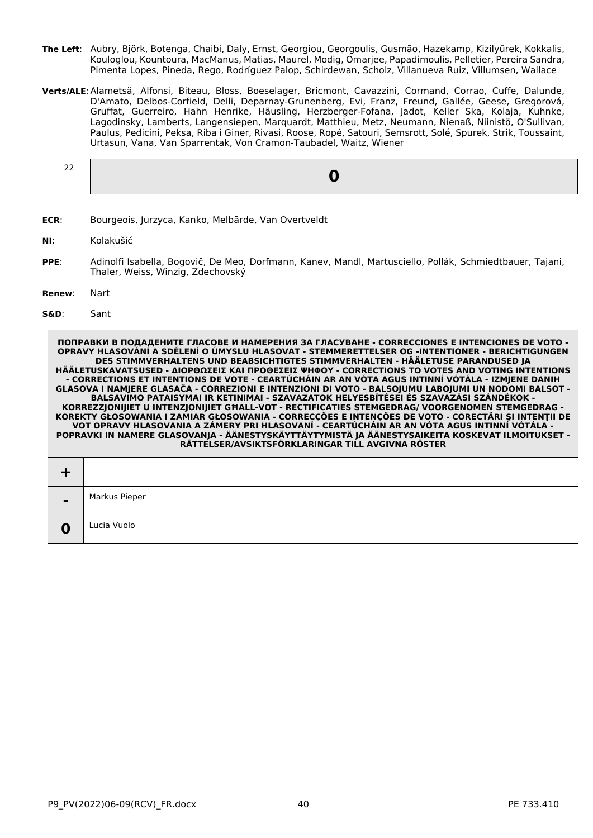- **The Left**: Aubry, Björk, Botenga, Chaibi, Daly, Ernst, Georgiou, Georgoulis, Gusmão, Hazekamp, Kizilyürek, Kokkalis, Kouloglou, Kountoura, MacManus, Matias, Maurel, Modig, Omarjee, Papadimoulis, Pelletier, Pereira Sandra, Pimenta Lopes, Pineda, Rego, Rodríguez Palop, Schirdewan, Scholz, Villanueva Ruiz, Villumsen, Wallace
- **Verts/ALE**:Alametsä, Alfonsi, Biteau, Bloss, Boeselager, Bricmont, Cavazzini, Cormand, Corrao, Cuffe, Dalunde, D'Amato, Delbos-Corfield, Delli, Deparnay-Grunenberg, Evi, Franz, Freund, Gallée, Geese, Gregorová, Gruffat, Guerreiro, Hahn Henrike, Häusling, Herzberger-Fofana, Jadot, Keller Ska, Kolaja, Kuhnke, Lagodinsky, Lamberts, Langensiepen, Marquardt, Matthieu, Metz, Neumann, Nienaß, Niinistö, O'Sullivan, Paulus, Pedicini, Peksa, Riba i Giner, Rivasi, Roose, Ropė, Satouri, Semsrott, Solé, Spurek, Strik, Toussaint, Urtasun, Vana, Van Sparrentak, Von Cramon-Taubadel, Waitz, Wiener

**ECR**: Bourgeois, Jurzyca, Kanko, Melbārde, Van Overtveldt

**NI**: Kolakušić

- **PPE**: Adinolfi Isabella, Bogovič, De Meo, Dorfmann, Kanev, Mandl, Martusciello, Pollák, Schmiedtbauer, Tajani, Thaler, Weiss, Winzig, Zdechovský
- **Renew**: Nart
- **S&D**: Sant

| $\blacksquare$ | Markus Pieper |
|----------------|---------------|
| u              | Lucia Vuolo   |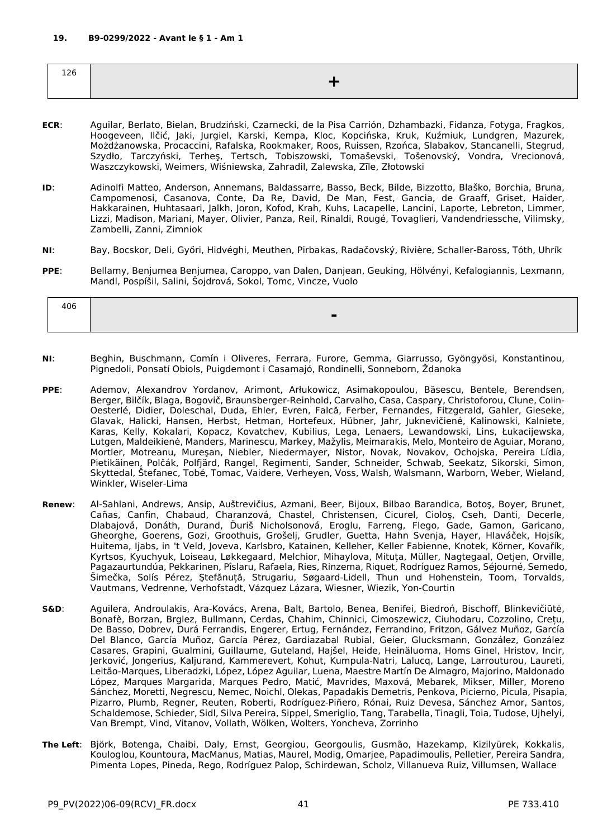| ⊥∠∪ |  |
|-----|--|
|     |  |

- **ECR**: Aguilar, Berlato, Bielan, Brudziński, Czarnecki, de la Pisa Carrión, Dzhambazki, Fidanza, Fotyga, Fragkos, Hoogeveen, Ilčić, Jaki, Jurgiel, Karski, Kempa, Kloc, Kopcińska, Kruk, Kuźmiuk, Lundgren, Mazurek, Możdżanowska, Procaccini, Rafalska, Rookmaker, Roos, Ruissen, Rzońca, Slabakov, Stancanelli, Stegrud, Szydło, Tarczyński, Terheş, Tertsch, Tobiszowski, Tomaševski, Tošenovský, Vondra, Vrecionová, Waszczykowski, Weimers, Wiśniewska, Zahradil, Zalewska, Zīle, Złotowski
- **ID**: Adinolfi Matteo, Anderson, Annemans, Baldassarre, Basso, Beck, Bilde, Bizzotto, Blaško, Borchia, Bruna, Campomenosi, Casanova, Conte, Da Re, David, De Man, Fest, Gancia, de Graaff, Griset, Haider, Hakkarainen, Huhtasaari, Jalkh, Joron, Kofod, Krah, Kuhs, Lacapelle, Lancini, Laporte, Lebreton, Limmer, Lizzi, Madison, Mariani, Mayer, Olivier, Panza, Reil, Rinaldi, Rougé, Tovaglieri, Vandendriessche, Vilimsky, Zambelli, Zanni, Zimniok
- **NI**: Bay, Bocskor, Deli, Győri, Hidvéghi, Meuthen, Pirbakas, Radačovský, Rivière, Schaller-Baross, Tóth, Uhrík
- **PPE**: Bellamy, Benjumea Benjumea, Caroppo, van Dalen, Danjean, Geuking, Hölvényi, Kefalogiannis, Lexmann, Mandl, Pospíšil, Salini, Šojdrová, Sokol, Tomc, Vincze, Vuolo

| 406 |  |
|-----|--|
|     |  |

- **NI**: Beghin, Buschmann, Comín i Oliveres, Ferrara, Furore, Gemma, Giarrusso, Gyöngyösi, Konstantinou, Pignedoli, Ponsatí Obiols, Puigdemont i Casamajó, Rondinelli, Sonneborn, Ždanoka
- **PPE**: Ademov, Alexandrov Yordanov, Arimont, Arłukowicz, Asimakopoulou, Băsescu, Bentele, Berendsen, Berger, Bilčík, Blaga, Bogovič, Braunsberger-Reinhold, Carvalho, Casa, Caspary, Christoforou, Clune, Colin-Oesterlé, Didier, Doleschal, Duda, Ehler, Evren, Falcă, Ferber, Fernandes, Fitzgerald, Gahler, Gieseke, Glavak, Halicki, Hansen, Herbst, Hetman, Hortefeux, Hübner, Jahr, Juknevičienė, Kalinowski, Kalniete, Karas, Kelly, Kokalari, Kopacz, Kovatchev, Kubilius, Lega, Lenaers, Lewandowski, Lins, Łukacijewska, Lutgen, Maldeikienė, Manders, Marinescu, Markey, Mažylis, Meimarakis, Melo, Monteiro de Aguiar, Morano, Mortler, Motreanu, Mureşan, Niebler, Niedermayer, Nistor, Novak, Novakov, Ochojska, Pereira Lídia, Pietikäinen, Polčák, Polfjärd, Rangel, Regimenti, Sander, Schneider, Schwab, Seekatz, Sikorski, Simon, Skyttedal, Štefanec, Tobé, Tomac, Vaidere, Verheyen, Voss, Walsh, Walsmann, Warborn, Weber, Wieland, Winkler, Wiseler-Lima
- **Renew**: Al-Sahlani, Andrews, Ansip, Auštrevičius, Azmani, Beer, Bijoux, Bilbao Barandica, Botoş, Boyer, Brunet, Cañas, Canfin, Chabaud, Charanzová, Chastel, Christensen, Cicurel, Cioloş, Cseh, Danti, Decerle, Dlabajová, Donáth, Durand, Ďuriš Nicholsonová, Eroglu, Farreng, Flego, Gade, Gamon, Garicano, Gheorghe, Goerens, Gozi, Groothuis, Grošelj, Grudler, Guetta, Hahn Svenja, Hayer, Hlaváček, Hojsík, Huitema, Ijabs, in 't Veld, Joveva, Karlsbro, Katainen, Kelleher, Keller Fabienne, Knotek, Körner, Kovařík, Kyrtsos, Kyuchyuk, Loiseau, Løkkegaard, Melchior, Mihaylova, Mituța, Müller, Nagtegaal, Oetjen, Orville, Pagazaurtundúa, Pekkarinen, Pîslaru, Rafaela, Ries, Rinzema, Riquet, Rodríguez Ramos, Séjourné, Semedo, Šimečka, Solís Pérez, Ştefănuță, Strugariu, Søgaard-Lidell, Thun und Hohenstein, Toom, Torvalds, Vautmans, Vedrenne, Verhofstadt, Vázquez Lázara, Wiesner, Wiezik, Yon-Courtin
- **S&D**: Aguilera, Androulakis, Ara-Kovács, Arena, Balt, Bartolo, Benea, Benifei, Biedroń, Bischoff, Blinkevičiūtė, Bonafè, Borzan, Brglez, Bullmann, Cerdas, Chahim, Chinnici, Cimoszewicz, Ciuhodaru, Cozzolino, Crețu, De Basso, Dobrev, Durá Ferrandis, Engerer, Ertug, Fernández, Ferrandino, Fritzon, Gálvez Muñoz, García Del Blanco, García Muñoz, García Pérez, Gardiazabal Rubial, Geier, Glucksmann, González, González Casares, Grapini, Gualmini, Guillaume, Guteland, Hajšel, Heide, Heinäluoma, Homs Ginel, Hristov, Incir, Jerković, Jongerius, Kaljurand, Kammerevert, Kohut, Kumpula-Natri, Lalucq, Lange, Larrouturou, Laureti, Leitão-Marques, Liberadzki, López, López Aguilar, Luena, Maestre Martín De Almagro, Majorino, Maldonado López, Marques Margarida, Marques Pedro, Matić, Mavrides, Maxová, Mebarek, Mikser, Miller, Moreno Sánchez, Moretti, Negrescu, Nemec, Noichl, Olekas, Papadakis Demetris, Penkova, Picierno, Picula, Pisapia, Pizarro, Plumb, Regner, Reuten, Roberti, Rodríguez-Piñero, Rónai, Ruiz Devesa, Sánchez Amor, Santos, Schaldemose, Schieder, Sidl, Silva Pereira, Sippel, Smeriglio, Tang, Tarabella, Tinagli, Toia, Tudose, Ujhelyi, Van Brempt, Vind, Vitanov, Vollath, Wölken, Wolters, Yoncheva, Zorrinho
- **The Left**: Björk, Botenga, Chaibi, Daly, Ernst, Georgiou, Georgoulis, Gusmão, Hazekamp, Kizilyürek, Kokkalis, Kouloglou, Kountoura, MacManus, Matias, Maurel, Modig, Omarjee, Papadimoulis, Pelletier, Pereira Sandra, Pimenta Lopes, Pineda, Rego, Rodríguez Palop, Schirdewan, Scholz, Villanueva Ruiz, Villumsen, Wallace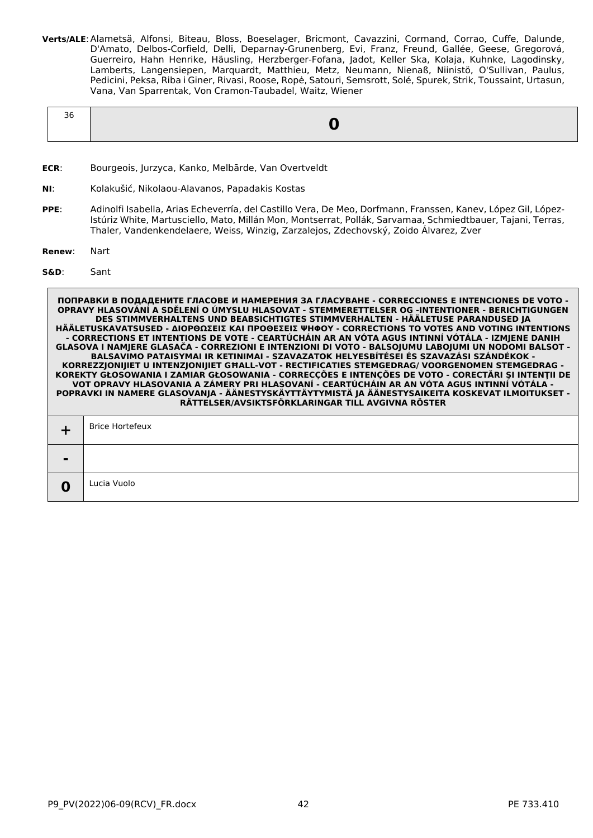**Verts/ALE**:Alametsä, Alfonsi, Biteau, Bloss, Boeselager, Bricmont, Cavazzini, Cormand, Corrao, Cuffe, Dalunde, D'Amato, Delbos-Corfield, Delli, Deparnay-Grunenberg, Evi, Franz, Freund, Gallée, Geese, Gregorová, Guerreiro, Hahn Henrike, Häusling, Herzberger-Fofana, Jadot, Keller Ska, Kolaja, Kuhnke, Lagodinsky, Lamberts, Langensiepen, Marquardt, Matthieu, Metz, Neumann, Nienaß, Niinistö, O'Sullivan, Paulus, Pedicini, Peksa, Riba i Giner, Rivasi, Roose, Ropė, Satouri, Semsrott, Solé, Spurek, Strik, Toussaint, Urtasun, Vana, Van Sparrentak, Von Cramon-Taubadel, Waitz, Wiener

- **ECR**: Bourgeois, Jurzyca, Kanko, Melbārde, Van Overtveldt
- **NI**: Kolakušić, Nikolaou-Alavanos, Papadakis Kostas
- **PPE**: Adinolfi Isabella, Arias Echeverría, del Castillo Vera, De Meo, Dorfmann, Franssen, Kanev, López Gil, López-Istúriz White, Martusciello, Mato, Millán Mon, Montserrat, Pollák, Sarvamaa, Schmiedtbauer, Tajani, Terras, Thaler, Vandenkendelaere, Weiss, Winzig, Zarzalejos, Zdechovský, Zoido Álvarez, Zver
- **Renew**: Nart
- **S&D**: Sant

| $\blacksquare$ |             |  |
|----------------|-------------|--|
|                | Lucia Vuolo |  |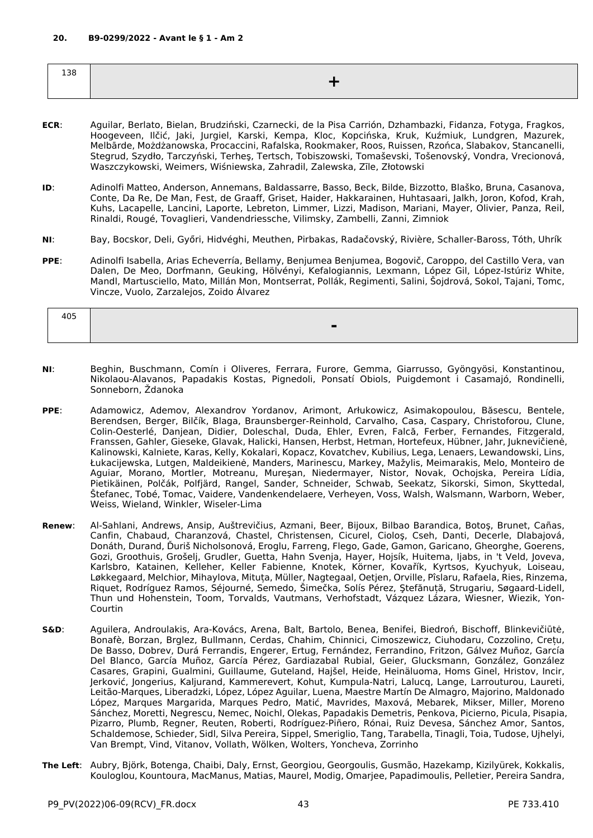| $\sim$ $\sim$<br>$\mathbf{u}$<br>120 |  |
|--------------------------------------|--|
|                                      |  |

- **ECR**: Aguilar, Berlato, Bielan, Brudziński, Czarnecki, de la Pisa Carrión, Dzhambazki, Fidanza, Fotyga, Fragkos, Hoogeveen, Ilčić, Jaki, Jurgiel, Karski, Kempa, Kloc, Kopcińska, Kruk, Kuźmiuk, Lundgren, Mazurek, Melbārde, Możdżanowska, Procaccini, Rafalska, Rookmaker, Roos, Ruissen, Rzońca, Slabakov, Stancanelli, Stegrud, Szydło, Tarczyński, Terheş, Tertsch, Tobiszowski, Tomaševski, Tošenovský, Vondra, Vrecionová, Waszczykowski, Weimers, Wiśniewska, Zahradil, Zalewska, Zīle, Złotowski
- **ID**: Adinolfi Matteo, Anderson, Annemans, Baldassarre, Basso, Beck, Bilde, Bizzotto, Blaško, Bruna, Casanova, Conte, Da Re, De Man, Fest, de Graaff, Griset, Haider, Hakkarainen, Huhtasaari, Jalkh, Joron, Kofod, Krah, Kuhs, Lacapelle, Lancini, Laporte, Lebreton, Limmer, Lizzi, Madison, Mariani, Mayer, Olivier, Panza, Reil, Rinaldi, Rougé, Tovaglieri, Vandendriessche, Vilimsky, Zambelli, Zanni, Zimniok
- **NI**: Bay, Bocskor, Deli, Győri, Hidvéghi, Meuthen, Pirbakas, Radačovský, Rivière, Schaller-Baross, Tóth, Uhrík
- **PPE**: Adinolfi Isabella, Arias Echeverría, Bellamy, Benjumea Benjumea, Bogovič, Caroppo, del Castillo Vera, van Dalen, De Meo, Dorfmann, Geuking, Hölvényi, Kefalogiannis, Lexmann, López Gil, López-Istúriz White, Mandl, Martusciello, Mato, Millán Mon, Montserrat, Pollák, Regimenti, Salini, Šojdrová, Sokol, Tajani, Tomc, Vincze, Vuolo, Zarzalejos, Zoido Álvarez

| 405 |                                    |
|-----|------------------------------------|
|     | -<br>−<br>$\overline{\phantom{0}}$ |

- **NI**: Beghin, Buschmann, Comín i Oliveres, Ferrara, Furore, Gemma, Giarrusso, Gyöngyösi, Konstantinou, Nikolaou-Alavanos, Papadakis Kostas, Pignedoli, Ponsatí Obiols, Puigdemont i Casamajó, Rondinelli, Sonneborn, Ždanoka
- **PPE**: Adamowicz, Ademov, Alexandrov Yordanov, Arimont, Arłukowicz, Asimakopoulou, Băsescu, Bentele, Berendsen, Berger, Bilčík, Blaga, Braunsberger-Reinhold, Carvalho, Casa, Caspary, Christoforou, Clune, Colin-Oesterlé, Danjean, Didier, Doleschal, Duda, Ehler, Evren, Falcă, Ferber, Fernandes, Fitzgerald, Franssen, Gahler, Gieseke, Glavak, Halicki, Hansen, Herbst, Hetman, Hortefeux, Hübner, Jahr, Juknevičienė, Kalinowski, Kalniete, Karas, Kelly, Kokalari, Kopacz, Kovatchev, Kubilius, Lega, Lenaers, Lewandowski, Lins, Łukacijewska, Lutgen, Maldeikienė, Manders, Marinescu, Markey, Mažylis, Meimarakis, Melo, Monteiro de Aguiar, Morano, Mortler, Motreanu, Mureşan, Niedermayer, Nistor, Novak, Ochojska, Pereira Lídia, Pietikäinen, Polčák, Polfjärd, Rangel, Sander, Schneider, Schwab, Seekatz, Sikorski, Simon, Skyttedal, Štefanec, Tobé, Tomac, Vaidere, Vandenkendelaere, Verheyen, Voss, Walsh, Walsmann, Warborn, Weber, Weiss, Wieland, Winkler, Wiseler-Lima
- **Renew**: Al-Sahlani, Andrews, Ansip, Auštrevičius, Azmani, Beer, Bijoux, Bilbao Barandica, Botoş, Brunet, Cañas, Canfin, Chabaud, Charanzová, Chastel, Christensen, Cicurel, Cioloş, Cseh, Danti, Decerle, Dlabajová, Donáth, Durand, Ďuriš Nicholsonová, Eroglu, Farreng, Flego, Gade, Gamon, Garicano, Gheorghe, Goerens, Gozi, Groothuis, Grošelj, Grudler, Guetta, Hahn Svenja, Hayer, Hojsík, Huitema, Ijabs, in 't Veld, Joveva, Karlsbro, Katainen, Kelleher, Keller Fabienne, Knotek, Körner, Kovařík, Kyrtsos, Kyuchyuk, Loiseau, Løkkegaard, Melchior, Mihaylova, Mituța, Müller, Nagtegaal, Oetjen, Orville, Pîslaru, Rafaela, Ries, Rinzema, Riquet, Rodríguez Ramos, Séjourné, Semedo, Šimečka, Solís Pérez, Ştefănuță, Strugariu, Søgaard-Lidell, Thun und Hohenstein, Toom, Torvalds, Vautmans, Verhofstadt, Vázquez Lázara, Wiesner, Wiezik, Yon-Courtin
- **S&D**: Aguilera, Androulakis, Ara-Kovács, Arena, Balt, Bartolo, Benea, Benifei, Biedroń, Bischoff, Blinkevičiūtė, Bonafè, Borzan, Brglez, Bullmann, Cerdas, Chahim, Chinnici, Cimoszewicz, Ciuhodaru, Cozzolino, Crețu, De Basso, Dobrev, Durá Ferrandis, Engerer, Ertug, Fernández, Ferrandino, Fritzon, Gálvez Muñoz, García Del Blanco, García Muñoz, García Pérez, Gardiazabal Rubial, Geier, Glucksmann, González, González Casares, Grapini, Gualmini, Guillaume, Guteland, Hajšel, Heide, Heinäluoma, Homs Ginel, Hristov, Incir, Jerković, Jongerius, Kaljurand, Kammerevert, Kohut, Kumpula-Natri, Lalucq, Lange, Larrouturou, Laureti, Leitão-Marques, Liberadzki, López, López Aguilar, Luena, Maestre Martín De Almagro, Majorino, Maldonado López, Marques Margarida, Marques Pedro, Matić, Mavrides, Maxová, Mebarek, Mikser, Miller, Moreno Sánchez, Moretti, Negrescu, Nemec, Noichl, Olekas, Papadakis Demetris, Penkova, Picierno, Picula, Pisapia, Pizarro, Plumb, Regner, Reuten, Roberti, Rodríguez-Piñero, Rónai, Ruiz Devesa, Sánchez Amor, Santos, Schaldemose, Schieder, Sidl, Silva Pereira, Sippel, Smeriglio, Tang, Tarabella, Tinagli, Toia, Tudose, Ujhelyi, Van Brempt, Vind, Vitanov, Vollath, Wölken, Wolters, Yoncheva, Zorrinho
- **The Left**: Aubry, Björk, Botenga, Chaibi, Daly, Ernst, Georgiou, Georgoulis, Gusmão, Hazekamp, Kizilyürek, Kokkalis, Kouloglou, Kountoura, MacManus, Matias, Maurel, Modig, Omarjee, Papadimoulis, Pelletier, Pereira Sandra,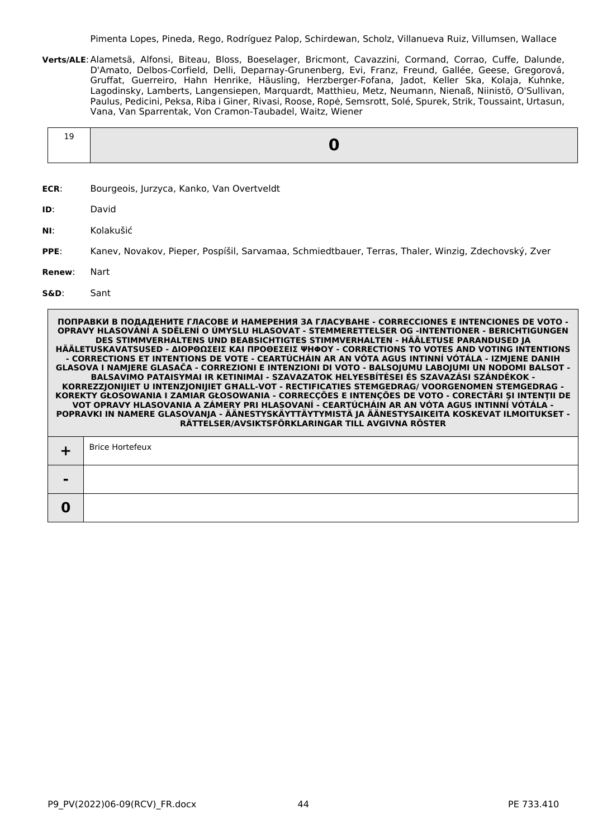Pimenta Lopes, Pineda, Rego, Rodríguez Palop, Schirdewan, Scholz, Villanueva Ruiz, Villumsen, Wallace

**Verts/ALE**:Alametsä, Alfonsi, Biteau, Bloss, Boeselager, Bricmont, Cavazzini, Cormand, Corrao, Cuffe, Dalunde, D'Amato, Delbos-Corfield, Delli, Deparnay-Grunenberg, Evi, Franz, Freund, Gallée, Geese, Gregorová, Gruffat, Guerreiro, Hahn Henrike, Häusling, Herzberger-Fofana, Jadot, Keller Ska, Kolaja, Kuhnke, Lagodinsky, Lamberts, Langensiepen, Marquardt, Matthieu, Metz, Neumann, Nienaß, Niinistö, O'Sullivan, Paulus, Pedicini, Peksa, Riba i Giner, Rivasi, Roose, Ropė, Semsrott, Solé, Spurek, Strik, Toussaint, Urtasun, Vana, Van Sparrentak, Von Cramon-Taubadel, Waitz, Wiener

- **ECR**: Bourgeois, Jurzyca, Kanko, Van Overtveldt
- **ID**: David
- **NI**: Kolakušić
- **PPE**: Kanev, Novakov, Pieper, Pospíšil, Sarvamaa, Schmiedtbauer, Terras, Thaler, Winzig, Zdechovský, Zver
- **Renew**: Nart

### **S&D**: Sant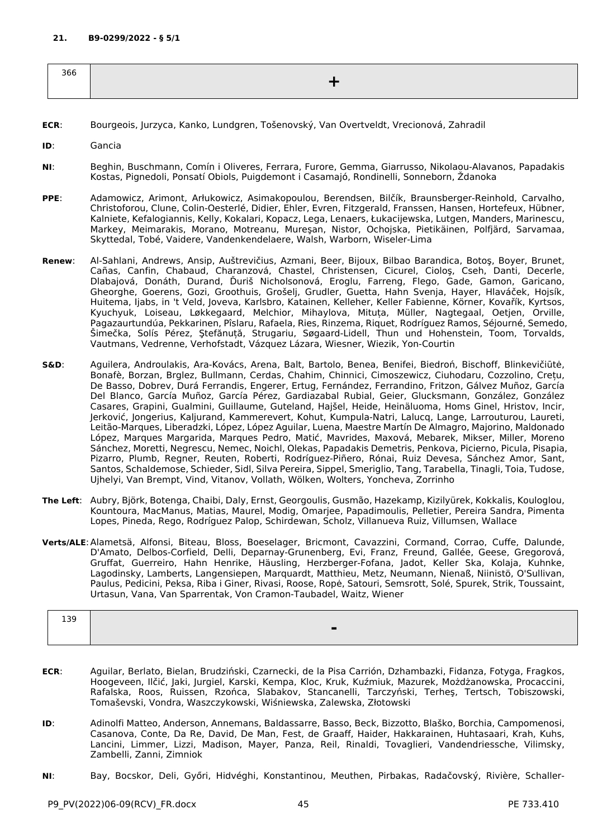| 366 |  |
|-----|--|
|     |  |

- **ECR**: Bourgeois, Jurzyca, Kanko, Lundgren, Tošenovský, Van Overtveldt, Vrecionová, Zahradil
- **ID**: Gancia
- **NI**: Beghin, Buschmann, Comín i Oliveres, Ferrara, Furore, Gemma, Giarrusso, Nikolaou-Alavanos, Papadakis Kostas, Pignedoli, Ponsatí Obiols, Puigdemont i Casamajó, Rondinelli, Sonneborn, Ždanoka
- **PPE**: Adamowicz, Arimont, Arłukowicz, Asimakopoulou, Berendsen, Bilčík, Braunsberger-Reinhold, Carvalho, Christoforou, Clune, Colin-Oesterlé, Didier, Ehler, Evren, Fitzgerald, Franssen, Hansen, Hortefeux, Hübner, Kalniete, Kefalogiannis, Kelly, Kokalari, Kopacz, Lega, Lenaers, Łukacijewska, Lutgen, Manders, Marinescu, Markey, Meimarakis, Morano, Motreanu, Mureşan, Nistor, Ochojska, Pietikäinen, Polfjärd, Sarvamaa, Skyttedal, Tobé, Vaidere, Vandenkendelaere, Walsh, Warborn, Wiseler-Lima
- **Renew**: Al-Sahlani, Andrews, Ansip, Auštrevičius, Azmani, Beer, Bijoux, Bilbao Barandica, Botoş, Boyer, Brunet, Cañas, Canfin, Chabaud, Charanzová, Chastel, Christensen, Cicurel, Cioloş, Cseh, Danti, Decerle, Dlabajová, Donáth, Durand, Ďuriš Nicholsonová, Eroglu, Farreng, Flego, Gade, Gamon, Garicano, Gheorghe, Goerens, Gozi, Groothuis, Grošelj, Grudler, Guetta, Hahn Svenja, Hayer, Hlaváček, Hojsík, Huitema, Ijabs, in 't Veld, Joveva, Karlsbro, Katainen, Kelleher, Keller Fabienne, Körner, Kovařík, Kyrtsos, Kyuchyuk, Loiseau, Løkkegaard, Melchior, Mihaylova, Mituța, Müller, Nagtegaal, Oetjen, Orville, Pagazaurtundúa, Pekkarinen, Pîslaru, Rafaela, Ries, Rinzema, Riquet, Rodríguez Ramos, Séjourné, Semedo, Šimečka, Solís Pérez, Ştefănuță, Strugariu, Søgaard-Lidell, Thun und Hohenstein, Toom, Torvalds, Vautmans, Vedrenne, Verhofstadt, Vázquez Lázara, Wiesner, Wiezik, Yon-Courtin
- **S&D**: Aguilera, Androulakis, Ara-Kovács, Arena, Balt, Bartolo, Benea, Benifei, Biedroń, Bischoff, Blinkevičiūtė, Bonafè, Borzan, Brglez, Bullmann, Cerdas, Chahim, Chinnici, Cimoszewicz, Ciuhodaru, Cozzolino, Crețu, De Basso, Dobrev, Durá Ferrandis, Engerer, Ertug, Fernández, Ferrandino, Fritzon, Gálvez Muñoz, García Del Blanco, García Muñoz, García Pérez, Gardiazabal Rubial, Geier, Glucksmann, González, González Casares, Grapini, Gualmini, Guillaume, Guteland, Hajšel, Heide, Heinäluoma, Homs Ginel, Hristov, Incir, Jerković, Jongerius, Kaljurand, Kammerevert, Kohut, Kumpula-Natri, Lalucq, Lange, Larrouturou, Laureti, Leitão-Marques, Liberadzki, López, López Aguilar, Luena, Maestre Martín De Almagro, Majorino, Maldonado López, Marques Margarida, Marques Pedro, Matić, Mavrides, Maxová, Mebarek, Mikser, Miller, Moreno Sánchez, Moretti, Negrescu, Nemec, Noichl, Olekas, Papadakis Demetris, Penkova, Picierno, Picula, Pisapia, Pizarro, Plumb, Regner, Reuten, Roberti, Rodríguez-Piñero, Rónai, Ruiz Devesa, Sánchez Amor, Sant, Santos, Schaldemose, Schieder, Sidl, Silva Pereira, Sippel, Smeriglio, Tang, Tarabella, Tinagli, Toia, Tudose, Ujhelyi, Van Brempt, Vind, Vitanov, Vollath, Wölken, Wolters, Yoncheva, Zorrinho
- **The Left**: Aubry, Björk, Botenga, Chaibi, Daly, Ernst, Georgoulis, Gusmão, Hazekamp, Kizilyürek, Kokkalis, Kouloglou, Kountoura, MacManus, Matias, Maurel, Modig, Omarjee, Papadimoulis, Pelletier, Pereira Sandra, Pimenta Lopes, Pineda, Rego, Rodríguez Palop, Schirdewan, Scholz, Villanueva Ruiz, Villumsen, Wallace
- **Verts/ALE**:Alametsä, Alfonsi, Biteau, Bloss, Boeselager, Bricmont, Cavazzini, Cormand, Corrao, Cuffe, Dalunde, D'Amato, Delbos-Corfield, Delli, Deparnay-Grunenberg, Evi, Franz, Freund, Gallée, Geese, Gregorová, Gruffat, Guerreiro, Hahn Henrike, Häusling, Herzberger-Fofana, Jadot, Keller Ska, Kolaja, Kuhnke, Lagodinsky, Lamberts, Langensiepen, Marquardt, Matthieu, Metz, Neumann, Nienaß, Niinistö, O'Sullivan, Paulus, Pedicini, Peksa, Riba i Giner, Rivasi, Roose, Ropė, Satouri, Semsrott, Solé, Spurek, Strik, Toussaint, Urtasun, Vana, Van Sparrentak, Von Cramon-Taubadel, Waitz, Wiener

| 139 |                          |
|-----|--------------------------|
|     | $\overline{\phantom{0}}$ |
|     |                          |

- **ECR**: Aguilar, Berlato, Bielan, Brudziński, Czarnecki, de la Pisa Carrión, Dzhambazki, Fidanza, Fotyga, Fragkos, Hoogeveen, Ilčić, Jaki, Jurgiel, Karski, Kempa, Kloc, Kruk, Kuźmiuk, Mazurek, Możdżanowska, Procaccini, Rafalska, Roos, Ruissen, Rzońca, Slabakov, Stancanelli, Tarczyński, Terheş, Tertsch, Tobiszowski, Tomaševski, Vondra, Waszczykowski, Wiśniewska, Zalewska, Złotowski
- **ID**: Adinolfi Matteo, Anderson, Annemans, Baldassarre, Basso, Beck, Bizzotto, Blaško, Borchia, Campomenosi, Casanova, Conte, Da Re, David, De Man, Fest, de Graaff, Haider, Hakkarainen, Huhtasaari, Krah, Kuhs, Lancini, Limmer, Lizzi, Madison, Mayer, Panza, Reil, Rinaldi, Tovaglieri, Vandendriessche, Vilimsky, Zambelli, Zanni, Zimniok
- **NI**: Bay, Bocskor, Deli, Győri, Hidvéghi, Konstantinou, Meuthen, Pirbakas, Radačovský, Rivière, Schaller-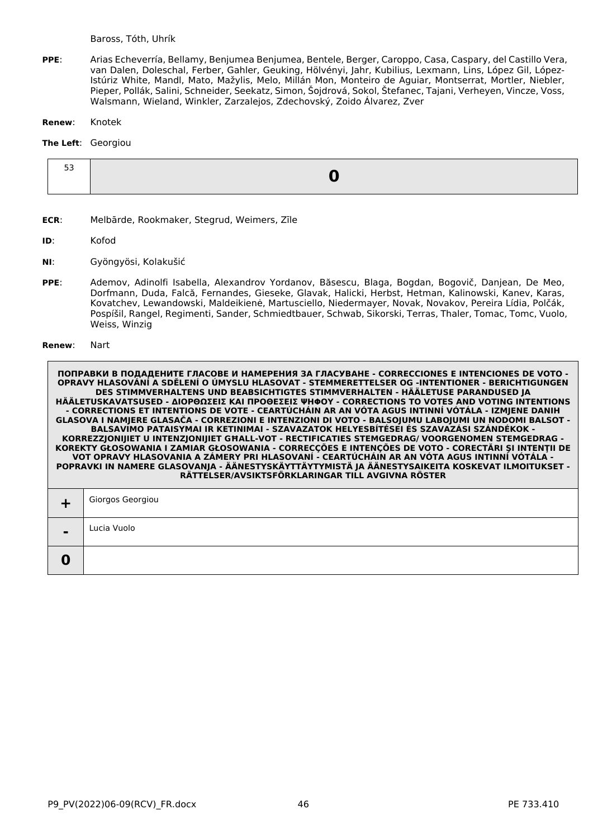- **PPE**: Arias Echeverría, Bellamy, Benjumea Benjumea, Bentele, Berger, Caroppo, Casa, Caspary, del Castillo Vera, van Dalen, Doleschal, Ferber, Gahler, Geuking, Hölvényi, Jahr, Kubilius, Lexmann, Lins, López Gil, López-Istúriz White, Mandl, Mato, Mažylis, Melo, Millán Mon, Monteiro de Aguiar, Montserrat, Mortler, Niebler, Pieper, Pollák, Salini, Schneider, Seekatz, Simon, Šojdrová, Sokol, Štefanec, Tajani, Verheyen, Vincze, Voss, Walsmann, Wieland, Winkler, Zarzalejos, Zdechovský, Zoido Álvarez, Zver
- **Renew**: Knotek

## **The Left**: Georgiou

| - - |  |
|-----|--|
|     |  |

- **ECR**: Melbārde, Rookmaker, Stegrud, Weimers, Zīle
- **ID**: Kofod
- **NI**: Gyöngyösi, Kolakušić
- **PPE**: Ademov, Adinolfi Isabella, Alexandrov Yordanov, Băsescu, Blaga, Bogdan, Bogovič, Danjean, De Meo, Dorfmann, Duda, Falcă, Fernandes, Gieseke, Glavak, Halicki, Herbst, Hetman, Kalinowski, Kanev, Karas, Kovatchev, Lewandowski, Maldeikienė, Martusciello, Niedermayer, Novak, Novakov, Pereira Lídia, Polčák, Pospíšil, Rangel, Regimenti, Sander, Schmiedtbauer, Schwab, Sikorski, Terras, Thaler, Tomac, Tomc, Vuolo, Weiss, Winzig

#### **Renew**: Nart

|                | Giorgos Georgiou |
|----------------|------------------|
| $\blacksquare$ | Lucia Vuolo      |
|                |                  |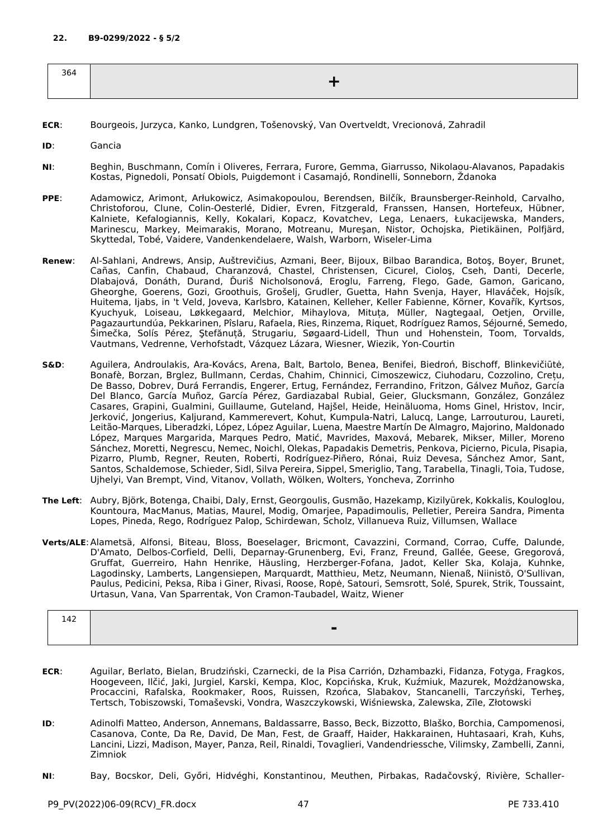| 364 |  |
|-----|--|
|     |  |
|     |  |

- **ECR**: Bourgeois, Jurzyca, Kanko, Lundgren, Tošenovský, Van Overtveldt, Vrecionová, Zahradil
- **ID**: Gancia
- **NI**: Beghin, Buschmann, Comín i Oliveres, Ferrara, Furore, Gemma, Giarrusso, Nikolaou-Alavanos, Papadakis Kostas, Pignedoli, Ponsatí Obiols, Puigdemont i Casamajó, Rondinelli, Sonneborn, Ždanoka
- **PPE**: Adamowicz, Arimont, Arłukowicz, Asimakopoulou, Berendsen, Bilčík, Braunsberger-Reinhold, Carvalho, Christoforou, Clune, Colin-Oesterlé, Didier, Evren, Fitzgerald, Franssen, Hansen, Hortefeux, Hübner, Kalniete, Kefalogiannis, Kelly, Kokalari, Kopacz, Kovatchev, Lega, Lenaers, Łukacijewska, Manders, Marinescu, Markey, Meimarakis, Morano, Motreanu, Mureşan, Nistor, Ochojska, Pietikäinen, Polfjärd, Skyttedal, Tobé, Vaidere, Vandenkendelaere, Walsh, Warborn, Wiseler-Lima
- **Renew**: Al-Sahlani, Andrews, Ansip, Auštrevičius, Azmani, Beer, Bijoux, Bilbao Barandica, Botoş, Boyer, Brunet, Cañas, Canfin, Chabaud, Charanzová, Chastel, Christensen, Cicurel, Cioloş, Cseh, Danti, Decerle, Dlabajová, Donáth, Durand, Ďuriš Nicholsonová, Eroglu, Farreng, Flego, Gade, Gamon, Garicano, Gheorghe, Goerens, Gozi, Groothuis, Grošelj, Grudler, Guetta, Hahn Svenja, Hayer, Hlaváček, Hojsík, Huitema, Ijabs, in 't Veld, Joveva, Karlsbro, Katainen, Kelleher, Keller Fabienne, Körner, Kovařík, Kyrtsos, Kyuchyuk, Loiseau, Løkkegaard, Melchior, Mihaylova, Mituța, Müller, Nagtegaal, Oetjen, Orville, Pagazaurtundúa, Pekkarinen, Pîslaru, Rafaela, Ries, Rinzema, Riquet, Rodríguez Ramos, Séjourné, Semedo, Šimečka, Solís Pérez, Ştefănuță, Strugariu, Søgaard-Lidell, Thun und Hohenstein, Toom, Torvalds, Vautmans, Vedrenne, Verhofstadt, Vázquez Lázara, Wiesner, Wiezik, Yon-Courtin
- **S&D**: Aguilera, Androulakis, Ara-Kovács, Arena, Balt, Bartolo, Benea, Benifei, Biedroń, Bischoff, Blinkevičiūtė, Bonafè, Borzan, Brglez, Bullmann, Cerdas, Chahim, Chinnici, Cimoszewicz, Ciuhodaru, Cozzolino, Crețu, De Basso, Dobrev, Durá Ferrandis, Engerer, Ertug, Fernández, Ferrandino, Fritzon, Gálvez Muñoz, García Del Blanco, García Muñoz, García Pérez, Gardiazabal Rubial, Geier, Glucksmann, González, González Casares, Grapini, Gualmini, Guillaume, Guteland, Hajšel, Heide, Heinäluoma, Homs Ginel, Hristov, Incir, Jerković, Jongerius, Kaljurand, Kammerevert, Kohut, Kumpula-Natri, Lalucq, Lange, Larrouturou, Laureti, Leitão-Marques, Liberadzki, López, López Aguilar, Luena, Maestre Martín De Almagro, Majorino, Maldonado López, Marques Margarida, Marques Pedro, Matić, Mavrides, Maxová, Mebarek, Mikser, Miller, Moreno Sánchez, Moretti, Negrescu, Nemec, Noichl, Olekas, Papadakis Demetris, Penkova, Picierno, Picula, Pisapia, Pizarro, Plumb, Regner, Reuten, Roberti, Rodríguez-Piñero, Rónai, Ruiz Devesa, Sánchez Amor, Sant, Santos, Schaldemose, Schieder, Sidl, Silva Pereira, Sippel, Smeriglio, Tang, Tarabella, Tinagli, Toia, Tudose, Ujhelyi, Van Brempt, Vind, Vitanov, Vollath, Wölken, Wolters, Yoncheva, Zorrinho
- **The Left**: Aubry, Björk, Botenga, Chaibi, Daly, Ernst, Georgoulis, Gusmão, Hazekamp, Kizilyürek, Kokkalis, Kouloglou, Kountoura, MacManus, Matias, Maurel, Modig, Omarjee, Papadimoulis, Pelletier, Pereira Sandra, Pimenta Lopes, Pineda, Rego, Rodríguez Palop, Schirdewan, Scholz, Villanueva Ruiz, Villumsen, Wallace
- **Verts/ALE**:Alametsä, Alfonsi, Biteau, Bloss, Boeselager, Bricmont, Cavazzini, Cormand, Corrao, Cuffe, Dalunde, D'Amato, Delbos-Corfield, Delli, Deparnay-Grunenberg, Evi, Franz, Freund, Gallée, Geese, Gregorová, Gruffat, Guerreiro, Hahn Henrike, Häusling, Herzberger-Fofana, Jadot, Keller Ska, Kolaja, Kuhnke, Lagodinsky, Lamberts, Langensiepen, Marquardt, Matthieu, Metz, Neumann, Nienaß, Niinistö, O'Sullivan, Paulus, Pedicini, Peksa, Riba i Giner, Rivasi, Roose, Ropė, Satouri, Semsrott, Solé, Spurek, Strik, Toussaint, Urtasun, Vana, Van Sparrentak, Von Cramon-Taubadel, Waitz, Wiener

| 142 |   |
|-----|---|
|     | - |
|     |   |

- **ECR**: Aguilar, Berlato, Bielan, Brudziński, Czarnecki, de la Pisa Carrión, Dzhambazki, Fidanza, Fotyga, Fragkos, Hoogeveen, Ilčić, Jaki, Jurgiel, Karski, Kempa, Kloc, Kopcińska, Kruk, Kuźmiuk, Mazurek, Możdżanowska, Procaccini, Rafalska, Rookmaker, Roos, Ruissen, Rzońca, Slabakov, Stancanelli, Tarczyński, Terheş, Tertsch, Tobiszowski, Tomaševski, Vondra, Waszczykowski, Wiśniewska, Zalewska, Zīle, Złotowski
- **ID**: Adinolfi Matteo, Anderson, Annemans, Baldassarre, Basso, Beck, Bizzotto, Blaško, Borchia, Campomenosi, Casanova, Conte, Da Re, David, De Man, Fest, de Graaff, Haider, Hakkarainen, Huhtasaari, Krah, Kuhs, Lancini, Lizzi, Madison, Mayer, Panza, Reil, Rinaldi, Tovaglieri, Vandendriessche, Vilimsky, Zambelli, Zanni, Zimniok
- **NI**: Bay, Bocskor, Deli, Győri, Hidvéghi, Konstantinou, Meuthen, Pirbakas, Radačovský, Rivière, Schaller-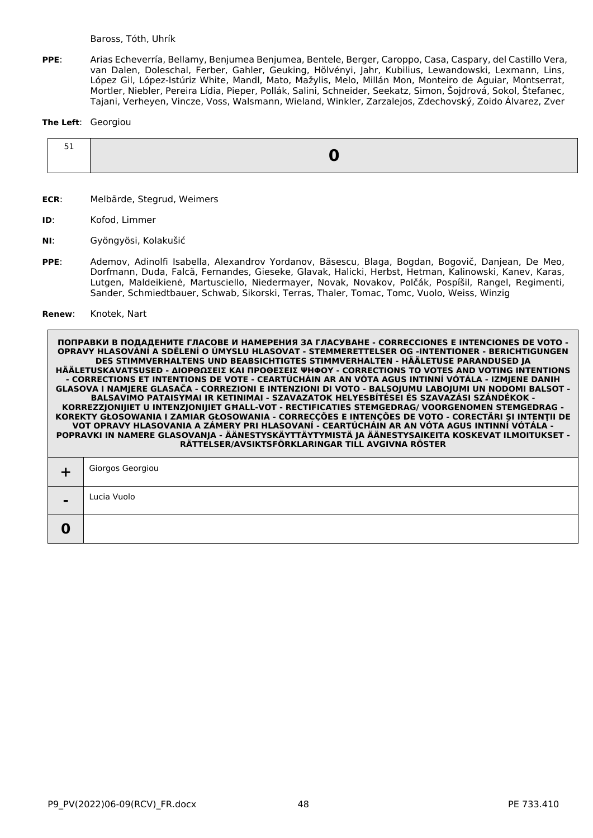**PPE**: Arias Echeverría, Bellamy, Benjumea Benjumea, Bentele, Berger, Caroppo, Casa, Caspary, del Castillo Vera, van Dalen, Doleschal, Ferber, Gahler, Geuking, Hölvényi, Jahr, Kubilius, Lewandowski, Lexmann, Lins, López Gil, López-Istúriz White, Mandl, Mato, Mažylis, Melo, Millán Mon, Monteiro de Aguiar, Montserrat, Mortler, Niebler, Pereira Lídia, Pieper, Pollák, Salini, Schneider, Seekatz, Simon, Šojdrová, Sokol, Štefanec, Tajani, Verheyen, Vincze, Voss, Walsmann, Wieland, Winkler, Zarzalejos, Zdechovský, Zoido Álvarez, Zver

### **The Left**: Georgiou

- **ECR**: Melbārde, Stegrud, Weimers
- **ID**: Kofod, Limmer
- **NI**: Gyöngyösi, Kolakušić
- **PPE**: Ademov, Adinolfi Isabella, Alexandrov Yordanov, Băsescu, Blaga, Bogdan, Bogovič, Danjean, De Meo, Dorfmann, Duda, Falcă, Fernandes, Gieseke, Glavak, Halicki, Herbst, Hetman, Kalinowski, Kanev, Karas, Lutgen, Maldeikienė, Martusciello, Niedermayer, Novak, Novakov, Polčák, Pospíšil, Rangel, Regimenti, Sander, Schmiedtbauer, Schwab, Sikorski, Terras, Thaler, Tomac, Tomc, Vuolo, Weiss, Winzig
- **Renew**: Knotek, Nart

|                | Giorgos Georgiou |
|----------------|------------------|
| $\blacksquare$ | Lucia Vuolo      |
|                |                  |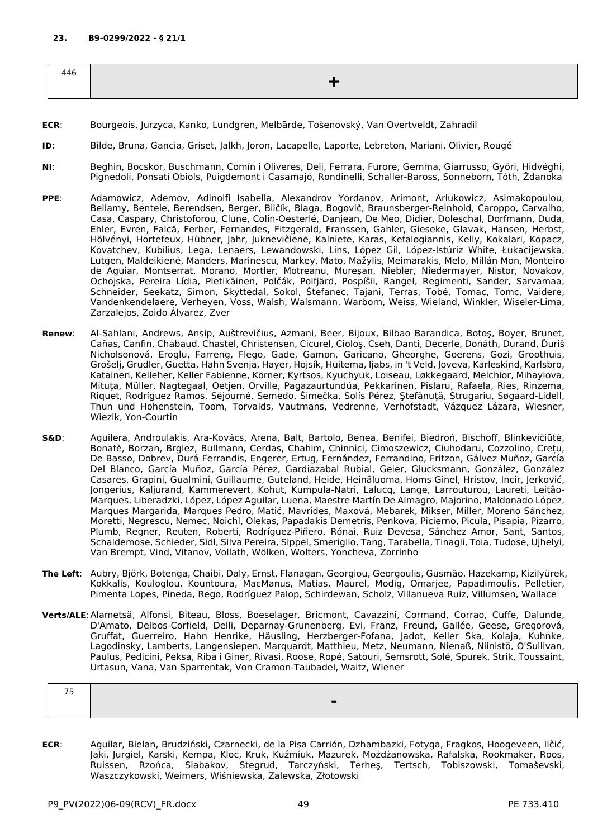| 446 |  |
|-----|--|
|     |  |

- **ECR**: Bourgeois, Jurzyca, Kanko, Lundgren, Melbārde, Tošenovský, Van Overtveldt, Zahradil
- **ID**: Bilde, Bruna, Gancia, Griset, Jalkh, Joron, Lacapelle, Laporte, Lebreton, Mariani, Olivier, Rougé
- **NI**: Beghin, Bocskor, Buschmann, Comín i Oliveres, Deli, Ferrara, Furore, Gemma, Giarrusso, Győri, Hidvéghi, Pignedoli, Ponsatí Obiols, Puigdemont i Casamajó, Rondinelli, Schaller-Baross, Sonneborn, Tóth, Ždanoka
- **PPE**: Adamowicz, Ademov, Adinolfi Isabella, Alexandrov Yordanov, Arimont, Arłukowicz, Asimakopoulou, Bellamy, Bentele, Berendsen, Berger, Bilčík, Blaga, Bogovič, Braunsberger-Reinhold, Caroppo, Carvalho, Casa, Caspary, Christoforou, Clune, Colin-Oesterlé, Danjean, De Meo, Didier, Doleschal, Dorfmann, Duda, Ehler, Evren, Falcă, Ferber, Fernandes, Fitzgerald, Franssen, Gahler, Gieseke, Glavak, Hansen, Herbst, Hölvényi, Hortefeux, Hübner, Jahr, Juknevičienė, Kalniete, Karas, Kefalogiannis, Kelly, Kokalari, Kopacz, Kovatchev, Kubilius, Lega, Lenaers, Lewandowski, Lins, López Gil, López-Istúriz White, Łukacijewska, Lutgen, Maldeikienė, Manders, Marinescu, Markey, Mato, Mažylis, Meimarakis, Melo, Millán Mon, Monteiro de Aguiar, Montserrat, Morano, Mortler, Motreanu, Mureşan, Niebler, Niedermayer, Nistor, Novakov, Ochojska, Pereira Lídia, Pietikäinen, Polčák, Polfjärd, Pospíšil, Rangel, Regimenti, Sander, Sarvamaa, Schneider, Seekatz, Simon, Skyttedal, Sokol, Štefanec, Tajani, Terras, Tobé, Tomac, Tomc, Vaidere, Vandenkendelaere, Verheyen, Voss, Walsh, Walsmann, Warborn, Weiss, Wieland, Winkler, Wiseler-Lima, Zarzalejos, Zoido Álvarez, Zver
- **Renew**: Al-Sahlani, Andrews, Ansip, Auštrevičius, Azmani, Beer, Bijoux, Bilbao Barandica, Botoş, Boyer, Brunet, Cañas, Canfin, Chabaud, Chastel, Christensen, Cicurel, Cioloş, Cseh, Danti, Decerle, Donáth, Durand, Ďuriš Nicholsonová, Eroglu, Farreng, Flego, Gade, Gamon, Garicano, Gheorghe, Goerens, Gozi, Groothuis, Grošelj, Grudler, Guetta, Hahn Svenja, Hayer, Hojsík, Huitema, Ijabs, in 't Veld, Joveva, Karleskind, Karlsbro, Katainen, Kelleher, Keller Fabienne, Körner, Kyrtsos, Kyuchyuk, Loiseau, Løkkegaard, Melchior, Mihaylova, Mituța, Müller, Nagtegaal, Oetjen, Orville, Pagazaurtundúa, Pekkarinen, Pîslaru, Rafaela, Ries, Rinzema, Riquet, Rodríguez Ramos, Séjourné, Semedo, Šimečka, Solís Pérez, Ştefănuță, Strugariu, Søgaard-Lidell, Thun und Hohenstein, Toom, Torvalds, Vautmans, Vedrenne, Verhofstadt, Vázquez Lázara, Wiesner, Wiezik, Yon-Courtin
- **S&D**: Aguilera, Androulakis, Ara-Kovács, Arena, Balt, Bartolo, Benea, Benifei, Biedroń, Bischoff, Blinkevičiūtė, Bonafè, Borzan, Brglez, Bullmann, Cerdas, Chahim, Chinnici, Cimoszewicz, Ciuhodaru, Cozzolino, Crețu, De Basso, Dobrev, Durá Ferrandis, Engerer, Ertug, Fernández, Ferrandino, Fritzon, Gálvez Muñoz, García Del Blanco, García Muñoz, García Pérez, Gardiazabal Rubial, Geier, Glucksmann, González, González Casares, Grapini, Gualmini, Guillaume, Guteland, Heide, Heinäluoma, Homs Ginel, Hristov, Incir, Jerković, Jongerius, Kaljurand, Kammerevert, Kohut, Kumpula-Natri, Lalucq, Lange, Larrouturou, Laureti, Leitão-Marques, Liberadzki, López, López Aguilar, Luena, Maestre Martín De Almagro, Majorino, Maldonado López, Marques Margarida, Marques Pedro, Matić, Mavrides, Maxová, Mebarek, Mikser, Miller, Moreno Sánchez, Moretti, Negrescu, Nemec, Noichl, Olekas, Papadakis Demetris, Penkova, Picierno, Picula, Pisapia, Pizarro, Plumb, Regner, Reuten, Roberti, Rodríguez-Piñero, Rónai, Ruiz Devesa, Sánchez Amor, Sant, Santos, Schaldemose, Schieder, Sidl, Silva Pereira, Sippel, Smeriglio, Tang, Tarabella, Tinagli, Toia, Tudose, Ujhelyi, Van Brempt, Vind, Vitanov, Vollath, Wölken, Wolters, Yoncheva, Zorrinho
- **The Left**: Aubry, Björk, Botenga, Chaibi, Daly, Ernst, Flanagan, Georgiou, Georgoulis, Gusmão, Hazekamp, Kizilyürek, Kokkalis, Kouloglou, Kountoura, MacManus, Matias, Maurel, Modig, Omarjee, Papadimoulis, Pelletier, Pimenta Lopes, Pineda, Rego, Rodríguez Palop, Schirdewan, Scholz, Villanueva Ruiz, Villumsen, Wallace
- **Verts/ALE**:Alametsä, Alfonsi, Biteau, Bloss, Boeselager, Bricmont, Cavazzini, Cormand, Corrao, Cuffe, Dalunde, D'Amato, Delbos-Corfield, Delli, Deparnay-Grunenberg, Evi, Franz, Freund, Gallée, Geese, Gregorová, Gruffat, Guerreiro, Hahn Henrike, Häusling, Herzberger-Fofana, Jadot, Keller Ska, Kolaja, Kuhnke, Lagodinsky, Lamberts, Langensiepen, Marquardt, Matthieu, Metz, Neumann, Nienaß, Niinistö, O'Sullivan, Paulus, Pedicini, Peksa, Riba i Giner, Rivasi, Roose, Ropė, Satouri, Semsrott, Solé, Spurek, Strik, Toussaint, Urtasun, Vana, Van Sparrentak, Von Cramon-Taubadel, Waitz, Wiener

| $- -$ |  |  |
|-------|--|--|
|       |  |  |
|       |  |  |

**ECR**: Aguilar, Bielan, Brudziński, Czarnecki, de la Pisa Carrión, Dzhambazki, Fotyga, Fragkos, Hoogeveen, Ilčić, Jaki, Jurgiel, Karski, Kempa, Kloc, Kruk, Kuźmiuk, Mazurek, Możdżanowska, Rafalska, Rookmaker, Roos, Ruissen, Rzońca, Slabakov, Stegrud, Tarczyński, Terheş, Tertsch, Tobiszowski, Tomaševski, Waszczykowski, Weimers, Wiśniewska, Zalewska, Złotowski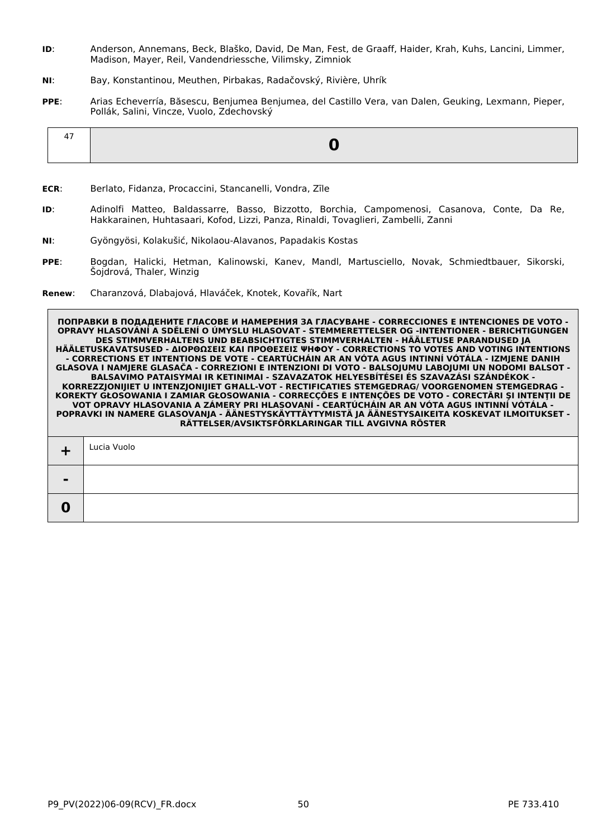- **ID**: Anderson, Annemans, Beck, Blaško, David, De Man, Fest, de Graaff, Haider, Krah, Kuhs, Lancini, Limmer, Madison, Mayer, Reil, Vandendriessche, Vilimsky, Zimniok
- **NI**: Bay, Konstantinou, Meuthen, Pirbakas, Radačovský, Rivière, Uhrík
- **PPE**: Arias Echeverría, Băsescu, Benjumea Benjumea, del Castillo Vera, van Dalen, Geuking, Lexmann, Pieper, Pollák, Salini, Vincze, Vuolo, Zdechovský

|--|

- **ECR**: Berlato, Fidanza, Procaccini, Stancanelli, Vondra, Zīle
- **ID**: Adinolfi Matteo, Baldassarre, Basso, Bizzotto, Borchia, Campomenosi, Casanova, Conte, Da Re, Hakkarainen, Huhtasaari, Kofod, Lizzi, Panza, Rinaldi, Tovaglieri, Zambelli, Zanni
- **NI**: Gyöngyösi, Kolakušić, Nikolaou-Alavanos, Papadakis Kostas
- **PPE**: Bogdan, Halicki, Hetman, Kalinowski, Kanev, Mandl, Martusciello, Novak, Schmiedtbauer, Sikorski, Šojdrová, Thaler, Winzig
- **Renew**: Charanzová, Dlabajová, Hlaváček, Knotek, Kovařík, Nart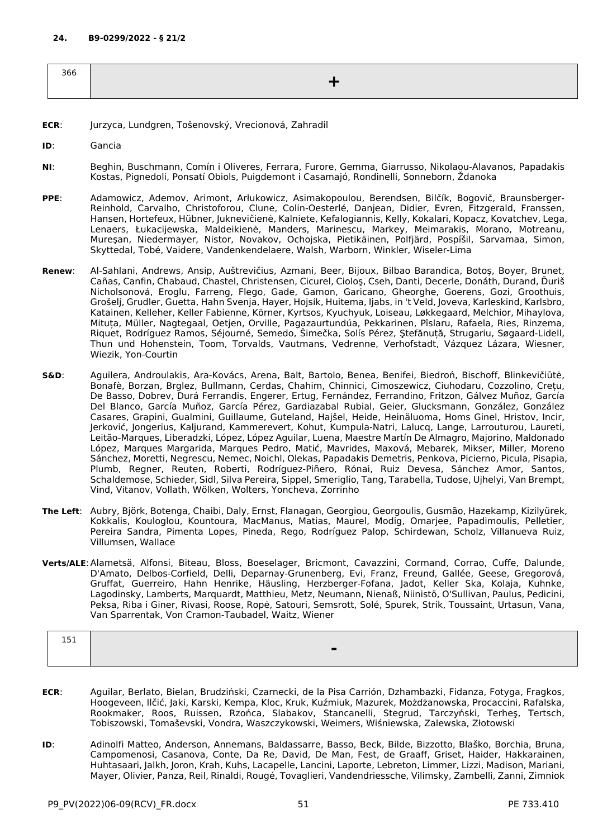| 366 |  |
|-----|--|
|     |  |
|     |  |

- **ECR**: Jurzyca, Lundgren, Tošenovský, Vrecionová, Zahradil
- **ID**: Gancia
- **NI**: Beghin, Buschmann, Comín i Oliveres, Ferrara, Furore, Gemma, Giarrusso, Nikolaou-Alavanos, Papadakis Kostas, Pignedoli, Ponsatí Obiols, Puigdemont i Casamajó, Rondinelli, Sonneborn, Ždanoka
- **PPE**: Adamowicz, Ademov, Arimont, Arłukowicz, Asimakopoulou, Berendsen, Bilčík, Bogovič, Braunsberger-Reinhold, Carvalho, Christoforou, Clune, Colin-Oesterlé, Danjean, Didier, Evren, Fitzgerald, Franssen, Hansen, Hortefeux, Hübner, Juknevičienė, Kalniete, Kefalogiannis, Kelly, Kokalari, Kopacz, Kovatchev, Lega, Lenaers, Łukacijewska, Maldeikienė, Manders, Marinescu, Markey, Meimarakis, Morano, Motreanu, Mureşan, Niedermayer, Nistor, Novakov, Ochojska, Pietikäinen, Polfjärd, Pospíšil, Sarvamaa, Simon, Skyttedal, Tobé, Vaidere, Vandenkendelaere, Walsh, Warborn, Winkler, Wiseler-Lima
- **Renew**: Al-Sahlani, Andrews, Ansip, Auštrevičius, Azmani, Beer, Bijoux, Bilbao Barandica, Botoş, Boyer, Brunet, Cañas, Canfin, Chabaud, Chastel, Christensen, Cicurel, Cioloş, Cseh, Danti, Decerle, Donáth, Durand, Ďuriš Nicholsonová, Eroglu, Farreng, Flego, Gade, Gamon, Garicano, Gheorghe, Goerens, Gozi, Groothuis, Grošelj, Grudler, Guetta, Hahn Svenja, Hayer, Hojsík, Huitema, Ijabs, in 't Veld, Joveva, Karleskind, Karlsbro, Katainen, Kelleher, Keller Fabienne, Körner, Kyrtsos, Kyuchyuk, Loiseau, Løkkegaard, Melchior, Mihaylova, Mituța, Müller, Nagtegaal, Oetjen, Orville, Pagazaurtundúa, Pekkarinen, Pîslaru, Rafaela, Ries, Rinzema, Riquet, Rodríguez Ramos, Séjourné, Semedo, Šimečka, Solís Pérez, Ştefănuță, Strugariu, Søgaard-Lidell, Thun und Hohenstein, Toom, Torvalds, Vautmans, Vedrenne, Verhofstadt, Vázquez Lázara, Wiesner, Wiezik, Yon-Courtin
- **S&D**: Aguilera, Androulakis, Ara-Kovács, Arena, Balt, Bartolo, Benea, Benifei, Biedroń, Bischoff, Blinkevičiūtė, Bonafè, Borzan, Brglez, Bullmann, Cerdas, Chahim, Chinnici, Cimoszewicz, Ciuhodaru, Cozzolino, Crețu, De Basso, Dobrev, Durá Ferrandis, Engerer, Ertug, Fernández, Ferrandino, Fritzon, Gálvez Muñoz, García Del Blanco, García Muñoz, García Pérez, Gardiazabal Rubial, Geier, Glucksmann, González, González Casares, Grapini, Gualmini, Guillaume, Guteland, Hajšel, Heide, Heinäluoma, Homs Ginel, Hristov, Incir, Jerković, Jongerius, Kaljurand, Kammerevert, Kohut, Kumpula-Natri, Lalucq, Lange, Larrouturou, Laureti, Leitão-Marques, Liberadzki, López, López Aguilar, Luena, Maestre Martín De Almagro, Majorino, Maldonado López, Marques Margarida, Marques Pedro, Matić, Mavrides, Maxová, Mebarek, Mikser, Miller, Moreno Sánchez, Moretti, Negrescu, Nemec, Noichl, Olekas, Papadakis Demetris, Penkova, Picierno, Picula, Pisapia, Plumb, Regner, Reuten, Roberti, Rodríguez-Piñero, Rónai, Ruiz Devesa, Sánchez Amor, Santos, Schaldemose, Schieder, Sidl, Silva Pereira, Sippel, Smeriglio, Tang, Tarabella, Tudose, Ujhelyi, Van Brempt, Vind, Vitanov, Vollath, Wölken, Wolters, Yoncheva, Zorrinho
- **The Left**: Aubry, Björk, Botenga, Chaibi, Daly, Ernst, Flanagan, Georgiou, Georgoulis, Gusmão, Hazekamp, Kizilyürek, Kokkalis, Kouloglou, Kountoura, MacManus, Matias, Maurel, Modig, Omarjee, Papadimoulis, Pelletier, Pereira Sandra, Pimenta Lopes, Pineda, Rego, Rodríguez Palop, Schirdewan, Scholz, Villanueva Ruiz, Villumsen, Wallace
- **Verts/ALE**:Alametsä, Alfonsi, Biteau, Bloss, Boeselager, Bricmont, Cavazzini, Cormand, Corrao, Cuffe, Dalunde, D'Amato, Delbos-Corfield, Delli, Deparnay-Grunenberg, Evi, Franz, Freund, Gallée, Geese, Gregorová, Gruffat, Guerreiro, Hahn Henrike, Häusling, Herzberger-Fofana, Jadot, Keller Ska, Kolaja, Kuhnke, Lagodinsky, Lamberts, Marquardt, Matthieu, Metz, Neumann, Nienaß, Niinistö, O'Sullivan, Paulus, Pedicini, Peksa, Riba i Giner, Rivasi, Roose, Ropė, Satouri, Semsrott, Solé, Spurek, Strik, Toussaint, Urtasun, Vana, Van Sparrentak, Von Cramon-Taubadel, Waitz, Wiener

| ---<br>ᆠᆛᆂ |   |
|------------|---|
|            | - |
|            |   |

- **ECR**: Aguilar, Berlato, Bielan, Brudziński, Czarnecki, de la Pisa Carrión, Dzhambazki, Fidanza, Fotyga, Fragkos, Hoogeveen, Ilčić, Jaki, Karski, Kempa, Kloc, Kruk, Kuźmiuk, Mazurek, Możdżanowska, Procaccini, Rafalska, Rookmaker, Roos, Ruissen, Rzońca, Slabakov, Stancanelli, Stegrud, Tarczyński, Terheş, Tertsch, Tobiszowski, Tomaševski, Vondra, Waszczykowski, Weimers, Wiśniewska, Zalewska, Złotowski
- **ID**: Adinolfi Matteo, Anderson, Annemans, Baldassarre, Basso, Beck, Bilde, Bizzotto, Blaško, Borchia, Bruna, Campomenosi, Casanova, Conte, Da Re, David, De Man, Fest, de Graaff, Griset, Haider, Hakkarainen, Huhtasaari, Jalkh, Joron, Krah, Kuhs, Lacapelle, Lancini, Laporte, Lebreton, Limmer, Lizzi, Madison, Mariani, Mayer, Olivier, Panza, Reil, Rinaldi, Rougé, Tovaglieri, Vandendriessche, Vilimsky, Zambelli, Zanni, Zimniok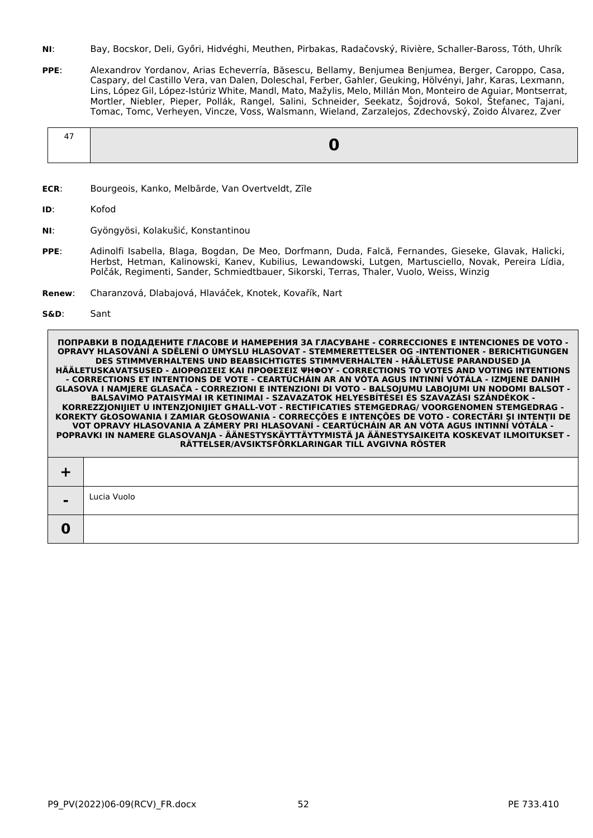- **NI**: Bay, Bocskor, Deli, Győri, Hidvéghi, Meuthen, Pirbakas, Radačovský, Rivière, Schaller-Baross, Tóth, Uhrík
- **PPE**: Alexandrov Yordanov, Arias Echeverría, Băsescu, Bellamy, Benjumea Benjumea, Berger, Caroppo, Casa, Caspary, del Castillo Vera, van Dalen, Doleschal, Ferber, Gahler, Geuking, Hölvényi, Jahr, Karas, Lexmann, Lins, López Gil, López-Istúriz White, Mandl, Mato, Mažylis, Melo, Millán Mon, Monteiro de Aguiar, Montserrat, Mortler, Niebler, Pieper, Pollák, Rangel, Salini, Schneider, Seekatz, Šojdrová, Sokol, Štefanec, Tajani, Tomac, Tomc, Verheyen, Vincze, Voss, Walsmann, Wieland, Zarzalejos, Zdechovský, Zoido Álvarez, Zver

- **ECR**: Bourgeois, Kanko, Melbārde, Van Overtveldt, Zīle
- **ID**: Kofod
- **NI**: Gyöngyösi, Kolakušić, Konstantinou
- **PPE**: Adinolfi Isabella, Blaga, Bogdan, De Meo, Dorfmann, Duda, Falcă, Fernandes, Gieseke, Glavak, Halicki, Herbst, Hetman, Kalinowski, Kanev, Kubilius, Lewandowski, Lutgen, Martusciello, Novak, Pereira Lídia, Polčák, Regimenti, Sander, Schmiedtbauer, Sikorski, Terras, Thaler, Vuolo, Weiss, Winzig
- **Renew**: Charanzová, Dlabajová, Hlaváček, Knotek, Kovařík, Nart
- **S&D**: Sant

| $\blacksquare$ | Lucia Vuolo |
|----------------|-------------|
|                |             |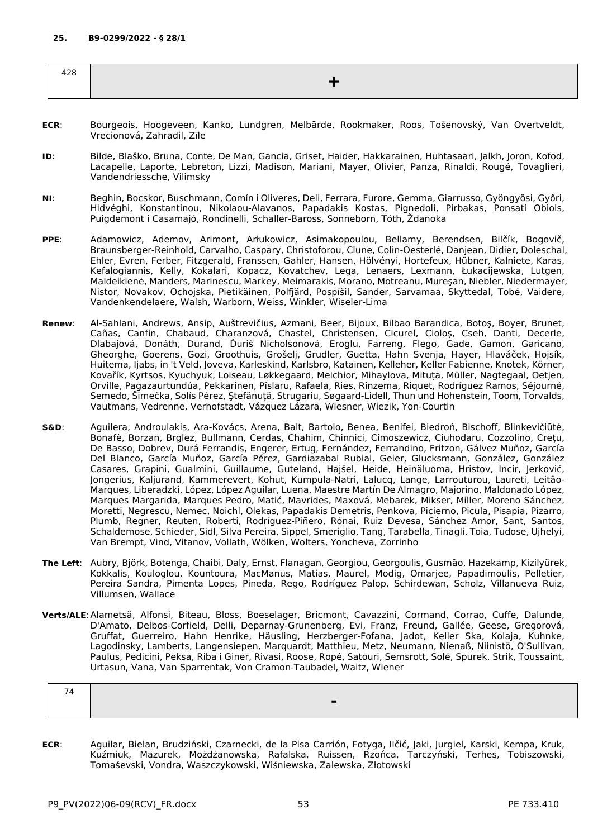| 7 C U<br>____ |  |
|---------------|--|
|               |  |

- **ECR**: Bourgeois, Hoogeveen, Kanko, Lundgren, Melbārde, Rookmaker, Roos, Tošenovský, Van Overtveldt, Vrecionová, Zahradil, Zīle
- **ID**: Bilde, Blaško, Bruna, Conte, De Man, Gancia, Griset, Haider, Hakkarainen, Huhtasaari, Jalkh, Joron, Kofod, Lacapelle, Laporte, Lebreton, Lizzi, Madison, Mariani, Mayer, Olivier, Panza, Rinaldi, Rougé, Tovaglieri, Vandendriessche, Vilimsky
- **NI**: Beghin, Bocskor, Buschmann, Comín i Oliveres, Deli, Ferrara, Furore, Gemma, Giarrusso, Gyöngyösi, Győri, Hidvéghi, Konstantinou, Nikolaou-Alavanos, Papadakis Kostas, Pignedoli, Pirbakas, Ponsatí Obiols, Puigdemont i Casamajó, Rondinelli, Schaller-Baross, Sonneborn, Tóth, Ždanoka
- **PPE**: Adamowicz, Ademov, Arimont, Arłukowicz, Asimakopoulou, Bellamy, Berendsen, Bilčík, Bogovič, Braunsberger-Reinhold, Carvalho, Caspary, Christoforou, Clune, Colin-Oesterlé, Danjean, Didier, Doleschal, Ehler, Evren, Ferber, Fitzgerald, Franssen, Gahler, Hansen, Hölvényi, Hortefeux, Hübner, Kalniete, Karas, Kefalogiannis, Kelly, Kokalari, Kopacz, Kovatchev, Lega, Lenaers, Lexmann, Łukacijewska, Lutgen, Maldeikienė, Manders, Marinescu, Markey, Meimarakis, Morano, Motreanu, Mureşan, Niebler, Niedermayer, Nistor, Novakov, Ochojska, Pietikäinen, Polfjärd, Pospíšil, Sander, Sarvamaa, Skyttedal, Tobé, Vaidere, Vandenkendelaere, Walsh, Warborn, Weiss, Winkler, Wiseler-Lima
- **Renew**: Al-Sahlani, Andrews, Ansip, Auštrevičius, Azmani, Beer, Bijoux, Bilbao Barandica, Botoş, Boyer, Brunet, Cañas, Canfin, Chabaud, Charanzová, Chastel, Christensen, Cicurel, Cioloş, Cseh, Danti, Decerle, Dlabajová, Donáth, Durand, Ďuriš Nicholsonová, Eroglu, Farreng, Flego, Gade, Gamon, Garicano, Gheorghe, Goerens, Gozi, Groothuis, Grošelj, Grudler, Guetta, Hahn Svenja, Hayer, Hlaváček, Hojsík, Huitema, Ijabs, in 't Veld, Joveva, Karleskind, Karlsbro, Katainen, Kelleher, Keller Fabienne, Knotek, Körner, Kovařík, Kyrtsos, Kyuchyuk, Loiseau, Løkkegaard, Melchior, Mihaylova, Mituța, Müller, Nagtegaal, Oetjen, Orville, Pagazaurtundúa, Pekkarinen, Pîslaru, Rafaela, Ries, Rinzema, Riquet, Rodríguez Ramos, Séjourné, Semedo, Šimečka, Solís Pérez, Ştefănuță, Strugariu, Søgaard-Lidell, Thun und Hohenstein, Toom, Torvalds, Vautmans, Vedrenne, Verhofstadt, Vázquez Lázara, Wiesner, Wiezik, Yon-Courtin
- **S&D**: Aguilera, Androulakis, Ara-Kovács, Arena, Balt, Bartolo, Benea, Benifei, Biedroń, Bischoff, Blinkevičiūtė, Bonafè, Borzan, Brglez, Bullmann, Cerdas, Chahim, Chinnici, Cimoszewicz, Ciuhodaru, Cozzolino, Crețu, De Basso, Dobrev, Durá Ferrandis, Engerer, Ertug, Fernández, Ferrandino, Fritzon, Gálvez Muñoz, García Del Blanco, García Muñoz, García Pérez, Gardiazabal Rubial, Geier, Glucksmann, González, González Casares, Grapini, Gualmini, Guillaume, Guteland, Hajšel, Heide, Heinäluoma, Hristov, Incir, Jerković, Jongerius, Kaljurand, Kammerevert, Kohut, Kumpula-Natri, Lalucq, Lange, Larrouturou, Laureti, Leitão-Marques, Liberadzki, López, López Aguilar, Luena, Maestre Martín De Almagro, Majorino, Maldonado López, Marques Margarida, Marques Pedro, Matić, Mavrides, Maxová, Mebarek, Mikser, Miller, Moreno Sánchez, Moretti, Negrescu, Nemec, Noichl, Olekas, Papadakis Demetris, Penkova, Picierno, Picula, Pisapia, Pizarro, Plumb, Regner, Reuten, Roberti, Rodríguez-Piñero, Rónai, Ruiz Devesa, Sánchez Amor, Sant, Santos, Schaldemose, Schieder, Sidl, Silva Pereira, Sippel, Smeriglio, Tang, Tarabella, Tinagli, Toia, Tudose, Ujhelyi, Van Brempt, Vind, Vitanov, Vollath, Wölken, Wolters, Yoncheva, Zorrinho
- **The Left**: Aubry, Björk, Botenga, Chaibi, Daly, Ernst, Flanagan, Georgiou, Georgoulis, Gusmão, Hazekamp, Kizilyürek, Kokkalis, Kouloglou, Kountoura, MacManus, Matias, Maurel, Modig, Omarjee, Papadimoulis, Pelletier, Pereira Sandra, Pimenta Lopes, Pineda, Rego, Rodríguez Palop, Schirdewan, Scholz, Villanueva Ruiz, Villumsen, Wallace
- **Verts/ALE**:Alametsä, Alfonsi, Biteau, Bloss, Boeselager, Bricmont, Cavazzini, Cormand, Corrao, Cuffe, Dalunde, D'Amato, Delbos-Corfield, Delli, Deparnay-Grunenberg, Evi, Franz, Freund, Gallée, Geese, Gregorová, Gruffat, Guerreiro, Hahn Henrike, Häusling, Herzberger-Fofana, Jadot, Keller Ska, Kolaja, Kuhnke, Lagodinsky, Lamberts, Langensiepen, Marquardt, Matthieu, Metz, Neumann, Nienaß, Niinistö, O'Sullivan, Paulus, Pedicini, Peksa, Riba i Giner, Rivasi, Roose, Ropė, Satouri, Semsrott, Solé, Spurek, Strik, Toussaint, Urtasun, Vana, Van Sparrentak, Von Cramon-Taubadel, Waitz, Wiener

**ECR**: Aguilar, Bielan, Brudziński, Czarnecki, de la Pisa Carrión, Fotyga, Ilčić, Jaki, Jurgiel, Karski, Kempa, Kruk, Kuźmiuk, Mazurek, Możdżanowska, Rafalska, Ruissen, Rzońca, Tarczyński, Terheş, Tobiszowski, Tomaševski, Vondra, Waszczykowski, Wiśniewska, Zalewska, Złotowski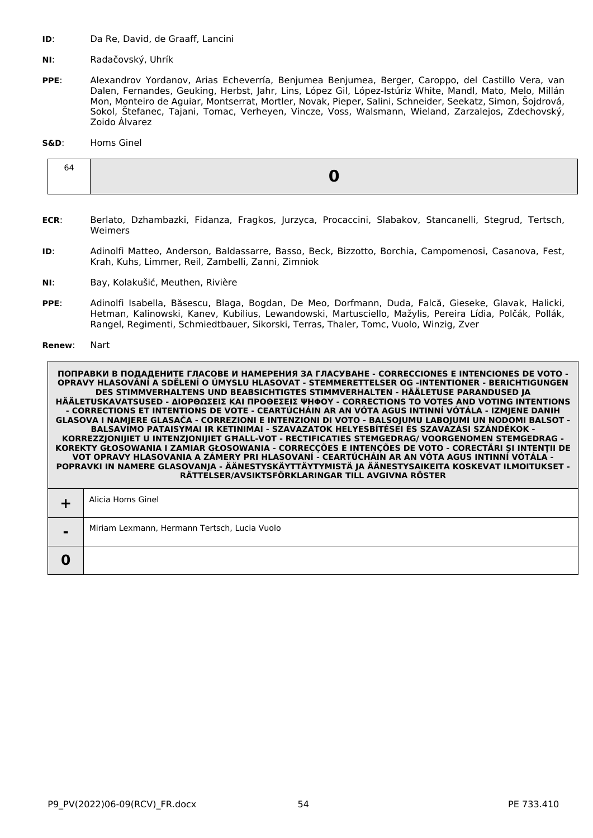- **ID:** Da Re, David, de Graaff, Lancini
- **NI**: Radačovský, Uhrík
- **PPE**: Alexandrov Yordanov, Arias Echeverría, Benjumea Benjumea, Berger, Caroppo, del Castillo Vera, van Dalen, Fernandes, Geuking, Herbst, Jahr, Lins, López Gil, López-Istúriz White, Mandl, Mato, Melo, Millán Mon, Monteiro de Aguiar, Montserrat, Mortler, Novak, Pieper, Salini, Schneider, Seekatz, Simon, Šojdrová, Sokol, Štefanec, Tajani, Tomac, Verheyen, Vincze, Voss, Walsmann, Wieland, Zarzalejos, Zdechovský, Zoido Álvarez

## **S&D**: Homs Ginel

- **ECR**: Berlato, Dzhambazki, Fidanza, Fragkos, Jurzyca, Procaccini, Slabakov, Stancanelli, Stegrud, Tertsch, Weimers
- **ID**: Adinolfi Matteo, Anderson, Baldassarre, Basso, Beck, Bizzotto, Borchia, Campomenosi, Casanova, Fest, Krah, Kuhs, Limmer, Reil, Zambelli, Zanni, Zimniok
- **NI**: Bay, Kolakušić, Meuthen, Rivière
- **PPE**: Adinolfi Isabella, Băsescu, Blaga, Bogdan, De Meo, Dorfmann, Duda, Falcă, Gieseke, Glavak, Halicki, Hetman, Kalinowski, Kanev, Kubilius, Lewandowski, Martusciello, Mažylis, Pereira Lídia, Polčák, Pollák, Rangel, Regimenti, Schmiedtbauer, Sikorski, Terras, Thaler, Tomc, Vuolo, Winzig, Zver

**Renew**: Nart

|                | Alicia Homs Ginel                            |
|----------------|----------------------------------------------|
| $\blacksquare$ | Miriam Lexmann, Hermann Tertsch, Lucia Vuolo |
|                |                                              |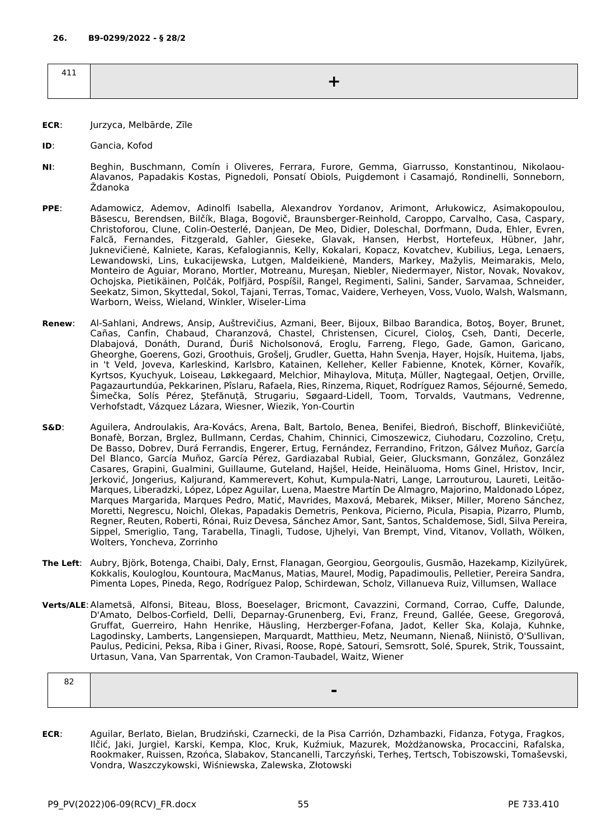| 111<br>411 |  |
|------------|--|
|            |  |
|            |  |

- **ECR**: Jurzyca, Melbārde, Zīle
- **ID**: Gancia, Kofod
- **NI**: Beghin, Buschmann, Comín i Oliveres, Ferrara, Furore, Gemma, Giarrusso, Konstantinou, Nikolaou-Alavanos, Papadakis Kostas, Pignedoli, Ponsatí Obiols, Puigdemont i Casamajó, Rondinelli, Sonneborn, Ždanoka
- **PPE**: Adamowicz, Ademov, Adinolfi Isabella, Alexandrov Yordanov, Arimont, Arłukowicz, Asimakopoulou, Băsescu, Berendsen, Bilčík, Blaga, Bogovič, Braunsberger-Reinhold, Caroppo, Carvalho, Casa, Caspary, Christoforou, Clune, Colin-Oesterlé, Danjean, De Meo, Didier, Doleschal, Dorfmann, Duda, Ehler, Evren, Falcă, Fernandes, Fitzgerald, Gahler, Gieseke, Glavak, Hansen, Herbst, Hortefeux, Hübner, Jahr, Juknevičienė, Kalniete, Karas, Kefalogiannis, Kelly, Kokalari, Kopacz, Kovatchev, Kubilius, Lega, Lenaers, Lewandowski, Lins, Łukacijewska, Lutgen, Maldeikienė, Manders, Markey, Mažylis, Meimarakis, Melo, Monteiro de Aguiar, Morano, Mortler, Motreanu, Mureşan, Niebler, Niedermayer, Nistor, Novak, Novakov, Ochojska, Pietikäinen, Polčák, Polfjärd, Pospíšil, Rangel, Regimenti, Salini, Sander, Sarvamaa, Schneider, Seekatz, Simon, Skyttedal, Sokol, Tajani, Terras, Tomac, Vaidere, Verheyen, Voss, Vuolo, Walsh, Walsmann, Warborn, Weiss, Wieland, Winkler, Wiseler-Lima
- **Renew**: Al-Sahlani, Andrews, Ansip, Auštrevičius, Azmani, Beer, Bijoux, Bilbao Barandica, Botoş, Boyer, Brunet, Cañas, Canfin, Chabaud, Charanzová, Chastel, Christensen, Cicurel, Cioloş, Cseh, Danti, Decerle, Dlabajová, Donáth, Durand, Ďuriš Nicholsonová, Eroglu, Farreng, Flego, Gade, Gamon, Garicano, Gheorghe, Goerens, Gozi, Groothuis, Grošelj, Grudler, Guetta, Hahn Svenja, Hayer, Hojsík, Huitema, Ijabs, in 't Veld, Joveva, Karleskind, Karlsbro, Katainen, Kelleher, Keller Fabienne, Knotek, Körner, Kovařík, Kyrtsos, Kyuchyuk, Loiseau, Løkkegaard, Melchior, Mihaylova, Mituța, Müller, Nagtegaal, Oetjen, Orville, Pagazaurtundúa, Pekkarinen, Pîslaru, Rafaela, Ries, Rinzema, Riquet, Rodríguez Ramos, Séjourné, Semedo, Šimečka, Solís Pérez, Ştefănuță, Strugariu, Søgaard-Lidell, Toom, Torvalds, Vautmans, Vedrenne, Verhofstadt, Vázquez Lázara, Wiesner, Wiezik, Yon-Courtin
- **S&D**: Aguilera, Androulakis, Ara-Kovács, Arena, Balt, Bartolo, Benea, Benifei, Biedroń, Bischoff, Blinkevičiūtė, Bonafè, Borzan, Brglez, Bullmann, Cerdas, Chahim, Chinnici, Cimoszewicz, Ciuhodaru, Cozzolino, Crețu, De Basso, Dobrev, Durá Ferrandis, Engerer, Ertug, Fernández, Ferrandino, Fritzon, Gálvez Muñoz, García Del Blanco, García Muñoz, García Pérez, Gardiazabal Rubial, Geier, Glucksmann, González, González Casares, Grapini, Gualmini, Guillaume, Guteland, Hajšel, Heide, Heinäluoma, Homs Ginel, Hristov, Incir, Jerković, Jongerius, Kaljurand, Kammerevert, Kohut, Kumpula-Natri, Lange, Larrouturou, Laureti, Leitão-Marques, Liberadzki, López, López Aguilar, Luena, Maestre Martín De Almagro, Majorino, Maldonado López, Marques Margarida, Marques Pedro, Matić, Mavrides, Maxová, Mebarek, Mikser, Miller, Moreno Sánchez, Moretti, Negrescu, Noichl, Olekas, Papadakis Demetris, Penkova, Picierno, Picula, Pisapia, Pizarro, Plumb, Regner, Reuten, Roberti, Rónai, Ruiz Devesa, Sánchez Amor, Sant, Santos, Schaldemose, Sidl, Silva Pereira, Sippel, Smeriglio, Tang, Tarabella, Tinagli, Tudose, Ujhelyi, Van Brempt, Vind, Vitanov, Vollath, Wölken, Wolters, Yoncheva, Zorrinho
- **The Left**: Aubry, Björk, Botenga, Chaibi, Daly, Ernst, Flanagan, Georgiou, Georgoulis, Gusmão, Hazekamp, Kizilyürek, Kokkalis, Kouloglou, Kountoura, MacManus, Matias, Maurel, Modig, Papadimoulis, Pelletier, Pereira Sandra, Pimenta Lopes, Pineda, Rego, Rodríguez Palop, Schirdewan, Scholz, Villanueva Ruiz, Villumsen, Wallace
- **Verts/ALE**:Alametsä, Alfonsi, Biteau, Bloss, Boeselager, Bricmont, Cavazzini, Cormand, Corrao, Cuffe, Dalunde, D'Amato, Delbos-Corfield, Delli, Deparnay-Grunenberg, Evi, Franz, Freund, Gallée, Geese, Gregorová, Gruffat, Guerreiro, Hahn Henrike, Häusling, Herzberger-Fofana, Jadot, Keller Ska, Kolaja, Kuhnke, Lagodinsky, Lamberts, Langensiepen, Marquardt, Matthieu, Metz, Neumann, Nienaß, Niinistö, O'Sullivan, Paulus, Pedicini, Peksa, Riba i Giner, Rivasi, Roose, Ropė, Satouri, Semsrott, Solé, Spurek, Strik, Toussaint, Urtasun, Vana, Van Sparrentak, Von Cramon-Taubadel, Waitz, Wiener

**ECR**: Aguilar, Berlato, Bielan, Brudziński, Czarnecki, de la Pisa Carrión, Dzhambazki, Fidanza, Fotyga, Fragkos, Ilčić, Jaki, Jurgiel, Karski, Kempa, Kloc, Kruk, Kuźmiuk, Mazurek, Możdżanowska, Procaccini, Rafalska, Rookmaker, Ruissen, Rzońca, Slabakov, Stancanelli, Tarczyński, Terheş, Tertsch, Tobiszowski, Tomaševski, Vondra, Waszczykowski, Wiśniewska, Zalewska, Złotowski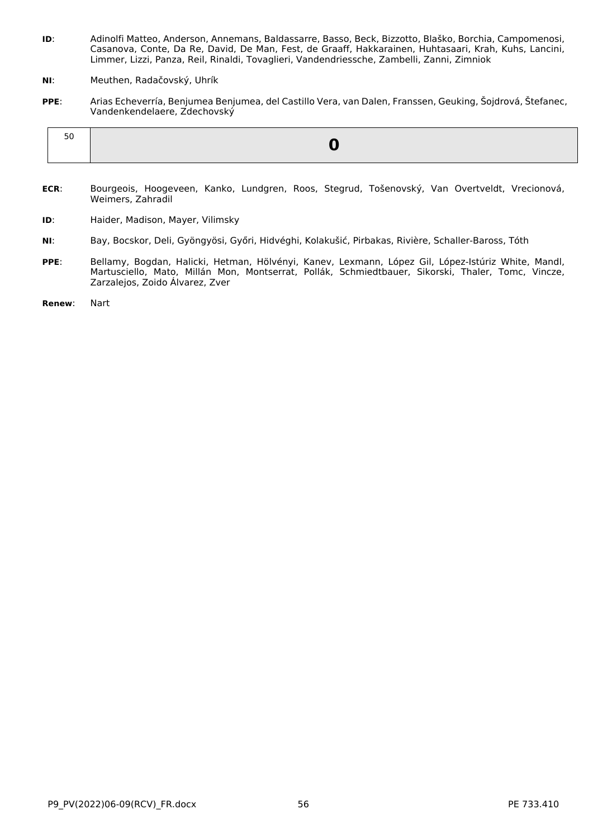- **ID**: Adinolfi Matteo, Anderson, Annemans, Baldassarre, Basso, Beck, Bizzotto, Blaško, Borchia, Campomenosi, Casanova, Conte, Da Re, David, De Man, Fest, de Graaff, Hakkarainen, Huhtasaari, Krah, Kuhs, Lancini, Limmer, Lizzi, Panza, Reil, Rinaldi, Tovaglieri, Vandendriessche, Zambelli, Zanni, Zimniok
- **NI**: Meuthen, Radačovský, Uhrík
- **PPE**: Arias Echeverría, Benjumea Benjumea, del Castillo Vera, van Dalen, Franssen, Geuking, Šojdrová, Štefanec, Vandenkendelaere, Zdechovský

| າ ເ |  |
|-----|--|
|-----|--|

- **ECR**: Bourgeois, Hoogeveen, Kanko, Lundgren, Roos, Stegrud, Tošenovský, Van Overtveldt, Vrecionová, Weimers, Zahradil
- **ID**: Haider, Madison, Mayer, Vilimsky
- **NI**: Bay, Bocskor, Deli, Gyöngyösi, Győri, Hidvéghi, Kolakušić, Pirbakas, Rivière, Schaller-Baross, Tóth
- **PPE**: Bellamy, Bogdan, Halicki, Hetman, Hölvényi, Kanev, Lexmann, López Gil, López-Istúriz White, Mandl, Martusciello, Mato, Millán Mon, Montserrat, Pollák, Schmiedtbauer, Sikorski, Thaler, Tomc, Vincze, Zarzalejos, Zoido Álvarez, Zver
- **Renew**: Nart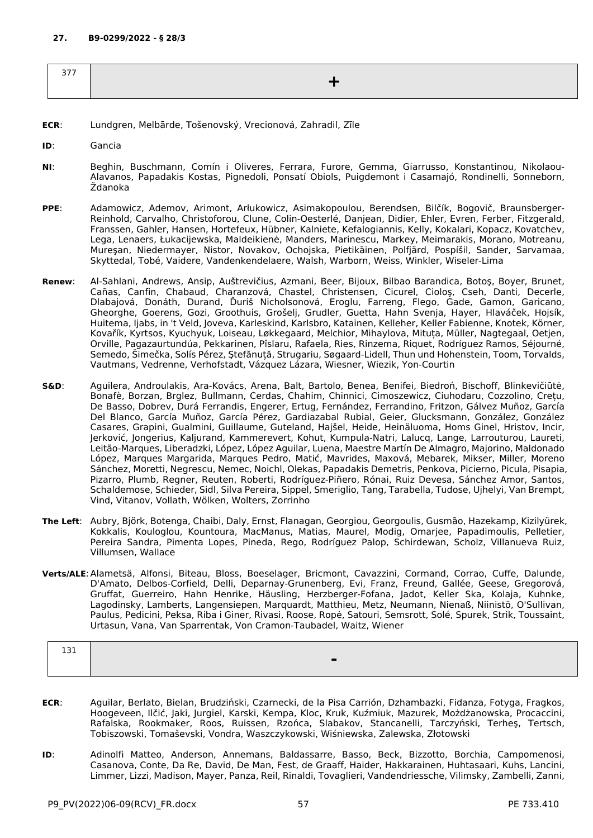| $- - -$ |  |
|---------|--|
|         |  |
|         |  |

- **ECR**: Lundgren, Melbārde, Tošenovský, Vrecionová, Zahradil, Zīle
- **ID**: Gancia
- **NI**: Beghin, Buschmann, Comín i Oliveres, Ferrara, Furore, Gemma, Giarrusso, Konstantinou, Nikolaou-Alavanos, Papadakis Kostas, Pignedoli, Ponsatí Obiols, Puigdemont i Casamajó, Rondinelli, Sonneborn, Ždanoka
- **PPE**: Adamowicz, Ademov, Arimont, Arłukowicz, Asimakopoulou, Berendsen, Bilčík, Bogovič, Braunsberger-Reinhold, Carvalho, Christoforou, Clune, Colin-Oesterlé, Danjean, Didier, Ehler, Evren, Ferber, Fitzgerald, Franssen, Gahler, Hansen, Hortefeux, Hübner, Kalniete, Kefalogiannis, Kelly, Kokalari, Kopacz, Kovatchev, Lega, Lenaers, Łukacijewska, Maldeikienė, Manders, Marinescu, Markey, Meimarakis, Morano, Motreanu, Mureşan, Niedermayer, Nistor, Novakov, Ochojska, Pietikäinen, Polfjärd, Pospíšil, Sander, Sarvamaa, Skyttedal, Tobé, Vaidere, Vandenkendelaere, Walsh, Warborn, Weiss, Winkler, Wiseler-Lima
- **Renew**: Al-Sahlani, Andrews, Ansip, Auštrevičius, Azmani, Beer, Bijoux, Bilbao Barandica, Botoş, Boyer, Brunet, Cañas, Canfin, Chabaud, Charanzová, Chastel, Christensen, Cicurel, Cioloş, Cseh, Danti, Decerle, Dlabajová, Donáth, Durand, Ďuriš Nicholsonová, Eroglu, Farreng, Flego, Gade, Gamon, Garicano, Gheorghe, Goerens, Gozi, Groothuis, Grošelj, Grudler, Guetta, Hahn Svenja, Hayer, Hlaváček, Hojsík, Huitema, Ijabs, in 't Veld, Joveva, Karleskind, Karlsbro, Katainen, Kelleher, Keller Fabienne, Knotek, Körner, Kovařík, Kyrtsos, Kyuchyuk, Loiseau, Løkkegaard, Melchior, Mihaylova, Mituța, Müller, Nagtegaal, Oetjen, Orville, Pagazaurtundúa, Pekkarinen, Pîslaru, Rafaela, Ries, Rinzema, Riquet, Rodríguez Ramos, Séjourné, Semedo, Šimečka, Solís Pérez, Ştefănuță, Strugariu, Søgaard-Lidell, Thun und Hohenstein, Toom, Torvalds, Vautmans, Vedrenne, Verhofstadt, Vázquez Lázara, Wiesner, Wiezik, Yon-Courtin
- **S&D**: Aguilera, Androulakis, Ara-Kovács, Arena, Balt, Bartolo, Benea, Benifei, Biedroń, Bischoff, Blinkevičiūtė, Bonafè, Borzan, Brglez, Bullmann, Cerdas, Chahim, Chinnici, Cimoszewicz, Ciuhodaru, Cozzolino, Crețu, De Basso, Dobrev, Durá Ferrandis, Engerer, Ertug, Fernández, Ferrandino, Fritzon, Gálvez Muñoz, García Del Blanco, García Muñoz, García Pérez, Gardiazabal Rubial, Geier, Glucksmann, González, González Casares, Grapini, Gualmini, Guillaume, Guteland, Hajšel, Heide, Heinäluoma, Homs Ginel, Hristov, Incir, Jerković, Jongerius, Kaljurand, Kammerevert, Kohut, Kumpula-Natri, Lalucq, Lange, Larrouturou, Laureti, Leitão-Marques, Liberadzki, López, López Aguilar, Luena, Maestre Martín De Almagro, Majorino, Maldonado López, Marques Margarida, Marques Pedro, Matić, Mavrides, Maxová, Mebarek, Mikser, Miller, Moreno Sánchez, Moretti, Negrescu, Nemec, Noichl, Olekas, Papadakis Demetris, Penkova, Picierno, Picula, Pisapia, Pizarro, Plumb, Regner, Reuten, Roberti, Rodríguez-Piñero, Rónai, Ruiz Devesa, Sánchez Amor, Santos, Schaldemose, Schieder, Sidl, Silva Pereira, Sippel, Smeriglio, Tang, Tarabella, Tudose, Ujhelyi, Van Brempt, Vind, Vitanov, Vollath, Wölken, Wolters, Zorrinho
- **The Left**: Aubry, Björk, Botenga, Chaibi, Daly, Ernst, Flanagan, Georgiou, Georgoulis, Gusmão, Hazekamp, Kizilyürek, Kokkalis, Kouloglou, Kountoura, MacManus, Matias, Maurel, Modig, Omarjee, Papadimoulis, Pelletier, Pereira Sandra, Pimenta Lopes, Pineda, Rego, Rodríguez Palop, Schirdewan, Scholz, Villanueva Ruiz, Villumsen, Wallace
- **Verts/ALE**:Alametsä, Alfonsi, Biteau, Bloss, Boeselager, Bricmont, Cavazzini, Cormand, Corrao, Cuffe, Dalunde, D'Amato, Delbos-Corfield, Delli, Deparnay-Grunenberg, Evi, Franz, Freund, Gallée, Geese, Gregorová, Gruffat, Guerreiro, Hahn Henrike, Häusling, Herzberger-Fofana, Jadot, Keller Ska, Kolaja, Kuhnke, Lagodinsky, Lamberts, Langensiepen, Marquardt, Matthieu, Metz, Neumann, Nienaß, Niinistö, O'Sullivan, Paulus, Pedicini, Peksa, Riba i Giner, Rivasi, Roose, Ropė, Satouri, Semsrott, Solé, Spurek, Strik, Toussaint, Urtasun, Vana, Van Sparrentak, Von Cramon-Taubadel, Waitz, Wiener

| $\sim$ $\sim$ $\sim$<br>ᆂᇦᆂ |  |
|-----------------------------|--|
|                             |  |
|                             |  |
|                             |  |

- **ECR**: Aguilar, Berlato, Bielan, Brudziński, Czarnecki, de la Pisa Carrión, Dzhambazki, Fidanza, Fotyga, Fragkos, Hoogeveen, Ilčić, Jaki, Jurgiel, Karski, Kempa, Kloc, Kruk, Kuźmiuk, Mazurek, Możdżanowska, Procaccini, Rafalska, Rookmaker, Roos, Ruissen, Rzońca, Slabakov, Stancanelli, Tarczyński, Terheş, Tertsch, Tobiszowski, Tomaševski, Vondra, Waszczykowski, Wiśniewska, Zalewska, Złotowski
- **ID**: Adinolfi Matteo, Anderson, Annemans, Baldassarre, Basso, Beck, Bizzotto, Borchia, Campomenosi, Casanova, Conte, Da Re, David, De Man, Fest, de Graaff, Haider, Hakkarainen, Huhtasaari, Kuhs, Lancini, Limmer, Lizzi, Madison, Mayer, Panza, Reil, Rinaldi, Tovaglieri, Vandendriessche, Vilimsky, Zambelli, Zanni,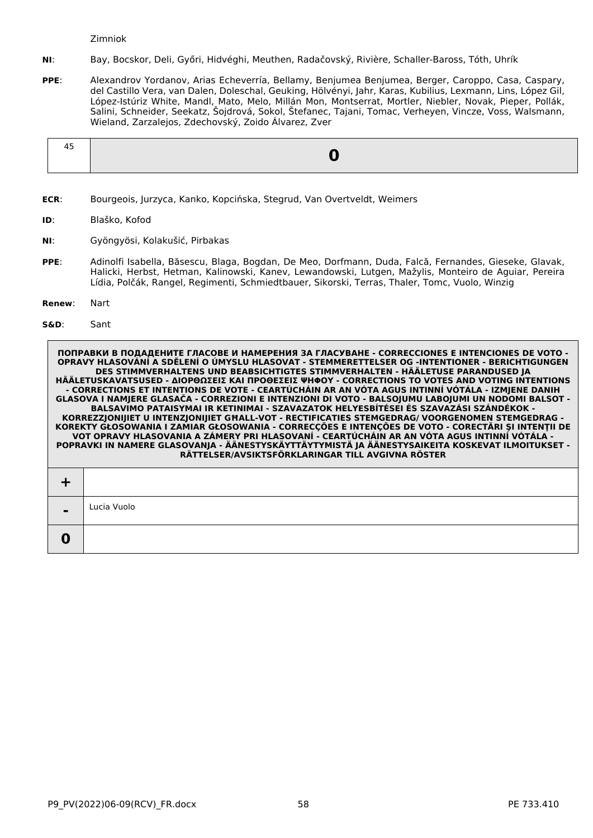Zimniok

- **NI**: Bay, Bocskor, Deli, Győri, Hidvéghi, Meuthen, Radačovský, Rivière, Schaller-Baross, Tóth, Uhrík
- **PPE**: Alexandrov Yordanov, Arias Echeverría, Bellamy, Benjumea Benjumea, Berger, Caroppo, Casa, Caspary, del Castillo Vera, van Dalen, Doleschal, Geuking, Hölvényi, Jahr, Karas, Kubilius, Lexmann, Lins, López Gil, López-Istúriz White, Mandl, Mato, Melo, Millán Mon, Montserrat, Mortler, Niebler, Novak, Pieper, Pollák, Salini, Schneider, Seekatz, Šojdrová, Sokol, Štefanec, Tajani, Tomac, Verheyen, Vincze, Voss, Walsmann, Wieland, Zarzalejos, Zdechovský, Zoido Álvarez, Zver

|--|--|

- **ECR**: Bourgeois, Jurzyca, Kanko, Kopcińska, Stegrud, Van Overtveldt, Weimers
- **ID**: Blaško, Kofod
- **NI**: Gyöngyösi, Kolakušić, Pirbakas
- **PPE**: Adinolfi Isabella, Băsescu, Blaga, Bogdan, De Meo, Dorfmann, Duda, Falcă, Fernandes, Gieseke, Glavak, Halicki, Herbst, Hetman, Kalinowski, Kanev, Lewandowski, Lutgen, Mažylis, Monteiro de Aguiar, Pereira Lídia, Polčák, Rangel, Regimenti, Schmiedtbauer, Sikorski, Terras, Thaler, Tomc, Vuolo, Winzig
- **Renew**: Nart
- **S&D**: Sant

**-**

**0**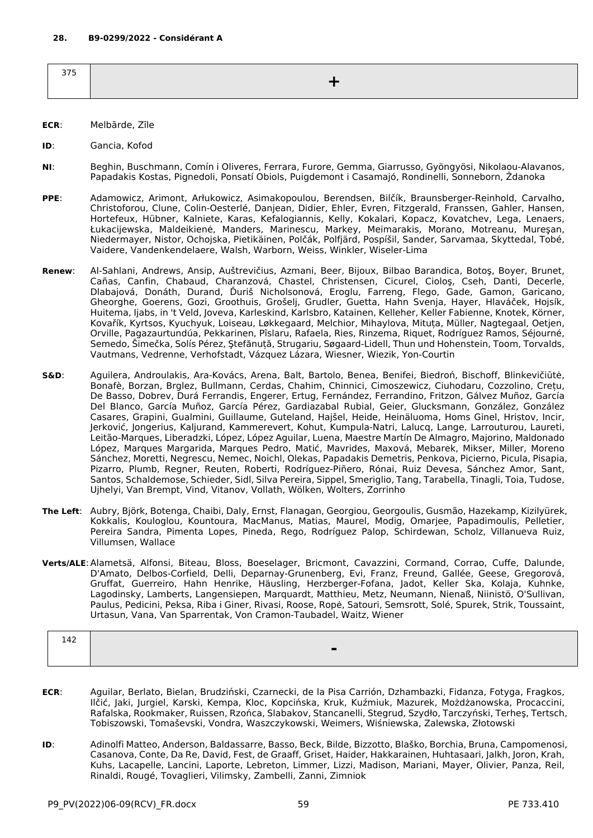- **ECR**: Melbārde, Zīle
- **ID**: Gancia, Kofod
- **NI**: Beghin, Buschmann, Comín i Oliveres, Ferrara, Furore, Gemma, Giarrusso, Gyöngyösi, Nikolaou-Alavanos, Papadakis Kostas, Pignedoli, Ponsatí Obiols, Puigdemont i Casamajó, Rondinelli, Sonneborn, Ždanoka
- **PPE**: Adamowicz, Arimont, Arłukowicz, Asimakopoulou, Berendsen, Bilčík, Braunsberger-Reinhold, Carvalho, Christoforou, Clune, Colin-Oesterlé, Danjean, Didier, Ehler, Evren, Fitzgerald, Franssen, Gahler, Hansen, Hortefeux, Hübner, Kalniete, Karas, Kefalogiannis, Kelly, Kokalari, Kopacz, Kovatchev, Lega, Lenaers, Łukacijewska, Maldeikienė, Manders, Marinescu, Markey, Meimarakis, Morano, Motreanu, Mureşan, Niedermayer, Nistor, Ochojska, Pietikäinen, Polčák, Polfjärd, Pospíšil, Sander, Sarvamaa, Skyttedal, Tobé, Vaidere, Vandenkendelaere, Walsh, Warborn, Weiss, Winkler, Wiseler-Lima
- **Renew**: Al-Sahlani, Andrews, Ansip, Auštrevičius, Azmani, Beer, Bijoux, Bilbao Barandica, Botoş, Boyer, Brunet, Cañas, Canfin, Chabaud, Charanzová, Chastel, Christensen, Cicurel, Cioloş, Cseh, Danti, Decerle, Dlabajová, Donáth, Durand, Ďuriš Nicholsonová, Eroglu, Farreng, Flego, Gade, Gamon, Garicano, Gheorghe, Goerens, Gozi, Groothuis, Grošelj, Grudler, Guetta, Hahn Svenja, Hayer, Hlaváček, Hojsík, Huitema, Ijabs, in 't Veld, Joveva, Karleskind, Karlsbro, Katainen, Kelleher, Keller Fabienne, Knotek, Körner, Kovařík, Kyrtsos, Kyuchyuk, Loiseau, Løkkegaard, Melchior, Mihaylova, Mituța, Müller, Nagtegaal, Oetjen, Orville, Pagazaurtundúa, Pekkarinen, Pîslaru, Rafaela, Ries, Rinzema, Riquet, Rodríguez Ramos, Séjourné, Semedo, Šimečka, Solís Pérez, Ştefănuță, Strugariu, Søgaard-Lidell, Thun und Hohenstein, Toom, Torvalds, Vautmans, Vedrenne, Verhofstadt, Vázquez Lázara, Wiesner, Wiezik, Yon-Courtin
- **S&D**: Aguilera, Androulakis, Ara-Kovács, Arena, Balt, Bartolo, Benea, Benifei, Biedroń, Bischoff, Blinkevičiūtė, Bonafè, Borzan, Brglez, Bullmann, Cerdas, Chahim, Chinnici, Cimoszewicz, Ciuhodaru, Cozzolino, Crețu, De Basso, Dobrev, Durá Ferrandis, Engerer, Ertug, Fernández, Ferrandino, Fritzon, Gálvez Muñoz, García Del Blanco, García Muñoz, García Pérez, Gardiazabal Rubial, Geier, Glucksmann, González, González Casares, Grapini, Gualmini, Guillaume, Guteland, Hajšel, Heide, Heinäluoma, Homs Ginel, Hristov, Incir, Jerković, Jongerius, Kaljurand, Kammerevert, Kohut, Kumpula-Natri, Lalucq, Lange, Larrouturou, Laureti, Leitão-Marques, Liberadzki, López, López Aguilar, Luena, Maestre Martín De Almagro, Majorino, Maldonado López, Marques Margarida, Marques Pedro, Matić, Mavrides, Maxová, Mebarek, Mikser, Miller, Moreno Sánchez, Moretti, Negrescu, Nemec, Noichl, Olekas, Papadakis Demetris, Penkova, Picierno, Picula, Pisapia, Pizarro, Plumb, Regner, Reuten, Roberti, Rodríguez-Piñero, Rónai, Ruiz Devesa, Sánchez Amor, Sant, Santos, Schaldemose, Schieder, Sidl, Silva Pereira, Sippel, Smeriglio, Tang, Tarabella, Tinagli, Toia, Tudose, Ujhelyi, Van Brempt, Vind, Vitanov, Vollath, Wölken, Wolters, Zorrinho
- **The Left**: Aubry, Björk, Botenga, Chaibi, Daly, Ernst, Flanagan, Georgiou, Georgoulis, Gusmão, Hazekamp, Kizilyürek, Kokkalis, Kouloglou, Kountoura, MacManus, Matias, Maurel, Modig, Omarjee, Papadimoulis, Pelletier, Pereira Sandra, Pimenta Lopes, Pineda, Rego, Rodríguez Palop, Schirdewan, Scholz, Villanueva Ruiz, Villumsen, Wallace
- **Verts/ALE**:Alametsä, Alfonsi, Biteau, Bloss, Boeselager, Bricmont, Cavazzini, Cormand, Corrao, Cuffe, Dalunde, D'Amato, Delbos-Corfield, Delli, Deparnay-Grunenberg, Evi, Franz, Freund, Gallée, Geese, Gregorová, Gruffat, Guerreiro, Hahn Henrike, Häusling, Herzberger-Fofana, Jadot, Keller Ska, Kolaja, Kuhnke, Lagodinsky, Lamberts, Langensiepen, Marquardt, Matthieu, Metz, Neumann, Nienaß, Niinistö, O'Sullivan, Paulus, Pedicini, Peksa, Riba i Giner, Rivasi, Roose, Ropė, Satouri, Semsrott, Solé, Spurek, Strik, Toussaint, Urtasun, Vana, Van Sparrentak, Von Cramon-Taubadel, Waitz, Wiener

| 142 |                |
|-----|----------------|
|     | $\blacksquare$ |
|     |                |

- **ECR**: Aguilar, Berlato, Bielan, Brudziński, Czarnecki, de la Pisa Carrión, Dzhambazki, Fidanza, Fotyga, Fragkos, Ilčić, Jaki, Jurgiel, Karski, Kempa, Kloc, Kopcińska, Kruk, Kuźmiuk, Mazurek, Możdżanowska, Procaccini, Rafalska, Rookmaker, Ruissen, Rzońca, Slabakov, Stancanelli, Stegrud, Szydło, Tarczyński, Terheş, Tertsch, Tobiszowski, Tomaševski, Vondra, Waszczykowski, Weimers, Wiśniewska, Zalewska, Złotowski
- **ID**: Adinolfi Matteo, Anderson, Baldassarre, Basso, Beck, Bilde, Bizzotto, Blaško, Borchia, Bruna, Campomenosi, Casanova, Conte, Da Re, David, Fest, de Graaff, Griset, Haider, Hakkarainen, Huhtasaari, Jalkh, Joron, Krah, Kuhs, Lacapelle, Lancini, Laporte, Lebreton, Limmer, Lizzi, Madison, Mariani, Mayer, Olivier, Panza, Reil, Rinaldi, Rougé, Tovaglieri, Vilimsky, Zambelli, Zanni, Zimniok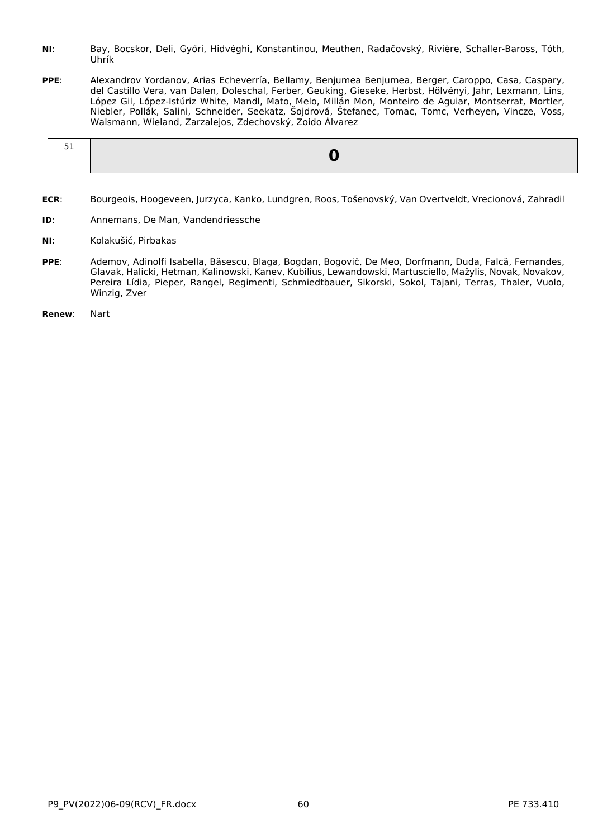- **NI**: Bay, Bocskor, Deli, Győri, Hidvéghi, Konstantinou, Meuthen, Radačovský, Rivière, Schaller-Baross, Tóth, Uhrík
- **PPE**: Alexandrov Yordanov, Arias Echeverría, Bellamy, Benjumea Benjumea, Berger, Caroppo, Casa, Caspary, del Castillo Vera, van Dalen, Doleschal, Ferber, Geuking, Gieseke, Herbst, Hölvényi, Jahr, Lexmann, Lins, López Gil, López-Istúriz White, Mandl, Mato, Melo, Millán Mon, Monteiro de Aguiar, Montserrat, Mortler, Niebler, Pollák, Salini, Schneider, Seekatz, Šojdrová, Štefanec, Tomac, Tomc, Verheyen, Vincze, Voss, Walsmann, Wieland, Zarzalejos, Zdechovský, Zoido Álvarez

- **ECR**: Bourgeois, Hoogeveen, Jurzyca, Kanko, Lundgren, Roos, Tošenovský, Van Overtveldt, Vrecionová, Zahradil
- **ID**: Annemans, De Man, Vandendriessche
- **NI**: Kolakušić, Pirbakas
- **PPE**: Ademov, Adinolfi Isabella, Băsescu, Blaga, Bogdan, Bogovič, De Meo, Dorfmann, Duda, Falcă, Fernandes, Glavak, Halicki, Hetman, Kalinowski, Kanev, Kubilius, Lewandowski, Martusciello, Mažylis, Novak, Novakov, Pereira Lídia, Pieper, Rangel, Regimenti, Schmiedtbauer, Sikorski, Sokol, Tajani, Terras, Thaler, Vuolo, Winzig, Zver
- **Renew**: Nart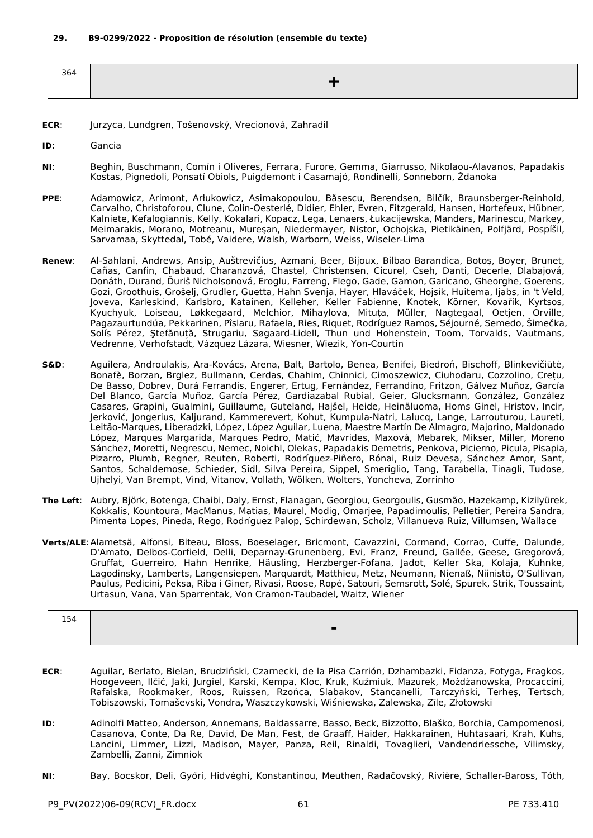| 364 |  |
|-----|--|
|     |  |
|     |  |

- **ECR**: Jurzyca, Lundgren, Tošenovský, Vrecionová, Zahradil
- **ID**: Gancia
- **NI**: Beghin, Buschmann, Comín i Oliveres, Ferrara, Furore, Gemma, Giarrusso, Nikolaou-Alavanos, Papadakis Kostas, Pignedoli, Ponsatí Obiols, Puigdemont i Casamajó, Rondinelli, Sonneborn, Ždanoka
- **PPE**: Adamowicz, Arimont, Arłukowicz, Asimakopoulou, Băsescu, Berendsen, Bilčík, Braunsberger-Reinhold, Carvalho, Christoforou, Clune, Colin-Oesterlé, Didier, Ehler, Evren, Fitzgerald, Hansen, Hortefeux, Hübner, Kalniete, Kefalogiannis, Kelly, Kokalari, Kopacz, Lega, Lenaers, Łukacijewska, Manders, Marinescu, Markey, Meimarakis, Morano, Motreanu, Mureşan, Niedermayer, Nistor, Ochojska, Pietikäinen, Polfjärd, Pospíšil, Sarvamaa, Skyttedal, Tobé, Vaidere, Walsh, Warborn, Weiss, Wiseler-Lima
- **Renew**: Al-Sahlani, Andrews, Ansip, Auštrevičius, Azmani, Beer, Bijoux, Bilbao Barandica, Botoş, Boyer, Brunet, Cañas, Canfin, Chabaud, Charanzová, Chastel, Christensen, Cicurel, Cseh, Danti, Decerle, Dlabajová, Donáth, Durand, Ďuriš Nicholsonová, Eroglu, Farreng, Flego, Gade, Gamon, Garicano, Gheorghe, Goerens, Gozi, Groothuis, Grošelj, Grudler, Guetta, Hahn Svenja, Hayer, Hlaváček, Hojsík, Huitema, Ijabs, in 't Veld, Joveva, Karleskind, Karlsbro, Katainen, Kelleher, Keller Fabienne, Knotek, Körner, Kovařík, Kyrtsos, Kyuchyuk, Loiseau, Løkkegaard, Melchior, Mihaylova, Mituța, Müller, Nagtegaal, Oetjen, Orville, Pagazaurtundúa, Pekkarinen, Pîslaru, Rafaela, Ries, Riquet, Rodríguez Ramos, Séjourné, Semedo, Šimečka, Solís Pérez, Ştefănuță, Strugariu, Søgaard-Lidell, Thun und Hohenstein, Toom, Torvalds, Vautmans, Vedrenne, Verhofstadt, Vázquez Lázara, Wiesner, Wiezik, Yon-Courtin
- **S&D**: Aguilera, Androulakis, Ara-Kovács, Arena, Balt, Bartolo, Benea, Benifei, Biedroń, Bischoff, Blinkevičiūtė, Bonafè, Borzan, Brglez, Bullmann, Cerdas, Chahim, Chinnici, Cimoszewicz, Ciuhodaru, Cozzolino, Crețu, De Basso, Dobrev, Durá Ferrandis, Engerer, Ertug, Fernández, Ferrandino, Fritzon, Gálvez Muñoz, García Del Blanco, García Muñoz, García Pérez, Gardiazabal Rubial, Geier, Glucksmann, González, González Casares, Grapini, Gualmini, Guillaume, Guteland, Hajšel, Heide, Heinäluoma, Homs Ginel, Hristov, Incir, Jerković, Jongerius, Kaljurand, Kammerevert, Kohut, Kumpula-Natri, Lalucq, Lange, Larrouturou, Laureti, Leitão-Marques, Liberadzki, López, López Aguilar, Luena, Maestre Martín De Almagro, Majorino, Maldonado López, Marques Margarida, Marques Pedro, Matić, Mavrides, Maxová, Mebarek, Mikser, Miller, Moreno Sánchez, Moretti, Negrescu, Nemec, Noichl, Olekas, Papadakis Demetris, Penkova, Picierno, Picula, Pisapia, Pizarro, Plumb, Regner, Reuten, Roberti, Rodríguez-Piñero, Rónai, Ruiz Devesa, Sánchez Amor, Sant, Santos, Schaldemose, Schieder, Sidl, Silva Pereira, Sippel, Smeriglio, Tang, Tarabella, Tinagli, Tudose, Ujhelyi, Van Brempt, Vind, Vitanov, Vollath, Wölken, Wolters, Yoncheva, Zorrinho
- **The Left**: Aubry, Björk, Botenga, Chaibi, Daly, Ernst, Flanagan, Georgiou, Georgoulis, Gusmão, Hazekamp, Kizilyürek, Kokkalis, Kountoura, MacManus, Matias, Maurel, Modig, Omarjee, Papadimoulis, Pelletier, Pereira Sandra, Pimenta Lopes, Pineda, Rego, Rodríguez Palop, Schirdewan, Scholz, Villanueva Ruiz, Villumsen, Wallace
- **Verts/ALE**:Alametsä, Alfonsi, Biteau, Bloss, Boeselager, Bricmont, Cavazzini, Cormand, Corrao, Cuffe, Dalunde, D'Amato, Delbos-Corfield, Delli, Deparnay-Grunenberg, Evi, Franz, Freund, Gallée, Geese, Gregorová, Gruffat, Guerreiro, Hahn Henrike, Häusling, Herzberger-Fofana, Jadot, Keller Ska, Kolaja, Kuhnke, Lagodinsky, Lamberts, Langensiepen, Marquardt, Matthieu, Metz, Neumann, Nienaß, Niinistö, O'Sullivan, Paulus, Pedicini, Peksa, Riba i Giner, Rivasi, Roose, Ropė, Satouri, Semsrott, Solé, Spurek, Strik, Toussaint, Urtasun, Vana, Van Sparrentak, Von Cramon-Taubadel, Waitz, Wiener

| 154 |  |
|-----|--|
|     |  |
|     |  |

- **ECR**: Aguilar, Berlato, Bielan, Brudziński, Czarnecki, de la Pisa Carrión, Dzhambazki, Fidanza, Fotyga, Fragkos, Hoogeveen, Ilčić, Jaki, Jurgiel, Karski, Kempa, Kloc, Kruk, Kuźmiuk, Mazurek, Możdżanowska, Procaccini, Rafalska, Rookmaker, Roos, Ruissen, Rzońca, Slabakov, Stancanelli, Tarczyński, Terheş, Tertsch, Tobiszowski, Tomaševski, Vondra, Waszczykowski, Wiśniewska, Zalewska, Zīle, Złotowski
- **ID**: Adinolfi Matteo, Anderson, Annemans, Baldassarre, Basso, Beck, Bizzotto, Blaško, Borchia, Campomenosi, Casanova, Conte, Da Re, David, De Man, Fest, de Graaff, Haider, Hakkarainen, Huhtasaari, Krah, Kuhs, Lancini, Limmer, Lizzi, Madison, Mayer, Panza, Reil, Rinaldi, Tovaglieri, Vandendriessche, Vilimsky, Zambelli, Zanni, Zimniok
- **NI**: Bay, Bocskor, Deli, Győri, Hidvéghi, Konstantinou, Meuthen, Radačovský, Rivière, Schaller-Baross, Tóth,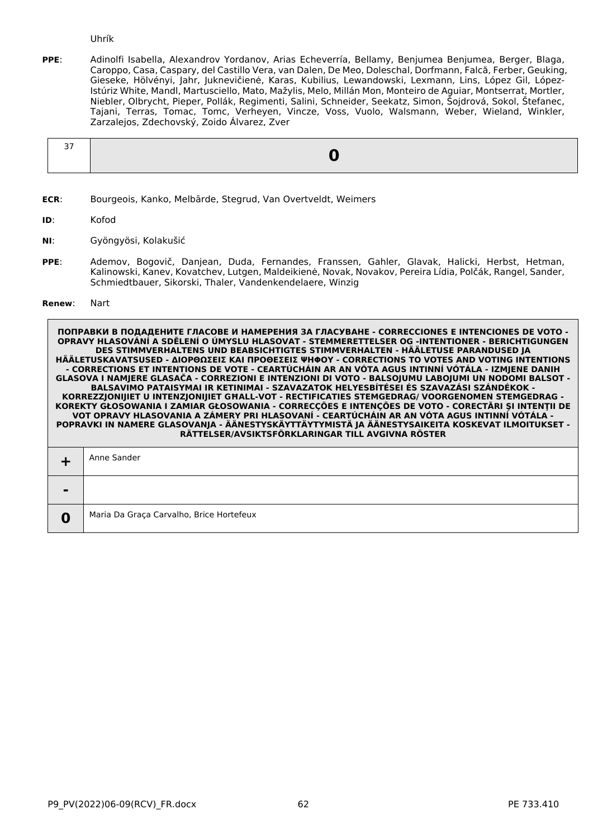Uhrík

**PPE**: Adinolfi Isabella, Alexandrov Yordanov, Arias Echeverría, Bellamy, Benjumea Benjumea, Berger, Blaga, Caroppo, Casa, Caspary, del Castillo Vera, van Dalen, De Meo, Doleschal, Dorfmann, Falcă, Ferber, Geuking, Gieseke, Hölvényi, Jahr, Juknevičienė, Karas, Kubilius, Lewandowski, Lexmann, Lins, López Gil, López-Istúriz White, Mandl, Martusciello, Mato, Mažylis, Melo, Millán Mon, Monteiro de Aguiar, Montserrat, Mortler, Niebler, Olbrycht, Pieper, Pollák, Regimenti, Salini, Schneider, Seekatz, Simon, Šojdrová, Sokol, Štefanec, Tajani, Terras, Tomac, Tomc, Verheyen, Vincze, Voss, Vuolo, Walsmann, Weber, Wieland, Winkler, Zarzalejos, Zdechovský, Zoido Álvarez, Zver

**ECR**: Bourgeois, Kanko, Melbārde, Stegrud, Van Overtveldt, Weimers

**ID**: Kofod

- **NI**: Gyöngyösi, Kolakušić
- **PPE**: Ademov, Bogovič, Danjean, Duda, Fernandes, Franssen, Gahler, Glavak, Halicki, Herbst, Hetman, Kalinowski, Kanev, Kovatchev, Lutgen, Maldeikienė, Novak, Novakov, Pereira Lídia, Polčák, Rangel, Sander, Schmiedtbauer, Sikorski, Thaler, Vandenkendelaere, Winzig

#### **Renew**: Nart

|                | Anne Sander                              |
|----------------|------------------------------------------|
| $\blacksquare$ |                                          |
| 0              | Maria Da Graça Carvalho, Brice Hortefeux |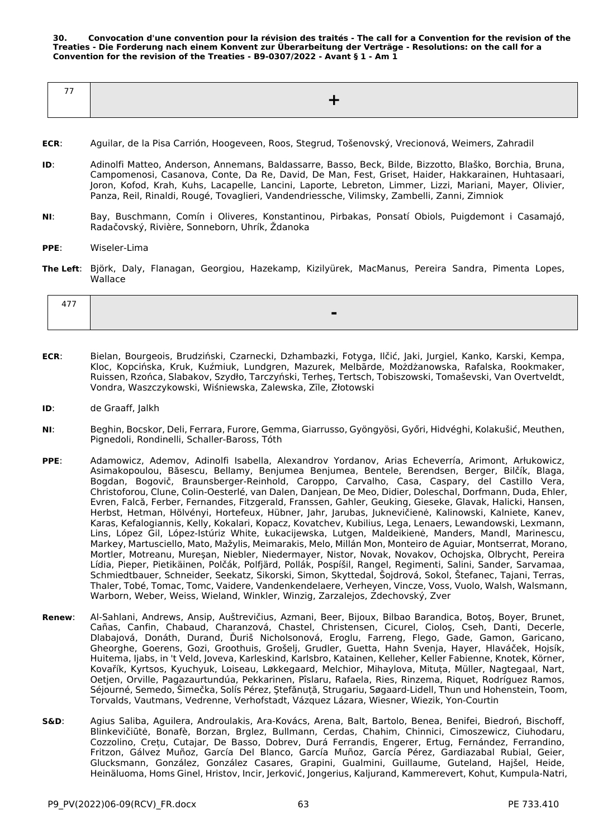**30. Convocation d'une convention pour la révision des traités - The call for a Convention for the revision of the Treaties - Die Forderung nach einem Konvent zur Überarbeitung der Verträge - Resolutions: on the call for a Convention for the revision of the Treaties - B9-0307/2022 - Avant § 1 - Am 1**

| $- -$ |  |
|-------|--|
|       |  |
|       |  |

- **ECR**: Aguilar, de la Pisa Carrión, Hoogeveen, Roos, Stegrud, Tošenovský, Vrecionová, Weimers, Zahradil
- **ID**: Adinolfi Matteo, Anderson, Annemans, Baldassarre, Basso, Beck, Bilde, Bizzotto, Blaško, Borchia, Bruna, Campomenosi, Casanova, Conte, Da Re, David, De Man, Fest, Griset, Haider, Hakkarainen, Huhtasaari, Joron, Kofod, Krah, Kuhs, Lacapelle, Lancini, Laporte, Lebreton, Limmer, Lizzi, Mariani, Mayer, Olivier, Panza, Reil, Rinaldi, Rougé, Tovaglieri, Vandendriessche, Vilimsky, Zambelli, Zanni, Zimniok
- **NI**: Bay, Buschmann, Comín i Oliveres, Konstantinou, Pirbakas, Ponsatí Obiols, Puigdemont i Casamajó, Radačovský, Rivière, Sonneborn, Uhrík, Ždanoka
- **PPE**: Wiseler-Lima
- **The Left**: Björk, Daly, Flanagan, Georgiou, Hazekamp, Kizilyürek, MacManus, Pereira Sandra, Pimenta Lopes, Wallace

| - - - |  |
|-------|--|
|       |  |
|       |  |

- **ECR**: Bielan, Bourgeois, Brudziński, Czarnecki, Dzhambazki, Fotyga, Ilčić, Jaki, Jurgiel, Kanko, Karski, Kempa, Kloc, Kopcińska, Kruk, Kuźmiuk, Lundgren, Mazurek, Melbārde, Możdżanowska, Rafalska, Rookmaker, Ruissen, Rzońca, Slabakov, Szydło, Tarczyński, Terheş, Tertsch, Tobiszowski, Tomaševski, Van Overtveldt, Vondra, Waszczykowski, Wiśniewska, Zalewska, Zīle, Złotowski
- **ID**: de Graaff, Jalkh
- **NI**: Beghin, Bocskor, Deli, Ferrara, Furore, Gemma, Giarrusso, Gyöngyösi, Győri, Hidvéghi, Kolakušić, Meuthen, Pignedoli, Rondinelli, Schaller-Baross, Tóth
- **PPE**: Adamowicz, Ademov, Adinolfi Isabella, Alexandrov Yordanov, Arias Echeverría, Arimont, Arłukowicz, Asimakopoulou, Băsescu, Bellamy, Benjumea Benjumea, Bentele, Berendsen, Berger, Bilčík, Blaga, Bogdan, Bogovič, Braunsberger-Reinhold, Caroppo, Carvalho, Casa, Caspary, del Castillo Vera, Christoforou, Clune, Colin-Oesterlé, van Dalen, Danjean, De Meo, Didier, Doleschal, Dorfmann, Duda, Ehler, Evren, Falcă, Ferber, Fernandes, Fitzgerald, Franssen, Gahler, Geuking, Gieseke, Glavak, Halicki, Hansen, Herbst, Hetman, Hölvényi, Hortefeux, Hübner, Jahr, Jarubas, Juknevičienė, Kalinowski, Kalniete, Kanev, Karas, Kefalogiannis, Kelly, Kokalari, Kopacz, Kovatchev, Kubilius, Lega, Lenaers, Lewandowski, Lexmann, Lins, López Gil, López-Istúriz White, Łukacijewska, Lutgen, Maldeikienė, Manders, Mandl, Marinescu, Markey, Martusciello, Mato, Mažylis, Meimarakis, Melo, Millán Mon, Monteiro de Aguiar, Montserrat, Morano, Mortler, Motreanu, Mureşan, Niebler, Niedermayer, Nistor, Novak, Novakov, Ochojska, Olbrycht, Pereira Lídia, Pieper, Pietikäinen, Polčák, Polfjärd, Pollák, Pospíšil, Rangel, Regimenti, Salini, Sander, Sarvamaa, Schmiedtbauer, Schneider, Seekatz, Sikorski, Simon, Skyttedal, Šojdrová, Sokol, Štefanec, Tajani, Terras, Thaler, Tobé, Tomac, Tomc, Vaidere, Vandenkendelaere, Verheyen, Vincze, Voss, Vuolo, Walsh, Walsmann, Warborn, Weber, Weiss, Wieland, Winkler, Winzig, Zarzalejos, Zdechovský, Zver
- **Renew**: Al-Sahlani, Andrews, Ansip, Auštrevičius, Azmani, Beer, Bijoux, Bilbao Barandica, Botoş, Boyer, Brunet, Cañas, Canfin, Chabaud, Charanzová, Chastel, Christensen, Cicurel, Cioloş, Cseh, Danti, Decerle, Dlabajová, Donáth, Durand, Ďuriš Nicholsonová, Eroglu, Farreng, Flego, Gade, Gamon, Garicano, Gheorghe, Goerens, Gozi, Groothuis, Grošelj, Grudler, Guetta, Hahn Svenja, Hayer, Hlaváček, Hojsík, Huitema, Ijabs, in 't Veld, Joveva, Karleskind, Karlsbro, Katainen, Kelleher, Keller Fabienne, Knotek, Körner, Kovařík, Kyrtsos, Kyuchyuk, Loiseau, Løkkegaard, Melchior, Mihaylova, Mituța, Müller, Nagtegaal, Nart, Oetjen, Orville, Pagazaurtundúa, Pekkarinen, Pîslaru, Rafaela, Ries, Rinzema, Riquet, Rodríguez Ramos, Séjourné, Semedo, Šimečka, Solís Pérez, Ştefănuță, Strugariu, Søgaard-Lidell, Thun und Hohenstein, Toom, Torvalds, Vautmans, Vedrenne, Verhofstadt, Vázquez Lázara, Wiesner, Wiezik, Yon-Courtin
- **S&D**: Agius Saliba, Aguilera, Androulakis, Ara-Kovács, Arena, Balt, Bartolo, Benea, Benifei, Biedroń, Bischoff, Blinkevičiūtė, Bonafè, Borzan, Brglez, Bullmann, Cerdas, Chahim, Chinnici, Cimoszewicz, Ciuhodaru, Cozzolino, Crețu, Cutajar, De Basso, Dobrev, Durá Ferrandis, Engerer, Ertug, Fernández, Ferrandino, Fritzon, Gálvez Muñoz, García Del Blanco, García Muñoz, García Pérez, Gardiazabal Rubial, Geier, Glucksmann, González, González Casares, Grapini, Gualmini, Guillaume, Guteland, Hajšel, Heide, Heinäluoma, Homs Ginel, Hristov, Incir, Jerković, Jongerius, Kaljurand, Kammerevert, Kohut, Kumpula-Natri,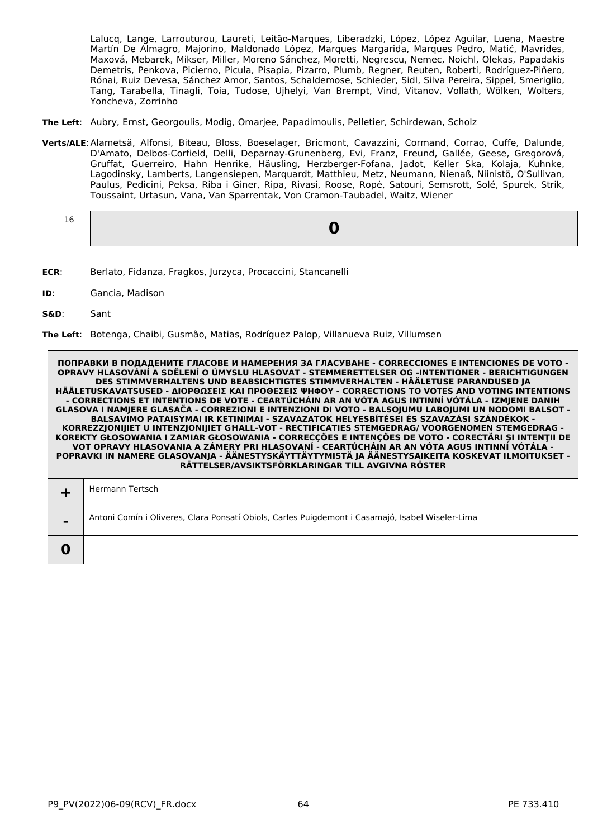Lalucq, Lange, Larrouturou, Laureti, Leitão-Marques, Liberadzki, López, López Aguilar, Luena, Maestre Martín De Almagro, Majorino, Maldonado López, Marques Margarida, Marques Pedro, Matić, Mavrides, Maxová, Mebarek, Mikser, Miller, Moreno Sánchez, Moretti, Negrescu, Nemec, Noichl, Olekas, Papadakis Demetris, Penkova, Picierno, Picula, Pisapia, Pizarro, Plumb, Regner, Reuten, Roberti, Rodríguez-Piñero, Rónai, Ruiz Devesa, Sánchez Amor, Santos, Schaldemose, Schieder, Sidl, Silva Pereira, Sippel, Smeriglio, Tang, Tarabella, Tinagli, Toia, Tudose, Ujhelyi, Van Brempt, Vind, Vitanov, Vollath, Wölken, Wolters, Yoncheva, Zorrinho

- **The Left**: Aubry, Ernst, Georgoulis, Modig, Omarjee, Papadimoulis, Pelletier, Schirdewan, Scholz
- **Verts/ALE**:Alametsä, Alfonsi, Biteau, Bloss, Boeselager, Bricmont, Cavazzini, Cormand, Corrao, Cuffe, Dalunde, D'Amato, Delbos-Corfield, Delli, Deparnay-Grunenberg, Evi, Franz, Freund, Gallée, Geese, Gregorová, Gruffat, Guerreiro, Hahn Henrike, Häusling, Herzberger-Fofana, Jadot, Keller Ska, Kolaja, Kuhnke, Lagodinsky, Lamberts, Langensiepen, Marquardt, Matthieu, Metz, Neumann, Nienaß, Niinistö, O'Sullivan, Paulus, Pedicini, Peksa, Riba i Giner, Ripa, Rivasi, Roose, Ropė, Satouri, Semsrott, Solé, Spurek, Strik, Toussaint, Urtasun, Vana, Van Sparrentak, Von Cramon-Taubadel, Waitz, Wiener

| Τp |  |
|----|--|
|    |  |

- **ECR**: Berlato, Fidanza, Fragkos, Jurzyca, Procaccini, Stancanelli
- **ID**: Gancia, Madison
- **S&D**: Sant

**The Left**: Botenga, Chaibi, Gusmão, Matias, Rodríguez Palop, Villanueva Ruiz, Villumsen

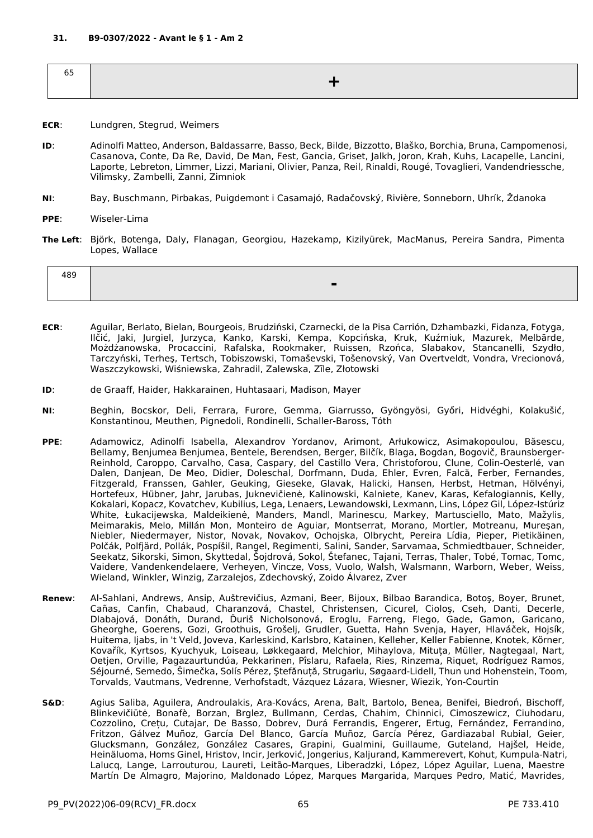- **ECR**: Lundgren, Stegrud, Weimers
- **ID**: Adinolfi Matteo, Anderson, Baldassarre, Basso, Beck, Bilde, Bizzotto, Blaško, Borchia, Bruna, Campomenosi, Casanova, Conte, Da Re, David, De Man, Fest, Gancia, Griset, Jalkh, Joron, Krah, Kuhs, Lacapelle, Lancini, Laporte, Lebreton, Limmer, Lizzi, Mariani, Olivier, Panza, Reil, Rinaldi, Rougé, Tovaglieri, Vandendriessche, Vilimsky, Zambelli, Zanni, Zimniok
- **NI**: Bay, Buschmann, Pirbakas, Puigdemont i Casamajó, Radačovský, Rivière, Sonneborn, Uhrík, Ždanoka
- **PPE**: Wiseler-Lima
- **The Left**: Björk, Botenga, Daly, Flanagan, Georgiou, Hazekamp, Kizilyürek, MacManus, Pereira Sandra, Pimenta Lopes, Wallace

| 100<br>т∪<br>. |                               |
|----------------|-------------------------------|
|                | $\overline{\phantom{a}}$<br>_ |

- **ECR**: Aguilar, Berlato, Bielan, Bourgeois, Brudziński, Czarnecki, de la Pisa Carrión, Dzhambazki, Fidanza, Fotyga, Ilčić, Jaki, Jurgiel, Jurzyca, Kanko, Karski, Kempa, Kopcińska, Kruk, Kuźmiuk, Mazurek, Melbārde, Możdżanowska, Procaccini, Rafalska, Rookmaker, Ruissen, Rzońca, Slabakov, Stancanelli, Szydło, Tarczyński, Terheş, Tertsch, Tobiszowski, Tomaševski, Tošenovský, Van Overtveldt, Vondra, Vrecionová, Waszczykowski, Wiśniewska, Zahradil, Zalewska, Zīle, Złotowski
- **ID**: de Graaff, Haider, Hakkarainen, Huhtasaari, Madison, Mayer
- **NI**: Beghin, Bocskor, Deli, Ferrara, Furore, Gemma, Giarrusso, Gyöngyösi, Győri, Hidvéghi, Kolakušić, Konstantinou, Meuthen, Pignedoli, Rondinelli, Schaller-Baross, Tóth
- **PPE**: Adamowicz, Adinolfi Isabella, Alexandrov Yordanov, Arimont, Arłukowicz, Asimakopoulou, Băsescu, Bellamy, Benjumea Benjumea, Bentele, Berendsen, Berger, Bilčík, Blaga, Bogdan, Bogovič, Braunsberger-Reinhold, Caroppo, Carvalho, Casa, Caspary, del Castillo Vera, Christoforou, Clune, Colin-Oesterlé, van Dalen, Danjean, De Meo, Didier, Doleschal, Dorfmann, Duda, Ehler, Evren, Falcă, Ferber, Fernandes, Fitzgerald, Franssen, Gahler, Geuking, Gieseke, Glavak, Halicki, Hansen, Herbst, Hetman, Hölvényi, Hortefeux, Hübner, Jahr, Jarubas, Juknevičienė, Kalinowski, Kalniete, Kanev, Karas, Kefalogiannis, Kelly, Kokalari, Kopacz, Kovatchev, Kubilius, Lega, Lenaers, Lewandowski, Lexmann, Lins, López Gil, López-Istúriz White, Łukacijewska, Maldeikienė, Manders, Mandl, Marinescu, Markey, Martusciello, Mato, Mažylis, Meimarakis, Melo, Millán Mon, Monteiro de Aguiar, Montserrat, Morano, Mortler, Motreanu, Mureşan, Niebler, Niedermayer, Nistor, Novak, Novakov, Ochojska, Olbrycht, Pereira Lídia, Pieper, Pietikäinen, Polčák, Polfjärd, Pollák, Pospíšil, Rangel, Regimenti, Salini, Sander, Sarvamaa, Schmiedtbauer, Schneider, Seekatz, Sikorski, Simon, Skyttedal, Šojdrová, Sokol, Štefanec, Tajani, Terras, Thaler, Tobé, Tomac, Tomc, Vaidere, Vandenkendelaere, Verheyen, Vincze, Voss, Vuolo, Walsh, Walsmann, Warborn, Weber, Weiss, Wieland, Winkler, Winzig, Zarzalejos, Zdechovský, Zoido Álvarez, Zver
- **Renew**: Al-Sahlani, Andrews, Ansip, Auštrevičius, Azmani, Beer, Bijoux, Bilbao Barandica, Botoş, Boyer, Brunet, Cañas, Canfin, Chabaud, Charanzová, Chastel, Christensen, Cicurel, Cioloş, Cseh, Danti, Decerle, Dlabajová, Donáth, Durand, Ďuriš Nicholsonová, Eroglu, Farreng, Flego, Gade, Gamon, Garicano, Gheorghe, Goerens, Gozi, Groothuis, Grošelj, Grudler, Guetta, Hahn Svenja, Hayer, Hlaváček, Hojsík, Huitema, Ijabs, in 't Veld, Joveva, Karleskind, Karlsbro, Katainen, Kelleher, Keller Fabienne, Knotek, Körner, Kovařík, Kyrtsos, Kyuchyuk, Loiseau, Løkkegaard, Melchior, Mihaylova, Mituța, Müller, Nagtegaal, Nart, Oetjen, Orville, Pagazaurtundúa, Pekkarinen, Pîslaru, Rafaela, Ries, Rinzema, Riquet, Rodríguez Ramos, Séjourné, Semedo, Šimečka, Solís Pérez, Ştefănuță, Strugariu, Søgaard-Lidell, Thun und Hohenstein, Toom, Torvalds, Vautmans, Vedrenne, Verhofstadt, Vázquez Lázara, Wiesner, Wiezik, Yon-Courtin
- **S&D**: Agius Saliba, Aguilera, Androulakis, Ara-Kovács, Arena, Balt, Bartolo, Benea, Benifei, Biedroń, Bischoff, Blinkevičiūtė, Bonafè, Borzan, Brglez, Bullmann, Cerdas, Chahim, Chinnici, Cimoszewicz, Ciuhodaru, Cozzolino, Crețu, Cutajar, De Basso, Dobrev, Durá Ferrandis, Engerer, Ertug, Fernández, Ferrandino, Fritzon, Gálvez Muñoz, García Del Blanco, García Muñoz, García Pérez, Gardiazabal Rubial, Geier, Glucksmann, González, González Casares, Grapini, Gualmini, Guillaume, Guteland, Hajšel, Heide, Heinäluoma, Homs Ginel, Hristov, Incir, Jerković, Jongerius, Kaljurand, Kammerevert, Kohut, Kumpula-Natri, Lalucq, Lange, Larrouturou, Laureti, Leitão-Marques, Liberadzki, López, López Aguilar, Luena, Maestre Martín De Almagro, Majorino, Maldonado López, Marques Margarida, Marques Pedro, Matić, Mavrides,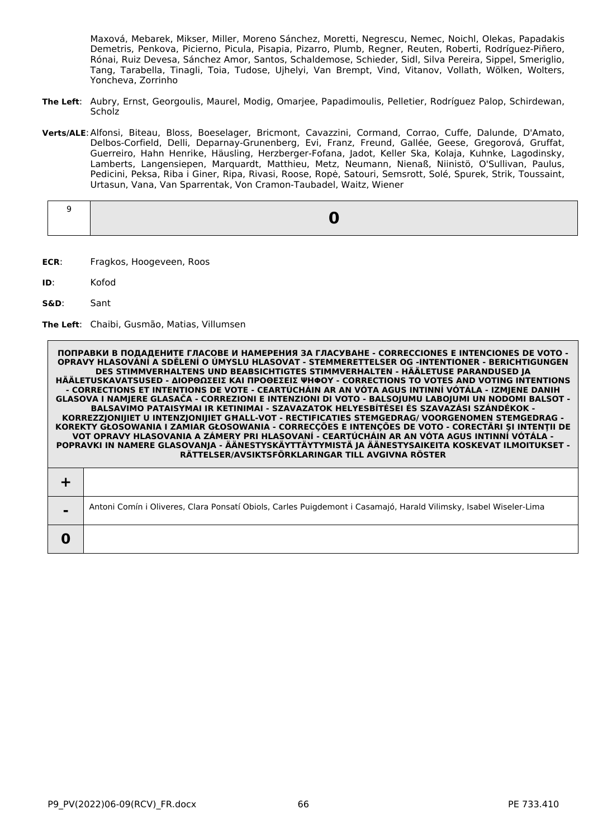Maxová, Mebarek, Mikser, Miller, Moreno Sánchez, Moretti, Negrescu, Nemec, Noichl, Olekas, Papadakis Demetris, Penkova, Picierno, Picula, Pisapia, Pizarro, Plumb, Regner, Reuten, Roberti, Rodríguez-Piñero, Rónai, Ruiz Devesa, Sánchez Amor, Santos, Schaldemose, Schieder, Sidl, Silva Pereira, Sippel, Smeriglio, Tang, Tarabella, Tinagli, Toia, Tudose, Ujhelyi, Van Brempt, Vind, Vitanov, Vollath, Wölken, Wolters, Yoncheva, Zorrinho

- **The Left**: Aubry, Ernst, Georgoulis, Maurel, Modig, Omarjee, Papadimoulis, Pelletier, Rodríguez Palop, Schirdewan, **Scholz**
- **Verts/ALE**:Alfonsi, Biteau, Bloss, Boeselager, Bricmont, Cavazzini, Cormand, Corrao, Cuffe, Dalunde, D'Amato, Delbos-Corfield, Delli, Deparnay-Grunenberg, Evi, Franz, Freund, Gallée, Geese, Gregorová, Gruffat, Guerreiro, Hahn Henrike, Häusling, Herzberger-Fofana, Jadot, Keller Ska, Kolaja, Kuhnke, Lagodinsky, Lamberts, Langensiepen, Marquardt, Matthieu, Metz, Neumann, Nienaß, Niinistö, O'Sullivan, Paulus, Pedicini, Peksa, Riba i Giner, Ripa, Rivasi, Roose, Ropė, Satouri, Semsrott, Solé, Spurek, Strik, Toussaint, Urtasun, Vana, Van Sparrentak, Von Cramon-Taubadel, Waitz, Wiener

- **ECR**: Fragkos, Hoogeveen, Roos
- **ID**: Kofod
- **S&D**: Sant

**The Left**: Chaibi, Gusmão, Matias, Villumsen

| $\blacksquare$ | Antoni Comín i Oliveres, Clara Ponsatí Obiols, Carles Puigdemont i Casamajó, Harald Vilimsky, Isabel Wiseler-Lima |
|----------------|-------------------------------------------------------------------------------------------------------------------|
|                |                                                                                                                   |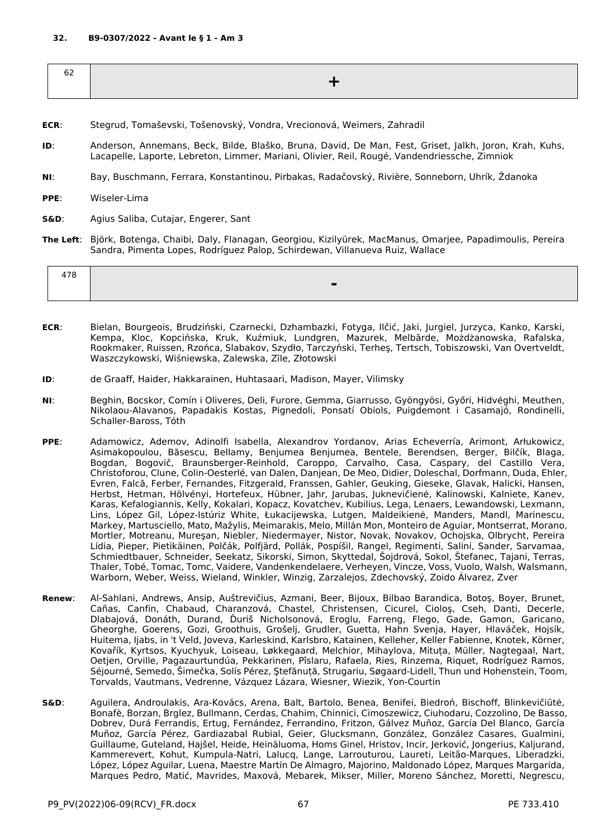| ◡▵<br>$\sim$ $\sim$ |  |
|---------------------|--|
|                     |  |

- **ECR**: Stegrud, Tomaševski, Tošenovský, Vondra, Vrecionová, Weimers, Zahradil
- **ID**: Anderson, Annemans, Beck, Bilde, Blaško, Bruna, David, De Man, Fest, Griset, Jalkh, Joron, Krah, Kuhs, Lacapelle, Laporte, Lebreton, Limmer, Mariani, Olivier, Reil, Rougé, Vandendriessche, Zimniok
- **NI**: Bay, Buschmann, Ferrara, Konstantinou, Pirbakas, Radačovský, Rivière, Sonneborn, Uhrík, Ždanoka
- **PPE**: Wiseler-Lima
- **S&D**: Agius Saliba, Cutajar, Engerer, Sant
- **The Left**: Björk, Botenga, Chaibi, Daly, Flanagan, Georgiou, Kizilyürek, MacManus, Omarjee, Papadimoulis, Pereira Sandra, Pimenta Lopes, Rodríguez Palop, Schirdewan, Villanueva Ruiz, Wallace

| - |
|---|

- **ECR**: Bielan, Bourgeois, Brudziński, Czarnecki, Dzhambazki, Fotyga, Ilčić, Jaki, Jurgiel, Jurzyca, Kanko, Karski, Kempa, Kloc, Kopcińska, Kruk, Kuźmiuk, Lundgren, Mazurek, Melbārde, Możdżanowska, Rafalska, Rookmaker, Ruissen, Rzońca, Slabakov, Szydło, Tarczyński, Terheş, Tertsch, Tobiszowski, Van Overtveldt, Waszczykowski, Wiśniewska, Zalewska, Zīle, Złotowski
- **ID**: de Graaff, Haider, Hakkarainen, Huhtasaari, Madison, Mayer, Vilimsky
- **NI**: Beghin, Bocskor, Comín i Oliveres, Deli, Furore, Gemma, Giarrusso, Gyöngyösi, Győri, Hidvéghi, Meuthen, Nikolaou-Alavanos, Papadakis Kostas, Pignedoli, Ponsatí Obiols, Puigdemont i Casamajó, Rondinelli, Schaller-Baross, Tóth
- **PPE**: Adamowicz, Ademov, Adinolfi Isabella, Alexandrov Yordanov, Arias Echeverría, Arimont, Arłukowicz, Asimakopoulou, Băsescu, Bellamy, Benjumea Benjumea, Bentele, Berendsen, Berger, Bilčík, Blaga, Bogdan, Bogovič, Braunsberger-Reinhold, Caroppo, Carvalho, Casa, Caspary, del Castillo Vera, Christoforou, Clune, Colin-Oesterlé, van Dalen, Danjean, De Meo, Didier, Doleschal, Dorfmann, Duda, Ehler, Evren, Falcă, Ferber, Fernandes, Fitzgerald, Franssen, Gahler, Geuking, Gieseke, Glavak, Halicki, Hansen, Herbst, Hetman, Hölvényi, Hortefeux, Hübner, Jahr, Jarubas, Juknevičienė, Kalinowski, Kalniete, Kanev, Karas, Kefalogiannis, Kelly, Kokalari, Kopacz, Kovatchev, Kubilius, Lega, Lenaers, Lewandowski, Lexmann, Lins, López Gil, López-Istúriz White, Łukacijewska, Lutgen, Maldeikienė, Manders, Mandl, Marinescu, Markey, Martusciello, Mato, Mažylis, Meimarakis, Melo, Millán Mon, Monteiro de Aguiar, Montserrat, Morano, Mortler, Motreanu, Mureşan, Niebler, Niedermayer, Nistor, Novak, Novakov, Ochojska, Olbrycht, Pereira Lídia, Pieper, Pietikäinen, Polčák, Polfjärd, Pollák, Pospíšil, Rangel, Regimenti, Salini, Sander, Sarvamaa, Schmiedtbauer, Schneider, Seekatz, Sikorski, Simon, Skyttedal, Šojdrová, Sokol, Štefanec, Tajani, Terras, Thaler, Tobé, Tomac, Tomc, Vaidere, Vandenkendelaere, Verheyen, Vincze, Voss, Vuolo, Walsh, Walsmann, Warborn, Weber, Weiss, Wieland, Winkler, Winzig, Zarzalejos, Zdechovský, Zoido Álvarez, Zver
- **Renew**: Al-Sahlani, Andrews, Ansip, Auštrevičius, Azmani, Beer, Bijoux, Bilbao Barandica, Botoş, Boyer, Brunet, Cañas, Canfin, Chabaud, Charanzová, Chastel, Christensen, Cicurel, Cioloş, Cseh, Danti, Decerle, Dlabajová, Donáth, Durand, Ďuriš Nicholsonová, Eroglu, Farreng, Flego, Gade, Gamon, Garicano, Gheorghe, Goerens, Gozi, Groothuis, Grošelj, Grudler, Guetta, Hahn Svenja, Hayer, Hlaváček, Hojsík, Huitema, Ijabs, in 't Veld, Joveva, Karleskind, Karlsbro, Katainen, Kelleher, Keller Fabienne, Knotek, Körner, Kovařík, Kyrtsos, Kyuchyuk, Loiseau, Løkkegaard, Melchior, Mihaylova, Mituța, Müller, Nagtegaal, Nart, Oetjen, Orville, Pagazaurtundúa, Pekkarinen, Pîslaru, Rafaela, Ries, Rinzema, Riquet, Rodríguez Ramos, Séjourné, Semedo, Šimečka, Solís Pérez, Ştefănuță, Strugariu, Søgaard-Lidell, Thun und Hohenstein, Toom, Torvalds, Vautmans, Vedrenne, Vázquez Lázara, Wiesner, Wiezik, Yon-Courtin
- **S&D**: Aguilera, Androulakis, Ara-Kovács, Arena, Balt, Bartolo, Benea, Benifei, Biedroń, Bischoff, Blinkevičiūtė, Bonafè, Borzan, Brglez, Bullmann, Cerdas, Chahim, Chinnici, Cimoszewicz, Ciuhodaru, Cozzolino, De Basso, Dobrev, Durá Ferrandis, Ertug, Fernández, Ferrandino, Fritzon, Gálvez Muñoz, García Del Blanco, García Muñoz, García Pérez, Gardiazabal Rubial, Geier, Glucksmann, González, González Casares, Gualmini, Guillaume, Guteland, Hajšel, Heide, Heinäluoma, Homs Ginel, Hristov, Incir, Jerković, Jongerius, Kaljurand, Kammerevert, Kohut, Kumpula-Natri, Lalucq, Lange, Larrouturou, Laureti, Leitão-Marques, Liberadzki, López, López Aguilar, Luena, Maestre Martín De Almagro, Majorino, Maldonado López, Marques Margarida, Marques Pedro, Matić, Mavrides, Maxová, Mebarek, Mikser, Miller, Moreno Sánchez, Moretti, Negrescu,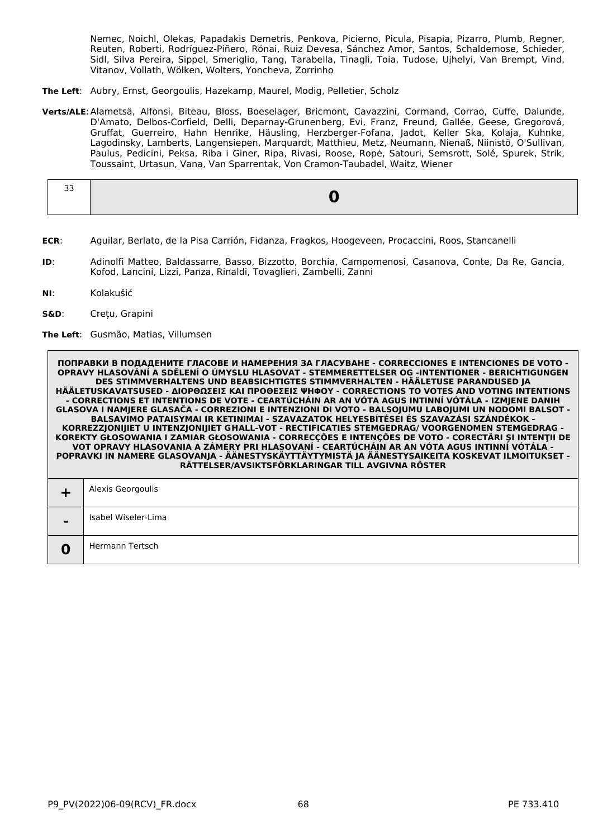Nemec, Noichl, Olekas, Papadakis Demetris, Penkova, Picierno, Picula, Pisapia, Pizarro, Plumb, Regner, Reuten, Roberti, Rodríguez-Piñero, Rónai, Ruiz Devesa, Sánchez Amor, Santos, Schaldemose, Schieder, Sidl, Silva Pereira, Sippel, Smeriglio, Tang, Tarabella, Tinagli, Toia, Tudose, Ujhelyi, Van Brempt, Vind, Vitanov, Vollath, Wölken, Wolters, Yoncheva, Zorrinho

- **The Left**: Aubry, Ernst, Georgoulis, Hazekamp, Maurel, Modig, Pelletier, Scholz
- **Verts/ALE**:Alametsä, Alfonsi, Biteau, Bloss, Boeselager, Bricmont, Cavazzini, Cormand, Corrao, Cuffe, Dalunde, D'Amato, Delbos-Corfield, Delli, Deparnay-Grunenberg, Evi, Franz, Freund, Gallée, Geese, Gregorová, Gruffat, Guerreiro, Hahn Henrike, Häusling, Herzberger-Fofana, Jadot, Keller Ska, Kolaja, Kuhnke, Lagodinsky, Lamberts, Langensiepen, Marquardt, Matthieu, Metz, Neumann, Nienaß, Niinistö, O'Sullivan, Paulus, Pedicini, Peksa, Riba i Giner, Ripa, Rivasi, Roose, Ropė, Satouri, Semsrott, Solé, Spurek, Strik, Toussaint, Urtasun, Vana, Van Sparrentak, Von Cramon-Taubadel, Waitz, Wiener

- **ECR**: Aguilar, Berlato, de la Pisa Carrión, Fidanza, Fragkos, Hoogeveen, Procaccini, Roos, Stancanelli
- **ID**: Adinolfi Matteo, Baldassarre, Basso, Bizzotto, Borchia, Campomenosi, Casanova, Conte, Da Re, Gancia, Kofod, Lancini, Lizzi, Panza, Rinaldi, Tovaglieri, Zambelli, Zanni
- **NI**: Kolakušić
- **S&D**: Crețu, Grapini

**The Left**: Gusmão, Matias, Villumsen

|   | ПОПРАВКИ В ПОДАДЕНИТЕ ГЛАСОВЕ И НАМЕРЕНИЯ ЗА ГЛАСУВАНЕ - CORRECCIONES Е INTENCIONES DE VOTO -<br>OPRAVY HLASOVÁNÍ A SDĚLENÍ O ÚMYSLU HLASOVAT - STEMMERETTELSER OG -INTENTIONER - BERICHTIGUNGEN<br>DES STIMMVERHALTENS UND BEABSICHTIGTES STIMMVERHALTEN - HÄÄLETUSE PARANDUSED JA<br>HÄÄLETUSKAVATSUSED - ΔΙΟΡΘΩΣΕΙΣ ΚΑΙ ΠΡΟΘΕΣΕΙΣ ΨΗΦΟΥ - CORRECTIONS TO VOTES AND VOTING INTENTIONS<br>- CORRECTIONS ET INTENTIONS DE VOTE - CEARTÚCHÁIN AR AN VÓTA AGUS INTINNÍ VÓTÁLA - IZMJENE DANIH<br>GLASOVA I NAMJERE GLASAČA - CORREZIONI E INTENZIONI DI VOTO - BALSOJUMU LABOJUMI UN NODOMI BALSOT -<br>BALSAVIMO PATAISYMAI IR KETINIMAI - SZAVAZATOK HELYESBÍTÉSEI ÉS SZAVAZÁSI SZÁNDÉKOK -<br>KORREZZJONIJIET U INTENZJONIJIET GHALL-VOT - RECTIFICATIES STEMGEDRAG/ VOORGENOMEN STEMGEDRAG -<br>KOREKTY GŁOSOWANIA I ZAMIAR GŁOSOWANIA - CORRECÇÕES E INTENÇÕES DE VOTO - CORECTĂRI ȘI INTENȚII DE<br>VOT OPRAVY HLASOVANIA A ZÁMERY PRI HLASOVANÍ - CEARTÚCHÁIN AR AN VÓTA AGUS INTINNÍ VÓTÁLA -<br>POPRAVKI IN NAMERE GLASOVANJA - ÄÄNESTYSKÄYTTÄYTYMISTÄ JA ÄÄNESTYSAIKEITA KOSKEVAT ILMOITUKSET -<br>RÄTTELSER/AVSIKTSFÖRKLARINGAR TILL AVGIVNA RÖSTER |
|---|--------------------------------------------------------------------------------------------------------------------------------------------------------------------------------------------------------------------------------------------------------------------------------------------------------------------------------------------------------------------------------------------------------------------------------------------------------------------------------------------------------------------------------------------------------------------------------------------------------------------------------------------------------------------------------------------------------------------------------------------------------------------------------------------------------------------------------------------------------------------------------------------------------------------------------------------------------------------------------------------------------------------------------------------------------------------------------------------------------------------------------------------------------------|
|   | Alexis Georgoulis                                                                                                                                                                                                                                                                                                                                                                                                                                                                                                                                                                                                                                                                                                                                                                                                                                                                                                                                                                                                                                                                                                                                            |
|   | Isabel Wiseler-Lima                                                                                                                                                                                                                                                                                                                                                                                                                                                                                                                                                                                                                                                                                                                                                                                                                                                                                                                                                                                                                                                                                                                                          |
| O | Hermann Tertsch                                                                                                                                                                                                                                                                                                                                                                                                                                                                                                                                                                                                                                                                                                                                                                                                                                                                                                                                                                                                                                                                                                                                              |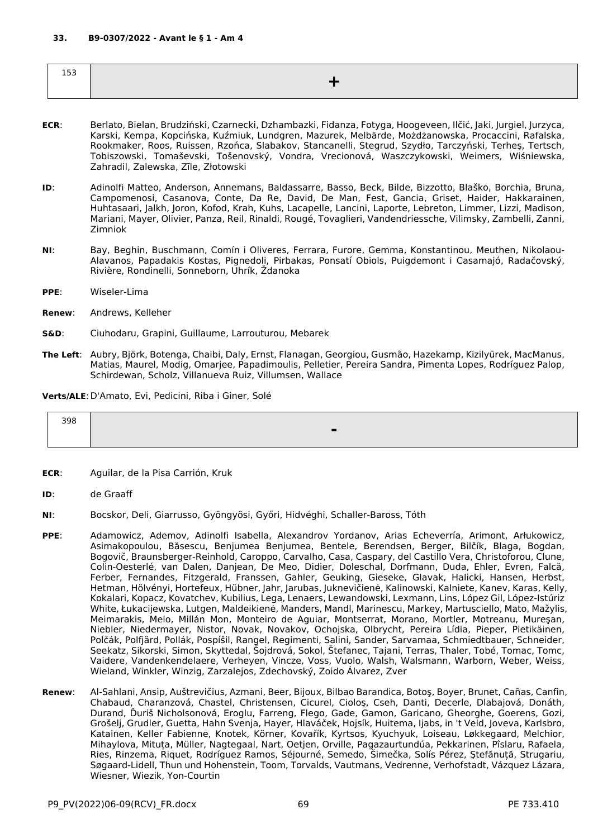| --- |  |
|-----|--|
|     |  |

- **ECR**: Berlato, Bielan, Brudziński, Czarnecki, Dzhambazki, Fidanza, Fotyga, Hoogeveen, Ilčić, Jaki, Jurgiel, Jurzyca, Karski, Kempa, Kopcińska, Kuźmiuk, Lundgren, Mazurek, Melbārde, Możdżanowska, Procaccini, Rafalska, Rookmaker, Roos, Ruissen, Rzońca, Slabakov, Stancanelli, Stegrud, Szydło, Tarczyński, Terheş, Tertsch, Tobiszowski, Tomaševski, Tošenovský, Vondra, Vrecionová, Waszczykowski, Weimers, Wiśniewska, Zahradil, Zalewska, Zīle, Złotowski
- **ID**: Adinolfi Matteo, Anderson, Annemans, Baldassarre, Basso, Beck, Bilde, Bizzotto, Blaško, Borchia, Bruna, Campomenosi, Casanova, Conte, Da Re, David, De Man, Fest, Gancia, Griset, Haider, Hakkarainen, Huhtasaari, Jalkh, Joron, Kofod, Krah, Kuhs, Lacapelle, Lancini, Laporte, Lebreton, Limmer, Lizzi, Madison, Mariani, Mayer, Olivier, Panza, Reil, Rinaldi, Rougé, Tovaglieri, Vandendriessche, Vilimsky, Zambelli, Zanni, Zimniok
- **NI**: Bay, Beghin, Buschmann, Comín i Oliveres, Ferrara, Furore, Gemma, Konstantinou, Meuthen, Nikolaou-Alavanos, Papadakis Kostas, Pignedoli, Pirbakas, Ponsatí Obiols, Puigdemont i Casamajó, Radačovský, Rivière, Rondinelli, Sonneborn, Uhrík, Ždanoka
- **PPE**: Wiseler-Lima
- **Renew**: Andrews, Kelleher
- **S&D**: Ciuhodaru, Grapini, Guillaume, Larrouturou, Mebarek
- **The Left**: Aubry, Björk, Botenga, Chaibi, Daly, Ernst, Flanagan, Georgiou, Gusmão, Hazekamp, Kizilyürek, MacManus, Matias, Maurel, Modig, Omarjee, Papadimoulis, Pelletier, Pereira Sandra, Pimenta Lopes, Rodríguez Palop, Schirdewan, Scholz, Villanueva Ruiz, Villumsen, Wallace

**Verts/ALE**:D'Amato, Evi, Pedicini, Riba i Giner, Solé

| 398 |   |
|-----|---|
|     | ▬ |
|     |   |

- **ECR**: Aguilar, de la Pisa Carrión, Kruk
- **ID**: de Graaff
- **NI**: Bocskor, Deli, Giarrusso, Gyöngyösi, Győri, Hidvéghi, Schaller-Baross, Tóth
- **PPE**: Adamowicz, Ademov, Adinolfi Isabella, Alexandrov Yordanov, Arias Echeverría, Arimont, Arłukowicz, Asimakopoulou, Băsescu, Benjumea Benjumea, Bentele, Berendsen, Berger, Bilčík, Blaga, Bogdan, Bogovič, Braunsberger-Reinhold, Caroppo, Carvalho, Casa, Caspary, del Castillo Vera, Christoforou, Clune, Colin-Oesterlé, van Dalen, Danjean, De Meo, Didier, Doleschal, Dorfmann, Duda, Ehler, Evren, Falcă, Ferber, Fernandes, Fitzgerald, Franssen, Gahler, Geuking, Gieseke, Glavak, Halicki, Hansen, Herbst, Hetman, Hölvényi, Hortefeux, Hübner, Jahr, Jarubas, Juknevičienė, Kalinowski, Kalniete, Kanev, Karas, Kelly, Kokalari, Kopacz, Kovatchev, Kubilius, Lega, Lenaers, Lewandowski, Lexmann, Lins, López Gil, López-Istúriz White, Łukacijewska, Lutgen, Maldeikienė, Manders, Mandl, Marinescu, Markey, Martusciello, Mato, Mažylis, Meimarakis, Melo, Millán Mon, Monteiro de Aguiar, Montserrat, Morano, Mortler, Motreanu, Mureşan, Niebler, Niedermayer, Nistor, Novak, Novakov, Ochojska, Olbrycht, Pereira Lídia, Pieper, Pietikäinen, Polčák, Polfjärd, Pollák, Pospíšil, Rangel, Regimenti, Salini, Sander, Sarvamaa, Schmiedtbauer, Schneider, Seekatz, Sikorski, Simon, Skyttedal, Šojdrová, Sokol, Štefanec, Tajani, Terras, Thaler, Tobé, Tomac, Tomc, Vaidere, Vandenkendelaere, Verheyen, Vincze, Voss, Vuolo, Walsh, Walsmann, Warborn, Weber, Weiss, Wieland, Winkler, Winzig, Zarzalejos, Zdechovský, Zoido Álvarez, Zver
- **Renew**: Al-Sahlani, Ansip, Auštrevičius, Azmani, Beer, Bijoux, Bilbao Barandica, Botoş, Boyer, Brunet, Cañas, Canfin, Chabaud, Charanzová, Chastel, Christensen, Cicurel, Cioloş, Cseh, Danti, Decerle, Dlabajová, Donáth, Durand, Ďuriš Nicholsonová, Eroglu, Farreng, Flego, Gade, Gamon, Garicano, Gheorghe, Goerens, Gozi, Grošelj, Grudler, Guetta, Hahn Svenja, Hayer, Hlaváček, Hojsík, Huitema, Ijabs, in 't Veld, Joveva, Karlsbro, Katainen, Keller Fabienne, Knotek, Körner, Kovařík, Kyrtsos, Kyuchyuk, Loiseau, Løkkegaard, Melchior, Mihaylova, Mituța, Müller, Nagtegaal, Nart, Oetjen, Orville, Pagazaurtundúa, Pekkarinen, Pîslaru, Rafaela, Ries, Rinzema, Riquet, Rodríguez Ramos, Séjourné, Semedo, Šimečka, Solís Pérez, Ştefănuță, Strugariu, Søgaard-Lidell, Thun und Hohenstein, Toom, Torvalds, Vautmans, Vedrenne, Verhofstadt, Vázquez Lázara, Wiesner, Wiezik, Yon-Courtin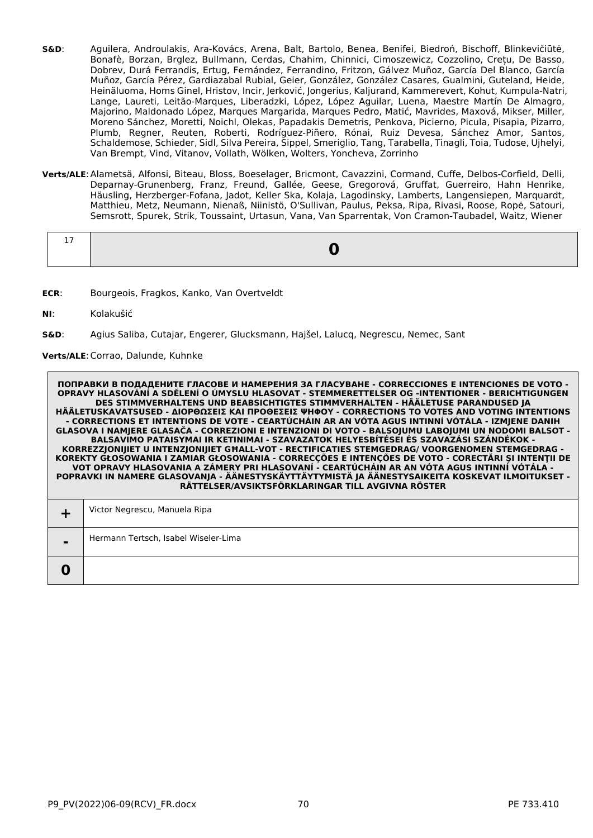- **S&D**: Aguilera, Androulakis, Ara-Kovács, Arena, Balt, Bartolo, Benea, Benifei, Biedroń, Bischoff, Blinkevičiūtė, Bonafè, Borzan, Brglez, Bullmann, Cerdas, Chahim, Chinnici, Cimoszewicz, Cozzolino, Crețu, De Basso, Dobrev, Durá Ferrandis, Ertug, Fernández, Ferrandino, Fritzon, Gálvez Muñoz, García Del Blanco, García Muñoz, García Pérez, Gardiazabal Rubial, Geier, González, González Casares, Gualmini, Guteland, Heide, Heinäluoma, Homs Ginel, Hristov, Incir, Jerković, Jongerius, Kaljurand, Kammerevert, Kohut, Kumpula-Natri, Lange, Laureti, Leitão-Marques, Liberadzki, López, López Aguilar, Luena, Maestre Martín De Almagro, Majorino, Maldonado López, Marques Margarida, Marques Pedro, Matić, Mavrides, Maxová, Mikser, Miller, Moreno Sánchez, Moretti, Noichl, Olekas, Papadakis Demetris, Penkova, Picierno, Picula, Pisapia, Pizarro, Plumb, Regner, Reuten, Roberti, Rodríguez-Piñero, Rónai, Ruiz Devesa, Sánchez Amor, Santos, Schaldemose, Schieder, Sidl, Silva Pereira, Sippel, Smeriglio, Tang, Tarabella, Tinagli, Toia, Tudose, Ujhelyi, Van Brempt, Vind, Vitanov, Vollath, Wölken, Wolters, Yoncheva, Zorrinho
- **Verts/ALE**:Alametsä, Alfonsi, Biteau, Bloss, Boeselager, Bricmont, Cavazzini, Cormand, Cuffe, Delbos-Corfield, Delli, Deparnay-Grunenberg, Franz, Freund, Gallée, Geese, Gregorová, Gruffat, Guerreiro, Hahn Henrike, Häusling, Herzberger-Fofana, Jadot, Keller Ska, Kolaja, Lagodinsky, Lamberts, Langensiepen, Marquardt, Matthieu, Metz, Neumann, Nienaß, Niinistö, O'Sullivan, Paulus, Peksa, Ripa, Rivasi, Roose, Ropė, Satouri, Semsrott, Spurek, Strik, Toussaint, Urtasun, Vana, Van Sparrentak, Von Cramon-Taubadel, Waitz, Wiener

- **ECR**: Bourgeois, Fragkos, Kanko, Van Overtveldt
- **NI**: Kolakušić
- **S&D**: Agius Saliba, Cutajar, Engerer, Glucksmann, Hajšel, Lalucq, Negrescu, Nemec, Sant

# **Verts/ALE**:Corrao, Dalunde, Kuhnke

|                | Victor Negrescu, Manuela Ripa        |
|----------------|--------------------------------------|
| $\blacksquare$ | Hermann Tertsch, Isabel Wiseler-Lima |
| $\bf{0}$       |                                      |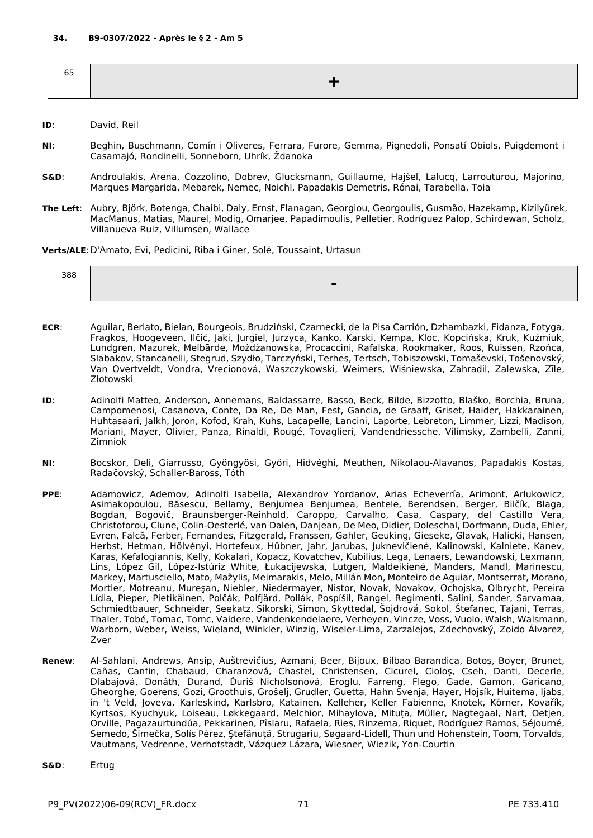| ັ |  |
|---|--|
|   |  |
|   |  |

- **ID**: David, Reil
- **NI**: Beghin, Buschmann, Comín i Oliveres, Ferrara, Furore, Gemma, Pignedoli, Ponsatí Obiols, Puigdemont i Casamajó, Rondinelli, Sonneborn, Uhrík, Ždanoka
- **S&D**: Androulakis, Arena, Cozzolino, Dobrev, Glucksmann, Guillaume, Hajšel, Lalucq, Larrouturou, Majorino, Marques Margarida, Mebarek, Nemec, Noichl, Papadakis Demetris, Rónai, Tarabella, Toia
- **The Left**: Aubry, Björk, Botenga, Chaibi, Daly, Ernst, Flanagan, Georgiou, Georgoulis, Gusmão, Hazekamp, Kizilyürek, MacManus, Matias, Maurel, Modig, Omarjee, Papadimoulis, Pelletier, Rodríguez Palop, Schirdewan, Scholz, Villanueva Ruiz, Villumsen, Wallace

**Verts/ALE**:D'Amato, Evi, Pedicini, Riba i Giner, Solé, Toussaint, Urtasun

| 388 |             |
|-----|-------------|
|     | $\sim$<br>_ |

- **ECR**: Aguilar, Berlato, Bielan, Bourgeois, Brudziński, Czarnecki, de la Pisa Carrión, Dzhambazki, Fidanza, Fotyga, Fragkos, Hoogeveen, Ilčić, Jaki, Jurgiel, Jurzyca, Kanko, Karski, Kempa, Kloc, Kopcińska, Kruk, Kuźmiuk, Lundgren, Mazurek, Melbārde, Możdżanowska, Procaccini, Rafalska, Rookmaker, Roos, Ruissen, Rzońca, Slabakov, Stancanelli, Stegrud, Szydło, Tarczyński, Terheş, Tertsch, Tobiszowski, Tomaševski, Tošenovský, Van Overtveldt, Vondra, Vrecionová, Waszczykowski, Weimers, Wiśniewska, Zahradil, Zalewska, Zīle, Złotowski
- **ID**: Adinolfi Matteo, Anderson, Annemans, Baldassarre, Basso, Beck, Bilde, Bizzotto, Blaško, Borchia, Bruna, Campomenosi, Casanova, Conte, Da Re, De Man, Fest, Gancia, de Graaff, Griset, Haider, Hakkarainen, Huhtasaari, Jalkh, Joron, Kofod, Krah, Kuhs, Lacapelle, Lancini, Laporte, Lebreton, Limmer, Lizzi, Madison, Mariani, Mayer, Olivier, Panza, Rinaldi, Rougé, Tovaglieri, Vandendriessche, Vilimsky, Zambelli, Zanni, Zimniok
- **NI**: Bocskor, Deli, Giarrusso, Gyöngyösi, Győri, Hidvéghi, Meuthen, Nikolaou-Alavanos, Papadakis Kostas, Radačovský, Schaller-Baross, Tóth
- **PPE**: Adamowicz, Ademov, Adinolfi Isabella, Alexandrov Yordanov, Arias Echeverría, Arimont, Arłukowicz, Asimakopoulou, Băsescu, Bellamy, Benjumea Benjumea, Bentele, Berendsen, Berger, Bilčík, Blaga, Bogdan, Bogovič, Braunsberger-Reinhold, Caroppo, Carvalho, Casa, Caspary, del Castillo Vera, Christoforou, Clune, Colin-Oesterlé, van Dalen, Danjean, De Meo, Didier, Doleschal, Dorfmann, Duda, Ehler, Evren, Falcă, Ferber, Fernandes, Fitzgerald, Franssen, Gahler, Geuking, Gieseke, Glavak, Halicki, Hansen, Herbst, Hetman, Hölvényi, Hortefeux, Hübner, Jahr, Jarubas, Juknevičienė, Kalinowski, Kalniete, Kanev, Karas, Kefalogiannis, Kelly, Kokalari, Kopacz, Kovatchev, Kubilius, Lega, Lenaers, Lewandowski, Lexmann, Lins, López Gil, López-Istúriz White, Łukacijewska, Lutgen, Maldeikienė, Manders, Mandl, Marinescu, Markey, Martusciello, Mato, Mažylis, Meimarakis, Melo, Millán Mon, Monteiro de Aguiar, Montserrat, Morano, Mortler, Motreanu, Mureşan, Niebler, Niedermayer, Nistor, Novak, Novakov, Ochojska, Olbrycht, Pereira Lídia, Pieper, Pietikäinen, Polčák, Polfjärd, Pollák, Pospíšil, Rangel, Regimenti, Salini, Sander, Sarvamaa, Schmiedtbauer, Schneider, Seekatz, Sikorski, Simon, Skyttedal, Šojdrová, Sokol, Štefanec, Tajani, Terras, Thaler, Tobé, Tomac, Tomc, Vaidere, Vandenkendelaere, Verheyen, Vincze, Voss, Vuolo, Walsh, Walsmann, Warborn, Weber, Weiss, Wieland, Winkler, Winzig, Wiseler-Lima, Zarzalejos, Zdechovský, Zoido Álvarez, Zver
- **Renew**: Al-Sahlani, Andrews, Ansip, Auštrevičius, Azmani, Beer, Bijoux, Bilbao Barandica, Botoş, Boyer, Brunet, Cañas, Canfin, Chabaud, Charanzová, Chastel, Christensen, Cicurel, Cioloş, Cseh, Danti, Decerle, Dlabajová, Donáth, Durand, Ďuriš Nicholsonová, Eroglu, Farreng, Flego, Gade, Gamon, Garicano, Gheorghe, Goerens, Gozi, Groothuis, Grošelj, Grudler, Guetta, Hahn Svenja, Hayer, Hojsík, Huitema, Ijabs, in 't Veld, Joveva, Karleskind, Karlsbro, Katainen, Kelleher, Keller Fabienne, Knotek, Körner, Kovařík, Kyrtsos, Kyuchyuk, Loiseau, Løkkegaard, Melchior, Mihaylova, Mituța, Müller, Nagtegaal, Nart, Oetjen, Orville, Pagazaurtundúa, Pekkarinen, Pîslaru, Rafaela, Ries, Rinzema, Riquet, Rodríguez Ramos, Séjourné, Semedo, Šimečka, Solís Pérez, Ştefănuță, Strugariu, Søgaard-Lidell, Thun und Hohenstein, Toom, Torvalds, Vautmans, Vedrenne, Verhofstadt, Vázquez Lázara, Wiesner, Wiezik, Yon-Courtin
- **S&D**: Ertug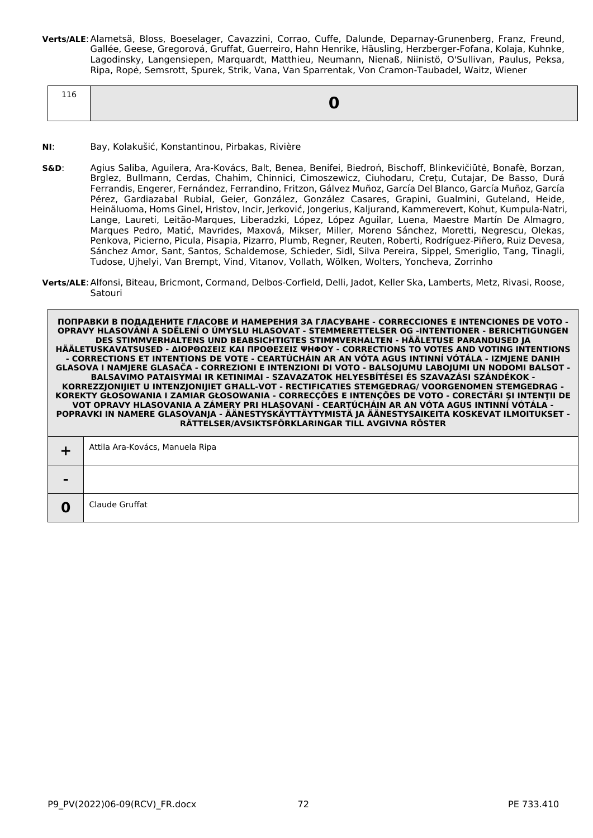**Verts/ALE**:Alametsä, Bloss, Boeselager, Cavazzini, Corrao, Cuffe, Dalunde, Deparnay-Grunenberg, Franz, Freund, Gallée, Geese, Gregorová, Gruffat, Guerreiro, Hahn Henrike, Häusling, Herzberger-Fofana, Kolaja, Kuhnke, Lagodinsky, Langensiepen, Marquardt, Matthieu, Neumann, Nienaß, Niinistö, O'Sullivan, Paulus, Peksa, Ripa, Ropė, Semsrott, Spurek, Strik, Vana, Van Sparrentak, Von Cramon-Taubadel, Waitz, Wiener

| 116 | O |
|-----|---|
|     |   |

- **NI**: Bay, Kolakušić, Konstantinou, Pirbakas, Rivière
- **S&D**: Agius Saliba, Aguilera, Ara-Kovács, Balt, Benea, Benifei, Biedroń, Bischoff, Blinkevičiūtė, Bonafè, Borzan, Brglez, Bullmann, Cerdas, Chahim, Chinnici, Cimoszewicz, Ciuhodaru, Crețu, Cutajar, De Basso, Durá Ferrandis, Engerer, Fernández, Ferrandino, Fritzon, Gálvez Muñoz, García Del Blanco, García Muñoz, García Pérez, Gardiazabal Rubial, Geier, González, González Casares, Grapini, Gualmini, Guteland, Heide, Heinäluoma, Homs Ginel, Hristov, Incir, Jerković, Jongerius, Kaljurand, Kammerevert, Kohut, Kumpula-Natri, Lange, Laureti, Leitão-Marques, Liberadzki, López, López Aguilar, Luena, Maestre Martín De Almagro, Marques Pedro, Matić, Mavrides, Maxová, Mikser, Miller, Moreno Sánchez, Moretti, Negrescu, Olekas, Penkova, Picierno, Picula, Pisapia, Pizarro, Plumb, Regner, Reuten, Roberti, Rodríguez-Piñero, Ruiz Devesa, Sánchez Amor, Sant, Santos, Schaldemose, Schieder, Sidl, Silva Pereira, Sippel, Smeriglio, Tang, Tinagli, Tudose, Ujhelyi, Van Brempt, Vind, Vitanov, Vollath, Wölken, Wolters, Yoncheva, Zorrinho
- **Verts/ALE**:Alfonsi, Biteau, Bricmont, Cormand, Delbos-Corfield, Delli, Jadot, Keller Ska, Lamberts, Metz, Rivasi, Roose, Satouri

| Claude Gruffat |
|----------------|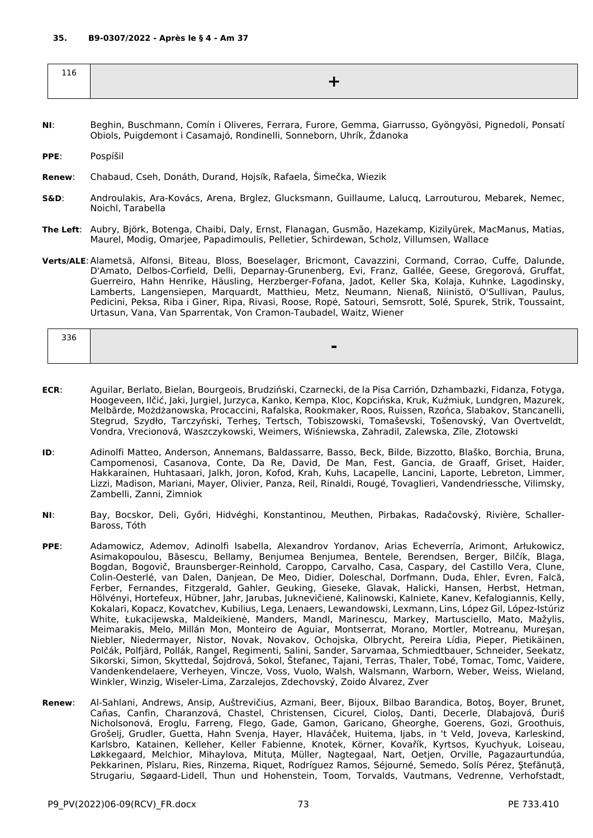| ∸⊥∪ |  |
|-----|--|
|     |  |

- **NI**: Beghin, Buschmann, Comín i Oliveres, Ferrara, Furore, Gemma, Giarrusso, Gyöngyösi, Pignedoli, Ponsatí Obiols, Puigdemont i Casamajó, Rondinelli, Sonneborn, Uhrík, Ždanoka
- **PPE**: Pospíšil
- **Renew**: Chabaud, Cseh, Donáth, Durand, Hojsík, Rafaela, Šimečka, Wiezik
- **S&D**: Androulakis, Ara-Kovács, Arena, Brglez, Glucksmann, Guillaume, Lalucq, Larrouturou, Mebarek, Nemec, Noichl, Tarabella
- **The Left**: Aubry, Björk, Botenga, Chaibi, Daly, Ernst, Flanagan, Gusmão, Hazekamp, Kizilyürek, MacManus, Matias, Maurel, Modig, Omarjee, Papadimoulis, Pelletier, Schirdewan, Scholz, Villumsen, Wallace
- **Verts/ALE**:Alametsä, Alfonsi, Biteau, Bloss, Boeselager, Bricmont, Cavazzini, Cormand, Corrao, Cuffe, Dalunde, D'Amato, Delbos-Corfield, Delli, Deparnay-Grunenberg, Evi, Franz, Gallée, Geese, Gregorová, Gruffat, Guerreiro, Hahn Henrike, Häusling, Herzberger-Fofana, Jadot, Keller Ska, Kolaja, Kuhnke, Lagodinsky, Lamberts, Langensiepen, Marquardt, Matthieu, Metz, Neumann, Nienaß, Niinistö, O'Sullivan, Paulus, Pedicini, Peksa, Riba i Giner, Ripa, Rivasi, Roose, Ropė, Satouri, Semsrott, Solé, Spurek, Strik, Toussaint, Urtasun, Vana, Van Sparrentak, Von Cramon-Taubadel, Waitz, Wiener

| 336 |                          |
|-----|--------------------------|
|     | $\overline{\phantom{0}}$ |
|     |                          |

- **ECR**: Aguilar, Berlato, Bielan, Bourgeois, Brudziński, Czarnecki, de la Pisa Carrión, Dzhambazki, Fidanza, Fotyga, Hoogeveen, Ilčić, Jaki, Jurgiel, Jurzyca, Kanko, Kempa, Kloc, Kopcińska, Kruk, Kuźmiuk, Lundgren, Mazurek, Melbārde, Możdżanowska, Procaccini, Rafalska, Rookmaker, Roos, Ruissen, Rzońca, Slabakov, Stancanelli, Stegrud, Szydło, Tarczyński, Terheş, Tertsch, Tobiszowski, Tomaševski, Tošenovský, Van Overtveldt, Vondra, Vrecionová, Waszczykowski, Weimers, Wiśniewska, Zahradil, Zalewska, Zīle, Złotowski
- **ID**: Adinolfi Matteo, Anderson, Annemans, Baldassarre, Basso, Beck, Bilde, Bizzotto, Blaško, Borchia, Bruna, Campomenosi, Casanova, Conte, Da Re, David, De Man, Fest, Gancia, de Graaff, Griset, Haider, Hakkarainen, Huhtasaari, Jalkh, Joron, Kofod, Krah, Kuhs, Lacapelle, Lancini, Laporte, Lebreton, Limmer, Lizzi, Madison, Mariani, Mayer, Olivier, Panza, Reil, Rinaldi, Rougé, Tovaglieri, Vandendriessche, Vilimsky, Zambelli, Zanni, Zimniok
- **NI**: Bay, Bocskor, Deli, Győri, Hidvéghi, Konstantinou, Meuthen, Pirbakas, Radačovský, Rivière, Schaller-Baross, Tóth
- **PPE**: Adamowicz, Ademov, Adinolfi Isabella, Alexandrov Yordanov, Arias Echeverría, Arimont, Arłukowicz, Asimakopoulou, Băsescu, Bellamy, Benjumea Benjumea, Bentele, Berendsen, Berger, Bilčík, Blaga, Bogdan, Bogovič, Braunsberger-Reinhold, Caroppo, Carvalho, Casa, Caspary, del Castillo Vera, Clune, Colin-Oesterlé, van Dalen, Danjean, De Meo, Didier, Doleschal, Dorfmann, Duda, Ehler, Evren, Falcă, Ferber, Fernandes, Fitzgerald, Gahler, Geuking, Gieseke, Glavak, Halicki, Hansen, Herbst, Hetman, Hölvényi, Hortefeux, Hübner, Jahr, Jarubas, Juknevičienė, Kalinowski, Kalniete, Kanev, Kefalogiannis, Kelly, Kokalari, Kopacz, Kovatchev, Kubilius, Lega, Lenaers, Lewandowski, Lexmann, Lins, López Gil, López-Istúriz White, Łukacijewska, Maldeikienė, Manders, Mandl, Marinescu, Markey, Martusciello, Mato, Mažylis, Meimarakis, Melo, Millán Mon, Monteiro de Aguiar, Montserrat, Morano, Mortler, Motreanu, Mureşan, Niebler, Niedermayer, Nistor, Novak, Novakov, Ochojska, Olbrycht, Pereira Lídia, Pieper, Pietikäinen, Polčák, Polfjärd, Pollák, Rangel, Regimenti, Salini, Sander, Sarvamaa, Schmiedtbauer, Schneider, Seekatz, Sikorski, Simon, Skyttedal, Šojdrová, Sokol, Štefanec, Tajani, Terras, Thaler, Tobé, Tomac, Tomc, Vaidere, Vandenkendelaere, Verheyen, Vincze, Voss, Vuolo, Walsh, Walsmann, Warborn, Weber, Weiss, Wieland, Winkler, Winzig, Wiseler-Lima, Zarzalejos, Zdechovský, Zoido Álvarez, Zver
- **Renew**: Al-Sahlani, Andrews, Ansip, Auštrevičius, Azmani, Beer, Bijoux, Bilbao Barandica, Botoş, Boyer, Brunet, Cañas, Canfin, Charanzová, Chastel, Christensen, Cicurel, Cioloş, Danti, Decerle, Dlabajová, Ďuriš Nicholsonová, Eroglu, Farreng, Flego, Gade, Gamon, Garicano, Gheorghe, Goerens, Gozi, Groothuis, Grošelj, Grudler, Guetta, Hahn Svenja, Hayer, Hlaváček, Huitema, Ijabs, in 't Veld, Joveva, Karleskind, Karlsbro, Katainen, Kelleher, Keller Fabienne, Knotek, Körner, Kovařík, Kyrtsos, Kyuchyuk, Loiseau, Løkkegaard, Melchior, Mihaylova, Mituța, Müller, Nagtegaal, Nart, Oetjen, Orville, Pagazaurtundúa, Pekkarinen, Pîslaru, Ries, Rinzema, Riquet, Rodríguez Ramos, Séjourné, Semedo, Solís Pérez, Ştefănuță, Strugariu, Søgaard-Lidell, Thun und Hohenstein, Toom, Torvalds, Vautmans, Vedrenne, Verhofstadt,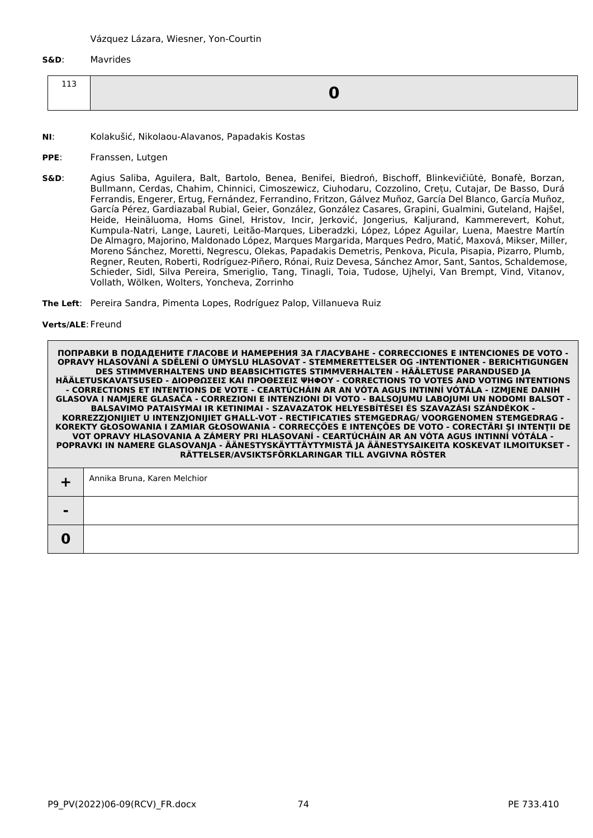**S&D**: Mavrides

| <b>TTS</b> |  |
|------------|--|

- **NI**: Kolakušić, Nikolaou-Alavanos, Papadakis Kostas
- **PPE**: Franssen, Lutgen
- **S&D**: Agius Saliba, Aguilera, Balt, Bartolo, Benea, Benifei, Biedroń, Bischoff, Blinkevičiūtė, Bonafè, Borzan, Bullmann, Cerdas, Chahim, Chinnici, Cimoszewicz, Ciuhodaru, Cozzolino, Crețu, Cutajar, De Basso, Durá Ferrandis, Engerer, Ertug, Fernández, Ferrandino, Fritzon, Gálvez Muñoz, García Del Blanco, García Muñoz, García Pérez, Gardiazabal Rubial, Geier, González, González Casares, Grapini, Gualmini, Guteland, Hajšel, Heide, Heinäluoma, Homs Ginel, Hristov, Incir, Jerković, Jongerius, Kaljurand, Kammerevert, Kohut, Kumpula-Natri, Lange, Laureti, Leitão-Marques, Liberadzki, López, López Aguilar, Luena, Maestre Martín De Almagro, Majorino, Maldonado López, Marques Margarida, Marques Pedro, Matić, Maxová, Mikser, Miller, Moreno Sánchez, Moretti, Negrescu, Olekas, Papadakis Demetris, Penkova, Picula, Pisapia, Pizarro, Plumb, Regner, Reuten, Roberti, Rodríguez-Piñero, Rónai, Ruiz Devesa, Sánchez Amor, Sant, Santos, Schaldemose, Schieder, Sidl, Silva Pereira, Smeriglio, Tang, Tinagli, Toia, Tudose, Ujhelyi, Van Brempt, Vind, Vitanov, Vollath, Wölken, Wolters, Yoncheva, Zorrinho

**The Left**: Pereira Sandra, Pimenta Lopes, Rodríguez Palop, Villanueva Ruiz

#### **Verts/ALE**:Freund

**0**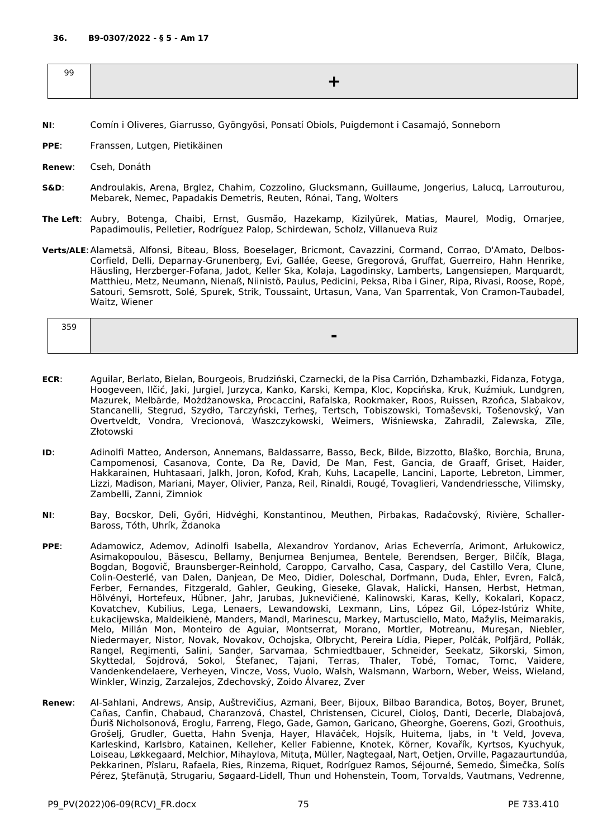| $\Omega$<br>ョョ |  |
|----------------|--|
| $\sim$         |  |
|                |  |

- **NI**: Comín i Oliveres, Giarrusso, Gyöngyösi, Ponsatí Obiols, Puigdemont i Casamajó, Sonneborn
- **PPE**: Franssen, Lutgen, Pietikäinen
- **Renew**: Cseh, Donáth
- **S&D**: Androulakis, Arena, Brglez, Chahim, Cozzolino, Glucksmann, Guillaume, Jongerius, Lalucq, Larrouturou, Mebarek, Nemec, Papadakis Demetris, Reuten, Rónai, Tang, Wolters
- **The Left**: Aubry, Botenga, Chaibi, Ernst, Gusmão, Hazekamp, Kizilyürek, Matias, Maurel, Modig, Omarjee, Papadimoulis, Pelletier, Rodríguez Palop, Schirdewan, Scholz, Villanueva Ruiz
- **Verts/ALE**:Alametsä, Alfonsi, Biteau, Bloss, Boeselager, Bricmont, Cavazzini, Cormand, Corrao, D'Amato, Delbos-Corfield, Delli, Deparnay-Grunenberg, Evi, Gallée, Geese, Gregorová, Gruffat, Guerreiro, Hahn Henrike, Häusling, Herzberger-Fofana, Jadot, Keller Ska, Kolaja, Lagodinsky, Lamberts, Langensiepen, Marquardt, Matthieu, Metz, Neumann, Nienaß, Niinistö, Paulus, Pedicini, Peksa, Riba i Giner, Ripa, Rivasi, Roose, Ropė, Satouri, Semsrott, Solé, Spurek, Strik, Toussaint, Urtasun, Vana, Van Sparrentak, Von Cramon-Taubadel, Waitz, Wiener

| 359 |  |
|-----|--|
|     |  |

- **ECR**: Aguilar, Berlato, Bielan, Bourgeois, Brudziński, Czarnecki, de la Pisa Carrión, Dzhambazki, Fidanza, Fotyga, Hoogeveen, Ilčić, Jaki, Jurgiel, Jurzyca, Kanko, Karski, Kempa, Kloc, Kopcińska, Kruk, Kuźmiuk, Lundgren, Mazurek, Melbārde, Możdżanowska, Procaccini, Rafalska, Rookmaker, Roos, Ruissen, Rzońca, Slabakov, Stancanelli, Stegrud, Szydło, Tarczyński, Terheş, Tertsch, Tobiszowski, Tomaševski, Tošenovský, Van Overtveldt, Vondra, Vrecionová, Waszczykowski, Weimers, Wiśniewska, Zahradil, Zalewska, Zīle, Złotowski
- **ID**: Adinolfi Matteo, Anderson, Annemans, Baldassarre, Basso, Beck, Bilde, Bizzotto, Blaško, Borchia, Bruna, Campomenosi, Casanova, Conte, Da Re, David, De Man, Fest, Gancia, de Graaff, Griset, Haider, Hakkarainen, Huhtasaari, Jalkh, Joron, Kofod, Krah, Kuhs, Lacapelle, Lancini, Laporte, Lebreton, Limmer, Lizzi, Madison, Mariani, Mayer, Olivier, Panza, Reil, Rinaldi, Rougé, Tovaglieri, Vandendriessche, Vilimsky, Zambelli, Zanni, Zimniok
- **NI**: Bay, Bocskor, Deli, Győri, Hidvéghi, Konstantinou, Meuthen, Pirbakas, Radačovský, Rivière, Schaller-Baross, Tóth, Uhrík, Ždanoka
- **PPE**: Adamowicz, Ademov, Adinolfi Isabella, Alexandrov Yordanov, Arias Echeverría, Arimont, Arłukowicz, Asimakopoulou, Băsescu, Bellamy, Benjumea Benjumea, Bentele, Berendsen, Berger, Bilčík, Blaga, Bogdan, Bogovič, Braunsberger-Reinhold, Caroppo, Carvalho, Casa, Caspary, del Castillo Vera, Clune, Colin-Oesterlé, van Dalen, Danjean, De Meo, Didier, Doleschal, Dorfmann, Duda, Ehler, Evren, Falcă, Ferber, Fernandes, Fitzgerald, Gahler, Geuking, Gieseke, Glavak, Halicki, Hansen, Herbst, Hetman, Hölvényi, Hortefeux, Hübner, Jahr, Jarubas, Juknevičienė, Kalinowski, Karas, Kelly, Kokalari, Kopacz, Kovatchev, Kubilius, Lega, Lenaers, Lewandowski, Lexmann, Lins, López Gil, López-Istúriz White, Łukacijewska, Maldeikienė, Manders, Mandl, Marinescu, Markey, Martusciello, Mato, Mažylis, Meimarakis, Melo, Millán Mon, Monteiro de Aguiar, Montserrat, Morano, Mortler, Motreanu, Mureşan, Niebler, Niedermayer, Nistor, Novak, Novakov, Ochojska, Olbrycht, Pereira Lídia, Pieper, Polčák, Polfjärd, Pollák, Rangel, Regimenti, Salini, Sander, Sarvamaa, Schmiedtbauer, Schneider, Seekatz, Sikorski, Simon, Skyttedal, Šojdrová, Sokol, Štefanec, Tajani, Terras, Thaler, Tobé, Tomac, Tomc, Vaidere, Vandenkendelaere, Verheyen, Vincze, Voss, Vuolo, Walsh, Walsmann, Warborn, Weber, Weiss, Wieland, Winkler, Winzig, Zarzalejos, Zdechovský, Zoido Álvarez, Zver
- **Renew**: Al-Sahlani, Andrews, Ansip, Auštrevičius, Azmani, Beer, Bijoux, Bilbao Barandica, Botoş, Boyer, Brunet, Cañas, Canfin, Chabaud, Charanzová, Chastel, Christensen, Cicurel, Cioloş, Danti, Decerle, Dlabajová, Ďuriš Nicholsonová, Eroglu, Farreng, Flego, Gade, Gamon, Garicano, Gheorghe, Goerens, Gozi, Groothuis, Grošelj, Grudler, Guetta, Hahn Svenja, Hayer, Hlaváček, Hojsík, Huitema, Ijabs, in 't Veld, Joveva, Karleskind, Karlsbro, Katainen, Kelleher, Keller Fabienne, Knotek, Körner, Kovařík, Kyrtsos, Kyuchyuk, Loiseau, Løkkegaard, Melchior, Mihaylova, Mituța, Müller, Nagtegaal, Nart, Oetjen, Orville, Pagazaurtundúa, Pekkarinen, Pîslaru, Rafaela, Ries, Rinzema, Riquet, Rodríguez Ramos, Séjourné, Semedo, Šimečka, Solís Pérez, Ştefănuță, Strugariu, Søgaard-Lidell, Thun und Hohenstein, Toom, Torvalds, Vautmans, Vedrenne,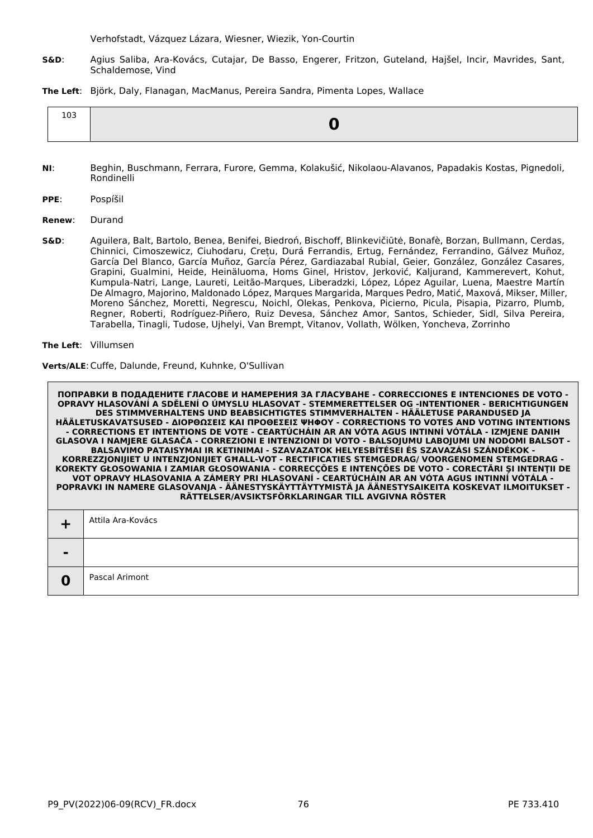Verhofstadt, Vázquez Lázara, Wiesner, Wiezik, Yon-Courtin

**S&D**: Agius Saliba, Ara-Kovács, Cutajar, De Basso, Engerer, Fritzon, Guteland, Hajšel, Incir, Mavrides, Sant, Schaldemose, Vind

**The Left**: Björk, Daly, Flanagan, MacManus, Pereira Sandra, Pimenta Lopes, Wallace

| $\sim$<br>⊥∪∟ |  |
|---------------|--|
|---------------|--|

- **NI**: Beghin, Buschmann, Ferrara, Furore, Gemma, Kolakušić, Nikolaou-Alavanos, Papadakis Kostas, Pignedoli, Rondinelli
- **PPE**: Pospíšil
- **Renew**: Durand
- **S&D**: Aguilera, Balt, Bartolo, Benea, Benifei, Biedroń, Bischoff, Blinkevičiūtė, Bonafè, Borzan, Bullmann, Cerdas, Chinnici, Cimoszewicz, Ciuhodaru, Crețu, Durá Ferrandis, Ertug, Fernández, Ferrandino, Gálvez Muñoz, García Del Blanco, García Muñoz, García Pérez, Gardiazabal Rubial, Geier, González, González Casares, Grapini, Gualmini, Heide, Heinäluoma, Homs Ginel, Hristov, Jerković, Kaljurand, Kammerevert, Kohut, Kumpula-Natri, Lange, Laureti, Leitão-Marques, Liberadzki, López, López Aguilar, Luena, Maestre Martín De Almagro, Majorino, Maldonado López, Marques Margarida, Marques Pedro, Matić, Maxová, Mikser, Miller, Moreno Sánchez, Moretti, Negrescu, Noichl, Olekas, Penkova, Picierno, Picula, Pisapia, Pizarro, Plumb, Regner, Roberti, Rodríguez-Piñero, Ruiz Devesa, Sánchez Amor, Santos, Schieder, Sidl, Silva Pereira, Tarabella, Tinagli, Tudose, Ujhelyi, Van Brempt, Vitanov, Vollath, Wölken, Yoncheva, Zorrinho
- **The Left**: Villumsen

**Verts/ALE**:Cuffe, Dalunde, Freund, Kuhnke, O'Sullivan

|                | Attila Ara-Kovács |
|----------------|-------------------|
| $\blacksquare$ |                   |
| 0              | Pascal Arimont    |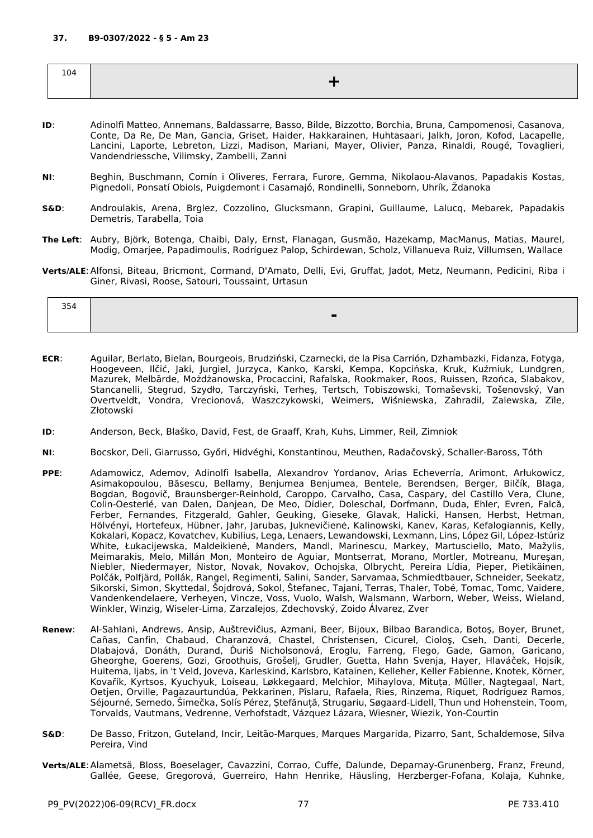| 104 |  |
|-----|--|
|     |  |

- **ID**: Adinolfi Matteo, Annemans, Baldassarre, Basso, Bilde, Bizzotto, Borchia, Bruna, Campomenosi, Casanova, Conte, Da Re, De Man, Gancia, Griset, Haider, Hakkarainen, Huhtasaari, Jalkh, Joron, Kofod, Lacapelle, Lancini, Laporte, Lebreton, Lizzi, Madison, Mariani, Mayer, Olivier, Panza, Rinaldi, Rougé, Tovaglieri, Vandendriessche, Vilimsky, Zambelli, Zanni
- **NI**: Beghin, Buschmann, Comín i Oliveres, Ferrara, Furore, Gemma, Nikolaou-Alavanos, Papadakis Kostas, Pignedoli, Ponsatí Obiols, Puigdemont i Casamajó, Rondinelli, Sonneborn, Uhrík, Ždanoka
- **S&D**: Androulakis, Arena, Brglez, Cozzolino, Glucksmann, Grapini, Guillaume, Lalucq, Mebarek, Papadakis Demetris, Tarabella, Toia
- **The Left**: Aubry, Björk, Botenga, Chaibi, Daly, Ernst, Flanagan, Gusmão, Hazekamp, MacManus, Matias, Maurel, Modig, Omarjee, Papadimoulis, Rodríguez Palop, Schirdewan, Scholz, Villanueva Ruiz, Villumsen, Wallace
- **Verts/ALE**:Alfonsi, Biteau, Bricmont, Cormand, D'Amato, Delli, Evi, Gruffat, Jadot, Metz, Neumann, Pedicini, Riba i Giner, Rivasi, Roose, Satouri, Toussaint, Urtasun

| 354 |                          |  |
|-----|--------------------------|--|
|     | $\overline{\phantom{a}}$ |  |

- **ECR**: Aguilar, Berlato, Bielan, Bourgeois, Brudziński, Czarnecki, de la Pisa Carrión, Dzhambazki, Fidanza, Fotyga, Hoogeveen, Ilčić, Jaki, Jurgiel, Jurzyca, Kanko, Karski, Kempa, Kopcińska, Kruk, Kuźmiuk, Lundgren, Mazurek, Melbārde, Możdżanowska, Procaccini, Rafalska, Rookmaker, Roos, Ruissen, Rzońca, Slabakov, Stancanelli, Stegrud, Szydło, Tarczyński, Terheş, Tertsch, Tobiszowski, Tomaševski, Tošenovský, Van Overtveldt, Vondra, Vrecionová, Waszczykowski, Weimers, Wiśniewska, Zahradil, Zalewska, Zīle, Złotowski
- **ID**: Anderson, Beck, Blaško, David, Fest, de Graaff, Krah, Kuhs, Limmer, Reil, Zimniok
- **NI**: Bocskor, Deli, Giarrusso, Győri, Hidvéghi, Konstantinou, Meuthen, Radačovský, Schaller-Baross, Tóth
- **PPE**: Adamowicz, Ademov, Adinolfi Isabella, Alexandrov Yordanov, Arias Echeverría, Arimont, Arłukowicz, Asimakopoulou, Băsescu, Bellamy, Benjumea Benjumea, Bentele, Berendsen, Berger, Bilčík, Blaga, Bogdan, Bogovič, Braunsberger-Reinhold, Caroppo, Carvalho, Casa, Caspary, del Castillo Vera, Clune, Colin-Oesterlé, van Dalen, Danjean, De Meo, Didier, Doleschal, Dorfmann, Duda, Ehler, Evren, Falcă, Ferber, Fernandes, Fitzgerald, Gahler, Geuking, Gieseke, Glavak, Halicki, Hansen, Herbst, Hetman, Hölvényi, Hortefeux, Hübner, Jahr, Jarubas, Juknevičienė, Kalinowski, Kanev, Karas, Kefalogiannis, Kelly, Kokalari, Kopacz, Kovatchev, Kubilius, Lega, Lenaers, Lewandowski, Lexmann, Lins, López Gil, López-Istúriz White, Łukacijewska, Maldeikienė, Manders, Mandl, Marinescu, Markey, Martusciello, Mato, Mažylis, Meimarakis, Melo, Millán Mon, Monteiro de Aguiar, Montserrat, Morano, Mortler, Motreanu, Mureşan, Niebler, Niedermayer, Nistor, Novak, Novakov, Ochojska, Olbrycht, Pereira Lídia, Pieper, Pietikäinen, Polčák, Polfjärd, Pollák, Rangel, Regimenti, Salini, Sander, Sarvamaa, Schmiedtbauer, Schneider, Seekatz, Sikorski, Simon, Skyttedal, Šojdrová, Sokol, Štefanec, Tajani, Terras, Thaler, Tobé, Tomac, Tomc, Vaidere, Vandenkendelaere, Verheyen, Vincze, Voss, Vuolo, Walsh, Walsmann, Warborn, Weber, Weiss, Wieland, Winkler, Winzig, Wiseler-Lima, Zarzalejos, Zdechovský, Zoido Álvarez, Zver
- **Renew**: Al-Sahlani, Andrews, Ansip, Auštrevičius, Azmani, Beer, Bijoux, Bilbao Barandica, Botoş, Boyer, Brunet, Cañas, Canfin, Chabaud, Charanzová, Chastel, Christensen, Cicurel, Cioloş, Cseh, Danti, Decerle, Dlabajová, Donáth, Durand, Ďuriš Nicholsonová, Eroglu, Farreng, Flego, Gade, Gamon, Garicano, Gheorghe, Goerens, Gozi, Groothuis, Grošelj, Grudler, Guetta, Hahn Svenja, Hayer, Hlaváček, Hojsík, Huitema, Ijabs, in 't Veld, Joveva, Karleskind, Karlsbro, Katainen, Kelleher, Keller Fabienne, Knotek, Körner, Kovařík, Kyrtsos, Kyuchyuk, Loiseau, Løkkegaard, Melchior, Mihaylova, Mituța, Müller, Nagtegaal, Nart, Oetjen, Orville, Pagazaurtundúa, Pekkarinen, Pîslaru, Rafaela, Ries, Rinzema, Riquet, Rodríguez Ramos, Séjourné, Semedo, Šimečka, Solís Pérez, Ştefănuță, Strugariu, Søgaard-Lidell, Thun und Hohenstein, Toom, Torvalds, Vautmans, Vedrenne, Verhofstadt, Vázquez Lázara, Wiesner, Wiezik, Yon-Courtin
- **S&D**: De Basso, Fritzon, Guteland, Incir, Leitão-Marques, Marques Margarida, Pizarro, Sant, Schaldemose, Silva Pereira, Vind
- **Verts/ALE**:Alametsä, Bloss, Boeselager, Cavazzini, Corrao, Cuffe, Dalunde, Deparnay-Grunenberg, Franz, Freund, Gallée, Geese, Gregorová, Guerreiro, Hahn Henrike, Häusling, Herzberger-Fofana, Kolaja, Kuhnke,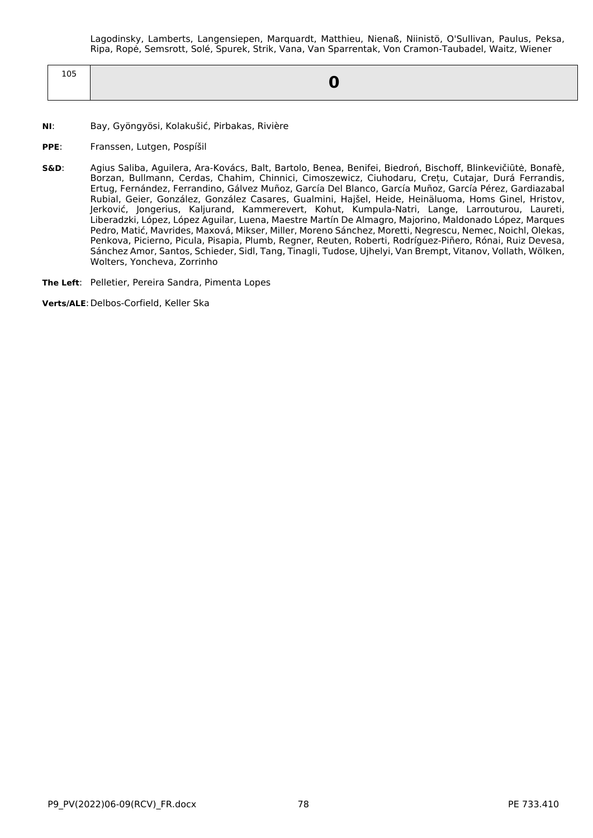Lagodinsky, Lamberts, Langensiepen, Marquardt, Matthieu, Nienaß, Niinistö, O'Sullivan, Paulus, Peksa, Ripa, Ropė, Semsrott, Solé, Spurek, Strik, Vana, Van Sparrentak, Von Cramon-Taubadel, Waitz, Wiener

| $\sim$ $\sim$<br>ᆚ |  |
|--------------------|--|
|                    |  |

- **NI**: Bay, Gyöngyösi, Kolakušić, Pirbakas, Rivière
- **PPE**: Franssen, Lutgen, Pospíšil
- **S&D**: Agius Saliba, Aguilera, Ara-Kovács, Balt, Bartolo, Benea, Benifei, Biedroń, Bischoff, Blinkevičiūtė, Bonafè, Borzan, Bullmann, Cerdas, Chahim, Chinnici, Cimoszewicz, Ciuhodaru, Crețu, Cutajar, Durá Ferrandis, Ertug, Fernández, Ferrandino, Gálvez Muñoz, García Del Blanco, García Muñoz, García Pérez, Gardiazabal Rubial, Geier, González, González Casares, Gualmini, Hajšel, Heide, Heinäluoma, Homs Ginel, Hristov, Jerković, Jongerius, Kaljurand, Kammerevert, Kohut, Kumpula-Natri, Lange, Larrouturou, Laureti, Liberadzki, López, López Aguilar, Luena, Maestre Martín De Almagro, Majorino, Maldonado López, Marques Pedro, Matić, Mavrides, Maxová, Mikser, Miller, Moreno Sánchez, Moretti, Negrescu, Nemec, Noichl, Olekas, Penkova, Picierno, Picula, Pisapia, Plumb, Regner, Reuten, Roberti, Rodríguez-Piñero, Rónai, Ruiz Devesa, Sánchez Amor, Santos, Schieder, Sidl, Tang, Tinagli, Tudose, Ujhelyi, Van Brempt, Vitanov, Vollath, Wölken, Wolters, Yoncheva, Zorrinho

**The Left**: Pelletier, Pereira Sandra, Pimenta Lopes

**Verts/ALE**:Delbos-Corfield, Keller Ska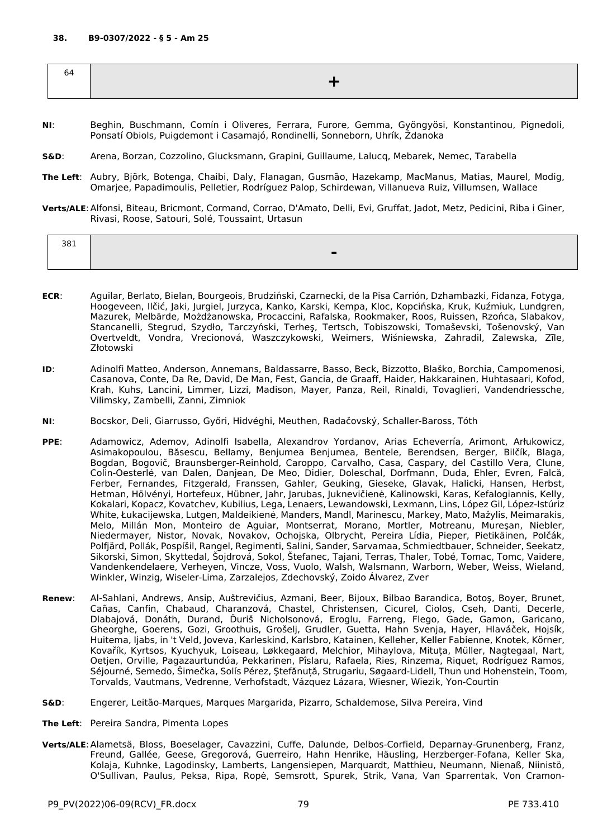| ∽<br>64 |  |
|---------|--|
|         |  |

- **NI**: Beghin, Buschmann, Comín i Oliveres, Ferrara, Furore, Gemma, Gyöngyösi, Konstantinou, Pignedoli, Ponsatí Obiols, Puigdemont i Casamajó, Rondinelli, Sonneborn, Uhrík, Ždanoka
- **S&D**: Arena, Borzan, Cozzolino, Glucksmann, Grapini, Guillaume, Lalucq, Mebarek, Nemec, Tarabella
- **The Left**: Aubry, Björk, Botenga, Chaibi, Daly, Flanagan, Gusmão, Hazekamp, MacManus, Matias, Maurel, Modig, Omarjee, Papadimoulis, Pelletier, Rodríguez Palop, Schirdewan, Villanueva Ruiz, Villumsen, Wallace
- **Verts/ALE**:Alfonsi, Biteau, Bricmont, Cormand, Corrao, D'Amato, Delli, Evi, Gruffat, Jadot, Metz, Pedicini, Riba i Giner, Rivasi, Roose, Satouri, Solé, Toussaint, Urtasun

| 381 | - |
|-----|---|
|     |   |

- **ECR**: Aguilar, Berlato, Bielan, Bourgeois, Brudziński, Czarnecki, de la Pisa Carrión, Dzhambazki, Fidanza, Fotyga, Hoogeveen, Ilčić, Jaki, Jurgiel, Jurzyca, Kanko, Karski, Kempa, Kloc, Kopcińska, Kruk, Kuźmiuk, Lundgren, Mazurek, Melbārde, Możdżanowska, Procaccini, Rafalska, Rookmaker, Roos, Ruissen, Rzońca, Slabakov, Stancanelli, Stegrud, Szydło, Tarczyński, Terheş, Tertsch, Tobiszowski, Tomaševski, Tošenovský, Van Overtveldt, Vondra, Vrecionová, Waszczykowski, Weimers, Wiśniewska, Zahradil, Zalewska, Zīle, Złotowski
- **ID**: Adinolfi Matteo, Anderson, Annemans, Baldassarre, Basso, Beck, Bizzotto, Blaško, Borchia, Campomenosi, Casanova, Conte, Da Re, David, De Man, Fest, Gancia, de Graaff, Haider, Hakkarainen, Huhtasaari, Kofod, Krah, Kuhs, Lancini, Limmer, Lizzi, Madison, Mayer, Panza, Reil, Rinaldi, Tovaglieri, Vandendriessche, Vilimsky, Zambelli, Zanni, Zimniok
- **NI**: Bocskor, Deli, Giarrusso, Győri, Hidvéghi, Meuthen, Radačovský, Schaller-Baross, Tóth
- **PPE**: Adamowicz, Ademov, Adinolfi Isabella, Alexandrov Yordanov, Arias Echeverría, Arimont, Arłukowicz, Asimakopoulou, Băsescu, Bellamy, Benjumea Benjumea, Bentele, Berendsen, Berger, Bilčík, Blaga, Bogdan, Bogovič, Braunsberger-Reinhold, Caroppo, Carvalho, Casa, Caspary, del Castillo Vera, Clune, Colin-Oesterlé, van Dalen, Danjean, De Meo, Didier, Doleschal, Dorfmann, Duda, Ehler, Evren, Falcă, Ferber, Fernandes, Fitzgerald, Franssen, Gahler, Geuking, Gieseke, Glavak, Halicki, Hansen, Herbst, Hetman, Hölvényi, Hortefeux, Hübner, Jahr, Jarubas, Juknevičienė, Kalinowski, Karas, Kefalogiannis, Kelly, Kokalari, Kopacz, Kovatchev, Kubilius, Lega, Lenaers, Lewandowski, Lexmann, Lins, López Gil, López-Istúriz White, Łukacijewska, Lutgen, Maldeikienė, Manders, Mandl, Marinescu, Markey, Mato, Mažylis, Meimarakis, Melo, Millán Mon, Monteiro de Aguiar, Montserrat, Morano, Mortler, Motreanu, Mureşan, Niebler, Niedermayer, Nistor, Novak, Novakov, Ochojska, Olbrycht, Pereira Lídia, Pieper, Pietikäinen, Polčák, Polfjärd, Pollák, Pospíšil, Rangel, Regimenti, Salini, Sander, Sarvamaa, Schmiedtbauer, Schneider, Seekatz, Sikorski, Simon, Skyttedal, Šojdrová, Sokol, Štefanec, Tajani, Terras, Thaler, Tobé, Tomac, Tomc, Vaidere, Vandenkendelaere, Verheyen, Vincze, Voss, Vuolo, Walsh, Walsmann, Warborn, Weber, Weiss, Wieland, Winkler, Winzig, Wiseler-Lima, Zarzalejos, Zdechovský, Zoido Álvarez, Zver
- **Renew**: Al-Sahlani, Andrews, Ansip, Auštrevičius, Azmani, Beer, Bijoux, Bilbao Barandica, Botoş, Boyer, Brunet, Cañas, Canfin, Chabaud, Charanzová, Chastel, Christensen, Cicurel, Cioloş, Cseh, Danti, Decerle, Dlabajová, Donáth, Durand, Ďuriš Nicholsonová, Eroglu, Farreng, Flego, Gade, Gamon, Garicano, Gheorghe, Goerens, Gozi, Groothuis, Grošelj, Grudler, Guetta, Hahn Svenja, Hayer, Hlaváček, Hojsík, Huitema, Ijabs, in 't Veld, Joveva, Karleskind, Karlsbro, Katainen, Kelleher, Keller Fabienne, Knotek, Körner, Kovařík, Kyrtsos, Kyuchyuk, Loiseau, Løkkegaard, Melchior, Mihaylova, Mituța, Müller, Nagtegaal, Nart, Oetjen, Orville, Pagazaurtundúa, Pekkarinen, Pîslaru, Rafaela, Ries, Rinzema, Riquet, Rodríguez Ramos, Séjourné, Semedo, Šimečka, Solís Pérez, Ştefănuță, Strugariu, Søgaard-Lidell, Thun und Hohenstein, Toom, Torvalds, Vautmans, Vedrenne, Verhofstadt, Vázquez Lázara, Wiesner, Wiezik, Yon-Courtin
- **S&D**: Engerer, Leitão-Marques, Marques Margarida, Pizarro, Schaldemose, Silva Pereira, Vind
- **The Left**: Pereira Sandra, Pimenta Lopes
- **Verts/ALE**:Alametsä, Bloss, Boeselager, Cavazzini, Cuffe, Dalunde, Delbos-Corfield, Deparnay-Grunenberg, Franz, Freund, Gallée, Geese, Gregorová, Guerreiro, Hahn Henrike, Häusling, Herzberger-Fofana, Keller Ska, Kolaja, Kuhnke, Lagodinsky, Lamberts, Langensiepen, Marquardt, Matthieu, Neumann, Nienaß, Niinistö, O'Sullivan, Paulus, Peksa, Ripa, Ropė, Semsrott, Spurek, Strik, Vana, Van Sparrentak, Von Cramon-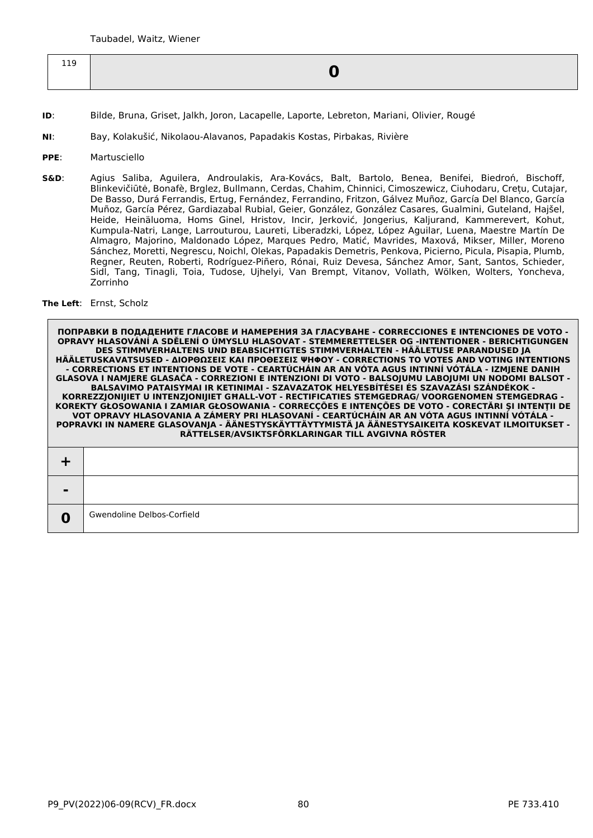| 119<br>ᆠᅶ |  |
|-----------|--|

- **ID**: Bilde, Bruna, Griset, Jalkh, Joron, Lacapelle, Laporte, Lebreton, Mariani, Olivier, Rougé
- **NI**: Bay, Kolakušić, Nikolaou-Alavanos, Papadakis Kostas, Pirbakas, Rivière
- **PPE**: Martusciello
- **S&D**: Agius Saliba, Aguilera, Androulakis, Ara-Kovács, Balt, Bartolo, Benea, Benifei, Biedroń, Bischoff, Blinkevičiūtė, Bonafè, Brglez, Bullmann, Cerdas, Chahim, Chinnici, Cimoszewicz, Ciuhodaru, Crețu, Cutajar, De Basso, Durá Ferrandis, Ertug, Fernández, Ferrandino, Fritzon, Gálvez Muñoz, García Del Blanco, García Muñoz, García Pérez, Gardiazabal Rubial, Geier, González, González Casares, Gualmini, Guteland, Hajšel, Heide, Heinäluoma, Homs Ginel, Hristov, Incir, Jerković, Jongerius, Kaljurand, Kammerevert, Kohut, Kumpula-Natri, Lange, Larrouturou, Laureti, Liberadzki, López, López Aguilar, Luena, Maestre Martín De Almagro, Majorino, Maldonado López, Marques Pedro, Matić, Mavrides, Maxová, Mikser, Miller, Moreno Sánchez, Moretti, Negrescu, Noichl, Olekas, Papadakis Demetris, Penkova, Picierno, Picula, Pisapia, Plumb, Regner, Reuten, Roberti, Rodríguez-Piñero, Rónai, Ruiz Devesa, Sánchez Amor, Sant, Santos, Schieder, Sidl, Tang, Tinagli, Toia, Tudose, Ujhelyi, Van Brempt, Vitanov, Vollath, Wölken, Wolters, Yoncheva, Zorrinho

## **The Left**: Ernst, Scholz

| - |                            |
|---|----------------------------|
| w | Gwendoline Delbos-Corfield |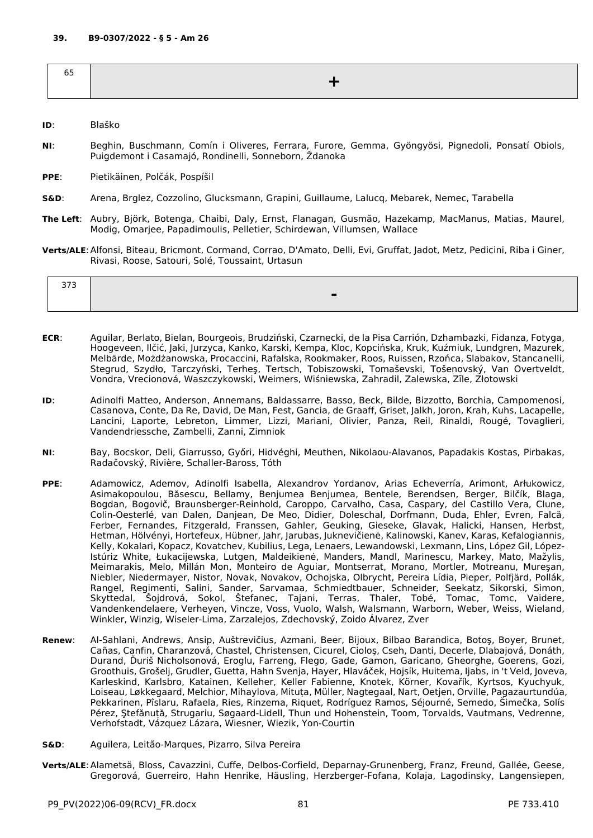- **ID**: Blaško
- **NI**: Beghin, Buschmann, Comín i Oliveres, Ferrara, Furore, Gemma, Gyöngyösi, Pignedoli, Ponsatí Obiols, Puigdemont i Casamajó, Rondinelli, Sonneborn, Ždanoka
- **PPE**: Pietikäinen, Polčák, Pospíšil
- **S&D**: Arena, Brglez, Cozzolino, Glucksmann, Grapini, Guillaume, Lalucq, Mebarek, Nemec, Tarabella
- **The Left**: Aubry, Björk, Botenga, Chaibi, Daly, Ernst, Flanagan, Gusmão, Hazekamp, MacManus, Matias, Maurel, Modig, Omarjee, Papadimoulis, Pelletier, Schirdewan, Villumsen, Wallace
- **Verts/ALE**:Alfonsi, Biteau, Bricmont, Cormand, Corrao, D'Amato, Delli, Evi, Gruffat, Jadot, Metz, Pedicini, Riba i Giner, Rivasi, Roose, Satouri, Solé, Toussaint, Urtasun

- **ECR**: Aguilar, Berlato, Bielan, Bourgeois, Brudziński, Czarnecki, de la Pisa Carrión, Dzhambazki, Fidanza, Fotyga, Hoogeveen, Ilčić, Jaki, Jurzyca, Kanko, Karski, Kempa, Kloc, Kopcińska, Kruk, Kuźmiuk, Lundgren, Mazurek, Melbārde, Możdżanowska, Procaccini, Rafalska, Rookmaker, Roos, Ruissen, Rzońca, Slabakov, Stancanelli, Stegrud, Szydło, Tarczyński, Terheş, Tertsch, Tobiszowski, Tomaševski, Tošenovský, Van Overtveldt, Vondra, Vrecionová, Waszczykowski, Weimers, Wiśniewska, Zahradil, Zalewska, Zīle, Złotowski
- **ID**: Adinolfi Matteo, Anderson, Annemans, Baldassarre, Basso, Beck, Bilde, Bizzotto, Borchia, Campomenosi, Casanova, Conte, Da Re, David, De Man, Fest, Gancia, de Graaff, Griset, Jalkh, Joron, Krah, Kuhs, Lacapelle, Lancini, Laporte, Lebreton, Limmer, Lizzi, Mariani, Olivier, Panza, Reil, Rinaldi, Rougé, Tovaglieri, Vandendriessche, Zambelli, Zanni, Zimniok
- **NI**: Bay, Bocskor, Deli, Giarrusso, Győri, Hidvéghi, Meuthen, Nikolaou-Alavanos, Papadakis Kostas, Pirbakas, Radačovský, Rivière, Schaller-Baross, Tóth
- **PPE**: Adamowicz, Ademov, Adinolfi Isabella, Alexandrov Yordanov, Arias Echeverría, Arimont, Arłukowicz, Asimakopoulou, Băsescu, Bellamy, Benjumea Benjumea, Bentele, Berendsen, Berger, Bilčík, Blaga, Bogdan, Bogovič, Braunsberger-Reinhold, Caroppo, Carvalho, Casa, Caspary, del Castillo Vera, Clune, Colin-Oesterlé, van Dalen, Danjean, De Meo, Didier, Doleschal, Dorfmann, Duda, Ehler, Evren, Falcă, Ferber, Fernandes, Fitzgerald, Franssen, Gahler, Geuking, Gieseke, Glavak, Halicki, Hansen, Herbst, Hetman, Hölvényi, Hortefeux, Hübner, Jahr, Jarubas, Juknevičienė, Kalinowski, Kanev, Karas, Kefalogiannis, Kelly, Kokalari, Kopacz, Kovatchev, Kubilius, Lega, Lenaers, Lewandowski, Lexmann, Lins, López Gil, López-Istúriz White, Łukacijewska, Lutgen, Maldeikienė, Manders, Mandl, Marinescu, Markey, Mato, Mažylis, Meimarakis, Melo, Millán Mon, Monteiro de Aguiar, Montserrat, Morano, Mortler, Motreanu, Mureşan, Niebler, Niedermayer, Nistor, Novak, Novakov, Ochojska, Olbrycht, Pereira Lídia, Pieper, Polfjärd, Pollák, Rangel, Regimenti, Salini, Sander, Sarvamaa, Schmiedtbauer, Schneider, Seekatz, Sikorski, Simon, Skyttedal, Šojdrová, Sokol, Štefanec, Tajani, Terras, Thaler, Tobé, Tomac, Tomc, Vaidere, Vandenkendelaere, Verheyen, Vincze, Voss, Vuolo, Walsh, Walsmann, Warborn, Weber, Weiss, Wieland, Winkler, Winzig, Wiseler-Lima, Zarzalejos, Zdechovský, Zoido Álvarez, Zver
- **Renew**: Al-Sahlani, Andrews, Ansip, Auštrevičius, Azmani, Beer, Bijoux, Bilbao Barandica, Botoş, Boyer, Brunet, Cañas, Canfin, Charanzová, Chastel, Christensen, Cicurel, Cioloş, Cseh, Danti, Decerle, Dlabajová, Donáth, Durand, Ďuriš Nicholsonová, Eroglu, Farreng, Flego, Gade, Gamon, Garicano, Gheorghe, Goerens, Gozi, Groothuis, Grošelj, Grudler, Guetta, Hahn Svenja, Hayer, Hlaváček, Hojsík, Huitema, Ijabs, in 't Veld, Joveva, Karleskind, Karlsbro, Katainen, Kelleher, Keller Fabienne, Knotek, Körner, Kovařík, Kyrtsos, Kyuchyuk, Loiseau, Løkkegaard, Melchior, Mihaylova, Mituța, Müller, Nagtegaal, Nart, Oetjen, Orville, Pagazaurtundúa, Pekkarinen, Pîslaru, Rafaela, Ries, Rinzema, Riquet, Rodríguez Ramos, Séjourné, Semedo, Šimečka, Solís Pérez, Ştefănuță, Strugariu, Søgaard-Lidell, Thun und Hohenstein, Toom, Torvalds, Vautmans, Vedrenne, Verhofstadt, Vázquez Lázara, Wiesner, Wiezik, Yon-Courtin
- **S&D**: Aguilera, Leitão-Marques, Pizarro, Silva Pereira
- **Verts/ALE**:Alametsä, Bloss, Cavazzini, Cuffe, Delbos-Corfield, Deparnay-Grunenberg, Franz, Freund, Gallée, Geese, Gregorová, Guerreiro, Hahn Henrike, Häusling, Herzberger-Fofana, Kolaja, Lagodinsky, Langensiepen,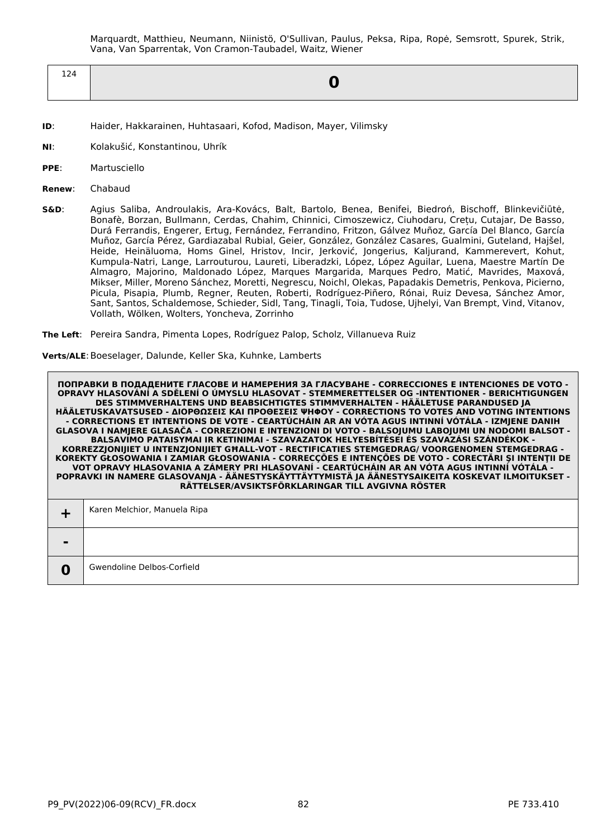Marquardt, Matthieu, Neumann, Niinistö, O'Sullivan, Paulus, Peksa, Ripa, Ropė, Semsrott, Spurek, Strik, Vana, Van Sparrentak, Von Cramon-Taubadel, Waitz, Wiener

| $\overline{\phantom{a}}$<br>∸∸⊤ |  |
|---------------------------------|--|
|                                 |  |

- **ID**: Haider, Hakkarainen, Huhtasaari, Kofod, Madison, Mayer, Vilimsky
- **NI**: Kolakušić, Konstantinou, Uhrík
- **PPE**: Martusciello
- **Renew**: Chabaud
- **S&D**: Agius Saliba, Androulakis, Ara-Kovács, Balt, Bartolo, Benea, Benifei, Biedroń, Bischoff, Blinkevičiūtė, Bonafè, Borzan, Bullmann, Cerdas, Chahim, Chinnici, Cimoszewicz, Ciuhodaru, Crețu, Cutajar, De Basso, Durá Ferrandis, Engerer, Ertug, Fernández, Ferrandino, Fritzon, Gálvez Muñoz, García Del Blanco, García Muñoz, García Pérez, Gardiazabal Rubial, Geier, González, González Casares, Gualmini, Guteland, Hajšel, Heide, Heinäluoma, Homs Ginel, Hristov, Incir, Jerković, Jongerius, Kaljurand, Kammerevert, Kohut, Kumpula-Natri, Lange, Larrouturou, Laureti, Liberadzki, López, López Aguilar, Luena, Maestre Martín De Almagro, Majorino, Maldonado López, Marques Margarida, Marques Pedro, Matić, Mavrides, Maxová, Mikser, Miller, Moreno Sánchez, Moretti, Negrescu, Noichl, Olekas, Papadakis Demetris, Penkova, Picierno, Picula, Pisapia, Plumb, Regner, Reuten, Roberti, Rodríguez-Piñero, Rónai, Ruiz Devesa, Sánchez Amor, Sant, Santos, Schaldemose, Schieder, Sidl, Tang, Tinagli, Toia, Tudose, Ujhelyi, Van Brempt, Vind, Vitanov, Vollath, Wölken, Wolters, Yoncheva, Zorrinho
- **The Left**: Pereira Sandra, Pimenta Lopes, Rodríguez Palop, Scholz, Villanueva Ruiz

**Verts/ALE**:Boeselager, Dalunde, Keller Ska, Kuhnke, Lamberts

|                | Karen Melchior, Manuela Ripa |
|----------------|------------------------------|
| $\blacksquare$ |                              |
| 0              | Gwendoline Delbos-Corfield   |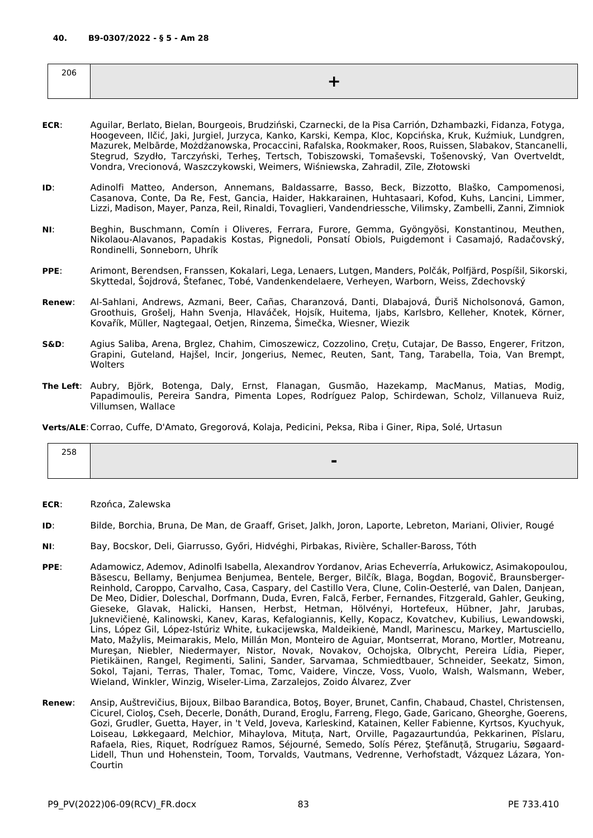| 206 |  |
|-----|--|
|     |  |

- **ECR**: Aguilar, Berlato, Bielan, Bourgeois, Brudziński, Czarnecki, de la Pisa Carrión, Dzhambazki, Fidanza, Fotyga, Hoogeveen, Ilčić, Jaki, Jurgiel, Jurzyca, Kanko, Karski, Kempa, Kloc, Kopcińska, Kruk, Kuźmiuk, Lundgren, Mazurek, Melbārde, Możdżanowska, Procaccini, Rafalska, Rookmaker, Roos, Ruissen, Slabakov, Stancanelli, Stegrud, Szydło, Tarczyński, Terheş, Tertsch, Tobiszowski, Tomaševski, Tošenovský, Van Overtveldt, Vondra, Vrecionová, Waszczykowski, Weimers, Wiśniewska, Zahradil, Zīle, Złotowski
- **ID**: Adinolfi Matteo, Anderson, Annemans, Baldassarre, Basso, Beck, Bizzotto, Blaško, Campomenosi, Casanova, Conte, Da Re, Fest, Gancia, Haider, Hakkarainen, Huhtasaari, Kofod, Kuhs, Lancini, Limmer, Lizzi, Madison, Mayer, Panza, Reil, Rinaldi, Tovaglieri, Vandendriessche, Vilimsky, Zambelli, Zanni, Zimniok
- **NI**: Beghin, Buschmann, Comín i Oliveres, Ferrara, Furore, Gemma, Gyöngyösi, Konstantinou, Meuthen, Nikolaou-Alavanos, Papadakis Kostas, Pignedoli, Ponsatí Obiols, Puigdemont i Casamajó, Radačovský, Rondinelli, Sonneborn, Uhrík
- **PPE**: Arimont, Berendsen, Franssen, Kokalari, Lega, Lenaers, Lutgen, Manders, Polčák, Polfjärd, Pospíšil, Sikorski, Skyttedal, Šojdrová, Štefanec, Tobé, Vandenkendelaere, Verheyen, Warborn, Weiss, Zdechovský
- **Renew**: Al-Sahlani, Andrews, Azmani, Beer, Cañas, Charanzová, Danti, Dlabajová, Ďuriš Nicholsonová, Gamon, Groothuis, Grošelj, Hahn Svenja, Hlaváček, Hojsík, Huitema, Ijabs, Karlsbro, Kelleher, Knotek, Körner, Kovařík, Müller, Nagtegaal, Oetjen, Rinzema, Šimečka, Wiesner, Wiezik
- **S&D**: Agius Saliba, Arena, Brglez, Chahim, Cimoszewicz, Cozzolino, Crețu, Cutajar, De Basso, Engerer, Fritzon, Grapini, Guteland, Hajšel, Incir, Jongerius, Nemec, Reuten, Sant, Tang, Tarabella, Toia, Van Brempt, **Wolters**
- **The Left**: Aubry, Björk, Botenga, Daly, Ernst, Flanagan, Gusmão, Hazekamp, MacManus, Matias, Modig, Papadimoulis, Pereira Sandra, Pimenta Lopes, Rodríguez Palop, Schirdewan, Scholz, Villanueva Ruiz, Villumsen, Wallace

**Verts/ALE**:Corrao, Cuffe, D'Amato, Gregorová, Kolaja, Pedicini, Peksa, Riba i Giner, Ripa, Solé, Urtasun

| 258 |   |
|-----|---|
|     | ь |
|     |   |

- **ECR**: Rzońca, Zalewska
- **ID**: Bilde, Borchia, Bruna, De Man, de Graaff, Griset, Jalkh, Joron, Laporte, Lebreton, Mariani, Olivier, Rougé
- **NI**: Bay, Bocskor, Deli, Giarrusso, Győri, Hidvéghi, Pirbakas, Rivière, Schaller-Baross, Tóth
- **PPE**: Adamowicz, Ademov, Adinolfi Isabella, Alexandrov Yordanov, Arias Echeverría, Arłukowicz, Asimakopoulou, Băsescu, Bellamy, Benjumea Benjumea, Bentele, Berger, Bilčík, Blaga, Bogdan, Bogovič, Braunsberger-Reinhold, Caroppo, Carvalho, Casa, Caspary, del Castillo Vera, Clune, Colin-Oesterlé, van Dalen, Danjean, De Meo, Didier, Doleschal, Dorfmann, Duda, Evren, Falcă, Ferber, Fernandes, Fitzgerald, Gahler, Geuking, Gieseke, Glavak, Halicki, Hansen, Herbst, Hetman, Hölvényi, Hortefeux, Hübner, Jahr, Jarubas, Juknevičienė, Kalinowski, Kanev, Karas, Kefalogiannis, Kelly, Kopacz, Kovatchev, Kubilius, Lewandowski, Lins, López Gil, López-Istúriz White, Łukacijewska, Maldeikienė, Mandl, Marinescu, Markey, Martusciello, Mato, Mažylis, Meimarakis, Melo, Millán Mon, Monteiro de Aguiar, Montserrat, Morano, Mortler, Motreanu, Mureşan, Niebler, Niedermayer, Nistor, Novak, Novakov, Ochojska, Olbrycht, Pereira Lídia, Pieper, Pietikäinen, Rangel, Regimenti, Salini, Sander, Sarvamaa, Schmiedtbauer, Schneider, Seekatz, Simon, Sokol, Tajani, Terras, Thaler, Tomac, Tomc, Vaidere, Vincze, Voss, Vuolo, Walsh, Walsmann, Weber, Wieland, Winkler, Winzig, Wiseler-Lima, Zarzalejos, Zoido Álvarez, Zver
- **Renew**: Ansip, Auštrevičius, Bijoux, Bilbao Barandica, Botoş, Boyer, Brunet, Canfin, Chabaud, Chastel, Christensen, Cicurel, Cioloş, Cseh, Decerle, Donáth, Durand, Eroglu, Farreng, Flego, Gade, Garicano, Gheorghe, Goerens, Gozi, Grudler, Guetta, Hayer, in 't Veld, Joveva, Karleskind, Katainen, Keller Fabienne, Kyrtsos, Kyuchyuk, Loiseau, Løkkegaard, Melchior, Mihaylova, Mituța, Nart, Orville, Pagazaurtundúa, Pekkarinen, Pîslaru, Rafaela, Ries, Riquet, Rodríguez Ramos, Séjourné, Semedo, Solís Pérez, Ştefănuță, Strugariu, Søgaard-Lidell, Thun und Hohenstein, Toom, Torvalds, Vautmans, Vedrenne, Verhofstadt, Vázquez Lázara, Yon-Courtin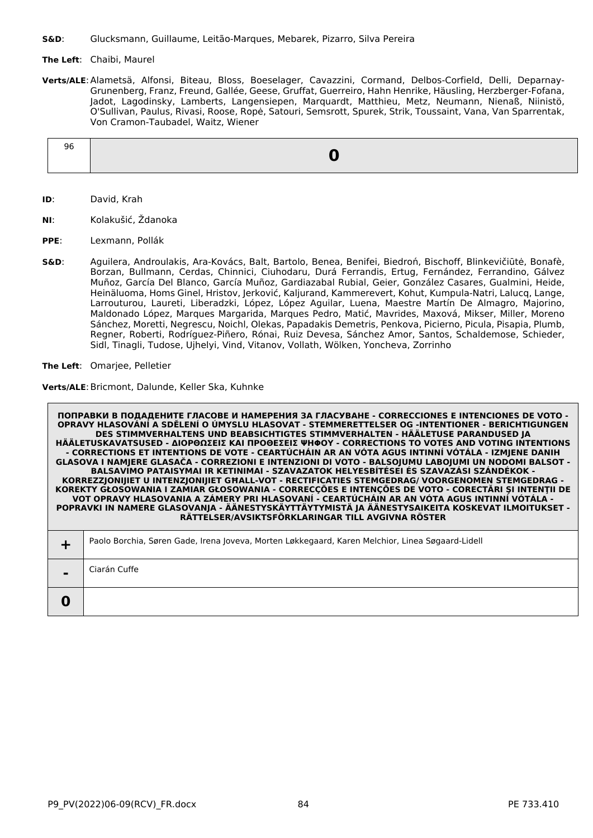**S&D**: Glucksmann, Guillaume, Leitão-Marques, Mebarek, Pizarro, Silva Pereira

# **The Left**: Chaibi, Maurel

**Verts/ALE**:Alametsä, Alfonsi, Biteau, Bloss, Boeselager, Cavazzini, Cormand, Delbos-Corfield, Delli, Deparnay-Grunenberg, Franz, Freund, Gallée, Geese, Gruffat, Guerreiro, Hahn Henrike, Häusling, Herzberger-Fofana, Jadot, Lagodinsky, Lamberts, Langensiepen, Marquardt, Matthieu, Metz, Neumann, Nienaß, Niinistö, O'Sullivan, Paulus, Rivasi, Roose, Ropė, Satouri, Semsrott, Spurek, Strik, Toussaint, Vana, Van Sparrentak, Von Cramon-Taubadel, Waitz, Wiener

| 90 |  |
|----|--|
|    |  |

- **ID**: David, Krah
- **NI**: Kolakušić, Ždanoka
- **PPE**: Lexmann, Pollák
- **S&D**: Aguilera, Androulakis, Ara-Kovács, Balt, Bartolo, Benea, Benifei, Biedroń, Bischoff, Blinkevičiūtė, Bonafè, Borzan, Bullmann, Cerdas, Chinnici, Ciuhodaru, Durá Ferrandis, Ertug, Fernández, Ferrandino, Gálvez Muñoz, García Del Blanco, García Muñoz, Gardiazabal Rubial, Geier, González Casares, Gualmini, Heide, Heinäluoma, Homs Ginel, Hristov, Jerković, Kaljurand, Kammerevert, Kohut, Kumpula-Natri, Lalucq, Lange, Larrouturou, Laureti, Liberadzki, López, López Aguilar, Luena, Maestre Martín De Almagro, Majorino, Maldonado López, Marques Margarida, Marques Pedro, Matić, Mavrides, Maxová, Mikser, Miller, Moreno Sánchez, Moretti, Negrescu, Noichl, Olekas, Papadakis Demetris, Penkova, Picierno, Picula, Pisapia, Plumb, Regner, Roberti, Rodríguez-Piñero, Rónai, Ruiz Devesa, Sánchez Amor, Santos, Schaldemose, Schieder, Sidl, Tinagli, Tudose, Ujhelyi, Vind, Vitanov, Vollath, Wölken, Yoncheva, Zorrinho

**The Left**: Omarjee, Pelletier

Verts/ALE: Bricmont, Dalunde, Keller Ska, Kuhnke

|   | ПОПРАВКИ В ПОДАДЕНИТЕ ГЛАСОВЕ И НАМЕРЕНИЯ ЗА ГЛАСУВАНЕ - CORRECCIONES Е INTENCIONES DE VOTO -<br>OPRAVY HLASOVÁNÍ A SDĚLENÍ O ÚMYSLU HLASOVAT - STEMMERETTELSER OG -INTENTIONER - BERICHTIGUNGEN<br>DES STIMMVERHALTENS UND BEABSICHTIGTES STIMMVERHALTEN - HÄÄLETUSE PARANDUSED JA<br>HÄÄLETUSKAVATSUSED - ΔΙΟΡΘΩΣΕΙΣ ΚΑΙ ΠΡΟΘΕΣΕΙΣ ΨΗΦΟΥ - CORRECTIONS TO VOTES AND VOTING INTENTIONS<br>- CORRECTIONS ET INTENTIONS DE VOTE - CEARTÚCHÁIN AR AN VÓTA AGUS INTINNÍ VÓTÁLA - IZMJENE DANIH<br>GLASOVA I NAMJERE GLASAČA - CORREZIONI E INTENZIONI DI VOTO - BALSOJUMU LABOJUMI UN NODOMI BALSOT -<br>BALSAVIMO PATAISYMAI IR KETINIMAI - SZAVAZATOK HELYESBÍTÉSEI ÉS SZAVAZÁSI SZÁNDÉKOK -<br>KORREZZJONIJIET U INTENZJONIJIET GHALL-VOT - RECTIFICATIES STEMGEDRAG/ VOORGENOMEN STEMGEDRAG -<br>KOREKTY GŁOSOWANIA I ZAMIAR GŁOSOWANIA - CORRECÇÕES E INTENÇÕES DE VOTO - CORECTĂRI ȘI INTENȚII DE<br>VOT OPRAVY HLASOVANIA A ZÁMERY PRI HLASOVANÍ - CEARTÚCHÁIN AR AN VÓTA AGUS INTINNÍ VÓTÁLA -<br>POPRAVKI IN NAMERE GLASOVANJA - ÄÄNESTYSKÄYTTÄYTYMISTÄ JA ÄÄNESTYSAIKEITA KOSKEVAT ILMOITUKSET -<br>RÄTTELSER/AVSIKTSFÖRKLARINGAR TILL AVGIVNA RÖSTER |
|---|--------------------------------------------------------------------------------------------------------------------------------------------------------------------------------------------------------------------------------------------------------------------------------------------------------------------------------------------------------------------------------------------------------------------------------------------------------------------------------------------------------------------------------------------------------------------------------------------------------------------------------------------------------------------------------------------------------------------------------------------------------------------------------------------------------------------------------------------------------------------------------------------------------------------------------------------------------------------------------------------------------------------------------------------------------------------------------------------------------------------------------------------------------------|
|   | Paolo Borchia, Søren Gade, Irena Joveva, Morten Løkkegaard, Karen Melchior, Linea Søgaard-Lidell                                                                                                                                                                                                                                                                                                                                                                                                                                                                                                                                                                                                                                                                                                                                                                                                                                                                                                                                                                                                                                                             |
|   | Ciarán Cuffe                                                                                                                                                                                                                                                                                                                                                                                                                                                                                                                                                                                                                                                                                                                                                                                                                                                                                                                                                                                                                                                                                                                                                 |
| O |                                                                                                                                                                                                                                                                                                                                                                                                                                                                                                                                                                                                                                                                                                                                                                                                                                                                                                                                                                                                                                                                                                                                                              |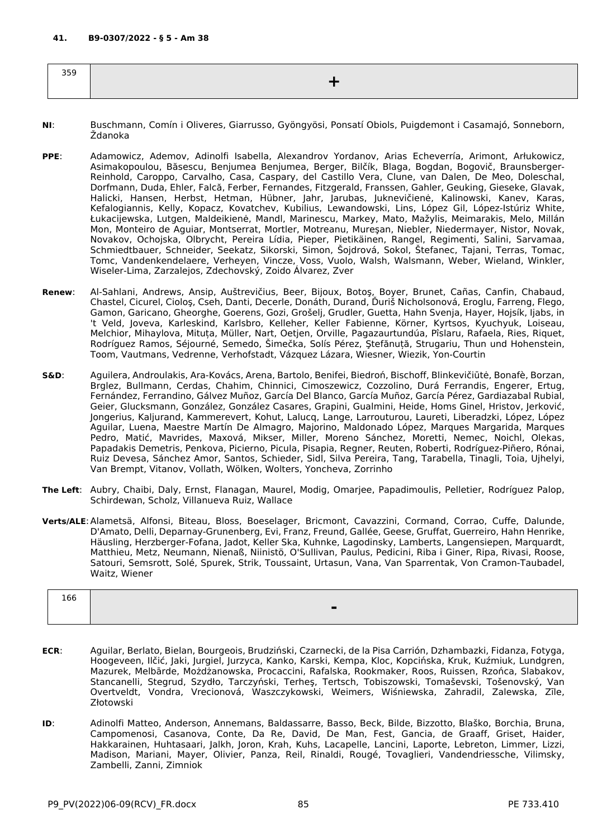| $\sim$ $\sim$ $\sim$<br>- - - |  |
|-------------------------------|--|
|                               |  |

- **NI**: Buschmann, Comín i Oliveres, Giarrusso, Gyöngyösi, Ponsatí Obiols, Puigdemont i Casamajó, Sonneborn, Ždanoka
- **PPE**: Adamowicz, Ademov, Adinolfi Isabella, Alexandrov Yordanov, Arias Echeverría, Arimont, Arłukowicz, Asimakopoulou, Băsescu, Benjumea Benjumea, Berger, Bilčík, Blaga, Bogdan, Bogovič, Braunsberger-Reinhold, Caroppo, Carvalho, Casa, Caspary, del Castillo Vera, Clune, van Dalen, De Meo, Doleschal, Dorfmann, Duda, Ehler, Falcă, Ferber, Fernandes, Fitzgerald, Franssen, Gahler, Geuking, Gieseke, Glavak, Halicki, Hansen, Herbst, Hetman, Hübner, Jahr, Jarubas, Juknevičienė, Kalinowski, Kanev, Karas, Kefalogiannis, Kelly, Kopacz, Kovatchev, Kubilius, Lewandowski, Lins, López Gil, López-Istúriz White, Łukacijewska, Lutgen, Maldeikienė, Mandl, Marinescu, Markey, Mato, Mažylis, Meimarakis, Melo, Millán Mon, Monteiro de Aguiar, Montserrat, Mortler, Motreanu, Mureşan, Niebler, Niedermayer, Nistor, Novak, Novakov, Ochojska, Olbrycht, Pereira Lídia, Pieper, Pietikäinen, Rangel, Regimenti, Salini, Sarvamaa, Schmiedtbauer, Schneider, Seekatz, Sikorski, Simon, Šojdrová, Sokol, Štefanec, Tajani, Terras, Tomac, Tomc, Vandenkendelaere, Verheyen, Vincze, Voss, Vuolo, Walsh, Walsmann, Weber, Wieland, Winkler, Wiseler-Lima, Zarzalejos, Zdechovský, Zoido Álvarez, Zver
- **Renew**: Al-Sahlani, Andrews, Ansip, Auštrevičius, Beer, Bijoux, Botoş, Boyer, Brunet, Cañas, Canfin, Chabaud, Chastel, Cicurel, Cioloş, Cseh, Danti, Decerle, Donáth, Durand, Ďuriš Nicholsonová, Eroglu, Farreng, Flego, Gamon, Garicano, Gheorghe, Goerens, Gozi, Grošelj, Grudler, Guetta, Hahn Svenja, Hayer, Hojsík, Ijabs, in 't Veld, Joveva, Karleskind, Karlsbro, Kelleher, Keller Fabienne, Körner, Kyrtsos, Kyuchyuk, Loiseau, Melchior, Mihaylova, Mituța, Müller, Nart, Oetjen, Orville, Pagazaurtundúa, Pîslaru, Rafaela, Ries, Riquet, Rodríguez Ramos, Séjourné, Semedo, Šimečka, Solís Pérez, Ştefănuță, Strugariu, Thun und Hohenstein, Toom, Vautmans, Vedrenne, Verhofstadt, Vázquez Lázara, Wiesner, Wiezik, Yon-Courtin
- **S&D**: Aguilera, Androulakis, Ara-Kovács, Arena, Bartolo, Benifei, Biedroń, Bischoff, Blinkevičiūtė, Bonafè, Borzan, Brglez, Bullmann, Cerdas, Chahim, Chinnici, Cimoszewicz, Cozzolino, Durá Ferrandis, Engerer, Ertug, Fernández, Ferrandino, Gálvez Muñoz, García Del Blanco, García Muñoz, García Pérez, Gardiazabal Rubial, Geier, Glucksmann, González, González Casares, Grapini, Gualmini, Heide, Homs Ginel, Hristov, Jerković, Jongerius, Kaljurand, Kammerevert, Kohut, Lalucq, Lange, Larrouturou, Laureti, Liberadzki, López, López Aguilar, Luena, Maestre Martín De Almagro, Majorino, Maldonado López, Marques Margarida, Marques Pedro, Matić, Mavrides, Maxová, Mikser, Miller, Moreno Sánchez, Moretti, Nemec, Noichl, Olekas, Papadakis Demetris, Penkova, Picierno, Picula, Pisapia, Regner, Reuten, Roberti, Rodríguez-Piñero, Rónai, Ruiz Devesa, Sánchez Amor, Santos, Schieder, Sidl, Silva Pereira, Tang, Tarabella, Tinagli, Toia, Ujhelyi, Van Brempt, Vitanov, Vollath, Wölken, Wolters, Yoncheva, Zorrinho
- **The Left**: Aubry, Chaibi, Daly, Ernst, Flanagan, Maurel, Modig, Omarjee, Papadimoulis, Pelletier, Rodríguez Palop, Schirdewan, Scholz, Villanueva Ruiz, Wallace
- **Verts/ALE**:Alametsä, Alfonsi, Biteau, Bloss, Boeselager, Bricmont, Cavazzini, Cormand, Corrao, Cuffe, Dalunde, D'Amato, Delli, Deparnay-Grunenberg, Evi, Franz, Freund, Gallée, Geese, Gruffat, Guerreiro, Hahn Henrike, Häusling, Herzberger-Fofana, Jadot, Keller Ska, Kuhnke, Lagodinsky, Lamberts, Langensiepen, Marquardt, Matthieu, Metz, Neumann, Nienaß, Niinistö, O'Sullivan, Paulus, Pedicini, Riba i Giner, Ripa, Rivasi, Roose, Satouri, Semsrott, Solé, Spurek, Strik, Toussaint, Urtasun, Vana, Van Sparrentak, Von Cramon-Taubadel, Waitz, Wiener

| 166 |        |
|-----|--------|
|     | -<br>- |
|     |        |

- **ECR**: Aguilar, Berlato, Bielan, Bourgeois, Brudziński, Czarnecki, de la Pisa Carrión, Dzhambazki, Fidanza, Fotyga, Hoogeveen, Ilčić, Jaki, Jurgiel, Jurzyca, Kanko, Karski, Kempa, Kloc, Kopcińska, Kruk, Kuźmiuk, Lundgren, Mazurek, Melbārde, Możdżanowska, Procaccini, Rafalska, Rookmaker, Roos, Ruissen, Rzońca, Slabakov, Stancanelli, Stegrud, Szydło, Tarczyński, Terheş, Tertsch, Tobiszowski, Tomaševski, Tošenovský, Van Overtveldt, Vondra, Vrecionová, Waszczykowski, Weimers, Wiśniewska, Zahradil, Zalewska, Zīle, Złotowski
- **ID**: Adinolfi Matteo, Anderson, Annemans, Baldassarre, Basso, Beck, Bilde, Bizzotto, Blaško, Borchia, Bruna, Campomenosi, Casanova, Conte, Da Re, David, De Man, Fest, Gancia, de Graaff, Griset, Haider, Hakkarainen, Huhtasaari, Jalkh, Joron, Krah, Kuhs, Lacapelle, Lancini, Laporte, Lebreton, Limmer, Lizzi, Madison, Mariani, Mayer, Olivier, Panza, Reil, Rinaldi, Rougé, Tovaglieri, Vandendriessche, Vilimsky, Zambelli, Zanni, Zimniok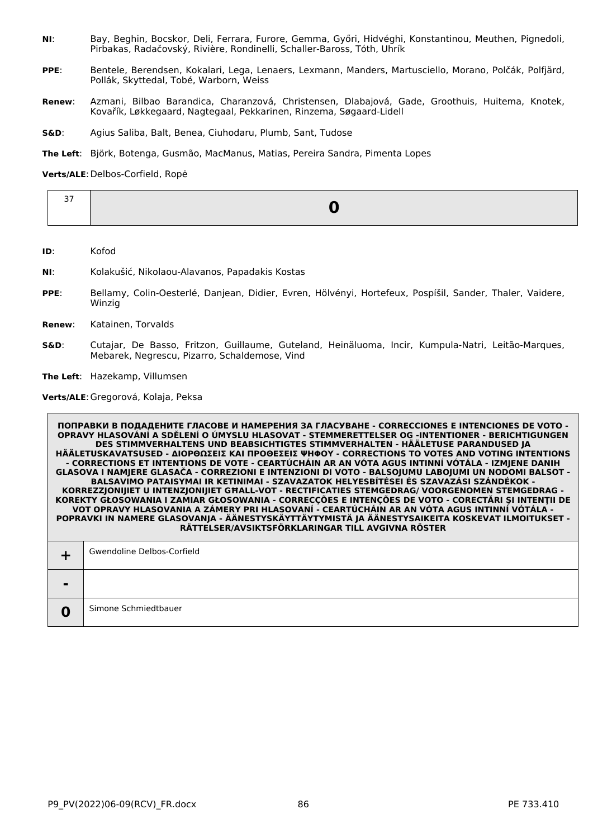- **NI**: Bay, Beghin, Bocskor, Deli, Ferrara, Furore, Gemma, Győri, Hidvéghi, Konstantinou, Meuthen, Pignedoli, Pirbakas, Radačovský, Rivière, Rondinelli, Schaller-Baross, Tóth, Uhrík
- **PPE**: Bentele, Berendsen, Kokalari, Lega, Lenaers, Lexmann, Manders, Martusciello, Morano, Polčák, Polfjärd, Pollák, Skyttedal, Tobé, Warborn, Weiss
- **Renew**: Azmani, Bilbao Barandica, Charanzová, Christensen, Dlabajová, Gade, Groothuis, Huitema, Knotek, Kovařík, Løkkegaard, Nagtegaal, Pekkarinen, Rinzema, Søgaard-Lidell
- **S&D**: Agius Saliba, Balt, Benea, Ciuhodaru, Plumb, Sant, Tudose
- **The Left**: Björk, Botenga, Gusmão, MacManus, Matias, Pereira Sandra, Pimenta Lopes

#### **Verts/ALE**:Delbos-Corfield, Ropė

| $\mathbb{R}$ |  |
|--------------|--|
|              |  |

- **ID**: Kofod
- **NI**: Kolakušić, Nikolaou-Alavanos, Papadakis Kostas
- **PPE**: Bellamy, Colin-Oesterlé, Danjean, Didier, Evren, Hölvényi, Hortefeux, Pospíšil, Sander, Thaler, Vaidere, Winzig
- **Renew**: Katainen, Torvalds
- **S&D**: Cutajar, De Basso, Fritzon, Guillaume, Guteland, Heinäluoma, Incir, Kumpula-Natri, Leitão-Marques, Mebarek, Negrescu, Pizarro, Schaldemose, Vind

**The Left**: Hazekamp, Villumsen

**Verts/ALE**:Gregorová, Kolaja, Peksa

| Simone Schmiedtbauer |
|----------------------|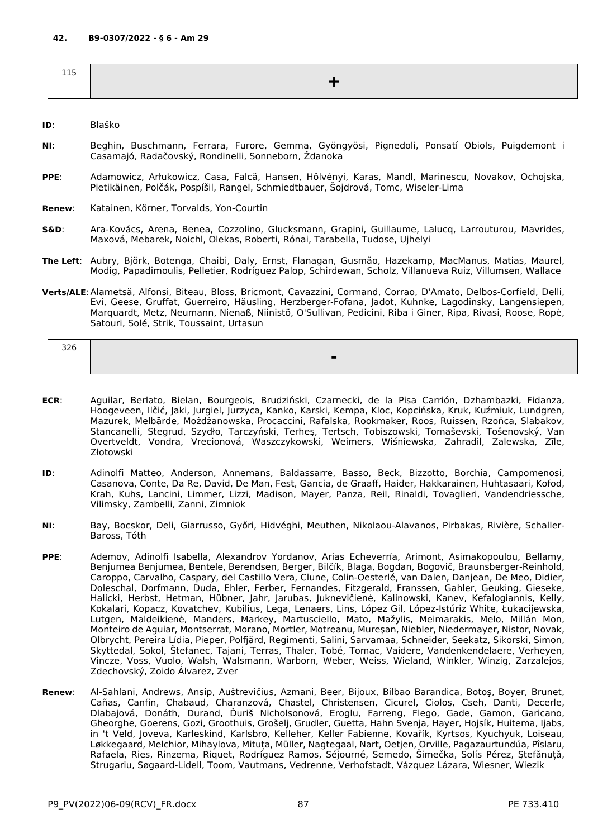| - - -<br>---- |  |
|---------------|--|
|               |  |

- **ID**: Blaško
- **NI**: Beghin, Buschmann, Ferrara, Furore, Gemma, Gyöngyösi, Pignedoli, Ponsatí Obiols, Puigdemont i Casamajó, Radačovský, Rondinelli, Sonneborn, Ždanoka
- **PPE**: Adamowicz, Arłukowicz, Casa, Falcă, Hansen, Hölvényi, Karas, Mandl, Marinescu, Novakov, Ochojska, Pietikäinen, Polčák, Pospíšil, Rangel, Schmiedtbauer, Šojdrová, Tomc, Wiseler-Lima
- **Renew**: Katainen, Körner, Torvalds, Yon-Courtin
- **S&D**: Ara-Kovács, Arena, Benea, Cozzolino, Glucksmann, Grapini, Guillaume, Lalucq, Larrouturou, Mavrides, Maxová, Mebarek, Noichl, Olekas, Roberti, Rónai, Tarabella, Tudose, Ujhelyi
- **The Left**: Aubry, Björk, Botenga, Chaibi, Daly, Ernst, Flanagan, Gusmão, Hazekamp, MacManus, Matias, Maurel, Modig, Papadimoulis, Pelletier, Rodríguez Palop, Schirdewan, Scholz, Villanueva Ruiz, Villumsen, Wallace
- **Verts/ALE**:Alametsä, Alfonsi, Biteau, Bloss, Bricmont, Cavazzini, Cormand, Corrao, D'Amato, Delbos-Corfield, Delli, Evi, Geese, Gruffat, Guerreiro, Häusling, Herzberger-Fofana, Jadot, Kuhnke, Lagodinsky, Langensiepen, Marquardt, Metz, Neumann, Nienaß, Niinistö, O'Sullivan, Pedicini, Riba i Giner, Ripa, Rivasi, Roose, Ropė, Satouri, Solé, Strik, Toussaint, Urtasun

| 22C<br>⊃∠∪ |                                                      |
|------------|------------------------------------------------------|
|            | $\overline{\phantom{a}}$<br>$\overline{\phantom{0}}$ |

- **ECR**: Aguilar, Berlato, Bielan, Bourgeois, Brudziński, Czarnecki, de la Pisa Carrión, Dzhambazki, Fidanza, Hoogeveen, Ilčić, Jaki, Jurgiel, Jurzyca, Kanko, Karski, Kempa, Kloc, Kopcińska, Kruk, Kuźmiuk, Lundgren, Mazurek, Melbārde, Możdżanowska, Procaccini, Rafalska, Rookmaker, Roos, Ruissen, Rzońca, Slabakov, Stancanelli, Stegrud, Szydło, Tarczyński, Terheş, Tertsch, Tobiszowski, Tomaševski, Tošenovský, Van Overtveldt, Vondra, Vrecionová, Waszczykowski, Weimers, Wiśniewska, Zahradil, Zalewska, Zīle, Złotowski
- **ID**: Adinolfi Matteo, Anderson, Annemans, Baldassarre, Basso, Beck, Bizzotto, Borchia, Campomenosi, Casanova, Conte, Da Re, David, De Man, Fest, Gancia, de Graaff, Haider, Hakkarainen, Huhtasaari, Kofod, Krah, Kuhs, Lancini, Limmer, Lizzi, Madison, Mayer, Panza, Reil, Rinaldi, Tovaglieri, Vandendriessche, Vilimsky, Zambelli, Zanni, Zimniok
- **NI**: Bay, Bocskor, Deli, Giarrusso, Győri, Hidvéghi, Meuthen, Nikolaou-Alavanos, Pirbakas, Rivière, Schaller-Baross, Tóth
- **PPE**: Ademov, Adinolfi Isabella, Alexandrov Yordanov, Arias Echeverría, Arimont, Asimakopoulou, Bellamy, Benjumea Benjumea, Bentele, Berendsen, Berger, Bilčík, Blaga, Bogdan, Bogovič, Braunsberger-Reinhold, Caroppo, Carvalho, Caspary, del Castillo Vera, Clune, Colin-Oesterlé, van Dalen, Danjean, De Meo, Didier, Doleschal, Dorfmann, Duda, Ehler, Ferber, Fernandes, Fitzgerald, Franssen, Gahler, Geuking, Gieseke, Halicki, Herbst, Hetman, Hübner, Jahr, Jarubas, Juknevičienė, Kalinowski, Kanev, Kefalogiannis, Kelly, Kokalari, Kopacz, Kovatchev, Kubilius, Lega, Lenaers, Lins, López Gil, López-Istúriz White, Łukacijewska, Lutgen, Maldeikienė, Manders, Markey, Martusciello, Mato, Mažylis, Meimarakis, Melo, Millán Mon, Monteiro de Aguiar, Montserrat, Morano, Mortler, Motreanu, Mureşan, Niebler, Niedermayer, Nistor, Novak, Olbrycht, Pereira Lídia, Pieper, Polfjärd, Regimenti, Salini, Sarvamaa, Schneider, Seekatz, Sikorski, Simon, Skyttedal, Sokol, Štefanec, Tajani, Terras, Thaler, Tobé, Tomac, Vaidere, Vandenkendelaere, Verheyen, Vincze, Voss, Vuolo, Walsh, Walsmann, Warborn, Weber, Weiss, Wieland, Winkler, Winzig, Zarzalejos, Zdechovský, Zoido Álvarez, Zver
- **Renew**: Al-Sahlani, Andrews, Ansip, Auštrevičius, Azmani, Beer, Bijoux, Bilbao Barandica, Botoş, Boyer, Brunet, Cañas, Canfin, Chabaud, Charanzová, Chastel, Christensen, Cicurel, Cioloş, Cseh, Danti, Decerle, Dlabajová, Donáth, Durand, Ďuriš Nicholsonová, Eroglu, Farreng, Flego, Gade, Gamon, Garicano, Gheorghe, Goerens, Gozi, Groothuis, Grošelj, Grudler, Guetta, Hahn Svenja, Hayer, Hojsík, Huitema, Ijabs, in 't Veld, Joveva, Karleskind, Karlsbro, Kelleher, Keller Fabienne, Kovařík, Kyrtsos, Kyuchyuk, Loiseau, Løkkegaard, Melchior, Mihaylova, Mituța, Müller, Nagtegaal, Nart, Oetjen, Orville, Pagazaurtundúa, Pîslaru, Rafaela, Ries, Rinzema, Riquet, Rodríguez Ramos, Séjourné, Semedo, Šimečka, Solís Pérez, Ştefănuță, Strugariu, Søgaard-Lidell, Toom, Vautmans, Vedrenne, Verhofstadt, Vázquez Lázara, Wiesner, Wiezik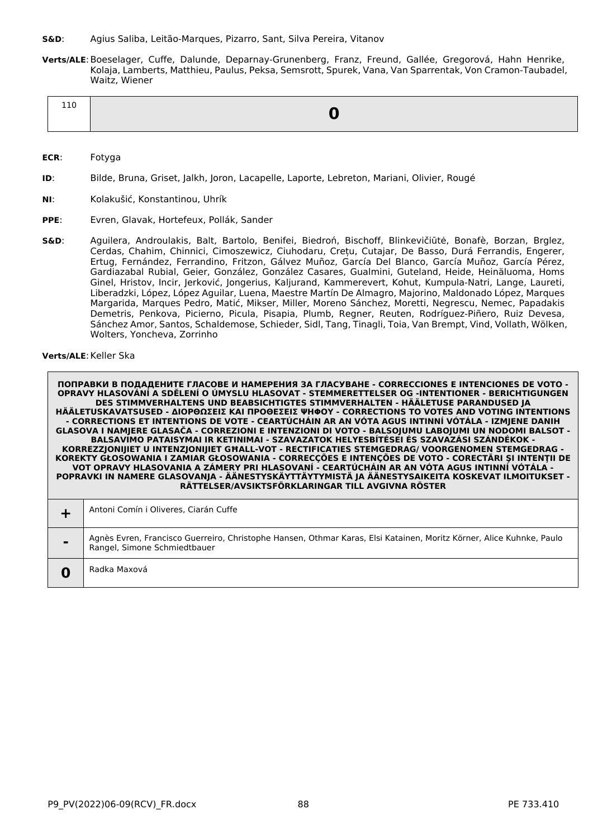- **S&D**: Agius Saliba, Leitão-Marques, Pizarro, Sant, Silva Pereira, Vitanov
- **Verts/ALE**:Boeselager, Cuffe, Dalunde, Deparnay-Grunenberg, Franz, Freund, Gallée, Gregorová, Hahn Henrike, Kolaja, Lamberts, Matthieu, Paulus, Peksa, Semsrott, Spurek, Vana, Van Sparrentak, Von Cramon-Taubadel, Waitz, Wiener

| 110 |  |
|-----|--|
|     |  |

- **ECR**: Fotyga
- **ID**: Bilde, Bruna, Griset, Jalkh, Joron, Lacapelle, Laporte, Lebreton, Mariani, Olivier, Rougé
- **NI**: Kolakušić, Konstantinou, Uhrík
- **PPE**: Evren, Glavak, Hortefeux, Pollák, Sander
- **S&D**: Aguilera, Androulakis, Balt, Bartolo, Benifei, Biedroń, Bischoff, Blinkevičiūtė, Bonafè, Borzan, Brglez, Cerdas, Chahim, Chinnici, Cimoszewicz, Ciuhodaru, Crețu, Cutajar, De Basso, Durá Ferrandis, Engerer, Ertug, Fernández, Ferrandino, Fritzon, Gálvez Muñoz, García Del Blanco, García Muñoz, García Pérez, Gardiazabal Rubial, Geier, González, González Casares, Gualmini, Guteland, Heide, Heinäluoma, Homs Ginel, Hristov, Incir, Jerković, Jongerius, Kaljurand, Kammerevert, Kohut, Kumpula-Natri, Lange, Laureti, Liberadzki, López, López Aguilar, Luena, Maestre Martín De Almagro, Majorino, Maldonado López, Marques Margarida, Marques Pedro, Matić, Mikser, Miller, Moreno Sánchez, Moretti, Negrescu, Nemec, Papadakis Demetris, Penkova, Picierno, Picula, Pisapia, Plumb, Regner, Reuten, Rodríguez-Piñero, Ruiz Devesa, Sánchez Amor, Santos, Schaldemose, Schieder, Sidl, Tang, Tinagli, Toia, Van Brempt, Vind, Vollath, Wölken, Wolters, Yoncheva, Zorrinho

# **Verts/ALE: Keller Ska**

| Antoni Comín i Oliveres, Ciarán Cuffe                                                                                                                |
|------------------------------------------------------------------------------------------------------------------------------------------------------|
| Agnès Evren, Francisco Guerreiro, Christophe Hansen, Othmar Karas, Elsi Katainen, Moritz Körner, Alice Kuhnke, Paulo<br>Rangel, Simone Schmiedtbauer |
| Radka Maxová                                                                                                                                         |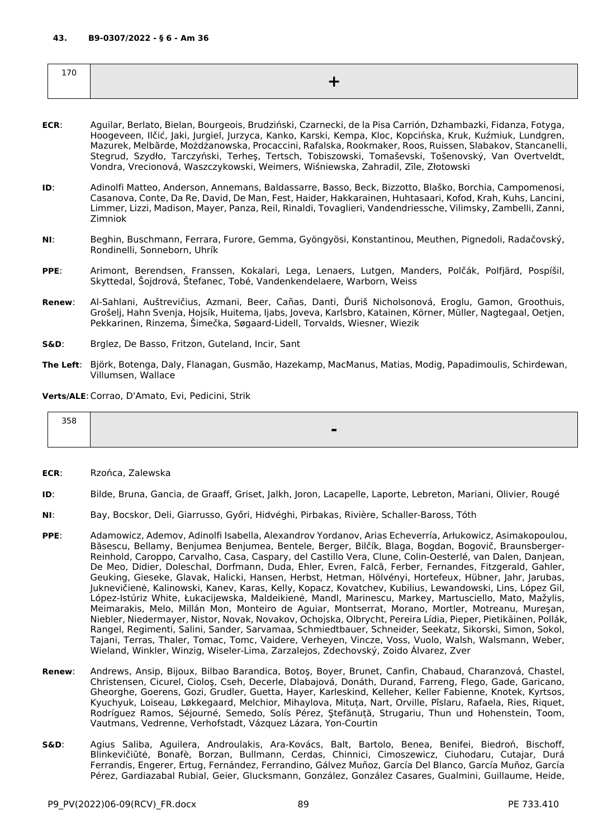| . .<br>7 L<br>$\sim$ |  |
|----------------------|--|
|                      |  |

- **ECR**: Aguilar, Berlato, Bielan, Bourgeois, Brudziński, Czarnecki, de la Pisa Carrión, Dzhambazki, Fidanza, Fotyga, Hoogeveen, Ilčić, Jaki, Jurgiel, Jurzyca, Kanko, Karski, Kempa, Kloc, Kopcińska, Kruk, Kuźmiuk, Lundgren, Mazurek, Melbārde, Możdżanowska, Procaccini, Rafalska, Rookmaker, Roos, Ruissen, Slabakov, Stancanelli, Stegrud, Szydło, Tarczyński, Terheş, Tertsch, Tobiszowski, Tomaševski, Tošenovský, Van Overtveldt, Vondra, Vrecionová, Waszczykowski, Weimers, Wiśniewska, Zahradil, Zīle, Złotowski
- **ID**: Adinolfi Matteo, Anderson, Annemans, Baldassarre, Basso, Beck, Bizzotto, Blaško, Borchia, Campomenosi, Casanova, Conte, Da Re, David, De Man, Fest, Haider, Hakkarainen, Huhtasaari, Kofod, Krah, Kuhs, Lancini, Limmer, Lizzi, Madison, Mayer, Panza, Reil, Rinaldi, Tovaglieri, Vandendriessche, Vilimsky, Zambelli, Zanni, Zimniok
- **NI**: Beghin, Buschmann, Ferrara, Furore, Gemma, Gyöngyösi, Konstantinou, Meuthen, Pignedoli, Radačovský, Rondinelli, Sonneborn, Uhrík
- **PPE**: Arimont, Berendsen, Franssen, Kokalari, Lega, Lenaers, Lutgen, Manders, Polčák, Polfjärd, Pospíšil, Skyttedal, Šojdrová, Štefanec, Tobé, Vandenkendelaere, Warborn, Weiss
- **Renew**: Al-Sahlani, Auštrevičius, Azmani, Beer, Cañas, Danti, Ďuriš Nicholsonová, Eroglu, Gamon, Groothuis, Grošelj, Hahn Svenja, Hojsík, Huitema, Ijabs, Joveva, Karlsbro, Katainen, Körner, Müller, Nagtegaal, Oetjen, Pekkarinen, Rinzema, Šimečka, Søgaard-Lidell, Torvalds, Wiesner, Wiezik
- **S&D**: Brglez, De Basso, Fritzon, Guteland, Incir, Sant
- **The Left**: Björk, Botenga, Daly, Flanagan, Gusmão, Hazekamp, MacManus, Matias, Modig, Papadimoulis, Schirdewan, Villumsen, Wallace

**Verts/ALE**:Corrao, D'Amato, Evi, Pedicini, Strik

| 200<br>338 |          |
|------------|----------|
|            | -<br>. . |
|            |          |

- **ECR**: Rzońca, Zalewska
- **ID**: Bilde, Bruna, Gancia, de Graaff, Griset, Jalkh, Joron, Lacapelle, Laporte, Lebreton, Mariani, Olivier, Rougé
- **NI**: Bay, Bocskor, Deli, Giarrusso, Győri, Hidvéghi, Pirbakas, Rivière, Schaller-Baross, Tóth
- **PPE**: Adamowicz, Ademov, Adinolfi Isabella, Alexandrov Yordanov, Arias Echeverría, Arłukowicz, Asimakopoulou, Băsescu, Bellamy, Benjumea Benjumea, Bentele, Berger, Bilčík, Blaga, Bogdan, Bogovič, Braunsberger-Reinhold, Caroppo, Carvalho, Casa, Caspary, del Castillo Vera, Clune, Colin-Oesterlé, van Dalen, Danjean, De Meo, Didier, Doleschal, Dorfmann, Duda, Ehler, Evren, Falcă, Ferber, Fernandes, Fitzgerald, Gahler, Geuking, Gieseke, Glavak, Halicki, Hansen, Herbst, Hetman, Hölvényi, Hortefeux, Hübner, Jahr, Jarubas, Juknevičienė, Kalinowski, Kanev, Karas, Kelly, Kopacz, Kovatchev, Kubilius, Lewandowski, Lins, López Gil, López-Istúriz White, Łukacijewska, Maldeikienė, Mandl, Marinescu, Markey, Martusciello, Mato, Mažylis, Meimarakis, Melo, Millán Mon, Monteiro de Aguiar, Montserrat, Morano, Mortler, Motreanu, Mureşan, Niebler, Niedermayer, Nistor, Novak, Novakov, Ochojska, Olbrycht, Pereira Lídia, Pieper, Pietikäinen, Pollák, Rangel, Regimenti, Salini, Sander, Sarvamaa, Schmiedtbauer, Schneider, Seekatz, Sikorski, Simon, Sokol, Tajani, Terras, Thaler, Tomac, Tomc, Vaidere, Verheyen, Vincze, Voss, Vuolo, Walsh, Walsmann, Weber, Wieland, Winkler, Winzig, Wiseler-Lima, Zarzalejos, Zdechovský, Zoido Álvarez, Zver
- **Renew**: Andrews, Ansip, Bijoux, Bilbao Barandica, Botoş, Boyer, Brunet, Canfin, Chabaud, Charanzová, Chastel, Christensen, Cicurel, Cioloş, Cseh, Decerle, Dlabajová, Donáth, Durand, Farreng, Flego, Gade, Garicano, Gheorghe, Goerens, Gozi, Grudler, Guetta, Hayer, Karleskind, Kelleher, Keller Fabienne, Knotek, Kyrtsos, Kyuchyuk, Loiseau, Løkkegaard, Melchior, Mihaylova, Mituța, Nart, Orville, Pîslaru, Rafaela, Ries, Riquet, Rodríguez Ramos, Séjourné, Semedo, Solís Pérez, Ştefănuță, Strugariu, Thun und Hohenstein, Toom, Vautmans, Vedrenne, Verhofstadt, Vázquez Lázara, Yon-Courtin
- **S&D**: Agius Saliba, Aguilera, Androulakis, Ara-Kovács, Balt, Bartolo, Benea, Benifei, Biedroń, Bischoff, Blinkevičiūtė, Bonafè, Borzan, Bullmann, Cerdas, Chinnici, Cimoszewicz, Ciuhodaru, Cutajar, Durá Ferrandis, Engerer, Ertug, Fernández, Ferrandino, Gálvez Muñoz, García Del Blanco, García Muñoz, García Pérez, Gardiazabal Rubial, Geier, Glucksmann, González, González Casares, Gualmini, Guillaume, Heide,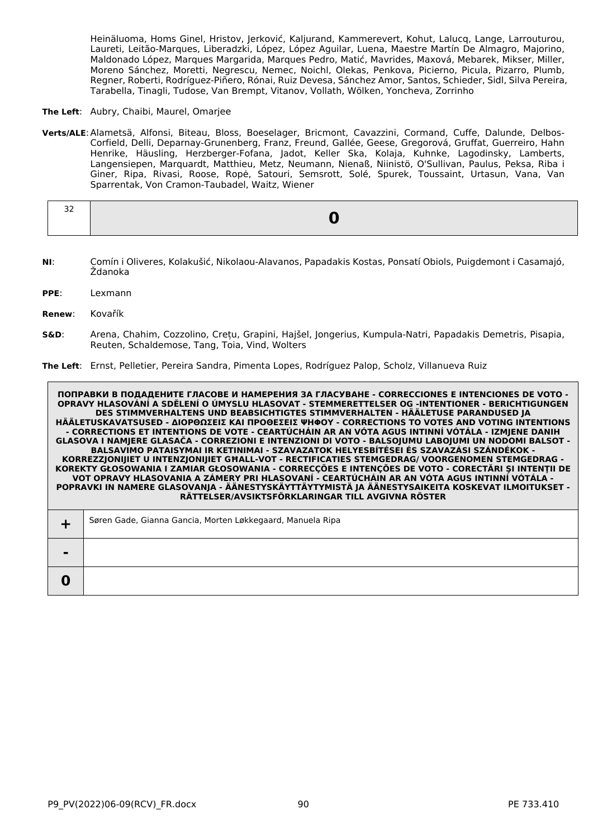Heinäluoma, Homs Ginel, Hristov, Jerković, Kaljurand, Kammerevert, Kohut, Lalucq, Lange, Larrouturou, Laureti, Leitão-Marques, Liberadzki, López, López Aguilar, Luena, Maestre Martín De Almagro, Majorino, Maldonado López, Marques Margarida, Marques Pedro, Matić, Mavrides, Maxová, Mebarek, Mikser, Miller, Moreno Sánchez, Moretti, Negrescu, Nemec, Noichl, Olekas, Penkova, Picierno, Picula, Pizarro, Plumb, Regner, Roberti, Rodríguez-Piñero, Rónai, Ruiz Devesa, Sánchez Amor, Santos, Schieder, Sidl, Silva Pereira, Tarabella, Tinagli, Tudose, Van Brempt, Vitanov, Vollath, Wölken, Yoncheva, Zorrinho

**The Left**: Aubry, Chaibi, Maurel, Omarjee

**Verts/ALE**:Alametsä, Alfonsi, Biteau, Bloss, Boeselager, Bricmont, Cavazzini, Cormand, Cuffe, Dalunde, Delbos-Corfield, Delli, Deparnay-Grunenberg, Franz, Freund, Gallée, Geese, Gregorová, Gruffat, Guerreiro, Hahn Henrike, Häusling, Herzberger-Fofana, Jadot, Keller Ska, Kolaja, Kuhnke, Lagodinsky, Lamberts, Langensiepen, Marquardt, Matthieu, Metz, Neumann, Nienaß, Niinistö, O'Sullivan, Paulus, Peksa, Riba i Giner, Ripa, Rivasi, Roose, Ropė, Satouri, Semsrott, Solé, Spurek, Toussaint, Urtasun, Vana, Van Sparrentak, Von Cramon-Taubadel, Waitz, Wiener

| - -<br>$\sim$ |  |
|---------------|--|
|               |  |

- **NI**: Comín i Oliveres, Kolakušić, Nikolaou-Alavanos, Papadakis Kostas, Ponsatí Obiols, Puigdemont i Casamajó, Ždanoka
- **PPE**: Lexmann
- **Renew**: Kovařík
- **S&D**: Arena, Chahim, Cozzolino, Crețu, Grapini, Hajšel, Jongerius, Kumpula-Natri, Papadakis Demetris, Pisapia, Reuten, Schaldemose, Tang, Toia, Vind, Wolters

**The Left**: Ernst, Pelletier, Pereira Sandra, Pimenta Lopes, Rodríguez Palop, Scholz, Villanueva Ruiz

|                | Søren Gade, Gianna Gancia, Morten Løkkegaard, Manuela Ripa |
|----------------|------------------------------------------------------------|
| $\blacksquare$ |                                                            |
|                |                                                            |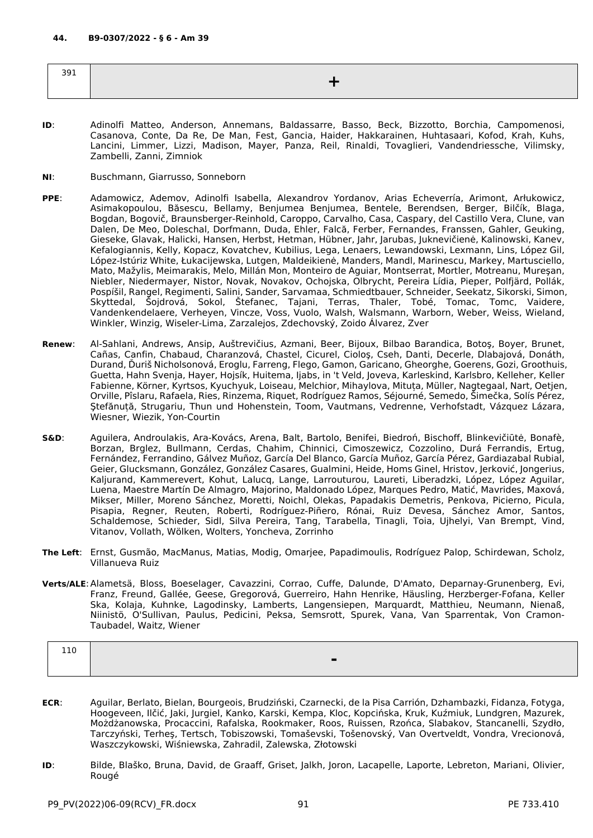| $\sim$ $\sim$ $\sim$<br><b>JY1</b> |  |
|------------------------------------|--|
|                                    |  |

- **ID**: Adinolfi Matteo, Anderson, Annemans, Baldassarre, Basso, Beck, Bizzotto, Borchia, Campomenosi, Casanova, Conte, Da Re, De Man, Fest, Gancia, Haider, Hakkarainen, Huhtasaari, Kofod, Krah, Kuhs, Lancini, Limmer, Lizzi, Madison, Mayer, Panza, Reil, Rinaldi, Tovaglieri, Vandendriessche, Vilimsky, Zambelli, Zanni, Zimniok
- **NI**: Buschmann, Giarrusso, Sonneborn
- **PPE**: Adamowicz, Ademov, Adinolfi Isabella, Alexandrov Yordanov, Arias Echeverría, Arimont, Arłukowicz, Asimakopoulou, Băsescu, Bellamy, Benjumea Benjumea, Bentele, Berendsen, Berger, Bilčík, Blaga, Bogdan, Bogovič, Braunsberger-Reinhold, Caroppo, Carvalho, Casa, Caspary, del Castillo Vera, Clune, van Dalen, De Meo, Doleschal, Dorfmann, Duda, Ehler, Falcă, Ferber, Fernandes, Franssen, Gahler, Geuking, Gieseke, Glavak, Halicki, Hansen, Herbst, Hetman, Hübner, Jahr, Jarubas, Juknevičienė, Kalinowski, Kanev, Kefalogiannis, Kelly, Kopacz, Kovatchev, Kubilius, Lega, Lenaers, Lewandowski, Lexmann, Lins, López Gil, López-Istúriz White, Łukacijewska, Lutgen, Maldeikienė, Manders, Mandl, Marinescu, Markey, Martusciello, Mato, Mažylis, Meimarakis, Melo, Millán Mon, Monteiro de Aguiar, Montserrat, Mortler, Motreanu, Mureşan, Niebler, Niedermayer, Nistor, Novak, Novakov, Ochojska, Olbrycht, Pereira Lídia, Pieper, Polfjärd, Pollák, Pospíšil, Rangel, Regimenti, Salini, Sander, Sarvamaa, Schmiedtbauer, Schneider, Seekatz, Sikorski, Simon, Skyttedal, Šojdrová, Sokol, Štefanec, Tajani, Terras, Thaler, Tobé, Tomac, Tomc, Vaidere, Vandenkendelaere, Verheyen, Vincze, Voss, Vuolo, Walsh, Walsmann, Warborn, Weber, Weiss, Wieland, Winkler, Winzig, Wiseler-Lima, Zarzalejos, Zdechovský, Zoido Álvarez, Zver
- **Renew**: Al-Sahlani, Andrews, Ansip, Auštrevičius, Azmani, Beer, Bijoux, Bilbao Barandica, Botoş, Boyer, Brunet, Cañas, Canfin, Chabaud, Charanzová, Chastel, Cicurel, Cioloş, Cseh, Danti, Decerle, Dlabajová, Donáth, Durand, Ďuriš Nicholsonová, Eroglu, Farreng, Flego, Gamon, Garicano, Gheorghe, Goerens, Gozi, Groothuis, Guetta, Hahn Svenja, Hayer, Hojsík, Huitema, Ijabs, in 't Veld, Joveva, Karleskind, Karlsbro, Kelleher, Keller Fabienne, Körner, Kyrtsos, Kyuchyuk, Loiseau, Melchior, Mihaylova, Mituța, Müller, Nagtegaal, Nart, Oetjen, Orville, Pîslaru, Rafaela, Ries, Rinzema, Riquet, Rodríguez Ramos, Séjourné, Semedo, Šimečka, Solís Pérez, Ştefănuță, Strugariu, Thun und Hohenstein, Toom, Vautmans, Vedrenne, Verhofstadt, Vázquez Lázara, Wiesner, Wiezik, Yon-Courtin

**S&D**: Aguilera, Androulakis, Ara-Kovács, Arena, Balt, Bartolo, Benifei, Biedroń, Bischoff, Blinkevičiūtė, Bonafè, Borzan, Brglez, Bullmann, Cerdas, Chahim, Chinnici, Cimoszewicz, Cozzolino, Durá Ferrandis, Ertug, Fernández, Ferrandino, Gálvez Muñoz, García Del Blanco, García Muñoz, García Pérez, Gardiazabal Rubial, Geier, Glucksmann, González, González Casares, Gualmini, Heide, Homs Ginel, Hristov, Jerković, Jongerius, Kaljurand, Kammerevert, Kohut, Lalucq, Lange, Larrouturou, Laureti, Liberadzki, López, López Aguilar, Luena, Maestre Martín De Almagro, Majorino, Maldonado López, Marques Pedro, Matić, Mavrides, Maxová, Mikser, Miller, Moreno Sánchez, Moretti, Noichl, Olekas, Papadakis Demetris, Penkova, Picierno, Picula, Pisapia, Regner, Reuten, Roberti, Rodríguez-Piñero, Rónai, Ruiz Devesa, Sánchez Amor, Santos, Schaldemose, Schieder, Sidl, Silva Pereira, Tang, Tarabella, Tinagli, Toia, Ujhelyi, Van Brempt, Vind, Vitanov, Vollath, Wölken, Wolters, Yoncheva, Zorrinho

- **The Left**: Ernst, Gusmão, MacManus, Matias, Modig, Omarjee, Papadimoulis, Rodríguez Palop, Schirdewan, Scholz, Villanueva Ruiz
- **Verts/ALE**:Alametsä, Bloss, Boeselager, Cavazzini, Corrao, Cuffe, Dalunde, D'Amato, Deparnay-Grunenberg, Evi, Franz, Freund, Gallée, Geese, Gregorová, Guerreiro, Hahn Henrike, Häusling, Herzberger-Fofana, Keller Ska, Kolaja, Kuhnke, Lagodinsky, Lamberts, Langensiepen, Marquardt, Matthieu, Neumann, Nienaß, Niinistö, O'Sullivan, Paulus, Pedicini, Peksa, Semsrott, Spurek, Vana, Van Sparrentak, Von Cramon-Taubadel, Waitz, Wiener

| ᆂᆂᅜ |  |
|-----|--|
|     |  |
|     |  |

- **ECR**: Aguilar, Berlato, Bielan, Bourgeois, Brudziński, Czarnecki, de la Pisa Carrión, Dzhambazki, Fidanza, Fotyga, Hoogeveen, Ilčić, Jaki, Jurgiel, Kanko, Karski, Kempa, Kloc, Kopcińska, Kruk, Kuźmiuk, Lundgren, Mazurek, Możdżanowska, Procaccini, Rafalska, Rookmaker, Roos, Ruissen, Rzońca, Slabakov, Stancanelli, Szydło, Tarczyński, Terheş, Tertsch, Tobiszowski, Tomaševski, Tošenovský, Van Overtveldt, Vondra, Vrecionová, Waszczykowski, Wiśniewska, Zahradil, Zalewska, Złotowski
- **ID**: Bilde, Blaško, Bruna, David, de Graaff, Griset, Jalkh, Joron, Lacapelle, Laporte, Lebreton, Mariani, Olivier, Rougé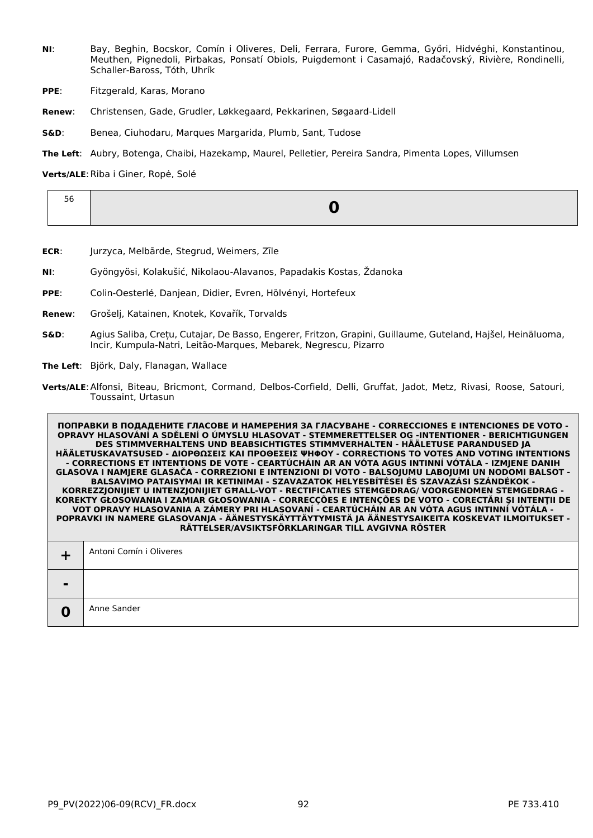- **NI**: Bay, Beghin, Bocskor, Comín i Oliveres, Deli, Ferrara, Furore, Gemma, Győri, Hidvéghi, Konstantinou, Meuthen, Pignedoli, Pirbakas, Ponsatí Obiols, Puigdemont i Casamajó, Radačovský, Rivière, Rondinelli, Schaller-Baross, Tóth, Uhrík
- **PPE:** Fitzgerald, Karas, Morano
- **Renew**: Christensen, Gade, Grudler, Løkkegaard, Pekkarinen, Søgaard-Lidell
- **S&D**: Benea, Ciuhodaru, Marques Margarida, Plumb, Sant, Tudose

**The Left**: Aubry, Botenga, Chaibi, Hazekamp, Maurel, Pelletier, Pereira Sandra, Pimenta Lopes, Villumsen

Verts/ALE: Riba i Giner, Ropė, Solé

- **ECR**: Jurzyca, Melbārde, Stegrud, Weimers, Zīle
- **NI**: Gyöngyösi, Kolakušić, Nikolaou-Alavanos, Papadakis Kostas, Ždanoka
- **PPE**: Colin-Oesterlé, Danjean, Didier, Evren, Hölvényi, Hortefeux
- **Renew**: Grošelj, Katainen, Knotek, Kovařík, Torvalds
- **S&D**: Agius Saliba, Crețu, Cutajar, De Basso, Engerer, Fritzon, Grapini, Guillaume, Guteland, Hajšel, Heinäluoma, Incir, Kumpula-Natri, Leitão-Marques, Mebarek, Negrescu, Pizarro
- **The Left**: Björk, Daly, Flanagan, Wallace
- **Verts/ALE**:Alfonsi, Biteau, Bricmont, Cormand, Delbos-Corfield, Delli, Gruffat, Jadot, Metz, Rivasi, Roose, Satouri, Toussaint, Urtasun

|        | Antoni Comín i Oliveres |
|--------|-------------------------|
| $\sim$ |                         |
|        | Anne Sander             |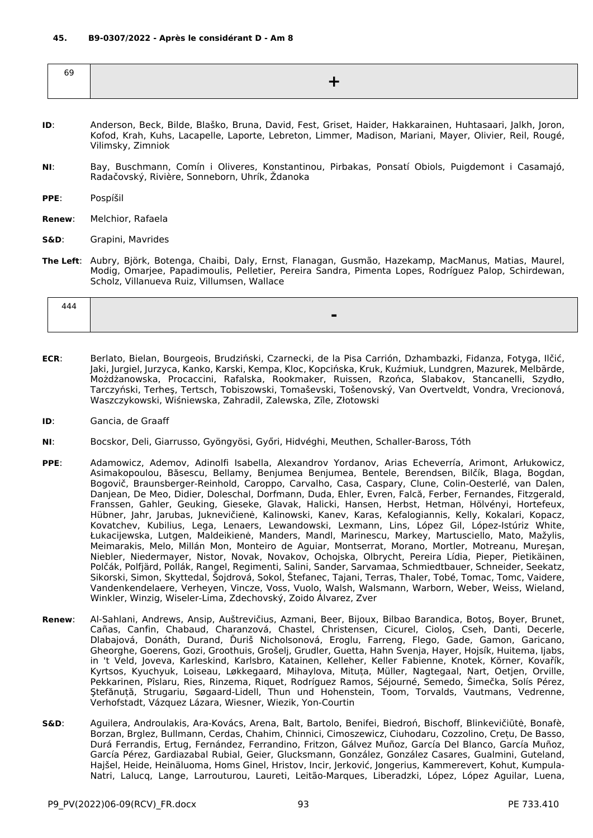| 69 |  |
|----|--|
|    |  |
|    |  |

- **ID**: Anderson, Beck, Bilde, Blaško, Bruna, David, Fest, Griset, Haider, Hakkarainen, Huhtasaari, Jalkh, Joron, Kofod, Krah, Kuhs, Lacapelle, Laporte, Lebreton, Limmer, Madison, Mariani, Mayer, Olivier, Reil, Rougé, Vilimsky, Zimniok
- **NI**: Bay, Buschmann, Comín i Oliveres, Konstantinou, Pirbakas, Ponsatí Obiols, Puigdemont i Casamajó, Radačovský, Rivière, Sonneborn, Uhrík, Ždanoka
- **PPE**: Pospíšil
- **Renew**: Melchior, Rafaela
- **S&D**: Grapini, Mavrides
- **The Left**: Aubry, Björk, Botenga, Chaibi, Daly, Ernst, Flanagan, Gusmão, Hazekamp, MacManus, Matias, Maurel, Modig, Omarjee, Papadimoulis, Pelletier, Pereira Sandra, Pimenta Lopes, Rodríguez Palop, Schirdewan, Scholz, Villanueva Ruiz, Villumsen, Wallace

| 444 |  |
|-----|--|
|     |  |

- **ECR**: Berlato, Bielan, Bourgeois, Brudziński, Czarnecki, de la Pisa Carrión, Dzhambazki, Fidanza, Fotyga, Ilčić, Jaki, Jurgiel, Jurzyca, Kanko, Karski, Kempa, Kloc, Kopcińska, Kruk, Kuźmiuk, Lundgren, Mazurek, Melbārde, Możdżanowska, Procaccini, Rafalska, Rookmaker, Ruissen, Rzońca, Slabakov, Stancanelli, Szydło, Tarczyński, Terheş, Tertsch, Tobiszowski, Tomaševski, Tošenovský, Van Overtveldt, Vondra, Vrecionová, Waszczykowski, Wiśniewska, Zahradil, Zalewska, Zīle, Złotowski
- **ID**: Gancia, de Graaff
- **NI**: Bocskor, Deli, Giarrusso, Gyöngyösi, Győri, Hidvéghi, Meuthen, Schaller-Baross, Tóth
- **PPE**: Adamowicz, Ademov, Adinolfi Isabella, Alexandrov Yordanov, Arias Echeverría, Arimont, Arłukowicz, Asimakopoulou, Băsescu, Bellamy, Benjumea Benjumea, Bentele, Berendsen, Bilčík, Blaga, Bogdan, Bogovič, Braunsberger-Reinhold, Caroppo, Carvalho, Casa, Caspary, Clune, Colin-Oesterlé, van Dalen, Danjean, De Meo, Didier, Doleschal, Dorfmann, Duda, Ehler, Evren, Falcă, Ferber, Fernandes, Fitzgerald, Franssen, Gahler, Geuking, Gieseke, Glavak, Halicki, Hansen, Herbst, Hetman, Hölvényi, Hortefeux, Hübner, Jahr, Jarubas, Juknevičienė, Kalinowski, Kanev, Karas, Kefalogiannis, Kelly, Kokalari, Kopacz, Kovatchev, Kubilius, Lega, Lenaers, Lewandowski, Lexmann, Lins, López Gil, López-Istúriz White, Łukacijewska, Lutgen, Maldeikienė, Manders, Mandl, Marinescu, Markey, Martusciello, Mato, Mažylis, Meimarakis, Melo, Millán Mon, Monteiro de Aguiar, Montserrat, Morano, Mortler, Motreanu, Mureşan, Niebler, Niedermayer, Nistor, Novak, Novakov, Ochojska, Olbrycht, Pereira Lídia, Pieper, Pietikäinen, Polčák, Polfjärd, Pollák, Rangel, Regimenti, Salini, Sander, Sarvamaa, Schmiedtbauer, Schneider, Seekatz, Sikorski, Simon, Skyttedal, Šojdrová, Sokol, Štefanec, Tajani, Terras, Thaler, Tobé, Tomac, Tomc, Vaidere, Vandenkendelaere, Verheyen, Vincze, Voss, Vuolo, Walsh, Walsmann, Warborn, Weber, Weiss, Wieland, Winkler, Winzig, Wiseler-Lima, Zdechovský, Zoido Álvarez, Zver
- **Renew**: Al-Sahlani, Andrews, Ansip, Auštrevičius, Azmani, Beer, Bijoux, Bilbao Barandica, Botoş, Boyer, Brunet, Cañas, Canfin, Chabaud, Charanzová, Chastel, Christensen, Cicurel, Cioloş, Cseh, Danti, Decerle, Dlabajová, Donáth, Durand, Ďuriš Nicholsonová, Eroglu, Farreng, Flego, Gade, Gamon, Garicano, Gheorghe, Goerens, Gozi, Groothuis, Grošelj, Grudler, Guetta, Hahn Svenja, Hayer, Hojsík, Huitema, Ijabs, in 't Veld, Joveva, Karleskind, Karlsbro, Katainen, Kelleher, Keller Fabienne, Knotek, Körner, Kovařík, Kyrtsos, Kyuchyuk, Loiseau, Løkkegaard, Mihaylova, Mituța, Müller, Nagtegaal, Nart, Oetjen, Orville, Pekkarinen, Pîslaru, Ries, Rinzema, Riquet, Rodríguez Ramos, Séjourné, Semedo, Šimečka, Solís Pérez, Ştefănuță, Strugariu, Søgaard-Lidell, Thun und Hohenstein, Toom, Torvalds, Vautmans, Vedrenne, Verhofstadt, Vázquez Lázara, Wiesner, Wiezik, Yon-Courtin
- **S&D**: Aguilera, Androulakis, Ara-Kovács, Arena, Balt, Bartolo, Benifei, Biedroń, Bischoff, Blinkevičiūtė, Bonafè, Borzan, Brglez, Bullmann, Cerdas, Chahim, Chinnici, Cimoszewicz, Ciuhodaru, Cozzolino, Crețu, De Basso, Durá Ferrandis, Ertug, Fernández, Ferrandino, Fritzon, Gálvez Muñoz, García Del Blanco, García Muñoz, García Pérez, Gardiazabal Rubial, Geier, Glucksmann, González, González Casares, Gualmini, Guteland, Hajšel, Heide, Heinäluoma, Homs Ginel, Hristov, Incir, Jerković, Jongerius, Kammerevert, Kohut, Kumpula-Natri, Lalucq, Lange, Larrouturou, Laureti, Leitão-Marques, Liberadzki, López, López Aguilar, Luena,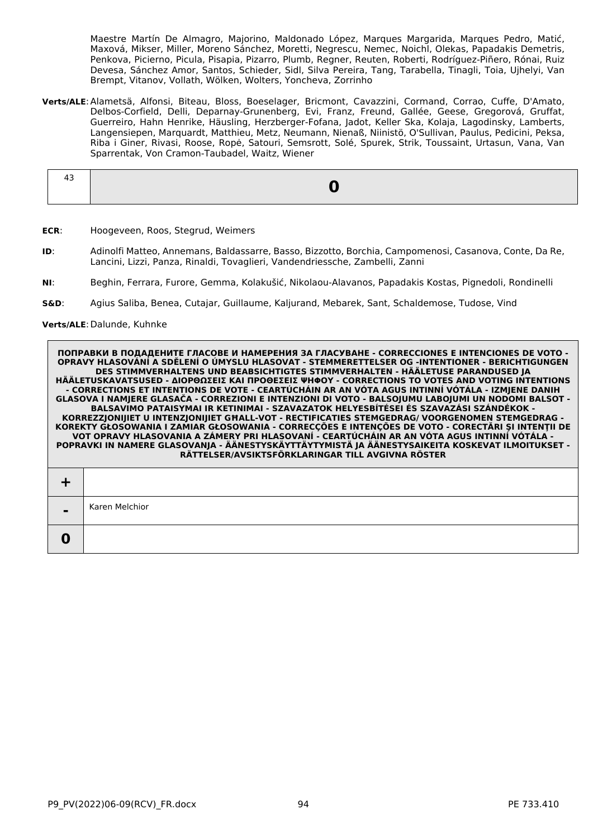Maestre Martín De Almagro, Majorino, Maldonado López, Marques Margarida, Marques Pedro, Matić, Maxová, Mikser, Miller, Moreno Sánchez, Moretti, Negrescu, Nemec, Noichl, Olekas, Papadakis Demetris, Penkova, Picierno, Picula, Pisapia, Pizarro, Plumb, Regner, Reuten, Roberti, Rodríguez-Piñero, Rónai, Ruiz Devesa, Sánchez Amor, Santos, Schieder, Sidl, Silva Pereira, Tang, Tarabella, Tinagli, Toia, Ujhelyi, Van Brempt, Vitanov, Vollath, Wölken, Wolters, Yoncheva, Zorrinho

**Verts/ALE**:Alametsä, Alfonsi, Biteau, Bloss, Boeselager, Bricmont, Cavazzini, Cormand, Corrao, Cuffe, D'Amato, Delbos-Corfield, Delli, Deparnay-Grunenberg, Evi, Franz, Freund, Gallée, Geese, Gregorová, Gruffat, Guerreiro, Hahn Henrike, Häusling, Herzberger-Fofana, Jadot, Keller Ska, Kolaja, Lagodinsky, Lamberts, Langensiepen, Marquardt, Matthieu, Metz, Neumann, Nienaß, Niinistö, O'Sullivan, Paulus, Pedicini, Peksa, Riba i Giner, Rivasi, Roose, Ropė, Satouri, Semsrott, Solé, Spurek, Strik, Toussaint, Urtasun, Vana, Van Sparrentak, Von Cramon-Taubadel, Waitz, Wiener

- **ECR**: Hoogeveen, Roos, Stegrud, Weimers
- **ID**: Adinolfi Matteo, Annemans, Baldassarre, Basso, Bizzotto, Borchia, Campomenosi, Casanova, Conte, Da Re, Lancini, Lizzi, Panza, Rinaldi, Tovaglieri, Vandendriessche, Zambelli, Zanni
- **NI**: Beghin, Ferrara, Furore, Gemma, Kolakušić, Nikolaou-Alavanos, Papadakis Kostas, Pignedoli, Rondinelli
- **S&D**: Agius Saliba, Benea, Cutajar, Guillaume, Kaljurand, Mebarek, Sant, Schaldemose, Tudose, Vind

**Verts/ALE**:Dalunde, Kuhnke

| $\blacksquare$ | Karen Melchior |
|----------------|----------------|
|                |                |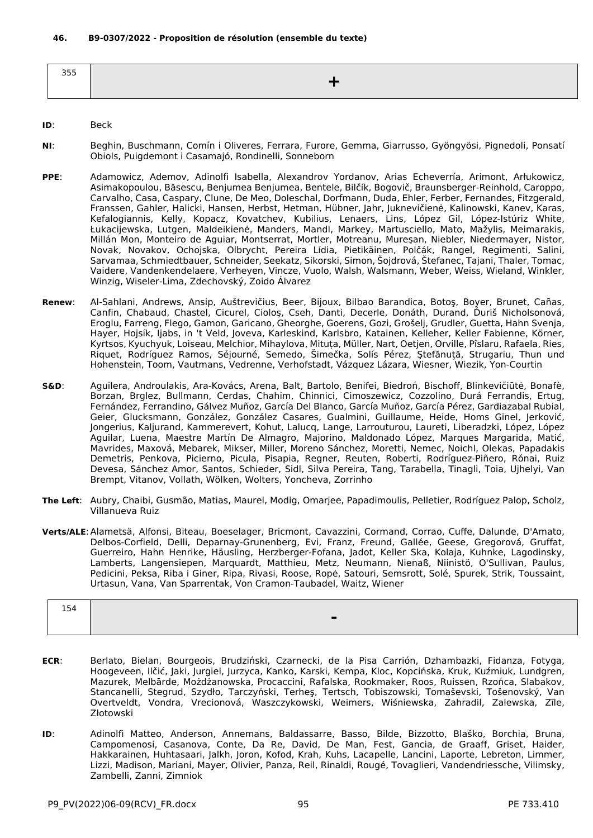| $- - -$<br>--- |  |
|----------------|--|
|                |  |

## **ID**: Beck

- **NI**: Beghin, Buschmann, Comín i Oliveres, Ferrara, Furore, Gemma, Giarrusso, Gyöngyösi, Pignedoli, Ponsatí Obiols, Puigdemont i Casamajó, Rondinelli, Sonneborn
- **PPE**: Adamowicz, Ademov, Adinolfi Isabella, Alexandrov Yordanov, Arias Echeverría, Arimont, Arłukowicz, Asimakopoulou, Băsescu, Benjumea Benjumea, Bentele, Bilčík, Bogovič, Braunsberger-Reinhold, Caroppo, Carvalho, Casa, Caspary, Clune, De Meo, Doleschal, Dorfmann, Duda, Ehler, Ferber, Fernandes, Fitzgerald, Franssen, Gahler, Halicki, Hansen, Herbst, Hetman, Hübner, Jahr, Juknevičienė, Kalinowski, Kanev, Karas, Kefalogiannis, Kelly, Kopacz, Kovatchev, Kubilius, Lenaers, Lins, López Gil, López-Istúriz White, Łukacijewska, Lutgen, Maldeikienė, Manders, Mandl, Markey, Martusciello, Mato, Mažylis, Meimarakis, Millán Mon, Monteiro de Aguiar, Montserrat, Mortler, Motreanu, Mureşan, Niebler, Niedermayer, Nistor, Novak, Novakov, Ochojska, Olbrycht, Pereira Lídia, Pietikäinen, Polčák, Rangel, Regimenti, Salini, Sarvamaa, Schmiedtbauer, Schneider, Seekatz, Sikorski, Simon, Šojdrová, Štefanec, Tajani, Thaler, Tomac, Vaidere, Vandenkendelaere, Verheyen, Vincze, Vuolo, Walsh, Walsmann, Weber, Weiss, Wieland, Winkler, Winzig, Wiseler-Lima, Zdechovský, Zoido Álvarez
- **Renew**: Al-Sahlani, Andrews, Ansip, Auštrevičius, Beer, Bijoux, Bilbao Barandica, Botoş, Boyer, Brunet, Cañas, Canfin, Chabaud, Chastel, Cicurel, Cioloş, Cseh, Danti, Decerle, Donáth, Durand, Ďuriš Nicholsonová, Eroglu, Farreng, Flego, Gamon, Garicano, Gheorghe, Goerens, Gozi, Grošelj, Grudler, Guetta, Hahn Svenja, Hayer, Hojsík, Ijabs, in 't Veld, Joveva, Karleskind, Karlsbro, Katainen, Kelleher, Keller Fabienne, Körner, Kyrtsos, Kyuchyuk, Loiseau, Melchior, Mihaylova, Mituța, Müller, Nart, Oetjen, Orville, Pîslaru, Rafaela, Ries, Riquet, Rodríguez Ramos, Séjourné, Semedo, Šimečka, Solís Pérez, Ştefănuță, Strugariu, Thun und Hohenstein, Toom, Vautmans, Vedrenne, Verhofstadt, Vázquez Lázara, Wiesner, Wiezik, Yon-Courtin
- **S&D**: Aguilera, Androulakis, Ara-Kovács, Arena, Balt, Bartolo, Benifei, Biedroń, Bischoff, Blinkevičiūtė, Bonafè, Borzan, Brglez, Bullmann, Cerdas, Chahim, Chinnici, Cimoszewicz, Cozzolino, Durá Ferrandis, Ertug, Fernández, Ferrandino, Gálvez Muñoz, García Del Blanco, García Muñoz, García Pérez, Gardiazabal Rubial, Geier, Glucksmann, González, González Casares, Gualmini, Guillaume, Heide, Homs Ginel, Jerković, Jongerius, Kaljurand, Kammerevert, Kohut, Lalucq, Lange, Larrouturou, Laureti, Liberadzki, López, López Aguilar, Luena, Maestre Martín De Almagro, Majorino, Maldonado López, Marques Margarida, Matić, Mavrides, Maxová, Mebarek, Mikser, Miller, Moreno Sánchez, Moretti, Nemec, Noichl, Olekas, Papadakis Demetris, Penkova, Picierno, Picula, Pisapia, Regner, Reuten, Roberti, Rodríguez-Piñero, Rónai, Ruiz Devesa, Sánchez Amor, Santos, Schieder, Sidl, Silva Pereira, Tang, Tarabella, Tinagli, Toia, Ujhelyi, Van Brempt, Vitanov, Vollath, Wölken, Wolters, Yoncheva, Zorrinho
- **The Left**: Aubry, Chaibi, Gusmão, Matias, Maurel, Modig, Omarjee, Papadimoulis, Pelletier, Rodríguez Palop, Scholz, Villanueva Ruiz
- **Verts/ALE**:Alametsä, Alfonsi, Biteau, Boeselager, Bricmont, Cavazzini, Cormand, Corrao, Cuffe, Dalunde, D'Amato, Delbos-Corfield, Delli, Deparnay-Grunenberg, Evi, Franz, Freund, Gallée, Geese, Gregorová, Gruffat, Guerreiro, Hahn Henrike, Häusling, Herzberger-Fofana, Jadot, Keller Ska, Kolaja, Kuhnke, Lagodinsky, Lamberts, Langensiepen, Marquardt, Matthieu, Metz, Neumann, Nienaß, Niinistö, O'Sullivan, Paulus, Pedicini, Peksa, Riba i Giner, Ripa, Rivasi, Roose, Ropė, Satouri, Semsrott, Solé, Spurek, Strik, Toussaint, Urtasun, Vana, Van Sparrentak, Von Cramon-Taubadel, Waitz, Wiener

| 154 |                |
|-----|----------------|
|     | $\blacksquare$ |

- **ECR**: Berlato, Bielan, Bourgeois, Brudziński, Czarnecki, de la Pisa Carrión, Dzhambazki, Fidanza, Fotyga, Hoogeveen, Ilčić, Jaki, Jurgiel, Jurzyca, Kanko, Karski, Kempa, Kloc, Kopcińska, Kruk, Kuźmiuk, Lundgren, Mazurek, Melbārde, Możdżanowska, Procaccini, Rafalska, Rookmaker, Roos, Ruissen, Rzońca, Slabakov, Stancanelli, Stegrud, Szydło, Tarczyński, Terheş, Tertsch, Tobiszowski, Tomaševski, Tošenovský, Van Overtveldt, Vondra, Vrecionová, Waszczykowski, Weimers, Wiśniewska, Zahradil, Zalewska, Zīle, Złotowski
- **ID**: Adinolfi Matteo, Anderson, Annemans, Baldassarre, Basso, Bilde, Bizzotto, Blaško, Borchia, Bruna, Campomenosi, Casanova, Conte, Da Re, David, De Man, Fest, Gancia, de Graaff, Griset, Haider, Hakkarainen, Huhtasaari, Jalkh, Joron, Kofod, Krah, Kuhs, Lacapelle, Lancini, Laporte, Lebreton, Limmer, Lizzi, Madison, Mariani, Mayer, Olivier, Panza, Reil, Rinaldi, Rougé, Tovaglieri, Vandendriessche, Vilimsky, Zambelli, Zanni, Zimniok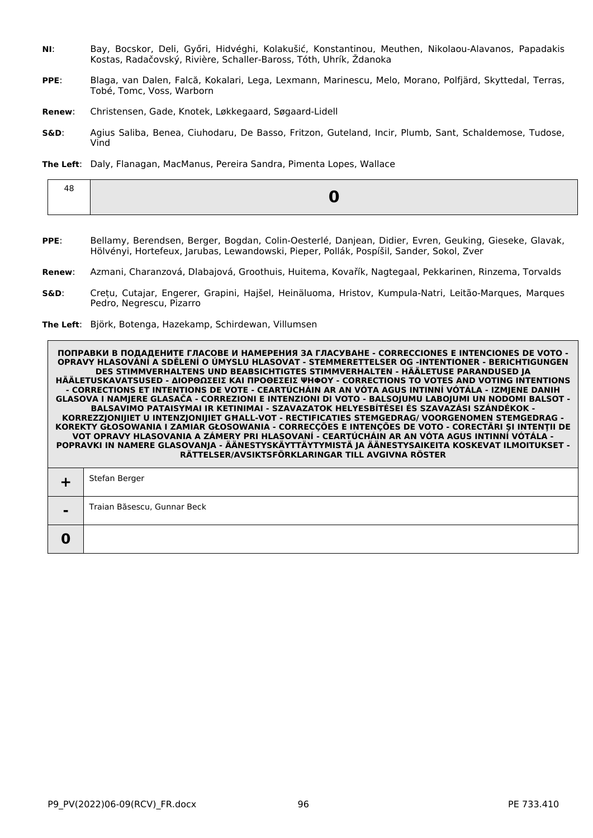- **NI**: Bay, Bocskor, Deli, Győri, Hidvéghi, Kolakušić, Konstantinou, Meuthen, Nikolaou-Alavanos, Papadakis Kostas, Radačovský, Rivière, Schaller-Baross, Tóth, Uhrík, Ždanoka
- **PPE**: Blaga, van Dalen, Falcă, Kokalari, Lega, Lexmann, Marinescu, Melo, Morano, Polfjärd, Skyttedal, Terras, Tobé, Tomc, Voss, Warborn
- **Renew**: Christensen, Gade, Knotek, Løkkegaard, Søgaard-Lidell
- **S&D**: Agius Saliba, Benea, Ciuhodaru, De Basso, Fritzon, Guteland, Incir, Plumb, Sant, Schaldemose, Tudose, Vind
- **The Left**: Daly, Flanagan, MacManus, Pereira Sandra, Pimenta Lopes, Wallace

|--|

- **PPE**: Bellamy, Berendsen, Berger, Bogdan, Colin-Oesterlé, Danjean, Didier, Evren, Geuking, Gieseke, Glavak, Hölvényi, Hortefeux, Jarubas, Lewandowski, Pieper, Pollák, Pospíšil, Sander, Sokol, Zver
- **Renew**: Azmani, Charanzová, Dlabajová, Groothuis, Huitema, Kovařík, Nagtegaal, Pekkarinen, Rinzema, Torvalds
- **S&D**: Crețu, Cutajar, Engerer, Grapini, Hajšel, Heinäluoma, Hristov, Kumpula-Natri, Leitão-Marques, Marques Pedro, Negrescu, Pizarro
- **The Left**: Björk, Botenga, Hazekamp, Schirdewan, Villumsen

|                | Stefan Berger               |
|----------------|-----------------------------|
| $\blacksquare$ | Traian Băsescu, Gunnar Beck |
|                |                             |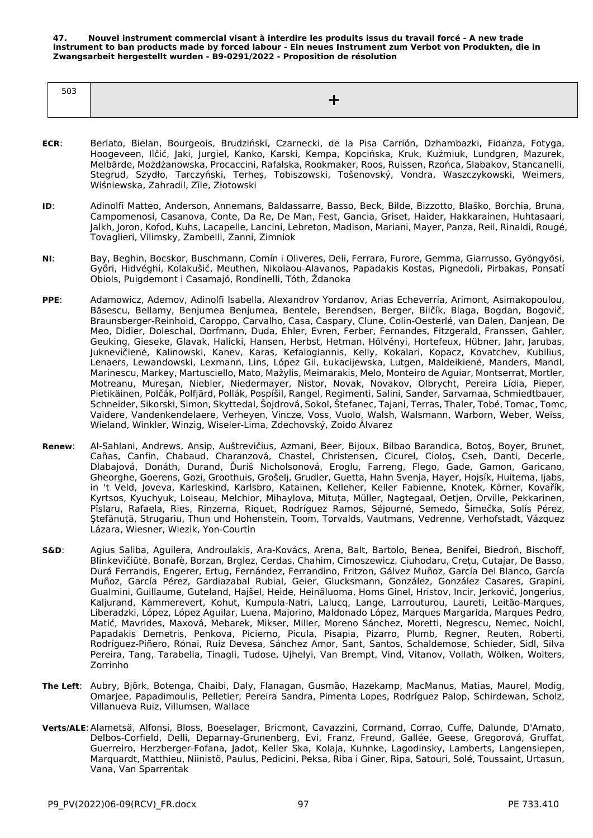**47. Nouvel instrument commercial visant à interdire les produits issus du travail forcé - A new trade instrument to ban products made by forced labour - Ein neues Instrument zum Verbot von Produkten, die in Zwangsarbeit hergestellt wurden - B9-0291/2022 - Proposition de résolution**

| -- |  |
|----|--|
|    |  |

- **ECR**: Berlato, Bielan, Bourgeois, Brudziński, Czarnecki, de la Pisa Carrión, Dzhambazki, Fidanza, Fotyga, Hoogeveen, Ilčić, Jaki, Jurgiel, Kanko, Karski, Kempa, Kopcińska, Kruk, Kuźmiuk, Lundgren, Mazurek, Melbārde, Możdżanowska, Procaccini, Rafalska, Rookmaker, Roos, Ruissen, Rzońca, Slabakov, Stancanelli, Stegrud, Szydło, Tarczyński, Terheş, Tobiszowski, Tošenovský, Vondra, Waszczykowski, Weimers, Wiśniewska, Zahradil, Zīle, Złotowski
- **ID**: Adinolfi Matteo, Anderson, Annemans, Baldassarre, Basso, Beck, Bilde, Bizzotto, Blaško, Borchia, Bruna, Campomenosi, Casanova, Conte, Da Re, De Man, Fest, Gancia, Griset, Haider, Hakkarainen, Huhtasaari, Jalkh, Joron, Kofod, Kuhs, Lacapelle, Lancini, Lebreton, Madison, Mariani, Mayer, Panza, Reil, Rinaldi, Rougé, Tovaglieri, Vilimsky, Zambelli, Zanni, Zimniok
- **NI**: Bay, Beghin, Bocskor, Buschmann, Comín i Oliveres, Deli, Ferrara, Furore, Gemma, Giarrusso, Gyöngyösi, Győri, Hidvéghi, Kolakušić, Meuthen, Nikolaou-Alavanos, Papadakis Kostas, Pignedoli, Pirbakas, Ponsatí Obiols, Puigdemont i Casamajó, Rondinelli, Tóth, Ždanoka
- **PPE**: Adamowicz, Ademov, Adinolfi Isabella, Alexandrov Yordanov, Arias Echeverría, Arimont, Asimakopoulou, Băsescu, Bellamy, Benjumea Benjumea, Bentele, Berendsen, Berger, Bilčík, Blaga, Bogdan, Bogovič, Braunsberger-Reinhold, Caroppo, Carvalho, Casa, Caspary, Clune, Colin-Oesterlé, van Dalen, Danjean, De Meo, Didier, Doleschal, Dorfmann, Duda, Ehler, Evren, Ferber, Fernandes, Fitzgerald, Franssen, Gahler, Geuking, Gieseke, Glavak, Halicki, Hansen, Herbst, Hetman, Hölvényi, Hortefeux, Hübner, Jahr, Jarubas, Juknevičienė, Kalinowski, Kanev, Karas, Kefalogiannis, Kelly, Kokalari, Kopacz, Kovatchev, Kubilius, Lenaers, Lewandowski, Lexmann, Lins, López Gil, Łukacijewska, Lutgen, Maldeikienė, Manders, Mandl, Marinescu, Markey, Martusciello, Mato, Mažylis, Meimarakis, Melo, Monteiro de Aguiar, Montserrat, Mortler, Motreanu, Mureşan, Niebler, Niedermayer, Nistor, Novak, Novakov, Olbrycht, Pereira Lídia, Pieper, Pietikäinen, Polčák, Polfjärd, Pollák, Pospíšil, Rangel, Regimenti, Salini, Sander, Sarvamaa, Schmiedtbauer, Schneider, Sikorski, Simon, Skyttedal, Šojdrová, Sokol, Štefanec, Tajani, Terras, Thaler, Tobé, Tomac, Tomc, Vaidere, Vandenkendelaere, Verheyen, Vincze, Voss, Vuolo, Walsh, Walsmann, Warborn, Weber, Weiss, Wieland, Winkler, Winzig, Wiseler-Lima, Zdechovský, Zoido Álvarez
- **Renew**: Al-Sahlani, Andrews, Ansip, Auštrevičius, Azmani, Beer, Bijoux, Bilbao Barandica, Botoş, Boyer, Brunet, Cañas, Canfin, Chabaud, Charanzová, Chastel, Christensen, Cicurel, Cioloş, Cseh, Danti, Decerle, Dlabajová, Donáth, Durand, Ďuriš Nicholsonová, Eroglu, Farreng, Flego, Gade, Gamon, Garicano, Gheorghe, Goerens, Gozi, Groothuis, Grošelj, Grudler, Guetta, Hahn Svenja, Hayer, Hojsík, Huitema, Ijabs, in 't Veld, Joveva, Karleskind, Karlsbro, Katainen, Kelleher, Keller Fabienne, Knotek, Körner, Kovařík, Kyrtsos, Kyuchyuk, Loiseau, Melchior, Mihaylova, Mituța, Müller, Nagtegaal, Oetjen, Orville, Pekkarinen, Pîslaru, Rafaela, Ries, Rinzema, Riquet, Rodríguez Ramos, Séjourné, Semedo, Šimečka, Solís Pérez, Ştefănuță, Strugariu, Thun und Hohenstein, Toom, Torvalds, Vautmans, Vedrenne, Verhofstadt, Vázquez Lázara, Wiesner, Wiezik, Yon-Courtin
- **S&D**: Agius Saliba, Aguilera, Androulakis, Ara-Kovács, Arena, Balt, Bartolo, Benea, Benifei, Biedroń, Bischoff, Blinkevičiūtė, Bonafè, Borzan, Brglez, Cerdas, Chahim, Cimoszewicz, Ciuhodaru, Crețu, Cutajar, De Basso, Durá Ferrandis, Engerer, Ertug, Fernández, Ferrandino, Fritzon, Gálvez Muñoz, García Del Blanco, García Muñoz, García Pérez, Gardiazabal Rubial, Geier, Glucksmann, González, González Casares, Grapini, Gualmini, Guillaume, Guteland, Hajšel, Heide, Heinäluoma, Homs Ginel, Hristov, Incir, Jerković, Jongerius, Kaljurand, Kammerevert, Kohut, Kumpula-Natri, Lalucq, Lange, Larrouturou, Laureti, Leitão-Marques, Liberadzki, López, López Aguilar, Luena, Majorino, Maldonado López, Marques Margarida, Marques Pedro, Matić, Mavrides, Maxová, Mebarek, Mikser, Miller, Moreno Sánchez, Moretti, Negrescu, Nemec, Noichl, Papadakis Demetris, Penkova, Picierno, Picula, Pisapia, Pizarro, Plumb, Regner, Reuten, Roberti, Rodríguez-Piñero, Rónai, Ruiz Devesa, Sánchez Amor, Sant, Santos, Schaldemose, Schieder, Sidl, Silva Pereira, Tang, Tarabella, Tinagli, Tudose, Ujhelyi, Van Brempt, Vind, Vitanov, Vollath, Wölken, Wolters, Zorrinho
- **The Left**: Aubry, Björk, Botenga, Chaibi, Daly, Flanagan, Gusmão, Hazekamp, MacManus, Matias, Maurel, Modig, Omarjee, Papadimoulis, Pelletier, Pereira Sandra, Pimenta Lopes, Rodríguez Palop, Schirdewan, Scholz, Villanueva Ruiz, Villumsen, Wallace
- **Verts/ALE**:Alametsä, Alfonsi, Bloss, Boeselager, Bricmont, Cavazzini, Cormand, Corrao, Cuffe, Dalunde, D'Amato, Delbos-Corfield, Delli, Deparnay-Grunenberg, Evi, Franz, Freund, Gallée, Geese, Gregorová, Gruffat, Guerreiro, Herzberger-Fofana, Jadot, Keller Ska, Kolaja, Kuhnke, Lagodinsky, Lamberts, Langensiepen, Marquardt, Matthieu, Niinistö, Paulus, Pedicini, Peksa, Riba i Giner, Ripa, Satouri, Solé, Toussaint, Urtasun, Vana, Van Sparrentak